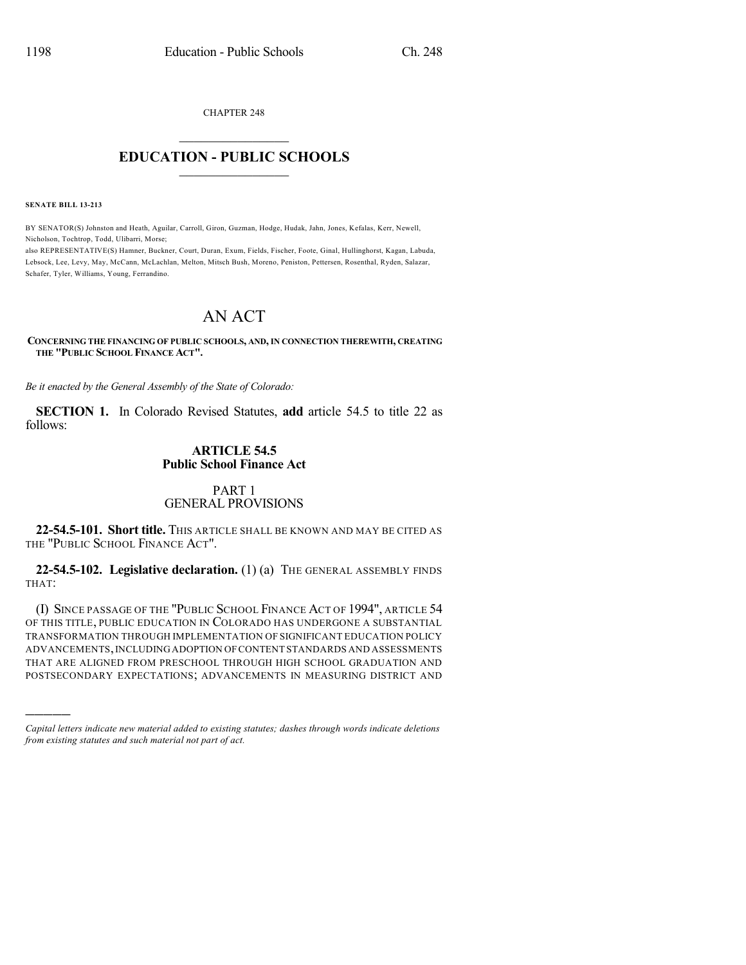CHAPTER 248

## $\mathcal{L}_\text{max}$  . The set of the set of the set of the set of the set of the set of the set of the set of the set of the set of the set of the set of the set of the set of the set of the set of the set of the set of the set **EDUCATION - PUBLIC SCHOOLS**  $\_$   $\_$   $\_$   $\_$   $\_$   $\_$   $\_$   $\_$   $\_$

**SENATE BILL 13-213**

)))))

BY SENATOR(S) Johnston and Heath, Aguilar, Carroll, Giron, Guzman, Hodge, Hudak, Jahn, Jones, Kefalas, Kerr, Newell, Nicholson, Tochtrop, Todd, Ulibarri, Morse;

also REPRESENTATIVE(S) Hamner, Buckner, Court, Duran, Exum, Fields, Fischer, Foote, Ginal, Hullinghorst, Kagan, Labuda, Lebsock, Lee, Levy, May, McCann, McLachlan, Melton, Mitsch Bush, Moreno, Peniston, Pettersen, Rosenthal, Ryden, Salazar, Schafer, Tyler, Williams, Young, Ferrandino.

# AN ACT

#### **CONCERNING THE FINANCING OF PUBLIC SCHOOLS, AND, IN CONNECTION THEREWITH, CREATING THE "PUBLIC SCHOOL FINANCE ACT".**

*Be it enacted by the General Assembly of the State of Colorado:*

**SECTION 1.** In Colorado Revised Statutes, **add** article 54.5 to title 22 as follows:

#### **ARTICLE 54.5 Public School Finance Act**

#### PART 1 GENERAL PROVISIONS

**22-54.5-101. Short title.** THIS ARTICLE SHALL BE KNOWN AND MAY BE CITED AS THE "PUBLIC SCHOOL FINANCE ACT".

**22-54.5-102. Legislative declaration.** (1) (a) THE GENERAL ASSEMBLY FINDS THAT:

(I) SINCE PASSAGE OF THE "PUBLIC SCHOOL FINANCE ACT OF 1994", ARTICLE 54 OF THIS TITLE, PUBLIC EDUCATION IN COLORADO HAS UNDERGONE A SUBSTANTIAL TRANSFORMATION THROUGH IMPLEMENTATION OF SIGNIFICANT EDUCATION POLICY ADVANCEMENTS,INCLUDINGADOPTION OFCONTENT STANDARDS AND ASSESSMENTS THAT ARE ALIGNED FROM PRESCHOOL THROUGH HIGH SCHOOL GRADUATION AND POSTSECONDARY EXPECTATIONS; ADVANCEMENTS IN MEASURING DISTRICT AND

*Capital letters indicate new material added to existing statutes; dashes through words indicate deletions from existing statutes and such material not part of act.*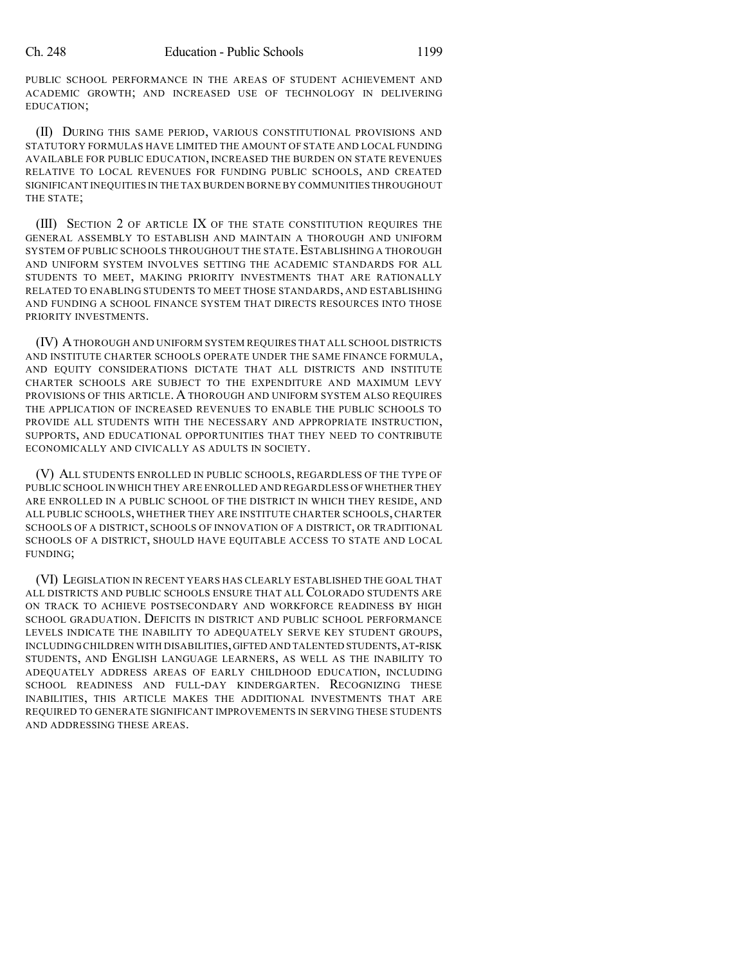PUBLIC SCHOOL PERFORMANCE IN THE AREAS OF STUDENT ACHIEVEMENT AND ACADEMIC GROWTH; AND INCREASED USE OF TECHNOLOGY IN DELIVERING EDUCATION;

(II) DURING THIS SAME PERIOD, VARIOUS CONSTITUTIONAL PROVISIONS AND STATUTORY FORMULAS HAVE LIMITED THE AMOUNT OF STATE AND LOCAL FUNDING AVAILABLE FOR PUBLIC EDUCATION, INCREASED THE BURDEN ON STATE REVENUES RELATIVE TO LOCAL REVENUES FOR FUNDING PUBLIC SCHOOLS, AND CREATED SIGNIFICANT INEQUITIES IN THE TAX BURDEN BORNE BY COMMUNITIES THROUGHOUT THE STATE;

(III) SECTION 2 OF ARTICLE IX OF THE STATE CONSTITUTION REQUIRES THE GENERAL ASSEMBLY TO ESTABLISH AND MAINTAIN A THOROUGH AND UNIFORM SYSTEM OF PUBLIC SCHOOLS THROUGHOUT THE STATE.ESTABLISHING A THOROUGH AND UNIFORM SYSTEM INVOLVES SETTING THE ACADEMIC STANDARDS FOR ALL STUDENTS TO MEET, MAKING PRIORITY INVESTMENTS THAT ARE RATIONALLY RELATED TO ENABLING STUDENTS TO MEET THOSE STANDARDS, AND ESTABLISHING AND FUNDING A SCHOOL FINANCE SYSTEM THAT DIRECTS RESOURCES INTO THOSE PRIORITY INVESTMENTS.

(IV) ATHOROUGH AND UNIFORM SYSTEM REQUIRES THAT ALL SCHOOL DISTRICTS AND INSTITUTE CHARTER SCHOOLS OPERATE UNDER THE SAME FINANCE FORMULA, AND EQUITY CONSIDERATIONS DICTATE THAT ALL DISTRICTS AND INSTITUTE CHARTER SCHOOLS ARE SUBJECT TO THE EXPENDITURE AND MAXIMUM LEVY PROVISIONS OF THIS ARTICLE. A THOROUGH AND UNIFORM SYSTEM ALSO REQUIRES THE APPLICATION OF INCREASED REVENUES TO ENABLE THE PUBLIC SCHOOLS TO PROVIDE ALL STUDENTS WITH THE NECESSARY AND APPROPRIATE INSTRUCTION, SUPPORTS, AND EDUCATIONAL OPPORTUNITIES THAT THEY NEED TO CONTRIBUTE ECONOMICALLY AND CIVICALLY AS ADULTS IN SOCIETY.

(V) ALL STUDENTS ENROLLED IN PUBLIC SCHOOLS, REGARDLESS OF THE TYPE OF PUBLIC SCHOOL IN WHICH THEY ARE ENROLLED AND REGARDLESS OF WHETHER THEY ARE ENROLLED IN A PUBLIC SCHOOL OF THE DISTRICT IN WHICH THEY RESIDE, AND ALL PUBLIC SCHOOLS, WHETHER THEY ARE INSTITUTE CHARTER SCHOOLS,CHARTER SCHOOLS OF A DISTRICT, SCHOOLS OF INNOVATION OF A DISTRICT, OR TRADITIONAL SCHOOLS OF A DISTRICT, SHOULD HAVE EQUITABLE ACCESS TO STATE AND LOCAL FUNDING;

(VI) LEGISLATION IN RECENT YEARS HAS CLEARLY ESTABLISHED THE GOAL THAT ALL DISTRICTS AND PUBLIC SCHOOLS ENSURE THAT ALL COLORADO STUDENTS ARE ON TRACK TO ACHIEVE POSTSECONDARY AND WORKFORCE READINESS BY HIGH SCHOOL GRADUATION. DEFICITS IN DISTRICT AND PUBLIC SCHOOL PERFORMANCE LEVELS INDICATE THE INABILITY TO ADEQUATELY SERVE KEY STUDENT GROUPS, INCLUDING CHILDREN WITH DISABILITIES,GIFTED AND TALENTED STUDENTS,AT-RISK STUDENTS, AND ENGLISH LANGUAGE LEARNERS, AS WELL AS THE INABILITY TO ADEQUATELY ADDRESS AREAS OF EARLY CHILDHOOD EDUCATION, INCLUDING SCHOOL READINESS AND FULL-DAY KINDERGARTEN. RECOGNIZING THESE INABILITIES, THIS ARTICLE MAKES THE ADDITIONAL INVESTMENTS THAT ARE REQUIRED TO GENERATE SIGNIFICANT IMPROVEMENTS IN SERVING THESE STUDENTS AND ADDRESSING THESE AREAS.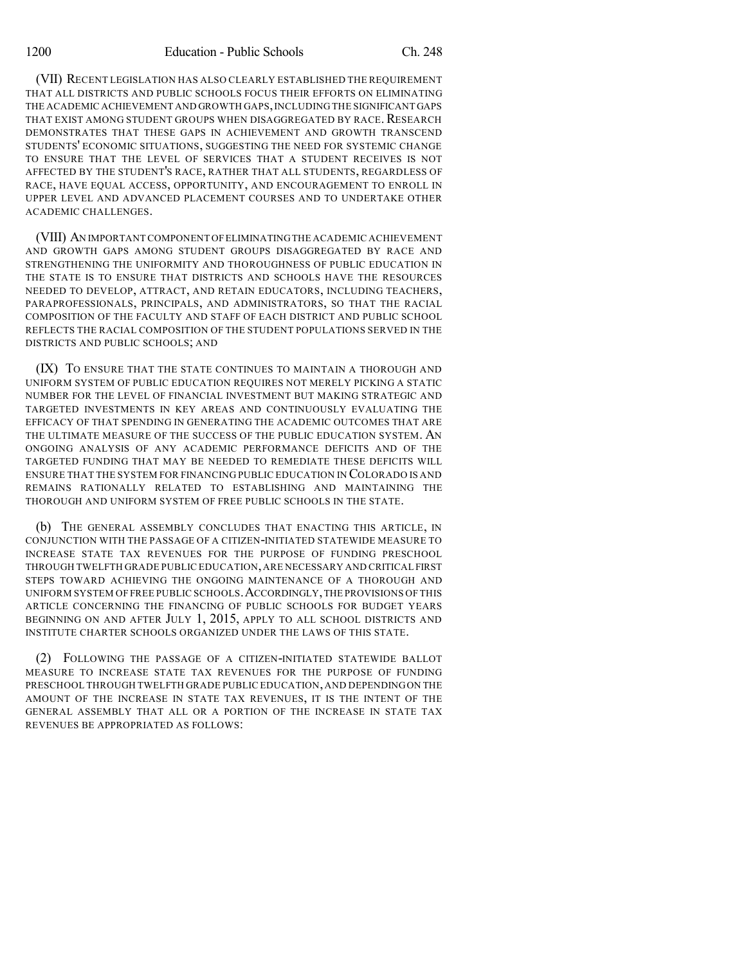(VII) RECENT LEGISLATION HAS ALSO CLEARLY ESTABLISHED THE REQUIREMENT THAT ALL DISTRICTS AND PUBLIC SCHOOLS FOCUS THEIR EFFORTS ON ELIMINATING THE ACADEMIC ACHIEVEMENT AND GROWTH GAPS, INCLUDING THE SIGNIFICANT GAPS THAT EXIST AMONG STUDENT GROUPS WHEN DISAGGREGATED BY RACE. RESEARCH DEMONSTRATES THAT THESE GAPS IN ACHIEVEMENT AND GROWTH TRANSCEND STUDENTS' ECONOMIC SITUATIONS, SUGGESTING THE NEED FOR SYSTEMIC CHANGE TO ENSURE THAT THE LEVEL OF SERVICES THAT A STUDENT RECEIVES IS NOT AFFECTED BY THE STUDENT'S RACE, RATHER THAT ALL STUDENTS, REGARDLESS OF RACE, HAVE EQUAL ACCESS, OPPORTUNITY, AND ENCOURAGEMENT TO ENROLL IN UPPER LEVEL AND ADVANCED PLACEMENT COURSES AND TO UNDERTAKE OTHER ACADEMIC CHALLENGES.

(VIII) AN IMPORTANT COMPONENT OFELIMINATINGTHE ACADEMIC ACHIEVEMENT AND GROWTH GAPS AMONG STUDENT GROUPS DISAGGREGATED BY RACE AND STRENGTHENING THE UNIFORMITY AND THOROUGHNESS OF PUBLIC EDUCATION IN THE STATE IS TO ENSURE THAT DISTRICTS AND SCHOOLS HAVE THE RESOURCES NEEDED TO DEVELOP, ATTRACT, AND RETAIN EDUCATORS, INCLUDING TEACHERS, PARAPROFESSIONALS, PRINCIPALS, AND ADMINISTRATORS, SO THAT THE RACIAL COMPOSITION OF THE FACULTY AND STAFF OF EACH DISTRICT AND PUBLIC SCHOOL REFLECTS THE RACIAL COMPOSITION OF THE STUDENT POPULATIONS SERVED IN THE DISTRICTS AND PUBLIC SCHOOLS; AND

(IX) TO ENSURE THAT THE STATE CONTINUES TO MAINTAIN A THOROUGH AND UNIFORM SYSTEM OF PUBLIC EDUCATION REQUIRES NOT MERELY PICKING A STATIC NUMBER FOR THE LEVEL OF FINANCIAL INVESTMENT BUT MAKING STRATEGIC AND TARGETED INVESTMENTS IN KEY AREAS AND CONTINUOUSLY EVALUATING THE EFFICACY OF THAT SPENDING IN GENERATING THE ACADEMIC OUTCOMES THAT ARE THE ULTIMATE MEASURE OF THE SUCCESS OF THE PUBLIC EDUCATION SYSTEM. AN ONGOING ANALYSIS OF ANY ACADEMIC PERFORMANCE DEFICITS AND OF THE TARGETED FUNDING THAT MAY BE NEEDED TO REMEDIATE THESE DEFICITS WILL ENSURE THAT THE SYSTEM FOR FINANCING PUBLIC EDUCATION IN COLORADO IS AND REMAINS RATIONALLY RELATED TO ESTABLISHING AND MAINTAINING THE THOROUGH AND UNIFORM SYSTEM OF FREE PUBLIC SCHOOLS IN THE STATE.

(b) THE GENERAL ASSEMBLY CONCLUDES THAT ENACTING THIS ARTICLE, IN CONJUNCTION WITH THE PASSAGE OF A CITIZEN-INITIATED STATEWIDE MEASURE TO INCREASE STATE TAX REVENUES FOR THE PURPOSE OF FUNDING PRESCHOOL THROUGH TWELFTH GRADE PUBLIC EDUCATION,ARE NECESSARY AND CRITICAL FIRST STEPS TOWARD ACHIEVING THE ONGOING MAINTENANCE OF A THOROUGH AND UNIFORM SYSTEM OF FREE PUBLIC SCHOOLS.ACCORDINGLY,THE PROVISIONS OF THIS ARTICLE CONCERNING THE FINANCING OF PUBLIC SCHOOLS FOR BUDGET YEARS BEGINNING ON AND AFTER JULY 1, 2015, APPLY TO ALL SCHOOL DISTRICTS AND INSTITUTE CHARTER SCHOOLS ORGANIZED UNDER THE LAWS OF THIS STATE.

(2) FOLLOWING THE PASSAGE OF A CITIZEN-INITIATED STATEWIDE BALLOT MEASURE TO INCREASE STATE TAX REVENUES FOR THE PURPOSE OF FUNDING PRESCHOOL THROUGH TWELFTH GRADE PUBLIC EDUCATION,AND DEPENDINGON THE AMOUNT OF THE INCREASE IN STATE TAX REVENUES, IT IS THE INTENT OF THE GENERAL ASSEMBLY THAT ALL OR A PORTION OF THE INCREASE IN STATE TAX REVENUES BE APPROPRIATED AS FOLLOWS: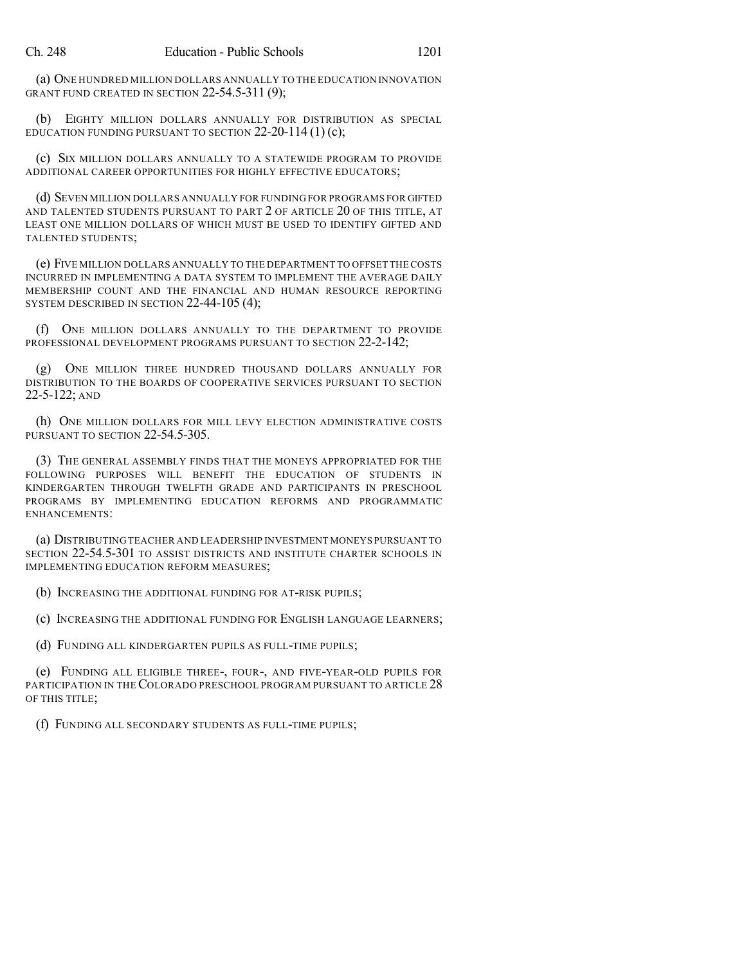(a) ONE HUNDRED MILLION DOLLARS ANNUALLY TO THE EDUCATION INNOVATION GRANT FUND CREATED IN SECTION 22-54.5-311 (9);

(b) EIGHTY MILLION DOLLARS ANNUALLY FOR DISTRIBUTION AS SPECIAL EDUCATION FUNDING PURSUANT TO SECTION  $22-20-114(1)(c)$ ;

(c) SIX MILLION DOLLARS ANNUALLY TO A STATEWIDE PROGRAM TO PROVIDE ADDITIONAL CAREER OPPORTUNITIES FOR HIGHLY EFFECTIVE EDUCATORS;

(d) SEVEN MILLION DOLLARS ANNUALLY FOR FUNDING FOR PROGRAMS FOR GIFTED AND TALENTED STUDENTS PURSUANT TO PART 2 OF ARTICLE 20 OF THIS TITLE, AT LEAST ONE MILLION DOLLARS OF WHICH MUST BE USED TO IDENTIFY GIFTED AND TALENTED STUDENTS;

(e) FIVE MILLION DOLLARS ANNUALLY TO THE DEPARTMENT TO OFFSET THE COSTS INCURRED IN IMPLEMENTING A DATA SYSTEM TO IMPLEMENT THE AVERAGE DAILY MEMBERSHIP COUNT AND THE FINANCIAL AND HUMAN RESOURCE REPORTING SYSTEM DESCRIBED IN SECTION 22-44-105 (4);

(f) ONE MILLION DOLLARS ANNUALLY TO THE DEPARTMENT TO PROVIDE PROFESSIONAL DEVELOPMENT PROGRAMS PURSUANT TO SECTION 22-2-142;

(g) ONE MILLION THREE HUNDRED THOUSAND DOLLARS ANNUALLY FOR DISTRIBUTION TO THE BOARDS OF COOPERATIVE SERVICES PURSUANT TO SECTION 22-5-122; AND

(h) ONE MILLION DOLLARS FOR MILL LEVY ELECTION ADMINISTRATIVE COSTS PURSUANT TO SECTION 22-54.5-305.

(3) THE GENERAL ASSEMBLY FINDS THAT THE MONEYS APPROPRIATED FOR THE FOLLOWING PURPOSES WILL BENEFIT THE EDUCATION OF STUDENTS IN KINDERGARTEN THROUGH TWELFTH GRADE AND PARTICIPANTS IN PRESCHOOL PROGRAMS BY IMPLEMENTING EDUCATION REFORMS AND PROGRAMMATIC ENHANCEMENTS:

(a) DISTRIBUTING TEACHER AND LEADERSHIP INVESTMENT MONEYS PURSUANT TO SECTION 22-54.5-301 TO ASSIST DISTRICTS AND INSTITUTE CHARTER SCHOOLS IN IMPLEMENTING EDUCATION REFORM MEASURES;

(b) INCREASING THE ADDITIONAL FUNDING FOR AT-RISK PUPILS;

(c) INCREASING THE ADDITIONAL FUNDING FOR ENGLISH LANGUAGE LEARNERS;

(d) FUNDING ALL KINDERGARTEN PUPILS AS FULL-TIME PUPILS;

(e) FUNDING ALL ELIGIBLE THREE-, FOUR-, AND FIVE-YEAR-OLD PUPILS FOR PARTICIPATION IN THE COLORADO PRESCHOOL PROGRAM PURSUANT TO ARTICLE 28 OF THIS TITLE;

(f) FUNDING ALL SECONDARY STUDENTS AS FULL-TIME PUPILS;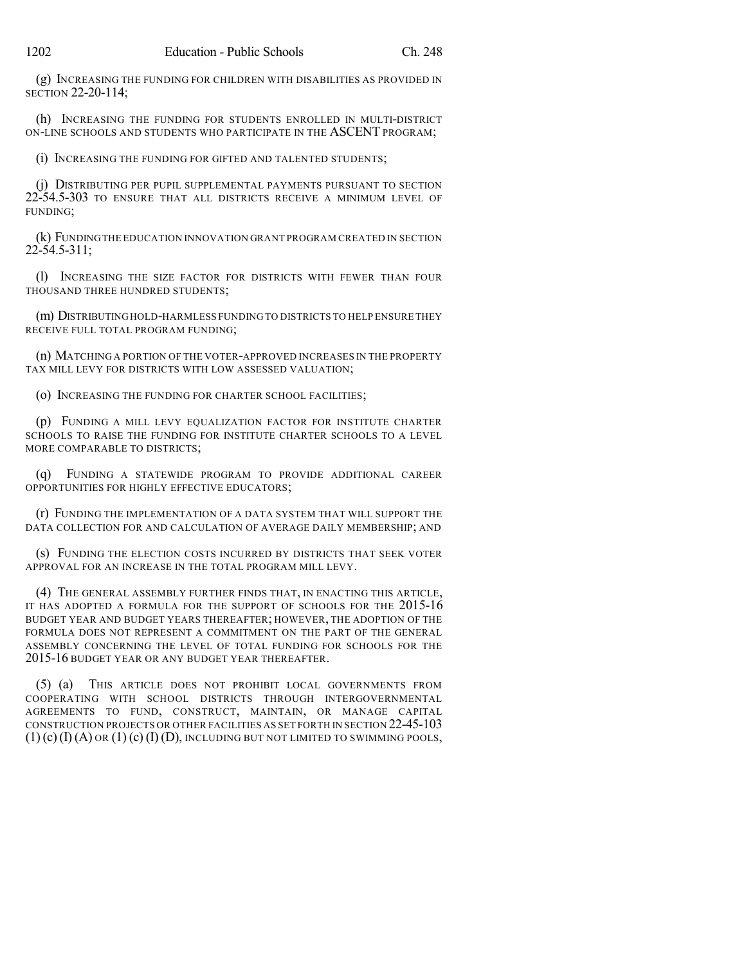(g) INCREASING THE FUNDING FOR CHILDREN WITH DISABILITIES AS PROVIDED IN SECTION 22-20-114;

(h) INCREASING THE FUNDING FOR STUDENTS ENROLLED IN MULTI-DISTRICT ON-LINE SCHOOLS AND STUDENTS WHO PARTICIPATE IN THE ASCENT PROGRAM;

(i) INCREASING THE FUNDING FOR GIFTED AND TALENTED STUDENTS;

(j) DISTRIBUTING PER PUPIL SUPPLEMENTAL PAYMENTS PURSUANT TO SECTION 22-54.5-303 TO ENSURE THAT ALL DISTRICTS RECEIVE A MINIMUM LEVEL OF FUNDING;

(k) FUNDINGTHE EDUCATION INNOVATION GRANT PROGRAM CREATED IN SECTION 22-54.5-311;

(l) INCREASING THE SIZE FACTOR FOR DISTRICTS WITH FEWER THAN FOUR THOUSAND THREE HUNDRED STUDENTS;

(m) DISTRIBUTINGHOLD-HARMLESS FUNDING TO DISTRICTS TO HELP ENSURE THEY RECEIVE FULL TOTAL PROGRAM FUNDING;

(n) MATCHING A PORTION OF THE VOTER-APPROVED INCREASES IN THE PROPERTY TAX MILL LEVY FOR DISTRICTS WITH LOW ASSESSED VALUATION;

(o) INCREASING THE FUNDING FOR CHARTER SCHOOL FACILITIES;

(p) FUNDING A MILL LEVY EQUALIZATION FACTOR FOR INSTITUTE CHARTER SCHOOLS TO RAISE THE FUNDING FOR INSTITUTE CHARTER SCHOOLS TO A LEVEL MORE COMPARABLE TO DISTRICTS;

(q) FUNDING A STATEWIDE PROGRAM TO PROVIDE ADDITIONAL CAREER OPPORTUNITIES FOR HIGHLY EFFECTIVE EDUCATORS;

(r) FUNDING THE IMPLEMENTATION OF A DATA SYSTEM THAT WILL SUPPORT THE DATA COLLECTION FOR AND CALCULATION OF AVERAGE DAILY MEMBERSHIP; AND

(s) FUNDING THE ELECTION COSTS INCURRED BY DISTRICTS THAT SEEK VOTER APPROVAL FOR AN INCREASE IN THE TOTAL PROGRAM MILL LEVY.

(4) THE GENERAL ASSEMBLY FURTHER FINDS THAT, IN ENACTING THIS ARTICLE, IT HAS ADOPTED A FORMULA FOR THE SUPPORT OF SCHOOLS FOR THE 2015-16 BUDGET YEAR AND BUDGET YEARS THEREAFTER; HOWEVER, THE ADOPTION OF THE FORMULA DOES NOT REPRESENT A COMMITMENT ON THE PART OF THE GENERAL ASSEMBLY CONCERNING THE LEVEL OF TOTAL FUNDING FOR SCHOOLS FOR THE 2015-16 BUDGET YEAR OR ANY BUDGET YEAR THEREAFTER.

(5) (a) THIS ARTICLE DOES NOT PROHIBIT LOCAL GOVERNMENTS FROM COOPERATING WITH SCHOOL DISTRICTS THROUGH INTERGOVERNMENTAL AGREEMENTS TO FUND, CONSTRUCT, MAINTAIN, OR MANAGE CAPITAL CONSTRUCTION PROJECTS OR OTHER FACILITIES AS SET FORTH IN SECTION 22-45-103  $(1)$  (c)  $(I)$  (A) or  $(1)$  (c)  $(I)$  (D), Including but not limited to swimming pools,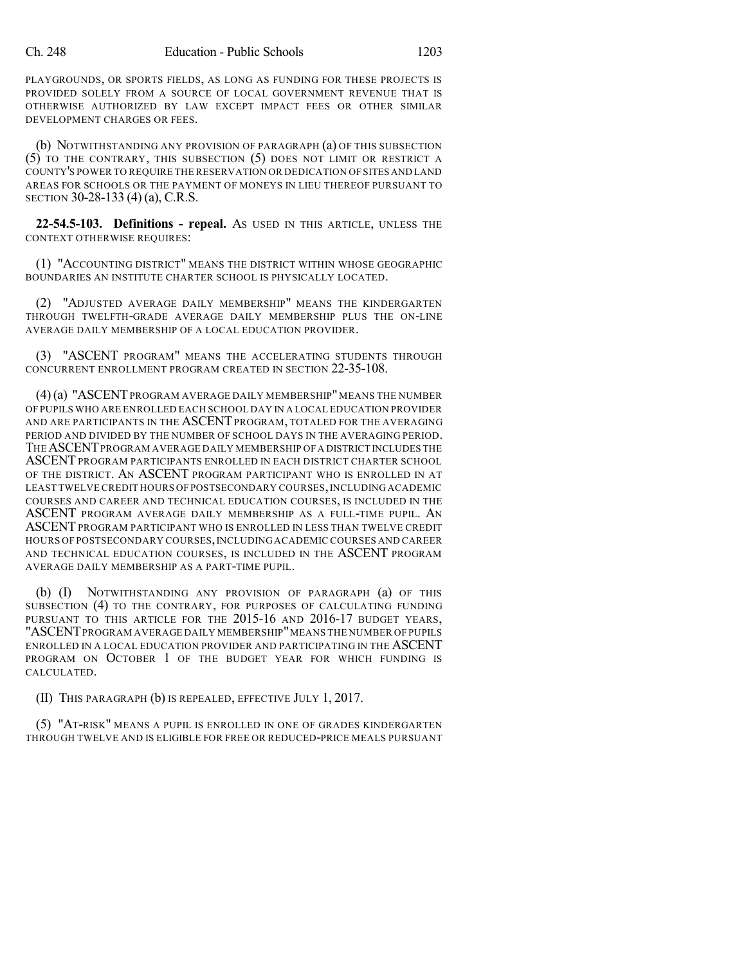PLAYGROUNDS, OR SPORTS FIELDS, AS LONG AS FUNDING FOR THESE PROJECTS IS PROVIDED SOLELY FROM A SOURCE OF LOCAL GOVERNMENT REVENUE THAT IS OTHERWISE AUTHORIZED BY LAW EXCEPT IMPACT FEES OR OTHER SIMILAR DEVELOPMENT CHARGES OR FEES.

(b) NOTWITHSTANDING ANY PROVISION OF PARAGRAPH (a) OF THIS SUBSECTION (5) TO THE CONTRARY, THIS SUBSECTION (5) DOES NOT LIMIT OR RESTRICT A COUNTY'S POWER TO REQUIRE THE RESERVATION OR DEDICATION OF SITES AND LAND AREAS FOR SCHOOLS OR THE PAYMENT OF MONEYS IN LIEU THEREOF PURSUANT TO SECTION 30-28-133 (4) (a), C.R.S.

**22-54.5-103. Definitions - repeal.** AS USED IN THIS ARTICLE, UNLESS THE CONTEXT OTHERWISE REQUIRES:

(1) "ACCOUNTING DISTRICT" MEANS THE DISTRICT WITHIN WHOSE GEOGRAPHIC BOUNDARIES AN INSTITUTE CHARTER SCHOOL IS PHYSICALLY LOCATED.

(2) "ADJUSTED AVERAGE DAILY MEMBERSHIP" MEANS THE KINDERGARTEN THROUGH TWELFTH-GRADE AVERAGE DAILY MEMBERSHIP PLUS THE ON-LINE AVERAGE DAILY MEMBERSHIP OF A LOCAL EDUCATION PROVIDER.

(3) "ASCENT PROGRAM" MEANS THE ACCELERATING STUDENTS THROUGH CONCURRENT ENROLLMENT PROGRAM CREATED IN SECTION 22-35-108.

(4)(a) "ASCENTPROGRAM AVERAGE DAILY MEMBERSHIP"MEANS THE NUMBER OF PUPILS WHO ARE ENROLLED EACH SCHOOL DAY IN A LOCAL EDUCATION PROVIDER AND ARE PARTICIPANTS IN THE ASCENT PROGRAM, TOTALED FOR THE AVERAGING PERIOD AND DIVIDED BY THE NUMBER OF SCHOOL DAYS IN THE AVERAGING PERIOD. THEASCENTPROGRAM AVERAGE DAILY MEMBERSHIP OFA DISTRICT INCLUDES THE ASCENTPROGRAM PARTICIPANTS ENROLLED IN EACH DISTRICT CHARTER SCHOOL OF THE DISTRICT. AN ASCENT PROGRAM PARTICIPANT WHO IS ENROLLED IN AT LEAST TWELVE CREDIT HOURS OF POSTSECONDARY COURSES,INCLUDING ACADEMIC COURSES AND CAREER AND TECHNICAL EDUCATION COURSES, IS INCLUDED IN THE ASCENT PROGRAM AVERAGE DAILY MEMBERSHIP AS A FULL-TIME PUPIL. AN ASCENT PROGRAM PARTICIPANT WHO IS ENROLLED IN LESS THAN TWELVE CREDIT HOURS OF POSTSECONDARY COURSES,INCLUDING ACADEMIC COURSES AND CAREER AND TECHNICAL EDUCATION COURSES, IS INCLUDED IN THE ASCENT PROGRAM AVERAGE DAILY MEMBERSHIP AS A PART-TIME PUPIL.

(b) (I) NOTWITHSTANDING ANY PROVISION OF PARAGRAPH (a) OF THIS SUBSECTION (4) TO THE CONTRARY, FOR PURPOSES OF CALCULATING FUNDING PURSUANT TO THIS ARTICLE FOR THE 2015-16 AND 2016-17 BUDGET YEARS, "ASCENT PROGRAM AVERAGE DAILY MEMBERSHIP" MEANS THE NUMBER OF PUPILS ENROLLED IN A LOCAL EDUCATION PROVIDER AND PARTICIPATING IN THE ASCENT PROGRAM ON OCTOBER 1 OF THE BUDGET YEAR FOR WHICH FUNDING IS CALCULATED.

(II) THIS PARAGRAPH (b) IS REPEALED, EFFECTIVE JULY 1, 2017.

(5) "AT-RISK" MEANS A PUPIL IS ENROLLED IN ONE OF GRADES KINDERGARTEN THROUGH TWELVE AND IS ELIGIBLE FOR FREE OR REDUCED-PRICE MEALS PURSUANT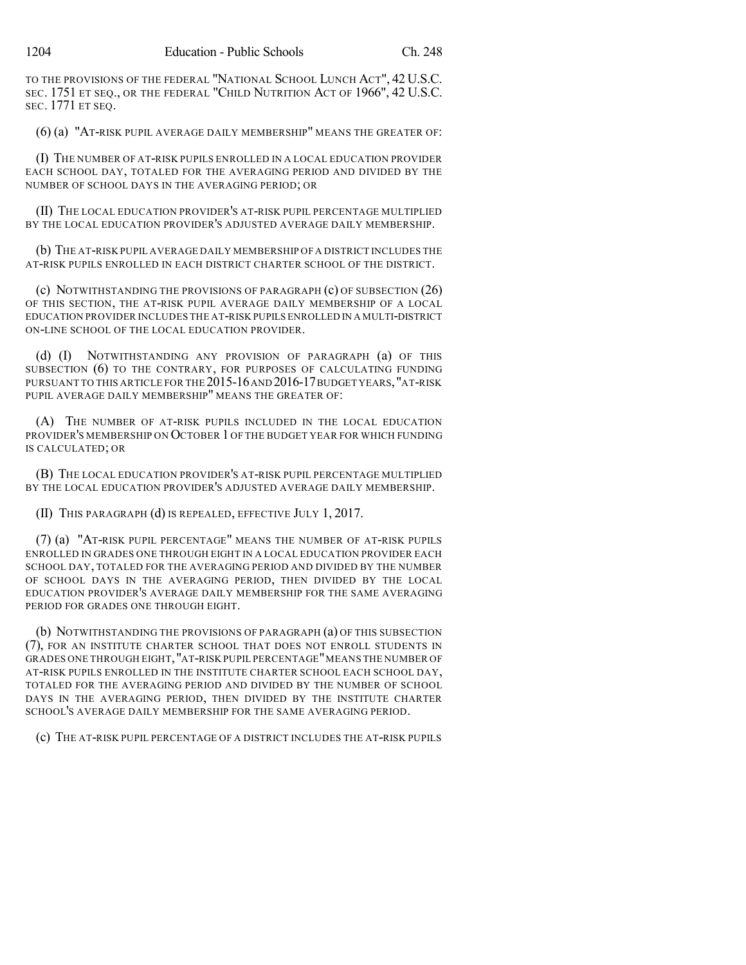TO THE PROVISIONS OF THE FEDERAL "NATIONAL SCHOOL LUNCH ACT", 42 U.S.C. SEC. 1751 ET SEQ., OR THE FEDERAL "CHILD NUTRITION ACT OF 1966", 42 U.S.C. SEC. 1771 ET SEQ.

(6) (a) "AT-RISK PUPIL AVERAGE DAILY MEMBERSHIP" MEANS THE GREATER OF:

(I) THE NUMBER OF AT-RISK PUPILS ENROLLED IN A LOCAL EDUCATION PROVIDER EACH SCHOOL DAY, TOTALED FOR THE AVERAGING PERIOD AND DIVIDED BY THE NUMBER OF SCHOOL DAYS IN THE AVERAGING PERIOD; OR

(II) THE LOCAL EDUCATION PROVIDER'S AT-RISK PUPIL PERCENTAGE MULTIPLIED BY THE LOCAL EDUCATION PROVIDER'S ADJUSTED AVERAGE DAILY MEMBERSHIP.

(b) THE AT-RISK PUPIL AVERAGE DAILY MEMBERSHIP OF A DISTRICT INCLUDES THE AT-RISK PUPILS ENROLLED IN EACH DISTRICT CHARTER SCHOOL OF THE DISTRICT.

(c) NOTWITHSTANDING THE PROVISIONS OF PARAGRAPH (c) OF SUBSECTION (26) OF THIS SECTION, THE AT-RISK PUPIL AVERAGE DAILY MEMBERSHIP OF A LOCAL EDUCATION PROVIDER INCLUDES THE AT-RISK PUPILS ENROLLED IN A MULTI-DISTRICT ON-LINE SCHOOL OF THE LOCAL EDUCATION PROVIDER.

(d) (I) NOTWITHSTANDING ANY PROVISION OF PARAGRAPH (a) OF THIS SUBSECTION (6) TO THE CONTRARY, FOR PURPOSES OF CALCULATING FUNDING PURSUANT TO THIS ARTICLE FOR THE 2015-16 AND 2016-17 BUDGET YEARS, "AT-RISK PUPIL AVERAGE DAILY MEMBERSHIP" MEANS THE GREATER OF:

(A) THE NUMBER OF AT-RISK PUPILS INCLUDED IN THE LOCAL EDUCATION PROVIDER'S MEMBERSHIP ON OCTOBER 1 OF THE BUDGET YEAR FOR WHICH FUNDING IS CALCULATED; OR

(B) THE LOCAL EDUCATION PROVIDER'S AT-RISK PUPIL PERCENTAGE MULTIPLIED BY THE LOCAL EDUCATION PROVIDER'S ADJUSTED AVERAGE DAILY MEMBERSHIP.

(II) THIS PARAGRAPH (d) IS REPEALED, EFFECTIVE JULY 1, 2017.

(7) (a) "AT-RISK PUPIL PERCENTAGE" MEANS THE NUMBER OF AT-RISK PUPILS ENROLLED IN GRADES ONE THROUGH EIGHT IN A LOCAL EDUCATION PROVIDER EACH SCHOOL DAY, TOTALED FOR THE AVERAGING PERIOD AND DIVIDED BY THE NUMBER OF SCHOOL DAYS IN THE AVERAGING PERIOD, THEN DIVIDED BY THE LOCAL EDUCATION PROVIDER'S AVERAGE DAILY MEMBERSHIP FOR THE SAME AVERAGING PERIOD FOR GRADES ONE THROUGH EIGHT.

(b) NOTWITHSTANDING THE PROVISIONS OF PARAGRAPH (a) OF THIS SUBSECTION (7), FOR AN INSTITUTE CHARTER SCHOOL THAT DOES NOT ENROLL STUDENTS IN GRADES ONE THROUGH EIGHT,"AT-RISK PUPIL PERCENTAGE"MEANS THE NUMBER OF AT-RISK PUPILS ENROLLED IN THE INSTITUTE CHARTER SCHOOL EACH SCHOOL DAY, TOTALED FOR THE AVERAGING PERIOD AND DIVIDED BY THE NUMBER OF SCHOOL DAYS IN THE AVERAGING PERIOD, THEN DIVIDED BY THE INSTITUTE CHARTER SCHOOL'S AVERAGE DAILY MEMBERSHIP FOR THE SAME AVERAGING PERIOD.

(c) THE AT-RISK PUPIL PERCENTAGE OF A DISTRICT INCLUDES THE AT-RISK PUPILS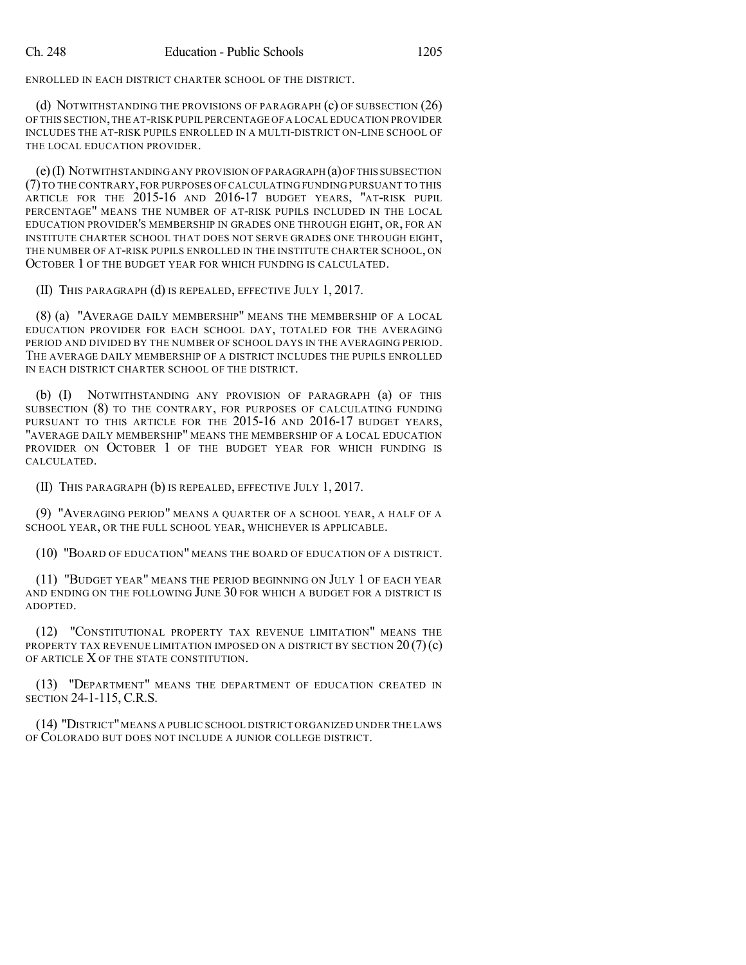ENROLLED IN EACH DISTRICT CHARTER SCHOOL OF THE DISTRICT.

(d) NOTWITHSTANDING THE PROVISIONS OF PARAGRAPH (c) OF SUBSECTION (26) OF THIS SECTION,THE AT-RISK PUPIL PERCENTAGE OF A LOCAL EDUCATION PROVIDER INCLUDES THE AT-RISK PUPILS ENROLLED IN A MULTI-DISTRICT ON-LINE SCHOOL OF THE LOCAL EDUCATION PROVIDER.

(e)(I) NOTWITHSTANDING ANY PROVISION OF PARAGRAPH (a)OFTHIS SUBSECTION (7)TO THE CONTRARY, FOR PURPOSES OF CALCULATING FUNDING PURSUANT TO THIS ARTICLE FOR THE 2015-16 AND 2016-17 BUDGET YEARS, "AT-RISK PUPIL PERCENTAGE" MEANS THE NUMBER OF AT-RISK PUPILS INCLUDED IN THE LOCAL EDUCATION PROVIDER'S MEMBERSHIP IN GRADES ONE THROUGH EIGHT, OR, FOR AN INSTITUTE CHARTER SCHOOL THAT DOES NOT SERVE GRADES ONE THROUGH EIGHT, THE NUMBER OF AT-RISK PUPILS ENROLLED IN THE INSTITUTE CHARTER SCHOOL, ON OCTOBER 1 OF THE BUDGET YEAR FOR WHICH FUNDING IS CALCULATED.

(II) THIS PARAGRAPH (d) IS REPEALED, EFFECTIVE JULY 1, 2017.

(8) (a) "AVERAGE DAILY MEMBERSHIP" MEANS THE MEMBERSHIP OF A LOCAL EDUCATION PROVIDER FOR EACH SCHOOL DAY, TOTALED FOR THE AVERAGING PERIOD AND DIVIDED BY THE NUMBER OF SCHOOL DAYS IN THE AVERAGING PERIOD. THE AVERAGE DAILY MEMBERSHIP OF A DISTRICT INCLUDES THE PUPILS ENROLLED IN EACH DISTRICT CHARTER SCHOOL OF THE DISTRICT.

(b) (I) NOTWITHSTANDING ANY PROVISION OF PARAGRAPH (a) OF THIS SUBSECTION (8) TO THE CONTRARY, FOR PURPOSES OF CALCULATING FUNDING PURSUANT TO THIS ARTICLE FOR THE 2015-16 AND 2016-17 BUDGET YEARS, "AVERAGE DAILY MEMBERSHIP" MEANS THE MEMBERSHIP OF A LOCAL EDUCATION PROVIDER ON OCTOBER 1 OF THE BUDGET YEAR FOR WHICH FUNDING IS CALCULATED.

(II) THIS PARAGRAPH (b) IS REPEALED, EFFECTIVE JULY 1, 2017.

(9) "AVERAGING PERIOD" MEANS A QUARTER OF A SCHOOL YEAR, A HALF OF A SCHOOL YEAR, OR THE FULL SCHOOL YEAR, WHICHEVER IS APPLICABLE.

(10) "BOARD OF EDUCATION" MEANS THE BOARD OF EDUCATION OF A DISTRICT.

(11) "BUDGET YEAR" MEANS THE PERIOD BEGINNING ON JULY 1 OF EACH YEAR AND ENDING ON THE FOLLOWING JUNE 30 FOR WHICH A BUDGET FOR A DISTRICT IS ADOPTED.

(12) "CONSTITUTIONAL PROPERTY TAX REVENUE LIMITATION" MEANS THE PROPERTY TAX REVENUE LIMITATION IMPOSED ON A DISTRICT BY SECTION  $20(7)(c)$ OF ARTICLE X OF THE STATE CONSTITUTION.

(13) "DEPARTMENT" MEANS THE DEPARTMENT OF EDUCATION CREATED IN SECTION 24-1-115, C.R.S.

(14) "DISTRICT"MEANS A PUBLIC SCHOOL DISTRICT ORGANIZED UNDER THE LAWS OF COLORADO BUT DOES NOT INCLUDE A JUNIOR COLLEGE DISTRICT.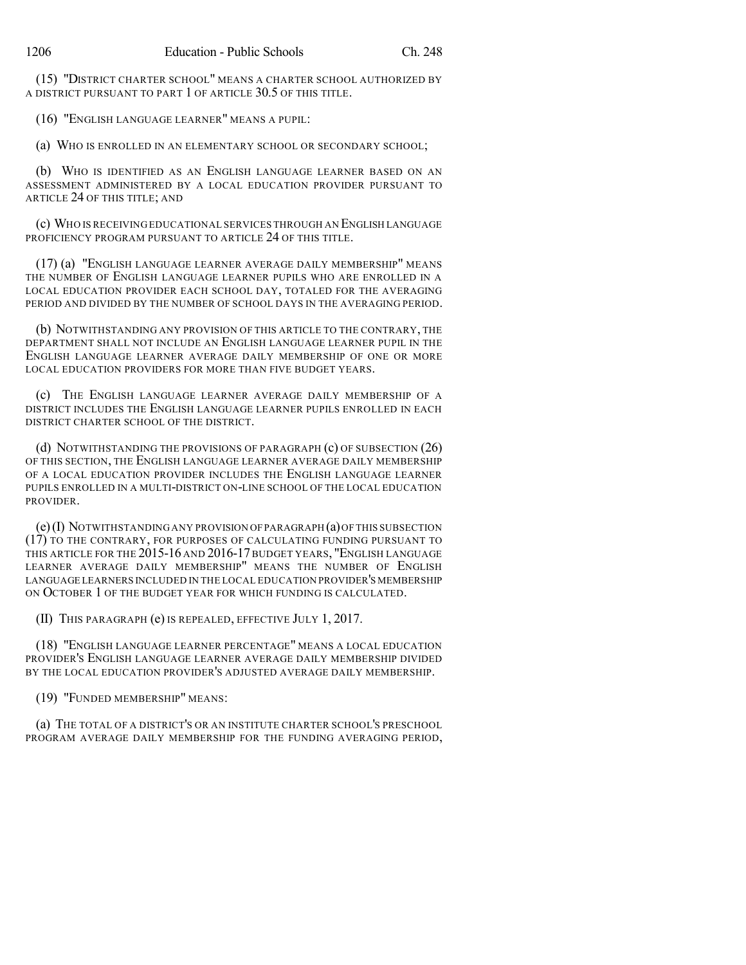(15) "DISTRICT CHARTER SCHOOL" MEANS A CHARTER SCHOOL AUTHORIZED BY A DISTRICT PURSUANT TO PART 1 OF ARTICLE 30.5 OF THIS TITLE.

(16) "ENGLISH LANGUAGE LEARNER" MEANS A PUPIL:

(a) WHO IS ENROLLED IN AN ELEMENTARY SCHOOL OR SECONDARY SCHOOL;

(b) WHO IS IDENTIFIED AS AN ENGLISH LANGUAGE LEARNER BASED ON AN ASSESSMENT ADMINISTERED BY A LOCAL EDUCATION PROVIDER PURSUANT TO ARTICLE 24 OF THIS TITLE; AND

(c) WHO IS RECEIVING EDUCATIONAL SERVICES THROUGH AN ENGLISH LANGUAGE PROFICIENCY PROGRAM PURSUANT TO ARTICLE 24 OF THIS TITLE.

(17) (a) "ENGLISH LANGUAGE LEARNER AVERAGE DAILY MEMBERSHIP" MEANS THE NUMBER OF ENGLISH LANGUAGE LEARNER PUPILS WHO ARE ENROLLED IN A LOCAL EDUCATION PROVIDER EACH SCHOOL DAY, TOTALED FOR THE AVERAGING PERIOD AND DIVIDED BY THE NUMBER OF SCHOOL DAYS IN THE AVERAGING PERIOD.

(b) NOTWITHSTANDING ANY PROVISION OF THIS ARTICLE TO THE CONTRARY, THE DEPARTMENT SHALL NOT INCLUDE AN ENGLISH LANGUAGE LEARNER PUPIL IN THE ENGLISH LANGUAGE LEARNER AVERAGE DAILY MEMBERSHIP OF ONE OR MORE LOCAL EDUCATION PROVIDERS FOR MORE THAN FIVE BUDGET YEARS.

(c) THE ENGLISH LANGUAGE LEARNER AVERAGE DAILY MEMBERSHIP OF A DISTRICT INCLUDES THE ENGLISH LANGUAGE LEARNER PUPILS ENROLLED IN EACH DISTRICT CHARTER SCHOOL OF THE DISTRICT.

(d) NOTWITHSTANDING THE PROVISIONS OF PARAGRAPH (c) OF SUBSECTION (26) OF THIS SECTION, THE ENGLISH LANGUAGE LEARNER AVERAGE DAILY MEMBERSHIP OF A LOCAL EDUCATION PROVIDER INCLUDES THE ENGLISH LANGUAGE LEARNER PUPILS ENROLLED IN A MULTI-DISTRICT ON-LINE SCHOOL OF THE LOCAL EDUCATION PROVIDER.

 $(e)$  (I) NOTWITHSTANDING ANY PROVISION OF PARAGRAPH  $(a)$  OF THIS SUBSECTION (17) TO THE CONTRARY, FOR PURPOSES OF CALCULATING FUNDING PURSUANT TO THIS ARTICLE FOR THE 2015-16 AND 2016-17 BUDGET YEARS, "ENGLISH LANGUAGE LEARNER AVERAGE DAILY MEMBERSHIP" MEANS THE NUMBER OF ENGLISH LANGUAGE LEARNERS INCLUDED IN THE LOCAL EDUCATION PROVIDER'S MEMBERSHIP ON OCTOBER 1 OF THE BUDGET YEAR FOR WHICH FUNDING IS CALCULATED.

(II) THIS PARAGRAPH (e) IS REPEALED, EFFECTIVE JULY 1, 2017.

(18) "ENGLISH LANGUAGE LEARNER PERCENTAGE" MEANS A LOCAL EDUCATION PROVIDER'S ENGLISH LANGUAGE LEARNER AVERAGE DAILY MEMBERSHIP DIVIDED BY THE LOCAL EDUCATION PROVIDER'S ADJUSTED AVERAGE DAILY MEMBERSHIP.

(19) "FUNDED MEMBERSHIP" MEANS:

(a) THE TOTAL OF A DISTRICT'S OR AN INSTITUTE CHARTER SCHOOL'S PRESCHOOL PROGRAM AVERAGE DAILY MEMBERSHIP FOR THE FUNDING AVERAGING PERIOD,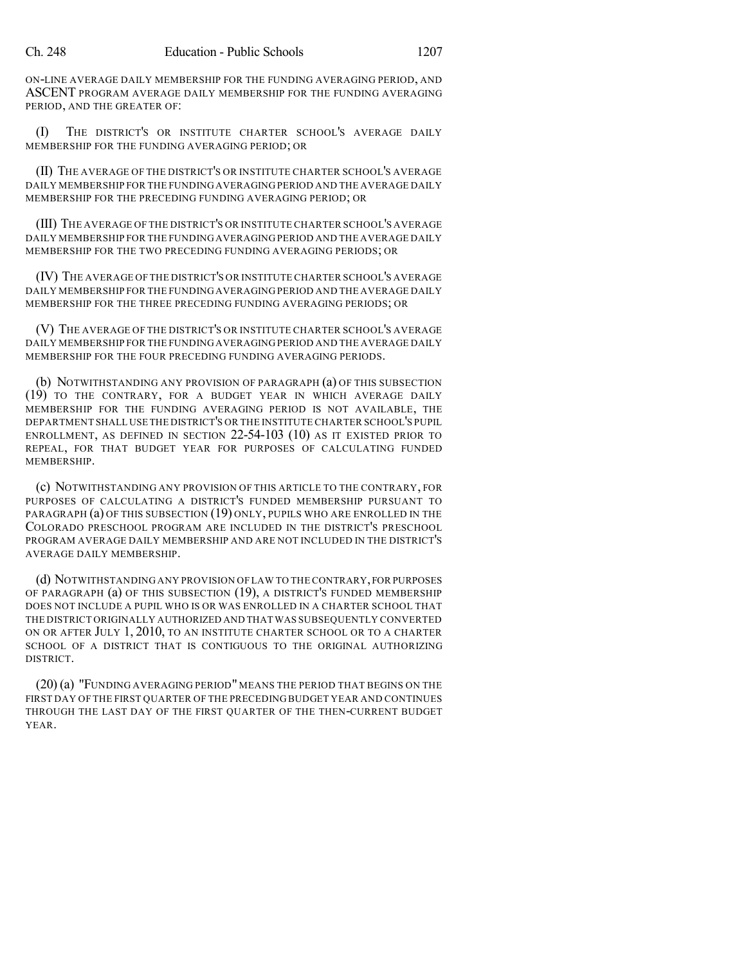ON-LINE AVERAGE DAILY MEMBERSHIP FOR THE FUNDING AVERAGING PERIOD, AND ASCENT PROGRAM AVERAGE DAILY MEMBERSHIP FOR THE FUNDING AVERAGING PERIOD, AND THE GREATER OF:

(I) THE DISTRICT'S OR INSTITUTE CHARTER SCHOOL'S AVERAGE DAILY MEMBERSHIP FOR THE FUNDING AVERAGING PERIOD; OR

(II) THE AVERAGE OF THE DISTRICT'S OR INSTITUTE CHARTER SCHOOL'S AVERAGE DAILY MEMBERSHIP FOR THE FUNDING AVERAGING PERIOD AND THE AVERAGE DAILY MEMBERSHIP FOR THE PRECEDING FUNDING AVERAGING PERIOD; OR

(III) THE AVERAGE OF THE DISTRICT'S OR INSTITUTE CHARTER SCHOOL'S AVERAGE DAILY MEMBERSHIP FOR THE FUNDING AVERAGING PERIOD AND THE AVERAGE DAILY MEMBERSHIP FOR THE TWO PRECEDING FUNDING AVERAGING PERIODS; OR

(IV) THE AVERAGE OF THE DISTRICT'S OR INSTITUTE CHARTER SCHOOL'S AVERAGE DAILY MEMBERSHIP FOR THE FUNDING AVERAGING PERIOD AND THE AVERAGE DAILY MEMBERSHIP FOR THE THREE PRECEDING FUNDING AVERAGING PERIODS; OR

(V) THE AVERAGE OF THE DISTRICT'S OR INSTITUTE CHARTER SCHOOL'S AVERAGE DAILY MEMBERSHIP FOR THE FUNDING AVERAGING PERIOD AND THE AVERAGE DAILY MEMBERSHIP FOR THE FOUR PRECEDING FUNDING AVERAGING PERIODS.

(b) NOTWITHSTANDING ANY PROVISION OF PARAGRAPH (a) OF THIS SUBSECTION (19) TO THE CONTRARY, FOR A BUDGET YEAR IN WHICH AVERAGE DAILY MEMBERSHIP FOR THE FUNDING AVERAGING PERIOD IS NOT AVAILABLE, THE DEPARTMENT SHALL USE THE DISTRICT'S OR THE INSTITUTE CHARTER SCHOOL'S PUPIL ENROLLMENT, AS DEFINED IN SECTION 22-54-103 (10) AS IT EXISTED PRIOR TO REPEAL, FOR THAT BUDGET YEAR FOR PURPOSES OF CALCULATING FUNDED MEMBERSHIP.

(c) NOTWITHSTANDING ANY PROVISION OF THIS ARTICLE TO THE CONTRARY, FOR PURPOSES OF CALCULATING A DISTRICT'S FUNDED MEMBERSHIP PURSUANT TO PARAGRAPH (a) OF THIS SUBSECTION (19) ONLY, PUPILS WHO ARE ENROLLED IN THE COLORADO PRESCHOOL PROGRAM ARE INCLUDED IN THE DISTRICT'S PRESCHOOL PROGRAM AVERAGE DAILY MEMBERSHIP AND ARE NOT INCLUDED IN THE DISTRICT'S AVERAGE DAILY MEMBERSHIP.

(d) NOTWITHSTANDING ANY PROVISION OF LAW TO THE CONTRARY,FOR PURPOSES OF PARAGRAPH (a) OF THIS SUBSECTION (19), A DISTRICT'S FUNDED MEMBERSHIP DOES NOT INCLUDE A PUPIL WHO IS OR WAS ENROLLED IN A CHARTER SCHOOL THAT THE DISTRICT ORIGINALLY AUTHORIZED AND THAT WAS SUBSEQUENTLY CONVERTED ON OR AFTER JULY 1, 2010, TO AN INSTITUTE CHARTER SCHOOL OR TO A CHARTER SCHOOL OF A DISTRICT THAT IS CONTIGUOUS TO THE ORIGINAL AUTHORIZING DISTRICT.

(20) (a) "FUNDING AVERAGING PERIOD" MEANS THE PERIOD THAT BEGINS ON THE FIRST DAY OF THE FIRST QUARTER OF THE PRECEDING BUDGET YEAR AND CONTINUES THROUGH THE LAST DAY OF THE FIRST QUARTER OF THE THEN-CURRENT BUDGET YEAR.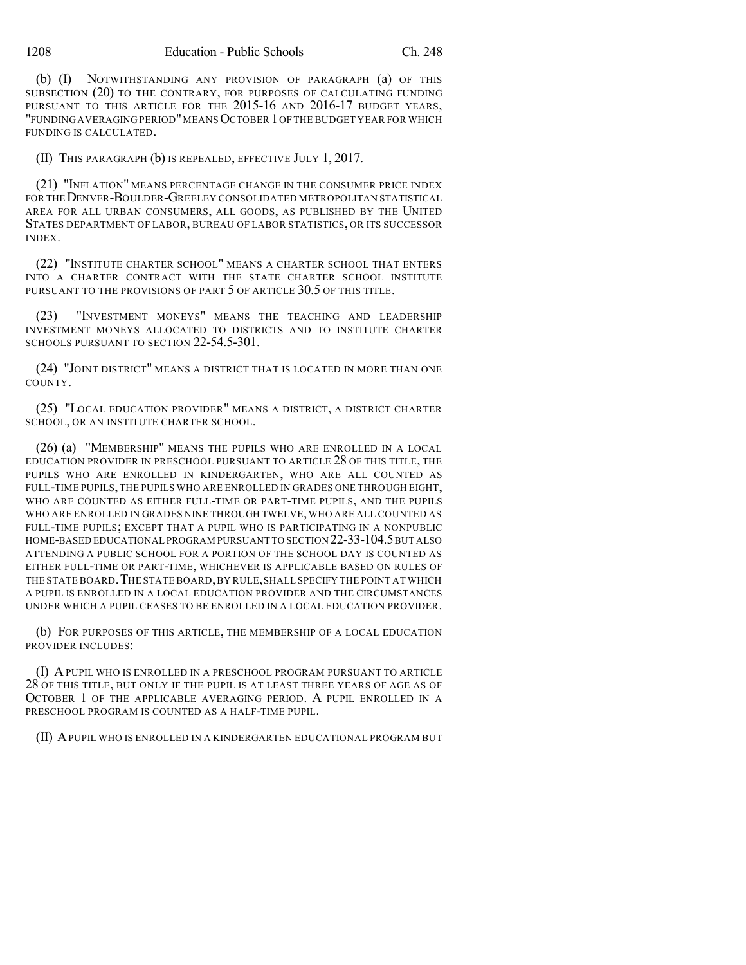(b) (I) NOTWITHSTANDING ANY PROVISION OF PARAGRAPH (a) OF THIS SUBSECTION (20) TO THE CONTRARY, FOR PURPOSES OF CALCULATING FUNDING PURSUANT TO THIS ARTICLE FOR THE 2015-16 AND 2016-17 BUDGET YEARS, "FUNDING AVERAGING PERIOD"MEANSOCTOBER 1OF THE BUDGET YEAR FOR WHICH FUNDING IS CALCULATED.

(II) THIS PARAGRAPH (b) IS REPEALED, EFFECTIVE JULY 1, 2017.

(21) "INFLATION" MEANS PERCENTAGE CHANGE IN THE CONSUMER PRICE INDEX FOR THE DENVER-BOULDER-GREELEY CONSOLIDATED METROPOLITAN STATISTICAL AREA FOR ALL URBAN CONSUMERS, ALL GOODS, AS PUBLISHED BY THE UNITED STATES DEPARTMENT OF LABOR, BUREAU OF LABOR STATISTICS, OR ITS SUCCESSOR INDEX.

(22) "INSTITUTE CHARTER SCHOOL" MEANS A CHARTER SCHOOL THAT ENTERS INTO A CHARTER CONTRACT WITH THE STATE CHARTER SCHOOL INSTITUTE PURSUANT TO THE PROVISIONS OF PART 5 OF ARTICLE 30.5 OF THIS TITLE.

(23) "INVESTMENT MONEYS" MEANS THE TEACHING AND LEADERSHIP INVESTMENT MONEYS ALLOCATED TO DISTRICTS AND TO INSTITUTE CHARTER SCHOOLS PURSUANT TO SECTION 22-54.5-301.

(24) "JOINT DISTRICT" MEANS A DISTRICT THAT IS LOCATED IN MORE THAN ONE COUNTY.

(25) "LOCAL EDUCATION PROVIDER" MEANS A DISTRICT, A DISTRICT CHARTER SCHOOL, OR AN INSTITUTE CHARTER SCHOOL.

(26) (a) "MEMBERSHIP" MEANS THE PUPILS WHO ARE ENROLLED IN A LOCAL EDUCATION PROVIDER IN PRESCHOOL PURSUANT TO ARTICLE 28 OF THIS TITLE, THE PUPILS WHO ARE ENROLLED IN KINDERGARTEN, WHO ARE ALL COUNTED AS FULL-TIME PUPILS,THE PUPILS WHO ARE ENROLLED IN GRADES ONE THROUGH EIGHT, WHO ARE COUNTED AS EITHER FULL-TIME OR PART-TIME PUPILS, AND THE PUPILS WHO ARE ENROLLED IN GRADES NINE THROUGH TWELVE, WHO ARE ALL COUNTED AS FULL-TIME PUPILS; EXCEPT THAT A PUPIL WHO IS PARTICIPATING IN A NONPUBLIC HOME-BASED EDUCATIONAL PROGRAM PURSUANT TO SECTION 22-33-104.5BUT ALSO ATTENDING A PUBLIC SCHOOL FOR A PORTION OF THE SCHOOL DAY IS COUNTED AS EITHER FULL-TIME OR PART-TIME, WHICHEVER IS APPLICABLE BASED ON RULES OF THE STATE BOARD. THE STATE BOARD, BY RULE, SHALL SPECIFY THE POINT AT WHICH A PUPIL IS ENROLLED IN A LOCAL EDUCATION PROVIDER AND THE CIRCUMSTANCES UNDER WHICH A PUPIL CEASES TO BE ENROLLED IN A LOCAL EDUCATION PROVIDER.

(b) FOR PURPOSES OF THIS ARTICLE, THE MEMBERSHIP OF A LOCAL EDUCATION PROVIDER INCLUDES:

(I) APUPIL WHO IS ENROLLED IN A PRESCHOOL PROGRAM PURSUANT TO ARTICLE 28 OF THIS TITLE, BUT ONLY IF THE PUPIL IS AT LEAST THREE YEARS OF AGE AS OF OCTOBER 1 OF THE APPLICABLE AVERAGING PERIOD. A PUPIL ENROLLED IN A PRESCHOOL PROGRAM IS COUNTED AS A HALF-TIME PUPIL.

(II) APUPIL WHO IS ENROLLED IN A KINDERGARTEN EDUCATIONAL PROGRAM BUT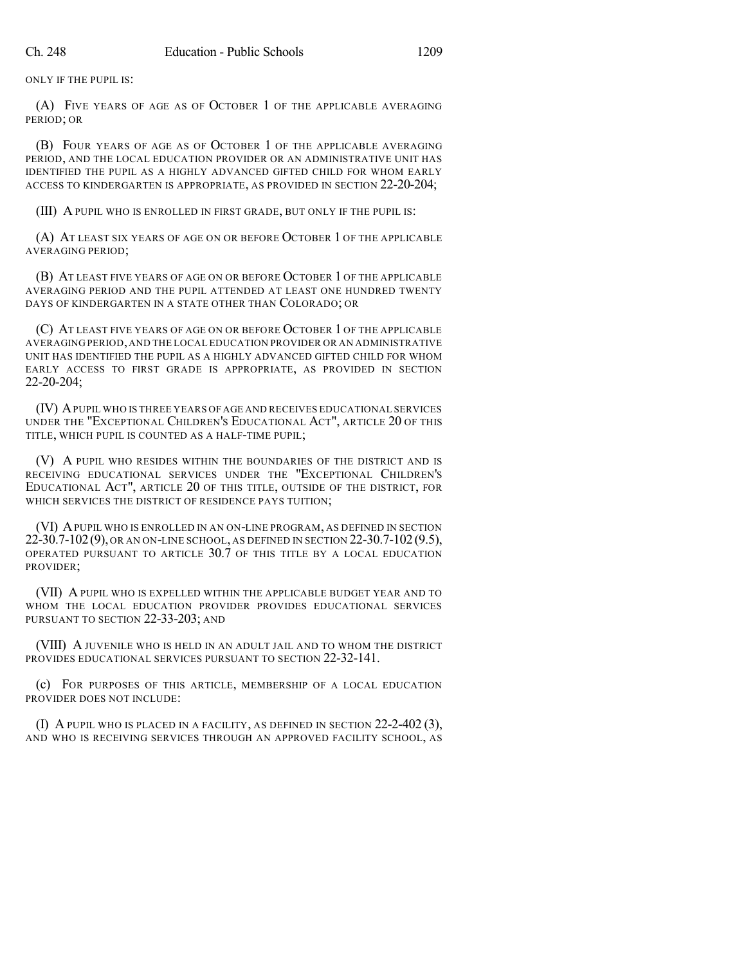ONLY IF THE PUPIL IS:

(A) FIVE YEARS OF AGE AS OF OCTOBER 1 OF THE APPLICABLE AVERAGING PERIOD; OR

(B) FOUR YEARS OF AGE AS OF OCTOBER 1 OF THE APPLICABLE AVERAGING PERIOD, AND THE LOCAL EDUCATION PROVIDER OR AN ADMINISTRATIVE UNIT HAS IDENTIFIED THE PUPIL AS A HIGHLY ADVANCED GIFTED CHILD FOR WHOM EARLY ACCESS TO KINDERGARTEN IS APPROPRIATE, AS PROVIDED IN SECTION 22-20-204;

(III) A PUPIL WHO IS ENROLLED IN FIRST GRADE, BUT ONLY IF THE PUPIL IS:

(A) AT LEAST SIX YEARS OF AGE ON OR BEFORE OCTOBER 1 OF THE APPLICABLE AVERAGING PERIOD;

(B) AT LEAST FIVE YEARS OF AGE ON OR BEFORE OCTOBER 1 OF THE APPLICABLE AVERAGING PERIOD AND THE PUPIL ATTENDED AT LEAST ONE HUNDRED TWENTY DAYS OF KINDERGARTEN IN A STATE OTHER THAN COLORADO; OR

(C) AT LEAST FIVE YEARS OF AGE ON OR BEFORE OCTOBER 1 OF THE APPLICABLE AVERAGING PERIOD,AND THE LOCAL EDUCATION PROVIDER OR AN ADMINISTRATIVE UNIT HAS IDENTIFIED THE PUPIL AS A HIGHLY ADVANCED GIFTED CHILD FOR WHOM EARLY ACCESS TO FIRST GRADE IS APPROPRIATE, AS PROVIDED IN SECTION 22-20-204;

(IV) APUPIL WHO IS THREE YEARS OF AGE AND RECEIVES EDUCATIONAL SERVICES UNDER THE "EXCEPTIONAL CHILDREN'S EDUCATIONAL ACT", ARTICLE 20 OF THIS TITLE, WHICH PUPIL IS COUNTED AS A HALF-TIME PUPIL;

(V) A PUPIL WHO RESIDES WITHIN THE BOUNDARIES OF THE DISTRICT AND IS RECEIVING EDUCATIONAL SERVICES UNDER THE "EXCEPTIONAL CHILDREN'S EDUCATIONAL ACT", ARTICLE 20 OF THIS TITLE, OUTSIDE OF THE DISTRICT, FOR WHICH SERVICES THE DISTRICT OF RESIDENCE PAYS TUITION;

(VI) APUPIL WHO IS ENROLLED IN AN ON-LINE PROGRAM, AS DEFINED IN SECTION 22-30.7-102(9), OR AN ON-LINE SCHOOL, AS DEFINED IN SECTION 22-30.7-102(9.5), OPERATED PURSUANT TO ARTICLE 30.7 OF THIS TITLE BY A LOCAL EDUCATION PROVIDER;

(VII) A PUPIL WHO IS EXPELLED WITHIN THE APPLICABLE BUDGET YEAR AND TO WHOM THE LOCAL EDUCATION PROVIDER PROVIDES EDUCATIONAL SERVICES PURSUANT TO SECTION 22-33-203; AND

(VIII) A JUVENILE WHO IS HELD IN AN ADULT JAIL AND TO WHOM THE DISTRICT PROVIDES EDUCATIONAL SERVICES PURSUANT TO SECTION 22-32-141.

(c) FOR PURPOSES OF THIS ARTICLE, MEMBERSHIP OF A LOCAL EDUCATION PROVIDER DOES NOT INCLUDE:

(I) A PUPIL WHO IS PLACED IN A FACILITY, AS DEFINED IN SECTION 22-2-402 (3), AND WHO IS RECEIVING SERVICES THROUGH AN APPROVED FACILITY SCHOOL, AS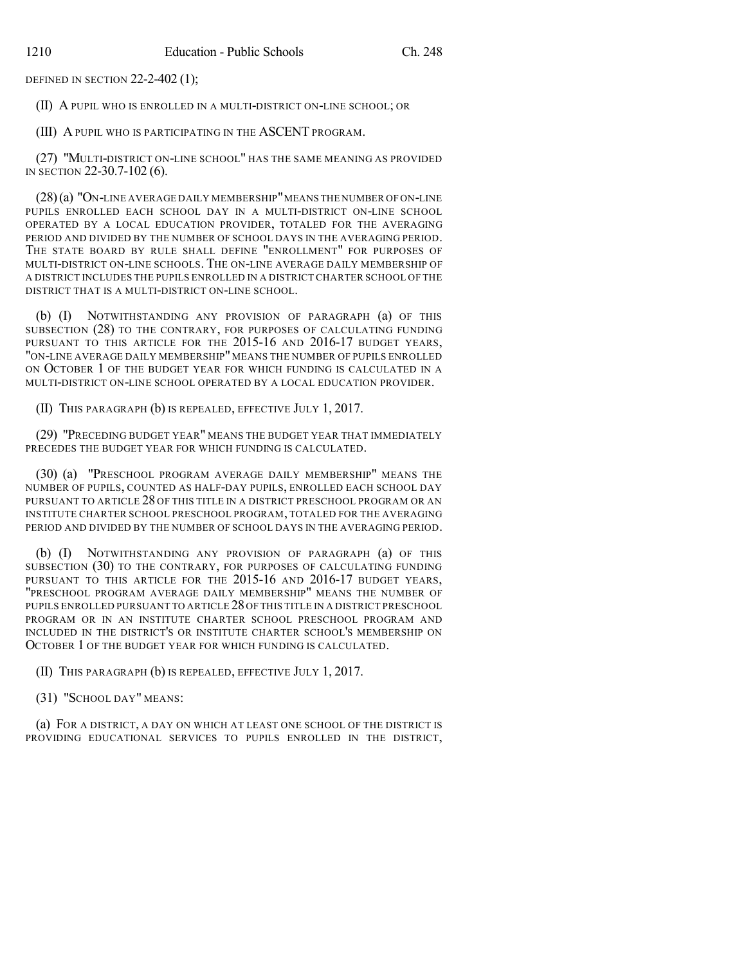DEFINED IN SECTION 22-2-402 (1);

(II) A PUPIL WHO IS ENROLLED IN A MULTI-DISTRICT ON-LINE SCHOOL; OR

(III) A PUPIL WHO IS PARTICIPATING IN THE ASCENT PROGRAM.

(27) "MULTI-DISTRICT ON-LINE SCHOOL" HAS THE SAME MEANING AS PROVIDED IN SECTION 22-30.7-102 (6).

(28)(a) "ON-LINE AVERAGE DAILY MEMBERSHIP"MEANS THE NUMBER OF ON-LINE PUPILS ENROLLED EACH SCHOOL DAY IN A MULTI-DISTRICT ON-LINE SCHOOL OPERATED BY A LOCAL EDUCATION PROVIDER, TOTALED FOR THE AVERAGING PERIOD AND DIVIDED BY THE NUMBER OF SCHOOL DAYS IN THE AVERAGING PERIOD. THE STATE BOARD BY RULE SHALL DEFINE "ENROLLMENT" FOR PURPOSES OF MULTI-DISTRICT ON-LINE SCHOOLS. THE ON-LINE AVERAGE DAILY MEMBERSHIP OF A DISTRICT INCLUDES THE PUPILS ENROLLED IN A DISTRICT CHARTER SCHOOL OF THE DISTRICT THAT IS A MULTI-DISTRICT ON-LINE SCHOOL.

(b) (I) NOTWITHSTANDING ANY PROVISION OF PARAGRAPH (a) OF THIS SUBSECTION (28) TO THE CONTRARY, FOR PURPOSES OF CALCULATING FUNDING PURSUANT TO THIS ARTICLE FOR THE 2015-16 AND 2016-17 BUDGET YEARS, "ON-LINE AVERAGE DAILY MEMBERSHIP" MEANS THE NUMBER OF PUPILS ENROLLED ON OCTOBER 1 OF THE BUDGET YEAR FOR WHICH FUNDING IS CALCULATED IN A MULTI-DISTRICT ON-LINE SCHOOL OPERATED BY A LOCAL EDUCATION PROVIDER.

(II) THIS PARAGRAPH (b) IS REPEALED, EFFECTIVE JULY 1, 2017.

(29) "PRECEDING BUDGET YEAR" MEANS THE BUDGET YEAR THAT IMMEDIATELY PRECEDES THE BUDGET YEAR FOR WHICH FUNDING IS CALCULATED.

(30) (a) "PRESCHOOL PROGRAM AVERAGE DAILY MEMBERSHIP" MEANS THE NUMBER OF PUPILS, COUNTED AS HALF-DAY PUPILS, ENROLLED EACH SCHOOL DAY PURSUANT TO ARTICLE 28 OF THIS TITLE IN A DISTRICT PRESCHOOL PROGRAM OR AN INSTITUTE CHARTER SCHOOL PRESCHOOL PROGRAM, TOTALED FOR THE AVERAGING PERIOD AND DIVIDED BY THE NUMBER OF SCHOOL DAYS IN THE AVERAGING PERIOD.

(b) (I) NOTWITHSTANDING ANY PROVISION OF PARAGRAPH (a) OF THIS SUBSECTION (30) TO THE CONTRARY, FOR PURPOSES OF CALCULATING FUNDING PURSUANT TO THIS ARTICLE FOR THE 2015-16 AND 2016-17 BUDGET YEARS, "PRESCHOOL PROGRAM AVERAGE DAILY MEMBERSHIP" MEANS THE NUMBER OF PUPILS ENROLLED PURSUANT TO ARTICLE 28OF THIS TITLE IN A DISTRICT PRESCHOOL PROGRAM OR IN AN INSTITUTE CHARTER SCHOOL PRESCHOOL PROGRAM AND INCLUDED IN THE DISTRICT'S OR INSTITUTE CHARTER SCHOOL'S MEMBERSHIP ON OCTOBER 1 OF THE BUDGET YEAR FOR WHICH FUNDING IS CALCULATED.

(II) THIS PARAGRAPH (b) IS REPEALED, EFFECTIVE JULY 1, 2017.

(31) "SCHOOL DAY" MEANS:

(a) FOR A DISTRICT, A DAY ON WHICH AT LEAST ONE SCHOOL OF THE DISTRICT IS PROVIDING EDUCATIONAL SERVICES TO PUPILS ENROLLED IN THE DISTRICT,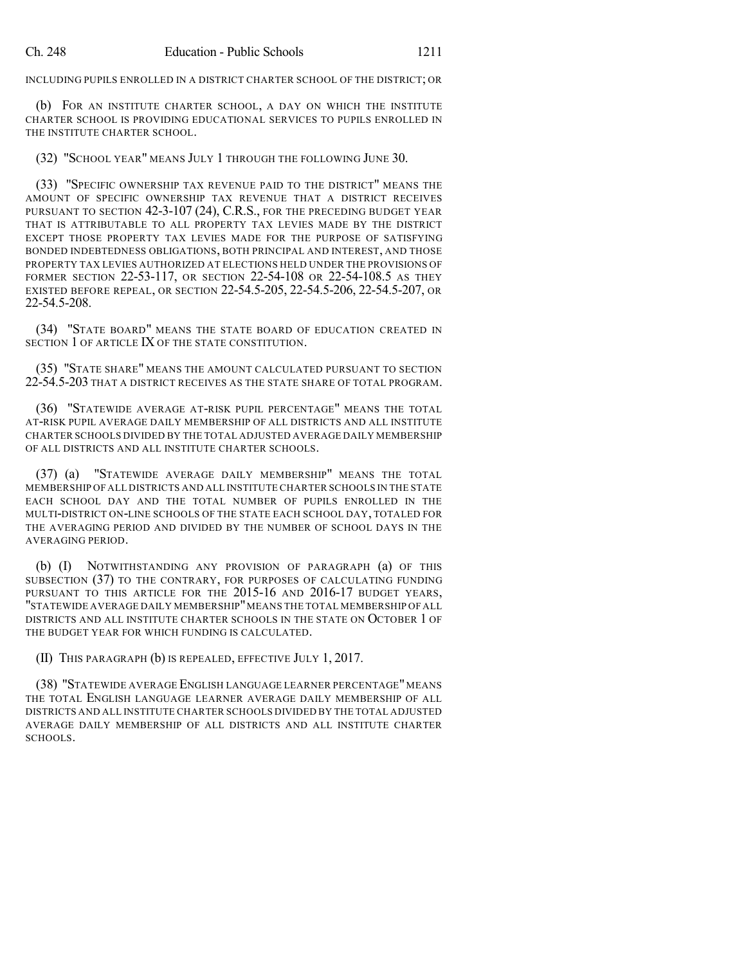INCLUDING PUPILS ENROLLED IN A DISTRICT CHARTER SCHOOL OF THE DISTRICT; OR

(b) FOR AN INSTITUTE CHARTER SCHOOL, A DAY ON WHICH THE INSTITUTE CHARTER SCHOOL IS PROVIDING EDUCATIONAL SERVICES TO PUPILS ENROLLED IN THE INSTITUTE CHARTER SCHOOL.

(32) "SCHOOL YEAR" MEANS JULY 1 THROUGH THE FOLLOWING JUNE 30.

(33) "SPECIFIC OWNERSHIP TAX REVENUE PAID TO THE DISTRICT" MEANS THE AMOUNT OF SPECIFIC OWNERSHIP TAX REVENUE THAT A DISTRICT RECEIVES PURSUANT TO SECTION 42-3-107 (24), C.R.S., FOR THE PRECEDING BUDGET YEAR THAT IS ATTRIBUTABLE TO ALL PROPERTY TAX LEVIES MADE BY THE DISTRICT EXCEPT THOSE PROPERTY TAX LEVIES MADE FOR THE PURPOSE OF SATISFYING BONDED INDEBTEDNESS OBLIGATIONS, BOTH PRINCIPAL AND INTEREST, AND THOSE PROPERTY TAX LEVIES AUTHORIZED AT ELECTIONS HELD UNDER THE PROVISIONS OF FORMER SECTION 22-53-117, OR SECTION 22-54-108 OR 22-54-108.5 AS THEY EXISTED BEFORE REPEAL, OR SECTION 22-54.5-205, 22-54.5-206, 22-54.5-207, OR 22-54.5-208.

(34) "STATE BOARD" MEANS THE STATE BOARD OF EDUCATION CREATED IN SECTION 1 OF ARTICLE IX OF THE STATE CONSTITUTION.

(35) "STATE SHARE" MEANS THE AMOUNT CALCULATED PURSUANT TO SECTION 22-54.5-203 THAT A DISTRICT RECEIVES AS THE STATE SHARE OF TOTAL PROGRAM.

(36) "STATEWIDE AVERAGE AT-RISK PUPIL PERCENTAGE" MEANS THE TOTAL AT-RISK PUPIL AVERAGE DAILY MEMBERSHIP OF ALL DISTRICTS AND ALL INSTITUTE CHARTER SCHOOLS DIVIDED BY THE TOTAL ADJUSTED AVERAGE DAILY MEMBERSHIP OF ALL DISTRICTS AND ALL INSTITUTE CHARTER SCHOOLS.

(37) (a) "STATEWIDE AVERAGE DAILY MEMBERSHIP" MEANS THE TOTAL MEMBERSHIP OF ALL DISTRICTS AND ALL INSTITUTE CHARTER SCHOOLS IN THE STATE EACH SCHOOL DAY AND THE TOTAL NUMBER OF PUPILS ENROLLED IN THE MULTI-DISTRICT ON-LINE SCHOOLS OF THE STATE EACH SCHOOL DAY, TOTALED FOR THE AVERAGING PERIOD AND DIVIDED BY THE NUMBER OF SCHOOL DAYS IN THE AVERAGING PERIOD.

(b) (I) NOTWITHSTANDING ANY PROVISION OF PARAGRAPH (a) OF THIS SUBSECTION (37) TO THE CONTRARY, FOR PURPOSES OF CALCULATING FUNDING PURSUANT TO THIS ARTICLE FOR THE 2015-16 AND 2016-17 BUDGET YEARS, "STATEWIDE AVERAGE DAILY MEMBERSHIP"MEANS THE TOTAL MEMBERSHIP OF ALL DISTRICTS AND ALL INSTITUTE CHARTER SCHOOLS IN THE STATE ON OCTOBER 1 OF THE BUDGET YEAR FOR WHICH FUNDING IS CALCULATED.

(II) THIS PARAGRAPH (b) IS REPEALED, EFFECTIVE JULY 1, 2017.

(38) "STATEWIDE AVERAGE ENGLISH LANGUAGE LEARNER PERCENTAGE" MEANS THE TOTAL ENGLISH LANGUAGE LEARNER AVERAGE DAILY MEMBERSHIP OF ALL DISTRICTS AND ALL INSTITUTE CHARTER SCHOOLS DIVIDED BY THE TOTAL ADJUSTED AVERAGE DAILY MEMBERSHIP OF ALL DISTRICTS AND ALL INSTITUTE CHARTER SCHOOLS.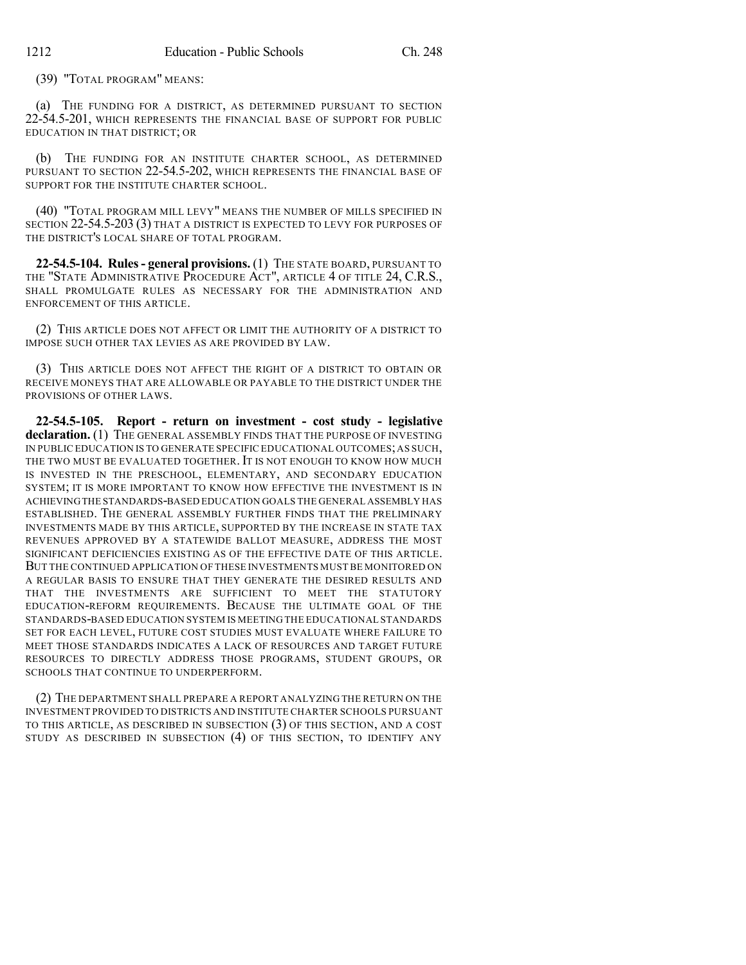(39) "TOTAL PROGRAM" MEANS:

(a) THE FUNDING FOR A DISTRICT, AS DETERMINED PURSUANT TO SECTION 22-54.5-201, WHICH REPRESENTS THE FINANCIAL BASE OF SUPPORT FOR PUBLIC EDUCATION IN THAT DISTRICT; OR

(b) THE FUNDING FOR AN INSTITUTE CHARTER SCHOOL, AS DETERMINED PURSUANT TO SECTION 22-54.5-202, WHICH REPRESENTS THE FINANCIAL BASE OF SUPPORT FOR THE INSTITUTE CHARTER SCHOOL.

(40) "TOTAL PROGRAM MILL LEVY" MEANS THE NUMBER OF MILLS SPECIFIED IN SECTION 22-54.5-203 (3) THAT A DISTRICT IS EXPECTED TO LEVY FOR PURPOSES OF THE DISTRICT'S LOCAL SHARE OF TOTAL PROGRAM.

**22-54.5-104. Rules- general provisions.** (1) THE STATE BOARD, PURSUANT TO THE "STATE ADMINISTRATIVE PROCEDURE ACT", ARTICLE 4 OF TITLE 24, C.R.S., SHALL PROMULGATE RULES AS NECESSARY FOR THE ADMINISTRATION AND ENFORCEMENT OF THIS ARTICLE.

(2) THIS ARTICLE DOES NOT AFFECT OR LIMIT THE AUTHORITY OF A DISTRICT TO IMPOSE SUCH OTHER TAX LEVIES AS ARE PROVIDED BY LAW.

(3) THIS ARTICLE DOES NOT AFFECT THE RIGHT OF A DISTRICT TO OBTAIN OR RECEIVE MONEYS THAT ARE ALLOWABLE OR PAYABLE TO THE DISTRICT UNDER THE PROVISIONS OF OTHER LAWS.

**22-54.5-105. Report - return on investment - cost study - legislative** declaration. (1) THE GENERAL ASSEMBLY FINDS THAT THE PURPOSE OF INVESTING IN PUBLIC EDUCATION IS TO GENERATE SPECIFIC EDUCATIONAL OUTCOMES;AS SUCH, THE TWO MUST BE EVALUATED TOGETHER. IT IS NOT ENOUGH TO KNOW HOW MUCH IS INVESTED IN THE PRESCHOOL, ELEMENTARY, AND SECONDARY EDUCATION SYSTEM; IT IS MORE IMPORTANT TO KNOW HOW EFFECTIVE THE INVESTMENT IS IN ACHIEVINGTHE STANDARDS-BASED EDUCATION GOALS THE GENERAL ASSEMBLY HAS ESTABLISHED. THE GENERAL ASSEMBLY FURTHER FINDS THAT THE PRELIMINARY INVESTMENTS MADE BY THIS ARTICLE, SUPPORTED BY THE INCREASE IN STATE TAX REVENUES APPROVED BY A STATEWIDE BALLOT MEASURE, ADDRESS THE MOST SIGNIFICANT DEFICIENCIES EXISTING AS OF THE EFFECTIVE DATE OF THIS ARTICLE. BUT THE CONTINUED APPLICATION OF THESE INVESTMENTS MUST BE MONITORED ON A REGULAR BASIS TO ENSURE THAT THEY GENERATE THE DESIRED RESULTS AND THAT THE INVESTMENTS ARE SUFFICIENT TO MEET THE STATUTORY EDUCATION-REFORM REQUIREMENTS. BECAUSE THE ULTIMATE GOAL OF THE STANDARDS-BASED EDUCATION SYSTEM IS MEETING THE EDUCATIONAL STANDARDS SET FOR EACH LEVEL, FUTURE COST STUDIES MUST EVALUATE WHERE FAILURE TO MEET THOSE STANDARDS INDICATES A LACK OF RESOURCES AND TARGET FUTURE RESOURCES TO DIRECTLY ADDRESS THOSE PROGRAMS, STUDENT GROUPS, OR SCHOOLS THAT CONTINUE TO UNDERPERFORM.

(2) THE DEPARTMENT SHALL PREPARE A REPORT ANALYZING THE RETURN ON THE INVESTMENT PROVIDED TO DISTRICTS AND INSTITUTE CHARTER SCHOOLS PURSUANT TO THIS ARTICLE, AS DESCRIBED IN SUBSECTION (3) OF THIS SECTION, AND A COST STUDY AS DESCRIBED IN SUBSECTION (4) OF THIS SECTION, TO IDENTIFY ANY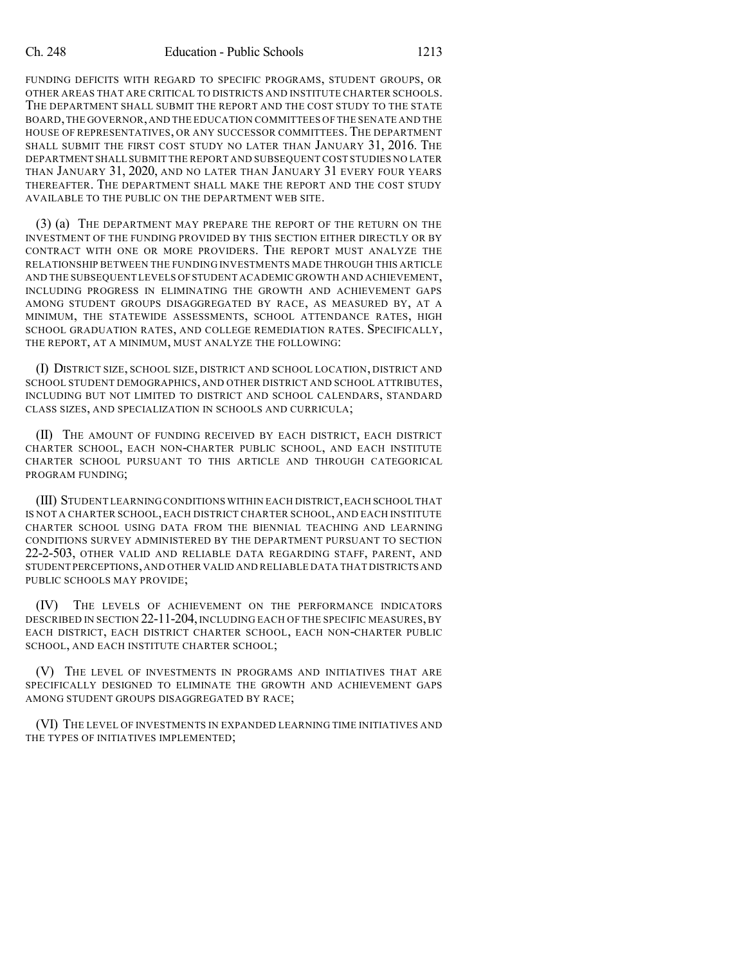FUNDING DEFICITS WITH REGARD TO SPECIFIC PROGRAMS, STUDENT GROUPS, OR OTHER AREAS THAT ARE CRITICAL TO DISTRICTS AND INSTITUTE CHARTER SCHOOLS. THE DEPARTMENT SHALL SUBMIT THE REPORT AND THE COST STUDY TO THE STATE BOARD,THE GOVERNOR,AND THE EDUCATION COMMITTEES OF THE SENATE AND THE HOUSE OF REPRESENTATIVES, OR ANY SUCCESSOR COMMITTEES. THE DEPARTMENT SHALL SUBMIT THE FIRST COST STUDY NO LATER THAN JANUARY 31, 2016. THE DEPARTMENT SHALL SUBMIT THE REPORT AND SUBSEQUENT COST STUDIES NO LATER THAN JANUARY 31, 2020, AND NO LATER THAN JANUARY 31 EVERY FOUR YEARS THEREAFTER. THE DEPARTMENT SHALL MAKE THE REPORT AND THE COST STUDY AVAILABLE TO THE PUBLIC ON THE DEPARTMENT WEB SITE.

(3) (a) THE DEPARTMENT MAY PREPARE THE REPORT OF THE RETURN ON THE INVESTMENT OF THE FUNDING PROVIDED BY THIS SECTION EITHER DIRECTLY OR BY CONTRACT WITH ONE OR MORE PROVIDERS. THE REPORT MUST ANALYZE THE RELATIONSHIP BETWEEN THE FUNDING INVESTMENTS MADE THROUGH THIS ARTICLE AND THE SUBSEQUENT LEVELS OFSTUDENT ACADEMIC GROWTH AND ACHIEVEMENT, INCLUDING PROGRESS IN ELIMINATING THE GROWTH AND ACHIEVEMENT GAPS AMONG STUDENT GROUPS DISAGGREGATED BY RACE, AS MEASURED BY, AT A MINIMUM, THE STATEWIDE ASSESSMENTS, SCHOOL ATTENDANCE RATES, HIGH SCHOOL GRADUATION RATES, AND COLLEGE REMEDIATION RATES. SPECIFICALLY, THE REPORT, AT A MINIMUM, MUST ANALYZE THE FOLLOWING:

(I) DISTRICT SIZE, SCHOOL SIZE, DISTRICT AND SCHOOL LOCATION, DISTRICT AND SCHOOL STUDENT DEMOGRAPHICS, AND OTHER DISTRICT AND SCHOOL ATTRIBUTES, INCLUDING BUT NOT LIMITED TO DISTRICT AND SCHOOL CALENDARS, STANDARD CLASS SIZES, AND SPECIALIZATION IN SCHOOLS AND CURRICULA;

(II) THE AMOUNT OF FUNDING RECEIVED BY EACH DISTRICT, EACH DISTRICT CHARTER SCHOOL, EACH NON-CHARTER PUBLIC SCHOOL, AND EACH INSTITUTE CHARTER SCHOOL PURSUANT TO THIS ARTICLE AND THROUGH CATEGORICAL PROGRAM FUNDING;

(III) STUDENT LEARNING CONDITIONS WITHIN EACH DISTRICT,EACH SCHOOL THAT IS NOT A CHARTER SCHOOL, EACH DISTRICT CHARTER SCHOOL, AND EACH INSTITUTE CHARTER SCHOOL USING DATA FROM THE BIENNIAL TEACHING AND LEARNING CONDITIONS SURVEY ADMINISTERED BY THE DEPARTMENT PURSUANT TO SECTION 22-2-503, OTHER VALID AND RELIABLE DATA REGARDING STAFF, PARENT, AND STUDENT PERCEPTIONS,AND OTHER VALID AND RELIABLE DATA THAT DISTRICTS AND PUBLIC SCHOOLS MAY PROVIDE;

(IV) THE LEVELS OF ACHIEVEMENT ON THE PERFORMANCE INDICATORS DESCRIBED IN SECTION 22-11-204, INCLUDING EACH OF THE SPECIFIC MEASURES, BY EACH DISTRICT, EACH DISTRICT CHARTER SCHOOL, EACH NON-CHARTER PUBLIC SCHOOL, AND EACH INSTITUTE CHARTER SCHOOL;

(V) THE LEVEL OF INVESTMENTS IN PROGRAMS AND INITIATIVES THAT ARE SPECIFICALLY DESIGNED TO ELIMINATE THE GROWTH AND ACHIEVEMENT GAPS AMONG STUDENT GROUPS DISAGGREGATED BY RACE;

(VI) THE LEVEL OF INVESTMENTS IN EXPANDED LEARNING TIME INITIATIVES AND THE TYPES OF INITIATIVES IMPLEMENTED;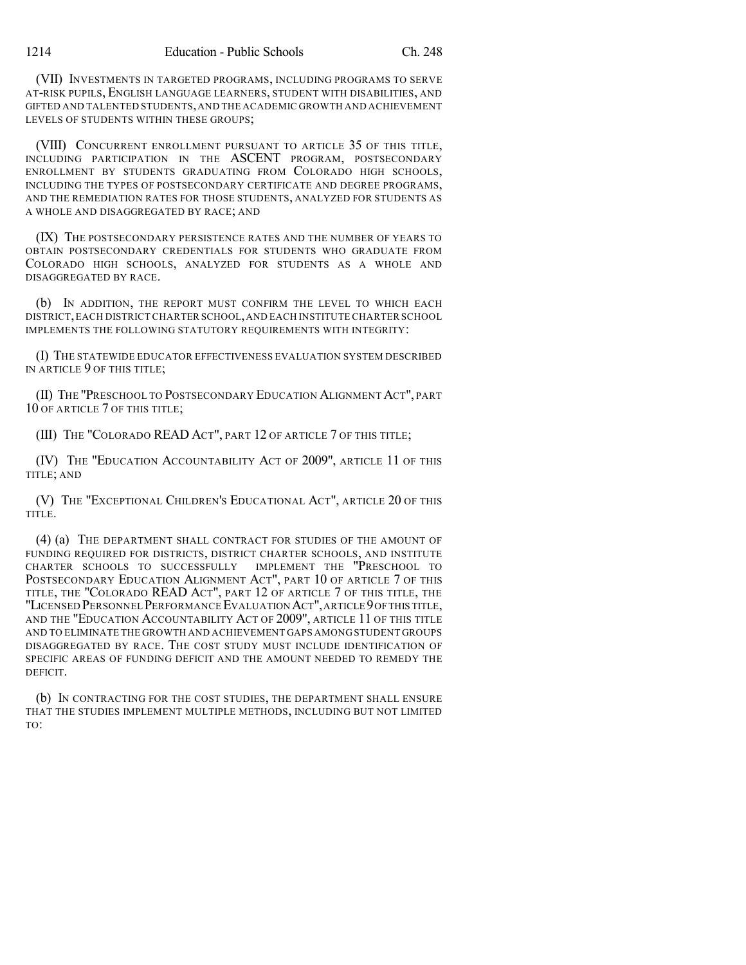(VII) INVESTMENTS IN TARGETED PROGRAMS, INCLUDING PROGRAMS TO SERVE AT-RISK PUPILS, ENGLISH LANGUAGE LEARNERS, STUDENT WITH DISABILITIES, AND GIFTED AND TALENTED STUDENTS,AND THE ACADEMIC GROWTH AND ACHIEVEMENT LEVELS OF STUDENTS WITHIN THESE GROUPS;

(VIII) CONCURRENT ENROLLMENT PURSUANT TO ARTICLE 35 OF THIS TITLE, INCLUDING PARTICIPATION IN THE ASCENT PROGRAM, POSTSECONDARY ENROLLMENT BY STUDENTS GRADUATING FROM COLORADO HIGH SCHOOLS, INCLUDING THE TYPES OF POSTSECONDARY CERTIFICATE AND DEGREE PROGRAMS, AND THE REMEDIATION RATES FOR THOSE STUDENTS, ANALYZED FOR STUDENTS AS A WHOLE AND DISAGGREGATED BY RACE; AND

(IX) THE POSTSECONDARY PERSISTENCE RATES AND THE NUMBER OF YEARS TO OBTAIN POSTSECONDARY CREDENTIALS FOR STUDENTS WHO GRADUATE FROM COLORADO HIGH SCHOOLS, ANALYZED FOR STUDENTS AS A WHOLE AND DISAGGREGATED BY RACE.

(b) IN ADDITION, THE REPORT MUST CONFIRM THE LEVEL TO WHICH EACH DISTRICT,EACH DISTRICT CHARTER SCHOOL,AND EACH INSTITUTE CHARTER SCHOOL IMPLEMENTS THE FOLLOWING STATUTORY REQUIREMENTS WITH INTEGRITY:

(I) THE STATEWIDE EDUCATOR EFFECTIVENESS EVALUATION SYSTEM DESCRIBED IN ARTICLE 9 OF THIS TITLE;

(II) THE "PRESCHOOL TO POSTSECONDARY EDUCATION ALIGNMENT ACT", PART 10 OF ARTICLE 7 OF THIS TITLE;

(III) THE "COLORADO READ ACT", PART 12 OF ARTICLE 7 OF THIS TITLE;

(IV) THE "EDUCATION ACCOUNTABILITY ACT OF 2009", ARTICLE 11 OF THIS TITLE; AND

(V) THE "EXCEPTIONAL CHILDREN'S EDUCATIONAL ACT", ARTICLE 20 OF THIS TITLE.

(4) (a) THE DEPARTMENT SHALL CONTRACT FOR STUDIES OF THE AMOUNT OF FUNDING REQUIRED FOR DISTRICTS, DISTRICT CHARTER SCHOOLS, AND INSTITUTE CHARTER SCHOOLS TO SUCCESSFULLY IMPLEMENT THE "PRESCHOOL TO POSTSECONDARY EDUCATION ALIGNMENT ACT", PART 10 OF ARTICLE 7 OF THIS TITLE, THE "COLORADO READ ACT", PART 12 OF ARTICLE 7 OF THIS TITLE, THE "LICENSED PERSONNEL PERFORMANCE EVALUATION ACT",ARTICLE 9OFTHIS TITLE, AND THE "EDUCATION ACCOUNTABILITY ACT OF 2009", ARTICLE 11 OF THIS TITLE AND TO ELIMINATE THE GROWTH AND ACHIEVEMENT GAPS AMONG STUDENT GROUPS DISAGGREGATED BY RACE. THE COST STUDY MUST INCLUDE IDENTIFICATION OF SPECIFIC AREAS OF FUNDING DEFICIT AND THE AMOUNT NEEDED TO REMEDY THE DEFICIT.

(b) IN CONTRACTING FOR THE COST STUDIES, THE DEPARTMENT SHALL ENSURE THAT THE STUDIES IMPLEMENT MULTIPLE METHODS, INCLUDING BUT NOT LIMITED TO: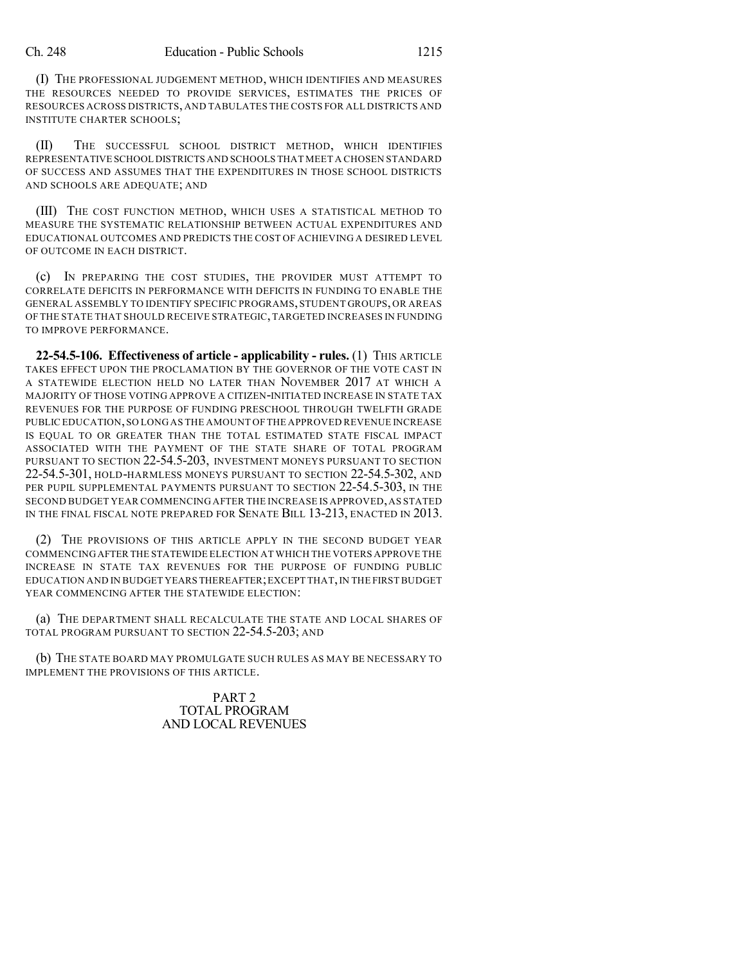(I) THE PROFESSIONAL JUDGEMENT METHOD, WHICH IDENTIFIES AND MEASURES THE RESOURCES NEEDED TO PROVIDE SERVICES, ESTIMATES THE PRICES OF RESOURCES ACROSS DISTRICTS, AND TABULATES THE COSTS FOR ALL DISTRICTS AND INSTITUTE CHARTER SCHOOLS;

(II) THE SUCCESSFUL SCHOOL DISTRICT METHOD, WHICH IDENTIFIES REPRESENTATIVE SCHOOL DISTRICTS AND SCHOOLS THAT MEET A CHOSEN STANDARD OF SUCCESS AND ASSUMES THAT THE EXPENDITURES IN THOSE SCHOOL DISTRICTS AND SCHOOLS ARE ADEQUATE; AND

(III) THE COST FUNCTION METHOD, WHICH USES A STATISTICAL METHOD TO MEASURE THE SYSTEMATIC RELATIONSHIP BETWEEN ACTUAL EXPENDITURES AND EDUCATIONAL OUTCOMES AND PREDICTS THE COST OF ACHIEVING A DESIRED LEVEL OF OUTCOME IN EACH DISTRICT.

(c) IN PREPARING THE COST STUDIES, THE PROVIDER MUST ATTEMPT TO CORRELATE DEFICITS IN PERFORMANCE WITH DEFICITS IN FUNDING TO ENABLE THE GENERAL ASSEMBLY TO IDENTIFY SPECIFIC PROGRAMS, STUDENT GROUPS, OR AREAS OF THE STATE THAT SHOULD RECEIVE STRATEGIC,TARGETED INCREASES IN FUNDING TO IMPROVE PERFORMANCE.

**22-54.5-106. Effectiveness of article - applicability - rules.** (1) THIS ARTICLE TAKES EFFECT UPON THE PROCLAMATION BY THE GOVERNOR OF THE VOTE CAST IN A STATEWIDE ELECTION HELD NO LATER THAN NOVEMBER 2017 AT WHICH A MAJORITY OF THOSE VOTING APPROVE A CITIZEN-INITIATED INCREASE IN STATE TAX REVENUES FOR THE PURPOSE OF FUNDING PRESCHOOL THROUGH TWELFTH GRADE PUBLIC EDUCATION,SO LONG AS THE AMOUNT OF THE APPROVED REVENUE INCREASE IS EQUAL TO OR GREATER THAN THE TOTAL ESTIMATED STATE FISCAL IMPACT ASSOCIATED WITH THE PAYMENT OF THE STATE SHARE OF TOTAL PROGRAM PURSUANT TO SECTION 22-54.5-203, INVESTMENT MONEYS PURSUANT TO SECTION 22-54.5-301, HOLD-HARMLESS MONEYS PURSUANT TO SECTION 22-54.5-302, AND PER PUPIL SUPPLEMENTAL PAYMENTS PURSUANT TO SECTION 22-54.5-303, IN THE SECOND BUDGET YEAR COMMENCING AFTER THE INCREASE IS APPROVED,AS STATED IN THE FINAL FISCAL NOTE PREPARED FOR SENATE BILL 13-213, ENACTED IN 2013.

(2) THE PROVISIONS OF THIS ARTICLE APPLY IN THE SECOND BUDGET YEAR COMMENCINGAFTER THE STATEWIDE ELECTION AT WHICH THE VOTERS APPROVE THE INCREASE IN STATE TAX REVENUES FOR THE PURPOSE OF FUNDING PUBLIC EDUCATION AND IN BUDGET YEARS THEREAFTER;EXCEPT THAT,IN THE FIRSTBUDGET YEAR COMMENCING AFTER THE STATEWIDE ELECTION:

(a) THE DEPARTMENT SHALL RECALCULATE THE STATE AND LOCAL SHARES OF TOTAL PROGRAM PURSUANT TO SECTION 22-54.5-203; AND

(b) THE STATE BOARD MAY PROMULGATE SUCH RULES AS MAY BE NECESSARY TO IMPLEMENT THE PROVISIONS OF THIS ARTICLE.

> PART 2 TOTAL PROGRAM AND LOCAL REVENUES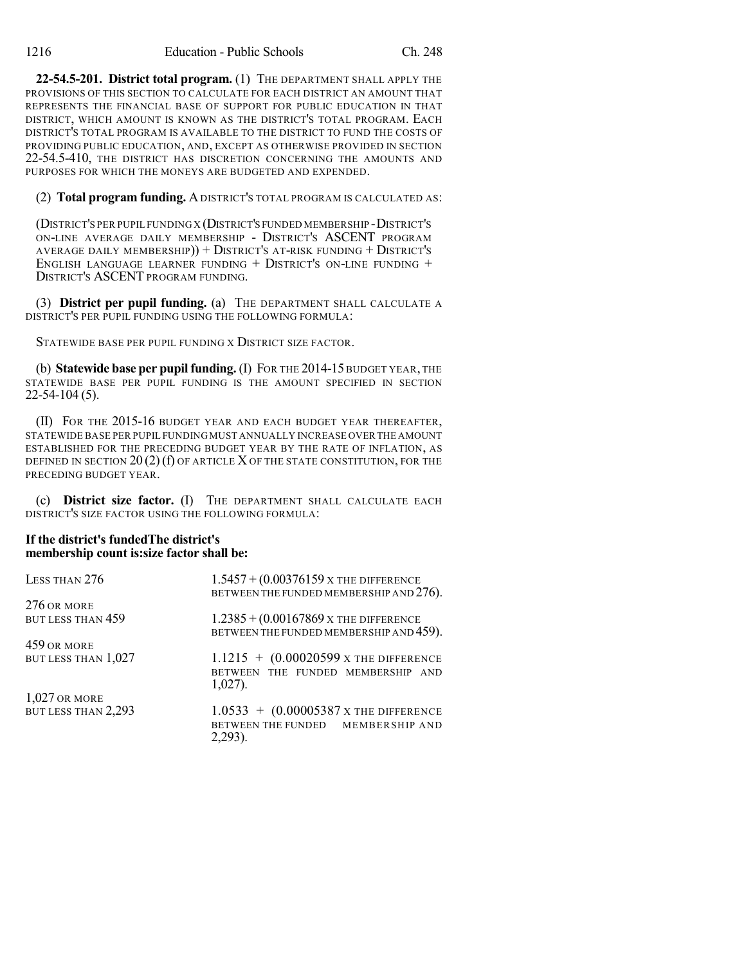**22-54.5-201. District total program.** (1) THE DEPARTMENT SHALL APPLY THE PROVISIONS OF THIS SECTION TO CALCULATE FOR EACH DISTRICT AN AMOUNT THAT REPRESENTS THE FINANCIAL BASE OF SUPPORT FOR PUBLIC EDUCATION IN THAT DISTRICT, WHICH AMOUNT IS KNOWN AS THE DISTRICT'S TOTAL PROGRAM. EACH DISTRICT'S TOTAL PROGRAM IS AVAILABLE TO THE DISTRICT TO FUND THE COSTS OF PROVIDING PUBLIC EDUCATION, AND, EXCEPT AS OTHERWISE PROVIDED IN SECTION 22-54.5-410, THE DISTRICT HAS DISCRETION CONCERNING THE AMOUNTS AND PURPOSES FOR WHICH THE MONEYS ARE BUDGETED AND EXPENDED.

(2) **Total program funding.** ADISTRICT'S TOTAL PROGRAM IS CALCULATED AS:

(DISTRICT'S PER PUPIL FUNDING X (DISTRICT'S FUNDED MEMBERSHIP -DISTRICT'S ON-LINE AVERAGE DAILY MEMBERSHIP - DISTRICT'S ASCENT PROGRAM AVERAGE DAILY MEMBERSHIP)) + DISTRICT'S AT-RISK FUNDING + DISTRICT'S ENGLISH LANGUAGE LEARNER FUNDING  $+$  DISTRICT'S ON-LINE FUNDING  $+$ DISTRICT'S ASCENT PROGRAM FUNDING.

(3) **District per pupil funding.** (a) THE DEPARTMENT SHALL CALCULATE A DISTRICT'S PER PUPIL FUNDING USING THE FOLLOWING FORMULA:

STATEWIDE BASE PER PUPIL FUNDING X DISTRICT SIZE FACTOR.

(b) **Statewide base per pupilfunding.** (I) FOR THE 2014-15 BUDGET YEAR, THE STATEWIDE BASE PER PUPIL FUNDING IS THE AMOUNT SPECIFIED IN SECTION 22-54-104 (5).

(II) FOR THE 2015-16 BUDGET YEAR AND EACH BUDGET YEAR THEREAFTER, STATEWIDE BASE PER PUPIL FUNDING MUST ANNUALLY INCREASE OVER THE AMOUNT ESTABLISHED FOR THE PRECEDING BUDGET YEAR BY THE RATE OF INFLATION, AS DEFINED IN SECTION  $20(2)(f)$  OF ARTICLE X OF THE STATE CONSTITUTION, FOR THE PRECEDING BUDGET YEAR.

(c) **District size factor.** (I) THE DEPARTMENT SHALL CALCULATE EACH DISTRICT'S SIZE FACTOR USING THE FOLLOWING FORMULA:

#### **If the district's fundedThe district's membership count is:size factor shall be:**

| LESS THAN 276       | $1.5457 + (0.00376159 \text{ x}$ The DIFFERENCE<br>BETWEEN THE FUNDED MEMBERSHIP AND 276). |
|---------------------|--------------------------------------------------------------------------------------------|
| 276 OR MORE         |                                                                                            |
| BUT LESS THAN 459   | $1.2385 + (0.00167869 \text{ x}$ The DIFFERENCE                                            |
|                     | BETWEEN THE FUNDED MEMBERSHIP AND 459).                                                    |
| 459 OR MORE         |                                                                                            |
| BUT LESS THAN 1,027 | $1.1215 + (0.00020599 \text{ x} \text{ the difference})$                                   |
|                     | BETWEEN THE FUNDED MEMBERSHIP AND<br>$1,027$ ).                                            |
| $1,027$ or more     |                                                                                            |
| BUT LESS THAN 2,293 | $1.0533 + (0.00005387 \text{ x}$ The DIFFERENCE                                            |
|                     | BETWEEN THE FUNDED MEMBERSHIP AND                                                          |
|                     | 2,293).                                                                                    |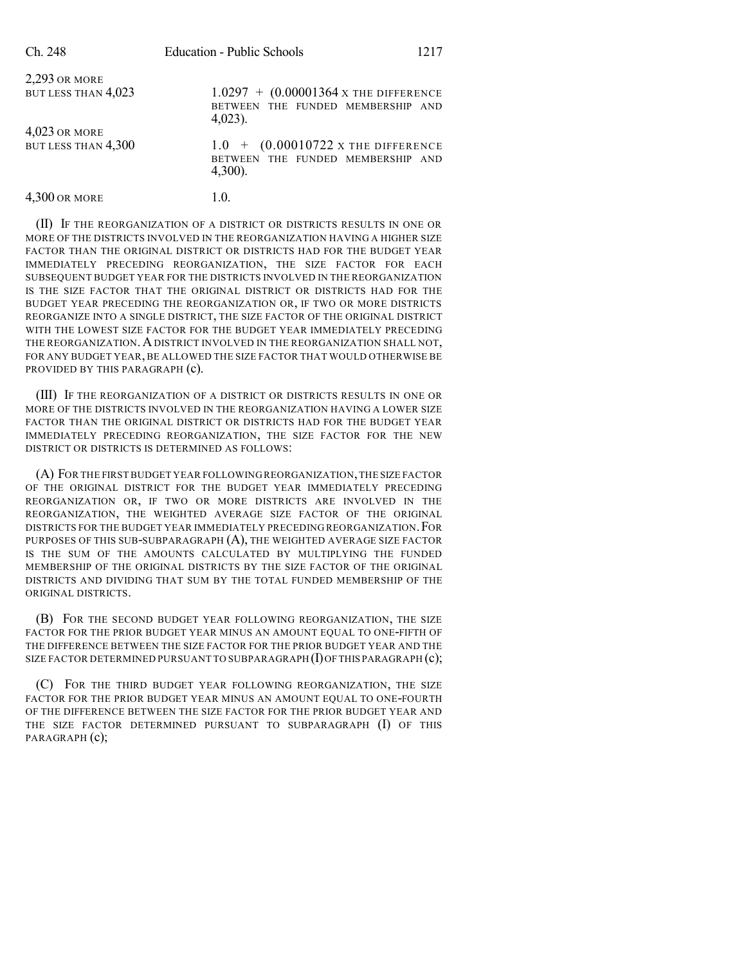| Ch. 248                              | <b>Education - Public Schools</b>                                                                        | 1217 |
|--------------------------------------|----------------------------------------------------------------------------------------------------------|------|
| 2,293 OR MORE<br>BUT LESS THAN 4,023 | $1.0297 + (0.00001364 \text{ x}$ The DIFFERENCE<br>BETWEEN THE FUNDED MEMBERSHIP AND<br>$4,023$ ).       |      |
| 4,023 OR MORE<br>BUT LESS THAN 4,300 | $1.0 + (0.00010722 \text{ x} \text{ the difference})$<br>BETWEEN THE FUNDED MEMBERSHIP AND<br>$4,300$ ). |      |
| 4,300 OR MORE                        | 1.0.                                                                                                     |      |

(II) IF THE REORGANIZATION OF A DISTRICT OR DISTRICTS RESULTS IN ONE OR MORE OF THE DISTRICTS INVOLVED IN THE REORGANIZATION HAVING A HIGHER SIZE FACTOR THAN THE ORIGINAL DISTRICT OR DISTRICTS HAD FOR THE BUDGET YEAR IMMEDIATELY PRECEDING REORGANIZATION, THE SIZE FACTOR FOR EACH SUBSEQUENT BUDGET YEAR FOR THE DISTRICTS INVOLVED IN THE REORGANIZATION IS THE SIZE FACTOR THAT THE ORIGINAL DISTRICT OR DISTRICTS HAD FOR THE BUDGET YEAR PRECEDING THE REORGANIZATION OR, IF TWO OR MORE DISTRICTS REORGANIZE INTO A SINGLE DISTRICT, THE SIZE FACTOR OF THE ORIGINAL DISTRICT WITH THE LOWEST SIZE FACTOR FOR THE BUDGET YEAR IMMEDIATELY PRECEDING THE REORGANIZATION. A DISTRICT INVOLVED IN THE REORGANIZATION SHALL NOT, FOR ANY BUDGET YEAR, BE ALLOWED THE SIZE FACTOR THAT WOULD OTHERWISE BE PROVIDED BY THIS PARAGRAPH (c).

(III) IF THE REORGANIZATION OF A DISTRICT OR DISTRICTS RESULTS IN ONE OR MORE OF THE DISTRICTS INVOLVED IN THE REORGANIZATION HAVING A LOWER SIZE FACTOR THAN THE ORIGINAL DISTRICT OR DISTRICTS HAD FOR THE BUDGET YEAR IMMEDIATELY PRECEDING REORGANIZATION, THE SIZE FACTOR FOR THE NEW DISTRICT OR DISTRICTS IS DETERMINED AS FOLLOWS:

(A) FOR THE FIRST BUDGET YEAR FOLLOWING REORGANIZATION,THE SIZE FACTOR OF THE ORIGINAL DISTRICT FOR THE BUDGET YEAR IMMEDIATELY PRECEDING REORGANIZATION OR, IF TWO OR MORE DISTRICTS ARE INVOLVED IN THE REORGANIZATION, THE WEIGHTED AVERAGE SIZE FACTOR OF THE ORIGINAL DISTRICTS FOR THE BUDGET YEAR IMMEDIATELY PRECEDING REORGANIZATION.FOR PURPOSES OF THIS SUB-SUBPARAGRAPH (A), THE WEIGHTED AVERAGE SIZE FACTOR IS THE SUM OF THE AMOUNTS CALCULATED BY MULTIPLYING THE FUNDED MEMBERSHIP OF THE ORIGINAL DISTRICTS BY THE SIZE FACTOR OF THE ORIGINAL DISTRICTS AND DIVIDING THAT SUM BY THE TOTAL FUNDED MEMBERSHIP OF THE ORIGINAL DISTRICTS.

(B) FOR THE SECOND BUDGET YEAR FOLLOWING REORGANIZATION, THE SIZE FACTOR FOR THE PRIOR BUDGET YEAR MINUS AN AMOUNT EQUAL TO ONE-FIFTH OF THE DIFFERENCE BETWEEN THE SIZE FACTOR FOR THE PRIOR BUDGET YEAR AND THE SIZE FACTOR DETERMINED PURSUANT TO SUBPARAGRAPH  $(I)$  OF THIS PARAGRAPH  $(c)$ ;

(C) FOR THE THIRD BUDGET YEAR FOLLOWING REORGANIZATION, THE SIZE FACTOR FOR THE PRIOR BUDGET YEAR MINUS AN AMOUNT EQUAL TO ONE-FOURTH OF THE DIFFERENCE BETWEEN THE SIZE FACTOR FOR THE PRIOR BUDGET YEAR AND THE SIZE FACTOR DETERMINED PURSUANT TO SUBPARAGRAPH (I) OF THIS PARAGRAPH  $(c)$ ;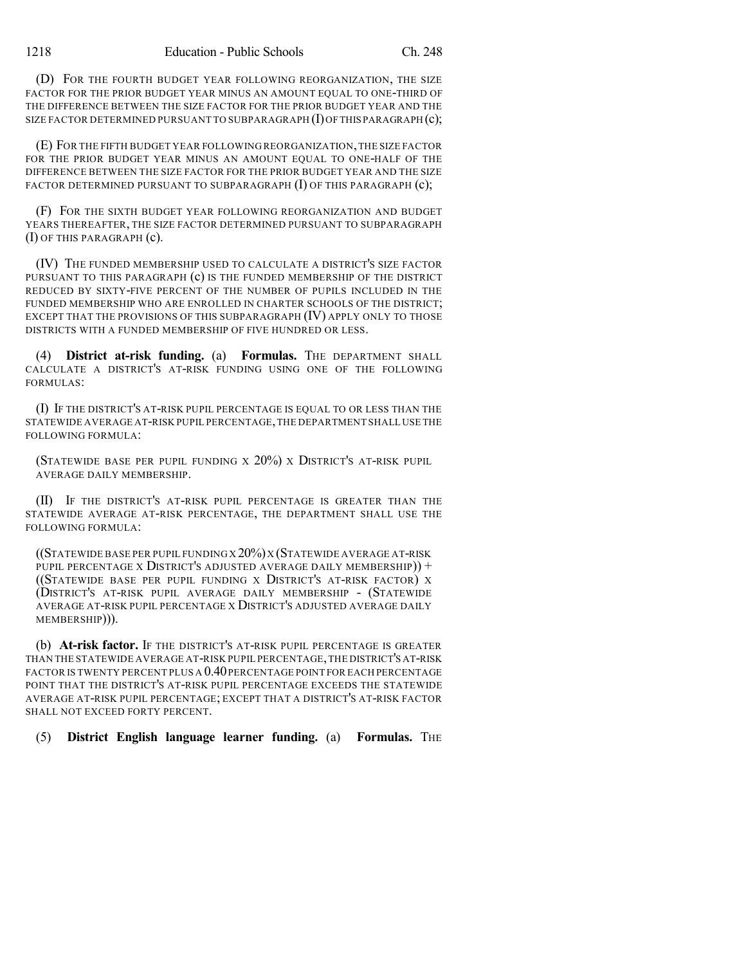(D) FOR THE FOURTH BUDGET YEAR FOLLOWING REORGANIZATION, THE SIZE FACTOR FOR THE PRIOR BUDGET YEAR MINUS AN AMOUNT EQUAL TO ONE-THIRD OF THE DIFFERENCE BETWEEN THE SIZE FACTOR FOR THE PRIOR BUDGET YEAR AND THE SIZE FACTOR DETERMINED PURSUANT TO SUBPARAGRAPH  $(I)$  OF THIS PARAGRAPH  $(c)$ ;

(E) FOR THE FIFTH BUDGET YEAR FOLLOWING REORGANIZATION,THE SIZE FACTOR FOR THE PRIOR BUDGET YEAR MINUS AN AMOUNT EQUAL TO ONE-HALF OF THE DIFFERENCE BETWEEN THE SIZE FACTOR FOR THE PRIOR BUDGET YEAR AND THE SIZE FACTOR DETERMINED PURSUANT TO SUBPARAGRAPH  $(I)$  OF THIS PARAGRAPH  $(c)$ ;

(F) FOR THE SIXTH BUDGET YEAR FOLLOWING REORGANIZATION AND BUDGET YEARS THEREAFTER, THE SIZE FACTOR DETERMINED PURSUANT TO SUBPARAGRAPH (I) OF THIS PARAGRAPH (c).

(IV) THE FUNDED MEMBERSHIP USED TO CALCULATE A DISTRICT'S SIZE FACTOR PURSUANT TO THIS PARAGRAPH (c) IS THE FUNDED MEMBERSHIP OF THE DISTRICT REDUCED BY SIXTY-FIVE PERCENT OF THE NUMBER OF PUPILS INCLUDED IN THE FUNDED MEMBERSHIP WHO ARE ENROLLED IN CHARTER SCHOOLS OF THE DISTRICT; EXCEPT THAT THE PROVISIONS OF THIS SUBPARAGRAPH (IV) APPLY ONLY TO THOSE DISTRICTS WITH A FUNDED MEMBERSHIP OF FIVE HUNDRED OR LESS.

(4) **District at-risk funding.** (a) **Formulas.** THE DEPARTMENT SHALL CALCULATE A DISTRICT'S AT-RISK FUNDING USING ONE OF THE FOLLOWING FORMULAS:

(I) IF THE DISTRICT'S AT-RISK PUPIL PERCENTAGE IS EQUAL TO OR LESS THAN THE STATEWIDE AVERAGE AT-RISK PUPIL PERCENTAGE,THE DEPARTMENT SHALL USE THE FOLLOWING FORMULA:

(STATEWIDE BASE PER PUPIL FUNDING X 20%) X DISTRICT'S AT-RISK PUPIL AVERAGE DAILY MEMBERSHIP.

(II) IF THE DISTRICT'S AT-RISK PUPIL PERCENTAGE IS GREATER THAN THE STATEWIDE AVERAGE AT-RISK PERCENTAGE, THE DEPARTMENT SHALL USE THE FOLLOWING FORMULA:

 $($ (Statewide base per pupil funding x 20%) x (Statewide average at-risk PUPIL PERCENTAGE X DISTRICT'S ADJUSTED AVERAGE DAILY MEMBERSHIP)) + ((STATEWIDE BASE PER PUPIL FUNDING X DISTRICT'S AT-RISK FACTOR) X (DISTRICT'S AT-RISK PUPIL AVERAGE DAILY MEMBERSHIP - (STATEWIDE AVERAGE AT-RISK PUPIL PERCENTAGE X DISTRICT'S ADJUSTED AVERAGE DAILY MEMBERSHIP))).

(b) **At-risk factor.** IF THE DISTRICT'S AT-RISK PUPIL PERCENTAGE IS GREATER THAN THE STATEWIDE AVERAGE AT-RISK PUPIL PERCENTAGE,THE DISTRICT'S AT-RISK FACTOR IS TWENTY PERCENT PLUS A 0.40 PERCENTAGE POINT FOR EACH PERCENTAGE POINT THAT THE DISTRICT'S AT-RISK PUPIL PERCENTAGE EXCEEDS THE STATEWIDE AVERAGE AT-RISK PUPIL PERCENTAGE; EXCEPT THAT A DISTRICT'S AT-RISK FACTOR SHALL NOT EXCEED FORTY PERCENT.

(5) **District English language learner funding.** (a) **Formulas.** THE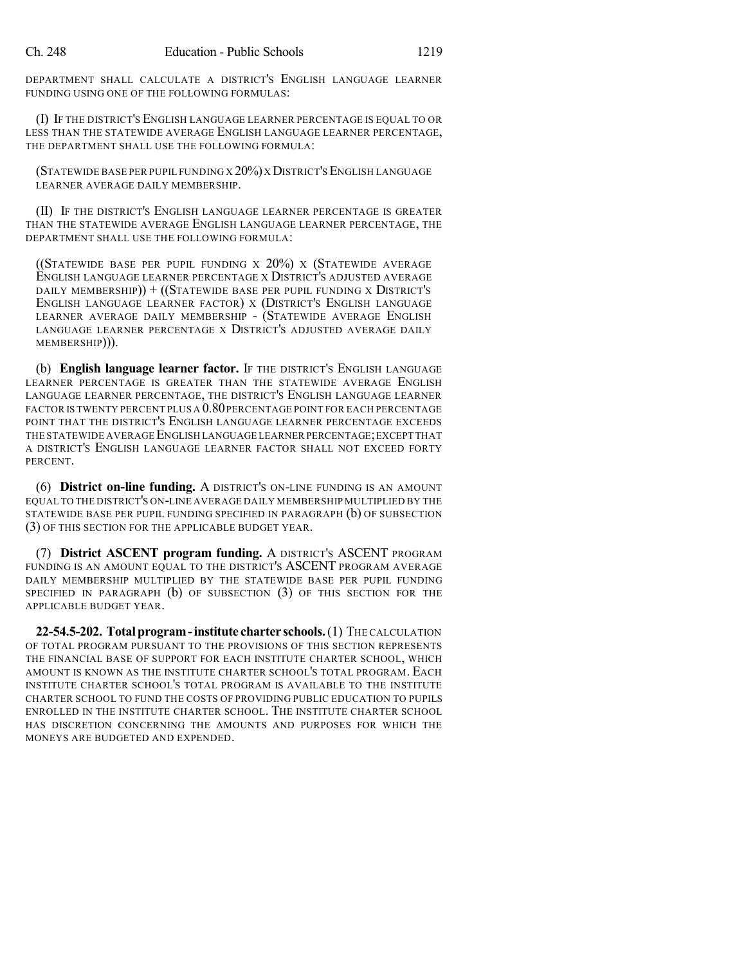DEPARTMENT SHALL CALCULATE A DISTRICT'S ENGLISH LANGUAGE LEARNER FUNDING USING ONE OF THE FOLLOWING FORMULAS:

(I) IF THE DISTRICT'S ENGLISH LANGUAGE LEARNER PERCENTAGE IS EQUAL TO OR LESS THAN THE STATEWIDE AVERAGE ENGLISH LANGUAGE LEARNER PERCENTAGE, THE DEPARTMENT SHALL USE THE FOLLOWING FORMULA:

(STATEWIDE BASE PER PUPIL FUNDING X 20%)X DISTRICT'SENGLISH LANGUAGE LEARNER AVERAGE DAILY MEMBERSHIP.

(II) IF THE DISTRICT'S ENGLISH LANGUAGE LEARNER PERCENTAGE IS GREATER THAN THE STATEWIDE AVERAGE ENGLISH LANGUAGE LEARNER PERCENTAGE, THE DEPARTMENT SHALL USE THE FOLLOWING FORMULA:

((STATEWIDE BASE PER PUPIL FUNDING X  $20\%$ ) X (STATEWIDE AVERAGE ENGLISH LANGUAGE LEARNER PERCENTAGE X DISTRICT'S ADJUSTED AVERAGE DAILY MEMBERSHIP) $) + ((S<sub>T</sub>AT<sub>E</sub>W<sub>IDE</sub> BASE PER PUPIL FUNDING X DISTRICT'S$ ENGLISH LANGUAGE LEARNER FACTOR) X (DISTRICT'S ENGLISH LANGUAGE LEARNER AVERAGE DAILY MEMBERSHIP - (STATEWIDE AVERAGE ENGLISH LANGUAGE LEARNER PERCENTAGE X DISTRICT'S ADJUSTED AVERAGE DAILY MEMBERSHIP))).

(b) **English language learner factor.** IF THE DISTRICT'S ENGLISH LANGUAGE LEARNER PERCENTAGE IS GREATER THAN THE STATEWIDE AVERAGE ENGLISH LANGUAGE LEARNER PERCENTAGE, THE DISTRICT'S ENGLISH LANGUAGE LEARNER FACTOR IS TWENTY PERCENT PLUS A 0.80PERCENTAGE POINT FOR EACH PERCENTAGE POINT THAT THE DISTRICT'S ENGLISH LANGUAGE LEARNER PERCENTAGE EXCEEDS THE STATEWIDE AVERAGE ENGLISH LANGUAGE LEARNER PERCENTAGE;EXCEPT THAT A DISTRICT'S ENGLISH LANGUAGE LEARNER FACTOR SHALL NOT EXCEED FORTY PERCENT.

(6) **District on-line funding.** A DISTRICT'S ON-LINE FUNDING IS AN AMOUNT EQUAL TO THE DISTRICT'S ON-LINE AVERAGE DAILY MEMBERSHIP MULTIPLIED BY THE STATEWIDE BASE PER PUPIL FUNDING SPECIFIED IN PARAGRAPH (b) OF SUBSECTION (3) OF THIS SECTION FOR THE APPLICABLE BUDGET YEAR.

(7) **District ASCENT program funding.** A DISTRICT'S ASCENT PROGRAM FUNDING IS AN AMOUNT EQUAL TO THE DISTRICT'S ASCENT PROGRAM AVERAGE DAILY MEMBERSHIP MULTIPLIED BY THE STATEWIDE BASE PER PUPIL FUNDING SPECIFIED IN PARAGRAPH (b) OF SUBSECTION (3) OF THIS SECTION FOR THE APPLICABLE BUDGET YEAR.

**22-54.5-202. Totalprogram-institute charter schools.**(1) THE CALCULATION OF TOTAL PROGRAM PURSUANT TO THE PROVISIONS OF THIS SECTION REPRESENTS THE FINANCIAL BASE OF SUPPORT FOR EACH INSTITUTE CHARTER SCHOOL, WHICH AMOUNT IS KNOWN AS THE INSTITUTE CHARTER SCHOOL'S TOTAL PROGRAM. EACH INSTITUTE CHARTER SCHOOL'S TOTAL PROGRAM IS AVAILABLE TO THE INSTITUTE CHARTER SCHOOL TO FUND THE COSTS OF PROVIDING PUBLIC EDUCATION TO PUPILS ENROLLED IN THE INSTITUTE CHARTER SCHOOL. THE INSTITUTE CHARTER SCHOOL HAS DISCRETION CONCERNING THE AMOUNTS AND PURPOSES FOR WHICH THE MONEYS ARE BUDGETED AND EXPENDED.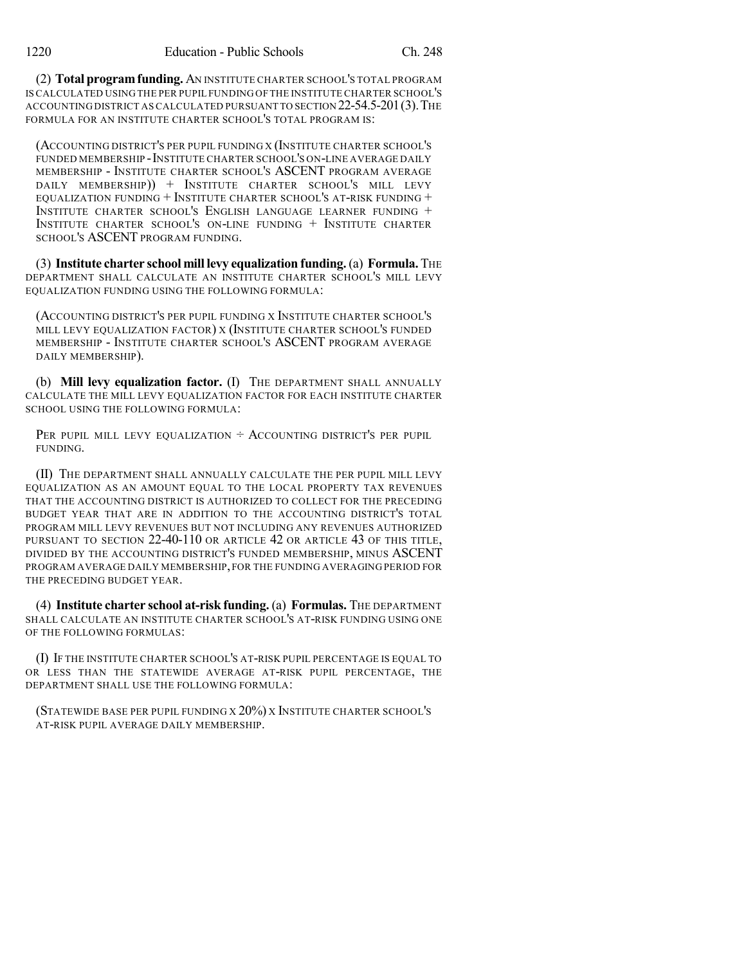(2) **Total programfunding.** AN INSTITUTE CHARTER SCHOOL'S TOTAL PROGRAM IS CALCULATED USING THE PER PUPIL FUNDING OF THE INSTITUTE CHARTER SCHOOL'S ACCOUNTING DISTRICT AS CALCULATED PURSUANT TO SECTION 22-54.5-201(3).THE FORMULA FOR AN INSTITUTE CHARTER SCHOOL'S TOTAL PROGRAM IS:

(ACCOUNTING DISTRICT'S PER PUPIL FUNDING X (INSTITUTE CHARTER SCHOOL'S FUNDED MEMBERSHIP - INSTITUTE CHARTER SCHOOL'S ON-LINE AVERAGE DAILY MEMBERSHIP - INSTITUTE CHARTER SCHOOL'S ASCENT PROGRAM AVERAGE DAILY MEMBERSHIP)) + INSTITUTE CHARTER SCHOOL'S MILL LEVY EQUALIZATION FUNDING  $+$  INSTITUTE CHARTER SCHOOL'S AT-RISK FUNDING  $+$ INSTITUTE CHARTER SCHOOL'S ENGLISH LANGUAGE LEARNER FUNDING + INSTITUTE CHARTER SCHOOL'S ON-LINE FUNDING + INSTITUTE CHARTER SCHOOL'S ASCENT PROGRAM FUNDING.

(3) **Institute charter school mill levy equalization funding.**(a) **Formula.** THE DEPARTMENT SHALL CALCULATE AN INSTITUTE CHARTER SCHOOL'S MILL LEVY EQUALIZATION FUNDING USING THE FOLLOWING FORMULA:

(ACCOUNTING DISTRICT'S PER PUPIL FUNDING X INSTITUTE CHARTER SCHOOL'S MILL LEVY EQUALIZATION FACTOR) X (INSTITUTE CHARTER SCHOOL'S FUNDED MEMBERSHIP - INSTITUTE CHARTER SCHOOL'S ASCENT PROGRAM AVERAGE DAILY MEMBERSHIP).

(b) **Mill levy equalization factor.** (I) THE DEPARTMENT SHALL ANNUALLY CALCULATE THE MILL LEVY EQUALIZATION FACTOR FOR EACH INSTITUTE CHARTER SCHOOL USING THE FOLLOWING FORMULA:

PER PUPIL MILL LEVY EQUALIZATION  $\div$  ACCOUNTING DISTRICT'S PER PUPIL FUNDING.

(II) THE DEPARTMENT SHALL ANNUALLY CALCULATE THE PER PUPIL MILL LEVY EQUALIZATION AS AN AMOUNT EQUAL TO THE LOCAL PROPERTY TAX REVENUES THAT THE ACCOUNTING DISTRICT IS AUTHORIZED TO COLLECT FOR THE PRECEDING BUDGET YEAR THAT ARE IN ADDITION TO THE ACCOUNTING DISTRICT'S TOTAL PROGRAM MILL LEVY REVENUES BUT NOT INCLUDING ANY REVENUES AUTHORIZED PURSUANT TO SECTION 22-40-110 OR ARTICLE 42 OR ARTICLE 43 OF THIS TITLE, DIVIDED BY THE ACCOUNTING DISTRICT'S FUNDED MEMBERSHIP, MINUS ASCENT PROGRAM AVERAGE DAILY MEMBERSHIP, FOR THE FUNDING AVERAGING PERIOD FOR THE PRECEDING BUDGET YEAR.

(4) **Institute charter school at-risk funding.** (a) **Formulas.** THE DEPARTMENT SHALL CALCULATE AN INSTITUTE CHARTER SCHOOL'S AT-RISK FUNDING USING ONE OF THE FOLLOWING FORMULAS:

(I) IF THE INSTITUTE CHARTER SCHOOL'S AT-RISK PUPIL PERCENTAGE IS EQUAL TO OR LESS THAN THE STATEWIDE AVERAGE AT-RISK PUPIL PERCENTAGE, THE DEPARTMENT SHALL USE THE FOLLOWING FORMULA:

(STATEWIDE BASE PER PUPIL FUNDING X 20%) X INSTITUTE CHARTER SCHOOL'S AT-RISK PUPIL AVERAGE DAILY MEMBERSHIP.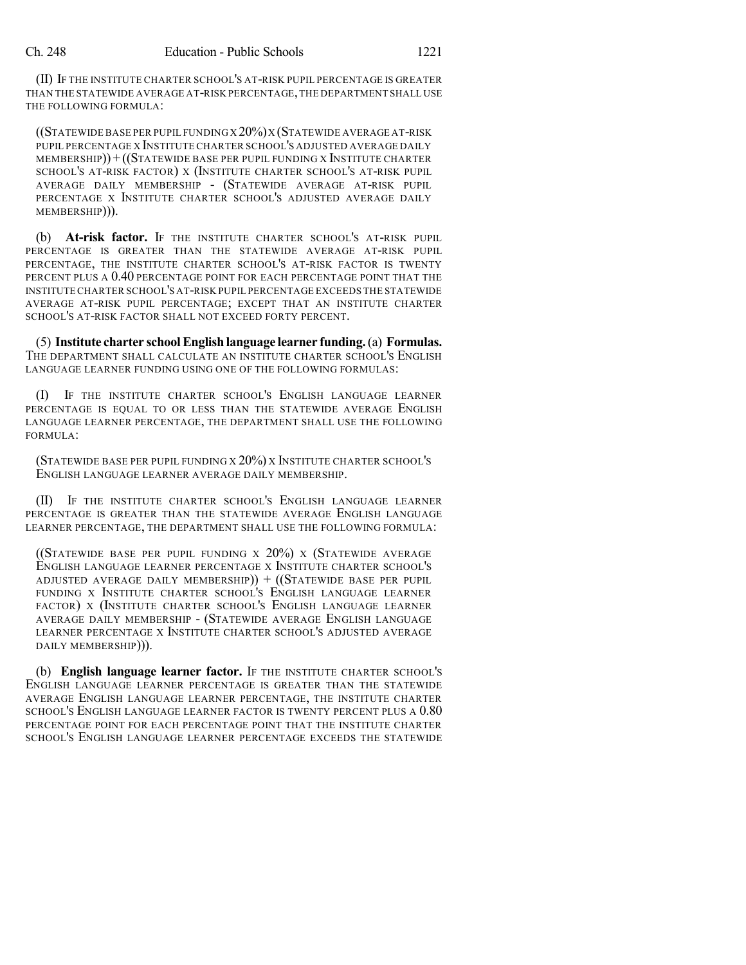(II) IF THE INSTITUTE CHARTER SCHOOL'S AT-RISK PUPIL PERCENTAGE IS GREATER THAN THE STATEWIDE AVERAGE AT-RISK PERCENTAGE,THE DEPARTMENT SHALL USE THE FOLLOWING FORMULA:

 $($ (Statewide base per pupil funding x 20%) x (Statewide average at-risk PUPIL PERCENTAGE X INSTITUTE CHARTER SCHOOL'S ADJUSTED AVERAGE DAILY MEMBERSHIP)) +((STATEWIDE BASE PER PUPIL FUNDING X INSTITUTE CHARTER SCHOOL'S AT-RISK FACTOR) X (INSTITUTE CHARTER SCHOOL'S AT-RISK PUPIL AVERAGE DAILY MEMBERSHIP - (STATEWIDE AVERAGE AT-RISK PUPIL PERCENTAGE X INSTITUTE CHARTER SCHOOL'S ADJUSTED AVERAGE DAILY MEMBERSHIP))).

(b) **At-risk factor.** IF THE INSTITUTE CHARTER SCHOOL'S AT-RISK PUPIL PERCENTAGE IS GREATER THAN THE STATEWIDE AVERAGE AT-RISK PUPIL PERCENTAGE, THE INSTITUTE CHARTER SCHOOL'S AT-RISK FACTOR IS TWENTY PERCENT PLUS A 0.40 PERCENTAGE POINT FOR EACH PERCENTAGE POINT THAT THE INSTITUTE CHARTER SCHOOL'S AT-RISK PUPIL PERCENTAGE EXCEEDS THE STATEWIDE AVERAGE AT-RISK PUPIL PERCENTAGE; EXCEPT THAT AN INSTITUTE CHARTER SCHOOL'S AT-RISK FACTOR SHALL NOT EXCEED FORTY PERCENT.

(5) **Institute charter schoolEnglish language learner funding.**(a) **Formulas.** THE DEPARTMENT SHALL CALCULATE AN INSTITUTE CHARTER SCHOOL'S ENGLISH LANGUAGE LEARNER FUNDING USING ONE OF THE FOLLOWING FORMULAS:

(I) IF THE INSTITUTE CHARTER SCHOOL'S ENGLISH LANGUAGE LEARNER PERCENTAGE IS EQUAL TO OR LESS THAN THE STATEWIDE AVERAGE ENGLISH LANGUAGE LEARNER PERCENTAGE, THE DEPARTMENT SHALL USE THE FOLLOWING FORMULA:

(STATEWIDE BASE PER PUPIL FUNDING X 20%) X INSTITUTE CHARTER SCHOOL'S ENGLISH LANGUAGE LEARNER AVERAGE DAILY MEMBERSHIP.

(II) IF THE INSTITUTE CHARTER SCHOOL'S ENGLISH LANGUAGE LEARNER PERCENTAGE IS GREATER THAN THE STATEWIDE AVERAGE ENGLISH LANGUAGE LEARNER PERCENTAGE, THE DEPARTMENT SHALL USE THE FOLLOWING FORMULA:

((STATEWIDE BASE PER PUPIL FUNDING X  $20\%$ ) X (STATEWIDE AVERAGE ENGLISH LANGUAGE LEARNER PERCENTAGE X INSTITUTE CHARTER SCHOOL'S ADJUSTED AVERAGE DAILY MEMBERSHIP) $) + ((S<sub>T</sub>AT<sub>E</sub>W<sub>ID</sub>)E<sub>B</sub>AB<sub>E</sub>PER PUPIL)$ FUNDING X INSTITUTE CHARTER SCHOOL'S ENGLISH LANGUAGE LEARNER FACTOR) X (INSTITUTE CHARTER SCHOOL'S ENGLISH LANGUAGE LEARNER AVERAGE DAILY MEMBERSHIP - (STATEWIDE AVERAGE ENGLISH LANGUAGE LEARNER PERCENTAGE X INSTITUTE CHARTER SCHOOL'S ADJUSTED AVERAGE DAILY MEMBERSHIP))).

(b) **English language learner factor.** IF THE INSTITUTE CHARTER SCHOOL'S ENGLISH LANGUAGE LEARNER PERCENTAGE IS GREATER THAN THE STATEWIDE AVERAGE ENGLISH LANGUAGE LEARNER PERCENTAGE, THE INSTITUTE CHARTER SCHOOL'S ENGLISH LANGUAGE LEARNER FACTOR IS TWENTY PERCENT PLUS A 0.80 PERCENTAGE POINT FOR EACH PERCENTAGE POINT THAT THE INSTITUTE CHARTER SCHOOL'S ENGLISH LANGUAGE LEARNER PERCENTAGE EXCEEDS THE STATEWIDE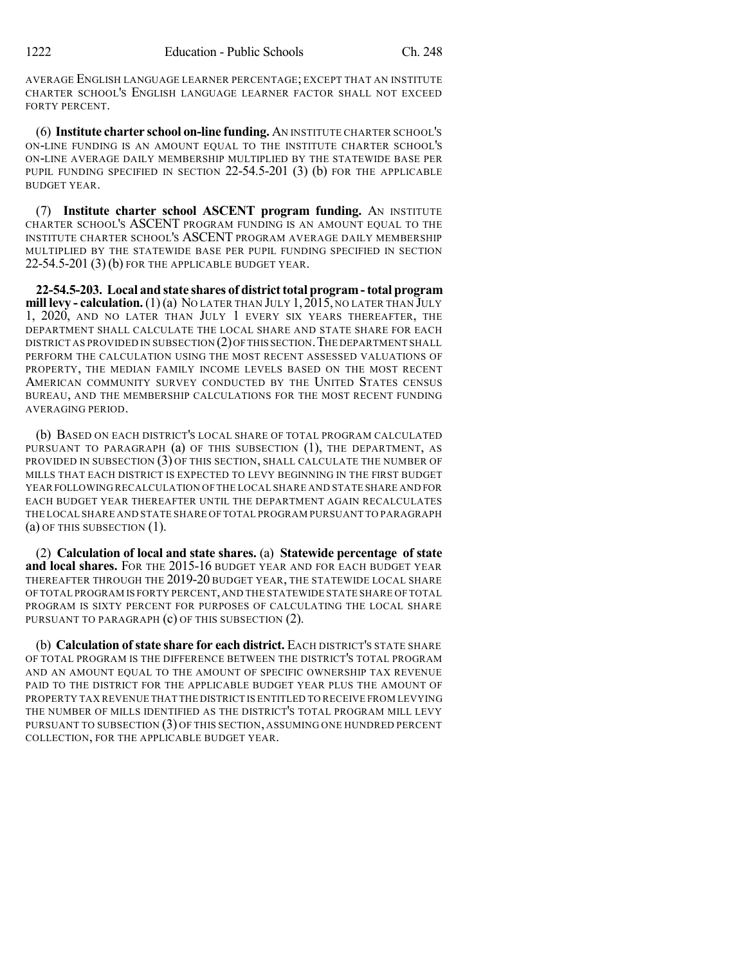AVERAGE ENGLISH LANGUAGE LEARNER PERCENTAGE; EXCEPT THAT AN INSTITUTE CHARTER SCHOOL'S ENGLISH LANGUAGE LEARNER FACTOR SHALL NOT EXCEED FORTY PERCENT.

(6) **Institute charter school on-line funding.** AN INSTITUTE CHARTER SCHOOL'S ON-LINE FUNDING IS AN AMOUNT EQUAL TO THE INSTITUTE CHARTER SCHOOL'S ON-LINE AVERAGE DAILY MEMBERSHIP MULTIPLIED BY THE STATEWIDE BASE PER PUPIL FUNDING SPECIFIED IN SECTION 22-54.5-201 (3) (b) FOR THE APPLICABLE BUDGET YEAR.

(7) **Institute charter school ASCENT program funding.** AN INSTITUTE CHARTER SCHOOL'S ASCENT PROGRAM FUNDING IS AN AMOUNT EQUAL TO THE INSTITUTE CHARTER SCHOOL'S ASCENT PROGRAM AVERAGE DAILY MEMBERSHIP MULTIPLIED BY THE STATEWIDE BASE PER PUPIL FUNDING SPECIFIED IN SECTION 22-54.5-201 (3) (b) FOR THE APPLICABLE BUDGET YEAR.

**22-54.5-203. Local and state shares of districttotal program-total program mill levy - calculation.**(1)(a) NO LATER THAN JULY 1,2015, NO LATER THAN JULY 1, 2020, AND NO LATER THAN JULY 1 EVERY SIX YEARS THEREAFTER, THE DEPARTMENT SHALL CALCULATE THE LOCAL SHARE AND STATE SHARE FOR EACH DISTRICT AS PROVIDED IN SUBSECTION (2) OF THIS SECTION. THE DEPARTMENT SHALL PERFORM THE CALCULATION USING THE MOST RECENT ASSESSED VALUATIONS OF PROPERTY, THE MEDIAN FAMILY INCOME LEVELS BASED ON THE MOST RECENT AMERICAN COMMUNITY SURVEY CONDUCTED BY THE UNITED STATES CENSUS BUREAU, AND THE MEMBERSHIP CALCULATIONS FOR THE MOST RECENT FUNDING AVERAGING PERIOD.

(b) BASED ON EACH DISTRICT'S LOCAL SHARE OF TOTAL PROGRAM CALCULATED PURSUANT TO PARAGRAPH (a) OF THIS SUBSECTION (1), THE DEPARTMENT, AS PROVIDED IN SUBSECTION (3) OF THIS SECTION, SHALL CALCULATE THE NUMBER OF MILLS THAT EACH DISTRICT IS EXPECTED TO LEVY BEGINNING IN THE FIRST BUDGET YEAR FOLLOWING RECALCULATION OF THE LOCAL SHARE AND STATE SHARE AND FOR EACH BUDGET YEAR THEREAFTER UNTIL THE DEPARTMENT AGAIN RECALCULATES THE LOCAL SHARE AND STATE SHARE OF TOTAL PROGRAM PURSUANT TO PARAGRAPH (a) OF THIS SUBSECTION (1).

(2) **Calculation of local and state shares.** (a) **Statewide percentage of state and local shares.** FOR THE 2015-16 BUDGET YEAR AND FOR EACH BUDGET YEAR THEREAFTER THROUGH THE 2019-20 BUDGET YEAR, THE STATEWIDE LOCAL SHARE OF TOTAL PROGRAM IS FORTY PERCENT,AND THE STATEWIDE STATE SHARE OF TOTAL PROGRAM IS SIXTY PERCENT FOR PURPOSES OF CALCULATING THE LOCAL SHARE PURSUANT TO PARAGRAPH (c) OF THIS SUBSECTION (2).

(b) **Calculation of state share for each district.** EACH DISTRICT'S STATE SHARE OF TOTAL PROGRAM IS THE DIFFERENCE BETWEEN THE DISTRICT'S TOTAL PROGRAM AND AN AMOUNT EQUAL TO THE AMOUNT OF SPECIFIC OWNERSHIP TAX REVENUE PAID TO THE DISTRICT FOR THE APPLICABLE BUDGET YEAR PLUS THE AMOUNT OF PROPERTY TAX REVENUE THAT THE DISTRICT IS ENTITLED TO RECEIVE FROM LEVYING THE NUMBER OF MILLS IDENTIFIED AS THE DISTRICT'S TOTAL PROGRAM MILL LEVY PURSUANT TO SUBSECTION (3) OF THIS SECTION, ASSUMING ONE HUNDRED PERCENT COLLECTION, FOR THE APPLICABLE BUDGET YEAR.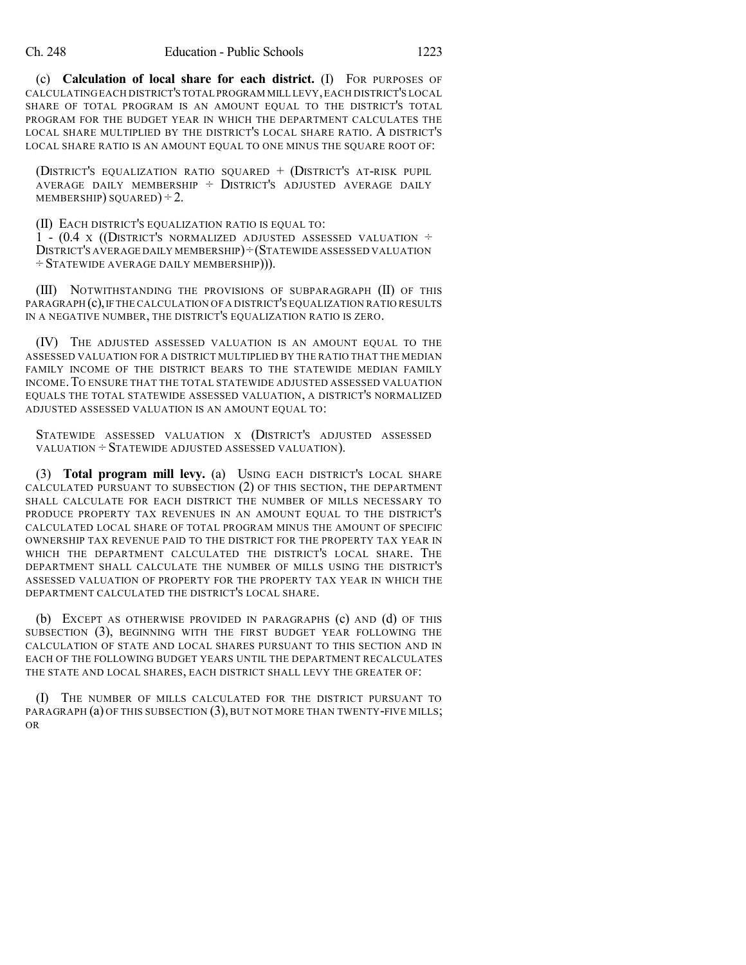(c) **Calculation of local share for each district.** (I) FOR PURPOSES OF CALCULATING EACH DISTRICT'S TOTAL PROGRAM MILL LEVY,EACH DISTRICT'S LOCAL SHARE OF TOTAL PROGRAM IS AN AMOUNT EQUAL TO THE DISTRICT'S TOTAL PROGRAM FOR THE BUDGET YEAR IN WHICH THE DEPARTMENT CALCULATES THE LOCAL SHARE MULTIPLIED BY THE DISTRICT'S LOCAL SHARE RATIO. A DISTRICT'S LOCAL SHARE RATIO IS AN AMOUNT EQUAL TO ONE MINUS THE SOUARE ROOT OF:

(DISTRICT'S EQUALIZATION RATIO SQUARED + (DISTRICT'S AT-RISK PUPIL AVERAGE DAILY MEMBERSHIP  $\div$  DISTRICT'S ADJUSTED AVERAGE DAILY MEMBERSHIP) SQUARED)  $\div$  2.

(II) EACH DISTRICT'S EQUALIZATION RATIO IS EQUAL TO:

1 -  $(0.4 \times ($ DISTRICT'S NORMALIZED ADJUSTED ASSESSED VALUATION  $\div$ DISTRICT'S AVERAGE DAILY MEMBERSHIP)÷(STATEWIDE ASSESSED VALUATION ÷ STATEWIDE AVERAGE DAILY MEMBERSHIP))).

(III) NOTWITHSTANDING THE PROVISIONS OF SUBPARAGRAPH (II) OF THIS PARAGRAPH (c),IF THE CALCULATION OF A DISTRICT'S EQUALIZATION RATIO RESULTS IN A NEGATIVE NUMBER, THE DISTRICT'S EQUALIZATION RATIO IS ZERO.

(IV) THE ADJUSTED ASSESSED VALUATION IS AN AMOUNT EQUAL TO THE ASSESSED VALUATION FOR A DISTRICT MULTIPLIED BY THE RATIO THAT THE MEDIAN FAMILY INCOME OF THE DISTRICT BEARS TO THE STATEWIDE MEDIAN FAMILY INCOME.TO ENSURE THAT THE TOTAL STATEWIDE ADJUSTED ASSESSED VALUATION EQUALS THE TOTAL STATEWIDE ASSESSED VALUATION, A DISTRICT'S NORMALIZED ADJUSTED ASSESSED VALUATION IS AN AMOUNT EQUAL TO:

STATEWIDE ASSESSED VALUATION X (DISTRICT'S ADJUSTED ASSESSED VALUATION ÷ STATEWIDE ADJUSTED ASSESSED VALUATION).

(3) **Total program mill levy.** (a) USING EACH DISTRICT'S LOCAL SHARE CALCULATED PURSUANT TO SUBSECTION (2) OF THIS SECTION, THE DEPARTMENT SHALL CALCULATE FOR EACH DISTRICT THE NUMBER OF MILLS NECESSARY TO PRODUCE PROPERTY TAX REVENUES IN AN AMOUNT EQUAL TO THE DISTRICT'S CALCULATED LOCAL SHARE OF TOTAL PROGRAM MINUS THE AMOUNT OF SPECIFIC OWNERSHIP TAX REVENUE PAID TO THE DISTRICT FOR THE PROPERTY TAX YEAR IN WHICH THE DEPARTMENT CALCULATED THE DISTRICT'S LOCAL SHARE. THE DEPARTMENT SHALL CALCULATE THE NUMBER OF MILLS USING THE DISTRICT'S ASSESSED VALUATION OF PROPERTY FOR THE PROPERTY TAX YEAR IN WHICH THE DEPARTMENT CALCULATED THE DISTRICT'S LOCAL SHARE.

(b) EXCEPT AS OTHERWISE PROVIDED IN PARAGRAPHS (c) AND (d) OF THIS SUBSECTION (3), BEGINNING WITH THE FIRST BUDGET YEAR FOLLOWING THE CALCULATION OF STATE AND LOCAL SHARES PURSUANT TO THIS SECTION AND IN EACH OF THE FOLLOWING BUDGET YEARS UNTIL THE DEPARTMENT RECALCULATES THE STATE AND LOCAL SHARES, EACH DISTRICT SHALL LEVY THE GREATER OF:

(I) THE NUMBER OF MILLS CALCULATED FOR THE DISTRICT PURSUANT TO PARAGRAPH (a) OF THIS SUBSECTION (3), BUT NOT MORE THAN TWENTY-FIVE MILLS; OR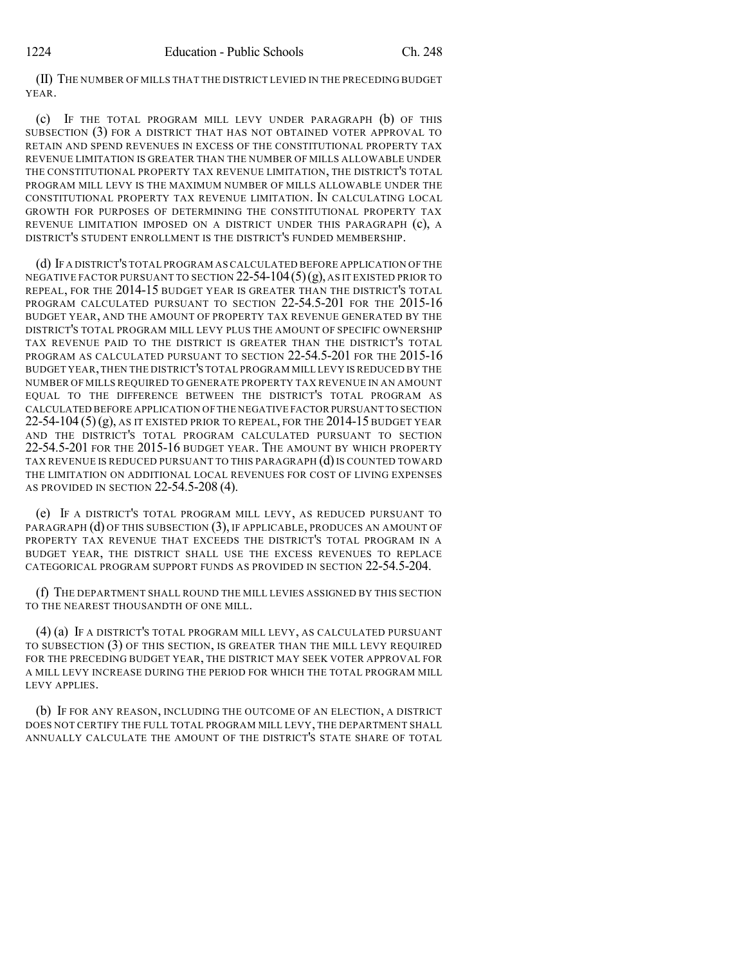(II) THE NUMBER OF MILLS THAT THE DISTRICT LEVIED IN THE PRECEDING BUDGET YEAR.

(c) IF THE TOTAL PROGRAM MILL LEVY UNDER PARAGRAPH (b) OF THIS SUBSECTION (3) FOR A DISTRICT THAT HAS NOT OBTAINED VOTER APPROVAL TO RETAIN AND SPEND REVENUES IN EXCESS OF THE CONSTITUTIONAL PROPERTY TAX REVENUE LIMITATION IS GREATER THAN THE NUMBER OF MILLS ALLOWABLE UNDER THE CONSTITUTIONAL PROPERTY TAX REVENUE LIMITATION, THE DISTRICT'S TOTAL PROGRAM MILL LEVY IS THE MAXIMUM NUMBER OF MILLS ALLOWABLE UNDER THE CONSTITUTIONAL PROPERTY TAX REVENUE LIMITATION. IN CALCULATING LOCAL GROWTH FOR PURPOSES OF DETERMINING THE CONSTITUTIONAL PROPERTY TAX REVENUE LIMITATION IMPOSED ON A DISTRICT UNDER THIS PARAGRAPH (c), A DISTRICT'S STUDENT ENROLLMENT IS THE DISTRICT'S FUNDED MEMBERSHIP.

(d) IF A DISTRICT'S TOTAL PROGRAM AS CALCULATED BEFORE APPLICATION OF THE NEGATIVE FACTOR PURSUANT TO SECTION  $22-54-104(5)(g)$ , as it existed prior to REPEAL, FOR THE 2014-15 BUDGET YEAR IS GREATER THAN THE DISTRICT'S TOTAL PROGRAM CALCULATED PURSUANT TO SECTION 22-54.5-201 FOR THE 2015-16 BUDGET YEAR, AND THE AMOUNT OF PROPERTY TAX REVENUE GENERATED BY THE DISTRICT'S TOTAL PROGRAM MILL LEVY PLUS THE AMOUNT OF SPECIFIC OWNERSHIP TAX REVENUE PAID TO THE DISTRICT IS GREATER THAN THE DISTRICT'S TOTAL PROGRAM AS CALCULATED PURSUANT TO SECTION 22-54.5-201 FOR THE 2015-16 BUDGET YEAR,THEN THE DISTRICT'S TOTAL PROGRAM MILL LEVY IS REDUCED BY THE NUMBER OF MILLS REQUIRED TO GENERATE PROPERTY TAX REVENUE IN AN AMOUNT EQUAL TO THE DIFFERENCE BETWEEN THE DISTRICT'S TOTAL PROGRAM AS CALCULATED BEFORE APPLICATION OF THE NEGATIVE FACTOR PURSUANT TO SECTION  $22-54-104(5)(g)$ , as it existed prior to repeal, for the 2014-15 budget year AND THE DISTRICT'S TOTAL PROGRAM CALCULATED PURSUANT TO SECTION 22-54.5-201 FOR THE 2015-16 BUDGET YEAR. THE AMOUNT BY WHICH PROPERTY TAX REVENUE IS REDUCED PURSUANT TO THIS PARAGRAPH (d) IS COUNTED TOWARD THE LIMITATION ON ADDITIONAL LOCAL REVENUES FOR COST OF LIVING EXPENSES AS PROVIDED IN SECTION 22-54.5-208 (4).

(e) IF A DISTRICT'S TOTAL PROGRAM MILL LEVY, AS REDUCED PURSUANT TO PARAGRAPH (d) OF THIS SUBSECTION (3), IF APPLICABLE, PRODUCES AN AMOUNT OF PROPERTY TAX REVENUE THAT EXCEEDS THE DISTRICT'S TOTAL PROGRAM IN A BUDGET YEAR, THE DISTRICT SHALL USE THE EXCESS REVENUES TO REPLACE CATEGORICAL PROGRAM SUPPORT FUNDS AS PROVIDED IN SECTION 22-54.5-204.

(f) THE DEPARTMENT SHALL ROUND THE MILL LEVIES ASSIGNED BY THIS SECTION TO THE NEAREST THOUSANDTH OF ONE MILL.

(4) (a) IF A DISTRICT'S TOTAL PROGRAM MILL LEVY, AS CALCULATED PURSUANT TO SUBSECTION (3) OF THIS SECTION, IS GREATER THAN THE MILL LEVY REQUIRED FOR THE PRECEDING BUDGET YEAR, THE DISTRICT MAY SEEK VOTER APPROVAL FOR A MILL LEVY INCREASE DURING THE PERIOD FOR WHICH THE TOTAL PROGRAM MILL LEVY APPLIES.

(b) IF FOR ANY REASON, INCLUDING THE OUTCOME OF AN ELECTION, A DISTRICT DOES NOT CERTIFY THE FULL TOTAL PROGRAM MILL LEVY, THE DEPARTMENT SHALL ANNUALLY CALCULATE THE AMOUNT OF THE DISTRICT'S STATE SHARE OF TOTAL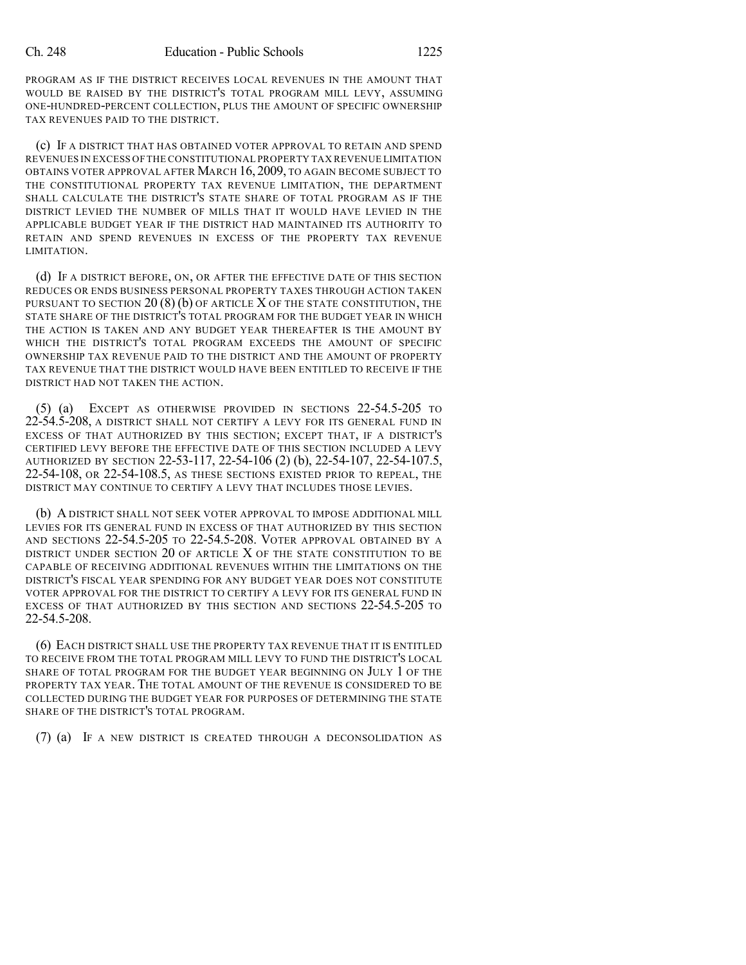PROGRAM AS IF THE DISTRICT RECEIVES LOCAL REVENUES IN THE AMOUNT THAT WOULD BE RAISED BY THE DISTRICT'S TOTAL PROGRAM MILL LEVY, ASSUMING ONE-HUNDRED-PERCENT COLLECTION, PLUS THE AMOUNT OF SPECIFIC OWNERSHIP TAX REVENUES PAID TO THE DISTRICT.

(c) IF A DISTRICT THAT HAS OBTAINED VOTER APPROVAL TO RETAIN AND SPEND REVENUES IN EXCESS OF THE CONSTITUTIONAL PROPERTY TAX REVENUE LIMITATION OBTAINS VOTER APPROVAL AFTER MARCH 16, 2009, TO AGAIN BECOME SUBJECT TO THE CONSTITUTIONAL PROPERTY TAX REVENUE LIMITATION, THE DEPARTMENT SHALL CALCULATE THE DISTRICT'S STATE SHARE OF TOTAL PROGRAM AS IF THE DISTRICT LEVIED THE NUMBER OF MILLS THAT IT WOULD HAVE LEVIED IN THE APPLICABLE BUDGET YEAR IF THE DISTRICT HAD MAINTAINED ITS AUTHORITY TO RETAIN AND SPEND REVENUES IN EXCESS OF THE PROPERTY TAX REVENUE LIMITATION.

(d) IF A DISTRICT BEFORE, ON, OR AFTER THE EFFECTIVE DATE OF THIS SECTION REDUCES OR ENDS BUSINESS PERSONAL PROPERTY TAXES THROUGH ACTION TAKEN PURSUANT TO SECTION  $20(8)$  (b) OF ARTICLE X OF THE STATE CONSTITUTION, THE STATE SHARE OF THE DISTRICT'S TOTAL PROGRAM FOR THE BUDGET YEAR IN WHICH THE ACTION IS TAKEN AND ANY BUDGET YEAR THEREAFTER IS THE AMOUNT BY WHICH THE DISTRICT'S TOTAL PROGRAM EXCEEDS THE AMOUNT OF SPECIFIC OWNERSHIP TAX REVENUE PAID TO THE DISTRICT AND THE AMOUNT OF PROPERTY TAX REVENUE THAT THE DISTRICT WOULD HAVE BEEN ENTITLED TO RECEIVE IF THE DISTRICT HAD NOT TAKEN THE ACTION.

(5) (a) EXCEPT AS OTHERWISE PROVIDED IN SECTIONS 22-54.5-205 TO 22-54.5-208, A DISTRICT SHALL NOT CERTIFY A LEVY FOR ITS GENERAL FUND IN EXCESS OF THAT AUTHORIZED BY THIS SECTION; EXCEPT THAT, IF A DISTRICT'S CERTIFIED LEVY BEFORE THE EFFECTIVE DATE OF THIS SECTION INCLUDED A LEVY AUTHORIZED BY SECTION 22-53-117, 22-54-106 (2) (b), 22-54-107, 22-54-107.5, 22-54-108, OR 22-54-108.5, AS THESE SECTIONS EXISTED PRIOR TO REPEAL, THE DISTRICT MAY CONTINUE TO CERTIFY A LEVY THAT INCLUDES THOSE LEVIES.

(b) A DISTRICT SHALL NOT SEEK VOTER APPROVAL TO IMPOSE ADDITIONAL MILL LEVIES FOR ITS GENERAL FUND IN EXCESS OF THAT AUTHORIZED BY THIS SECTION AND SECTIONS 22-54.5-205 TO 22-54.5-208. VOTER APPROVAL OBTAINED BY A DISTRICT UNDER SECTION 20 OF ARTICLE  $X$  of the state constitution to be CAPABLE OF RECEIVING ADDITIONAL REVENUES WITHIN THE LIMITATIONS ON THE DISTRICT'S FISCAL YEAR SPENDING FOR ANY BUDGET YEAR DOES NOT CONSTITUTE VOTER APPROVAL FOR THE DISTRICT TO CERTIFY A LEVY FOR ITS GENERAL FUND IN EXCESS OF THAT AUTHORIZED BY THIS SECTION AND SECTIONS 22-54.5-205 TO 22-54.5-208.

(6) EACH DISTRICT SHALL USE THE PROPERTY TAX REVENUE THAT IT IS ENTITLED TO RECEIVE FROM THE TOTAL PROGRAM MILL LEVY TO FUND THE DISTRICT'S LOCAL SHARE OF TOTAL PROGRAM FOR THE BUDGET YEAR BEGINNING ON JULY 1 OF THE PROPERTY TAX YEAR. THE TOTAL AMOUNT OF THE REVENUE IS CONSIDERED TO BE COLLECTED DURING THE BUDGET YEAR FOR PURPOSES OF DETERMINING THE STATE SHARE OF THE DISTRICT'S TOTAL PROGRAM.

(7) (a) IF A NEW DISTRICT IS CREATED THROUGH A DECONSOLIDATION AS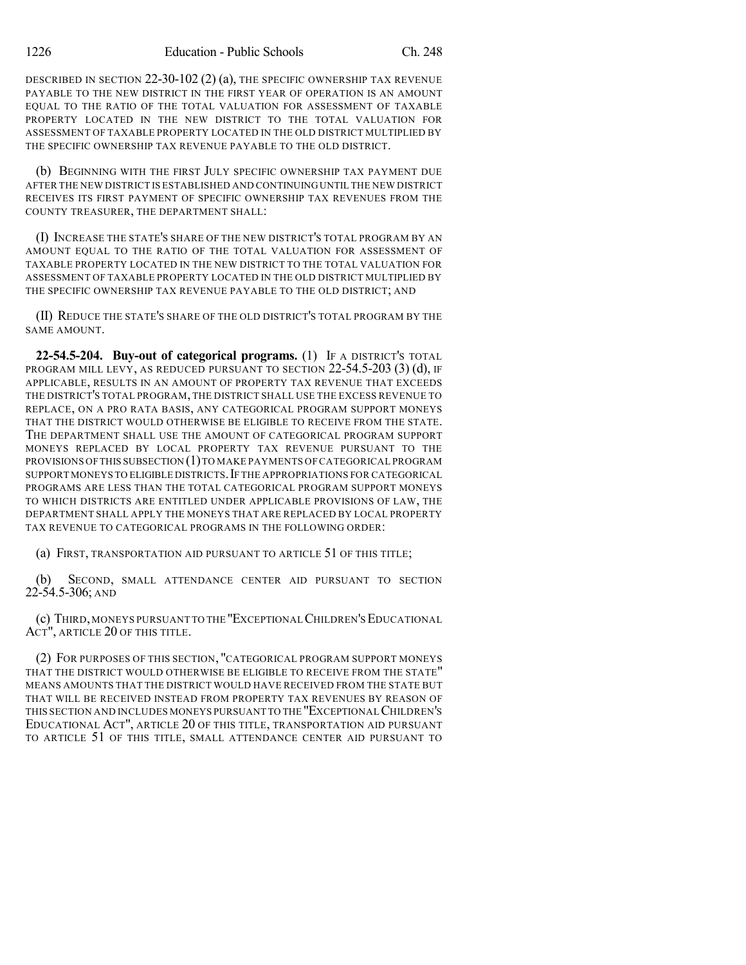DESCRIBED IN SECTION 22-30-102 (2) (a), THE SPECIFIC OWNERSHIP TAX REVENUE PAYABLE TO THE NEW DISTRICT IN THE FIRST YEAR OF OPERATION IS AN AMOUNT EQUAL TO THE RATIO OF THE TOTAL VALUATION FOR ASSESSMENT OF TAXABLE PROPERTY LOCATED IN THE NEW DISTRICT TO THE TOTAL VALUATION FOR ASSESSMENT OF TAXABLE PROPERTY LOCATED IN THE OLD DISTRICT MULTIPLIED BY THE SPECIFIC OWNERSHIP TAX REVENUE PAYABLE TO THE OLD DISTRICT.

(b) BEGINNING WITH THE FIRST JULY SPECIFIC OWNERSHIP TAX PAYMENT DUE AFTER THE NEW DISTRICT IS ESTABLISHED AND CONTINUINGUNTIL THE NEW DISTRICT RECEIVES ITS FIRST PAYMENT OF SPECIFIC OWNERSHIP TAX REVENUES FROM THE COUNTY TREASURER, THE DEPARTMENT SHALL:

(I) INCREASE THE STATE'S SHARE OF THE NEW DISTRICT'S TOTAL PROGRAM BY AN AMOUNT EQUAL TO THE RATIO OF THE TOTAL VALUATION FOR ASSESSMENT OF TAXABLE PROPERTY LOCATED IN THE NEW DISTRICT TO THE TOTAL VALUATION FOR ASSESSMENT OF TAXABLE PROPERTY LOCATED IN THE OLD DISTRICT MULTIPLIED BY THE SPECIFIC OWNERSHIP TAX REVENUE PAYABLE TO THE OLD DISTRICT; AND

(II) REDUCE THE STATE'S SHARE OF THE OLD DISTRICT'S TOTAL PROGRAM BY THE SAME AMOUNT.

**22-54.5-204. Buy-out of categorical programs.** (1) IF A DISTRICT'S TOTAL PROGRAM MILL LEVY, AS REDUCED PURSUANT TO SECTION 22-54.5-203 (3) (d), IF APPLICABLE, RESULTS IN AN AMOUNT OF PROPERTY TAX REVENUE THAT EXCEEDS THE DISTRICT'S TOTAL PROGRAM, THE DISTRICT SHALL USE THE EXCESS REVENUE TO REPLACE, ON A PRO RATA BASIS, ANY CATEGORICAL PROGRAM SUPPORT MONEYS THAT THE DISTRICT WOULD OTHERWISE BE ELIGIBLE TO RECEIVE FROM THE STATE. THE DEPARTMENT SHALL USE THE AMOUNT OF CATEGORICAL PROGRAM SUPPORT MONEYS REPLACED BY LOCAL PROPERTY TAX REVENUE PURSUANT TO THE PROVISIONS OF THIS SUBSECTION (1) TO MAKE PAYMENTS OF CATEGORICAL PROGRAM SUPPORT MONEYS TO ELIGIBLE DISTRICTS. IF THE APPROPRIATIONS FOR CATEGORICAL PROGRAMS ARE LESS THAN THE TOTAL CATEGORICAL PROGRAM SUPPORT MONEYS TO WHICH DISTRICTS ARE ENTITLED UNDER APPLICABLE PROVISIONS OF LAW, THE DEPARTMENT SHALL APPLY THE MONEYS THAT ARE REPLACED BY LOCAL PROPERTY TAX REVENUE TO CATEGORICAL PROGRAMS IN THE FOLLOWING ORDER:

(a) FIRST, TRANSPORTATION AID PURSUANT TO ARTICLE 51 OF THIS TITLE;

(b) SECOND, SMALL ATTENDANCE CENTER AID PURSUANT TO SECTION 22-54.5-306; AND

(c) THIRD,MONEYS PURSUANT TO THE "EXCEPTIONALCHILDREN'SEDUCATIONAL ACT", ARTICLE 20 OF THIS TITLE.

(2) FOR PURPOSES OF THIS SECTION, "CATEGORICAL PROGRAM SUPPORT MONEYS THAT THE DISTRICT WOULD OTHERWISE BE ELIGIBLE TO RECEIVE FROM THE STATE" MEANS AMOUNTS THAT THE DISTRICT WOULD HAVE RECEIVED FROM THE STATE BUT THAT WILL BE RECEIVED INSTEAD FROM PROPERTY TAX REVENUES BY REASON OF THIS SECTION AND INCLUDES MONEYS PURSUANT TO THE "EXCEPTIONALCHILDREN'S EDUCATIONAL ACT", ARTICLE 20 OF THIS TITLE, TRANSPORTATION AID PURSUANT TO ARTICLE 51 OF THIS TITLE, SMALL ATTENDANCE CENTER AID PURSUANT TO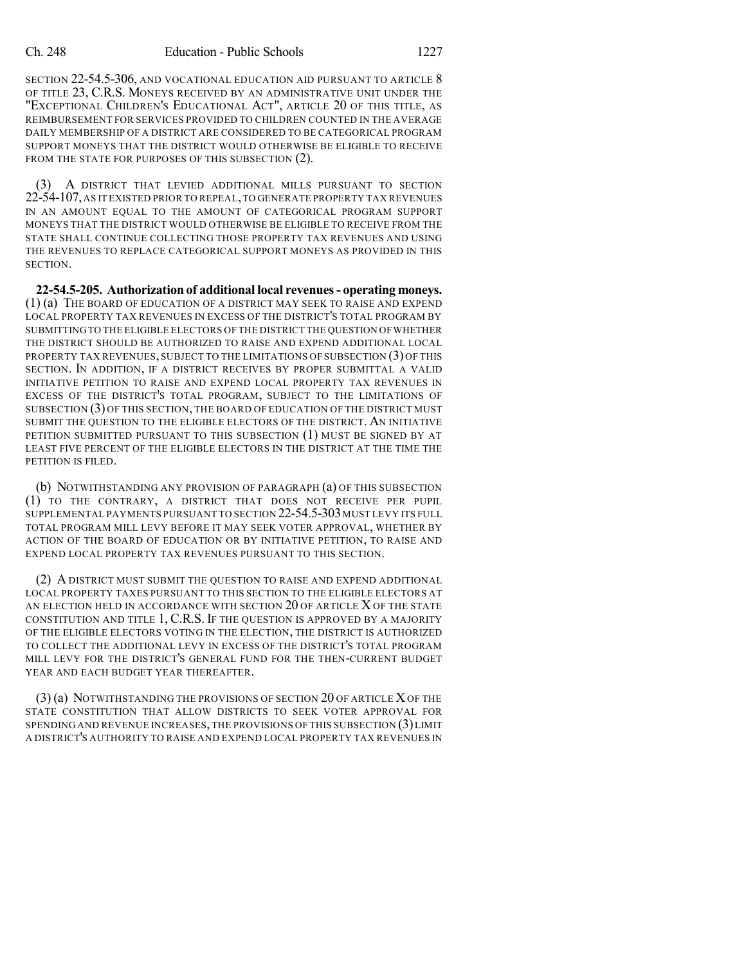SECTION 22-54.5-306, AND VOCATIONAL EDUCATION AID PURSUANT TO ARTICLE 8 OF TITLE 23, C.R.S. MONEYS RECEIVED BY AN ADMINISTRATIVE UNIT UNDER THE "EXCEPTIONAL CHILDREN'S EDUCATIONAL ACT", ARTICLE 20 OF THIS TITLE, AS REIMBURSEMENT FOR SERVICES PROVIDED TO CHILDREN COUNTED IN THE AVERAGE DAILY MEMBERSHIP OF A DISTRICT ARE CONSIDERED TO BE CATEGORICAL PROGRAM SUPPORT MONEYS THAT THE DISTRICT WOULD OTHERWISE BE ELIGIBLE TO RECEIVE FROM THE STATE FOR PURPOSES OF THIS SUBSECTION  $(2)$ .

(3) A DISTRICT THAT LEVIED ADDITIONAL MILLS PURSUANT TO SECTION 22-54-107,AS IT EXISTED PRIOR TO REPEAL,TO GENERATE PROPERTY TAX REVENUES IN AN AMOUNT EQUAL TO THE AMOUNT OF CATEGORICAL PROGRAM SUPPORT MONEYS THAT THE DISTRICT WOULD OTHERWISE BE ELIGIBLE TO RECEIVE FROM THE STATE SHALL CONTINUE COLLECTING THOSE PROPERTY TAX REVENUES AND USING THE REVENUES TO REPLACE CATEGORICAL SUPPORT MONEYS AS PROVIDED IN THIS SECTION.

**22-54.5-205. Authorization of additional local revenues- operating moneys.** (1) (a) THE BOARD OF EDUCATION OF A DISTRICT MAY SEEK TO RAISE AND EXPEND LOCAL PROPERTY TAX REVENUES IN EXCESS OF THE DISTRICT'S TOTAL PROGRAM BY SUBMITTING TO THE ELIGIBLE ELECTORS OF THE DISTRICT THE QUESTION OFWHETHER THE DISTRICT SHOULD BE AUTHORIZED TO RAISE AND EXPEND ADDITIONAL LOCAL PROPERTY TAX REVENUES, SUBJECT TO THE LIMITATIONS OF SUBSECTION (3) OF THIS SECTION. IN ADDITION, IF A DISTRICT RECEIVES BY PROPER SUBMITTAL A VALID INITIATIVE PETITION TO RAISE AND EXPEND LOCAL PROPERTY TAX REVENUES IN EXCESS OF THE DISTRICT'S TOTAL PROGRAM, SUBJECT TO THE LIMITATIONS OF SUBSECTION (3) OF THIS SECTION, THE BOARD OF EDUCATION OF THE DISTRICT MUST SUBMIT THE QUESTION TO THE ELIGIBLE ELECTORS OF THE DISTRICT. AN INITIATIVE PETITION SUBMITTED PURSUANT TO THIS SUBSECTION (1) MUST BE SIGNED BY AT LEAST FIVE PERCENT OF THE ELIGIBLE ELECTORS IN THE DISTRICT AT THE TIME THE PETITION IS FILED.

(b) NOTWITHSTANDING ANY PROVISION OF PARAGRAPH (a) OF THIS SUBSECTION (1) TO THE CONTRARY, A DISTRICT THAT DOES NOT RECEIVE PER PUPIL SUPPLEMENTAL PAYMENTS PURSUANT TO SECTION 22-54.5-303 MUST LEVY ITS FULL TOTAL PROGRAM MILL LEVY BEFORE IT MAY SEEK VOTER APPROVAL, WHETHER BY ACTION OF THE BOARD OF EDUCATION OR BY INITIATIVE PETITION, TO RAISE AND EXPEND LOCAL PROPERTY TAX REVENUES PURSUANT TO THIS SECTION.

(2) A DISTRICT MUST SUBMIT THE QUESTION TO RAISE AND EXPEND ADDITIONAL LOCAL PROPERTY TAXES PURSUANT TO THIS SECTION TO THE ELIGIBLE ELECTORS AT AN ELECTION HELD IN ACCORDANCE WITH SECTION 20 OF ARTICLE X OF THE STATE CONSTITUTION AND TITLE 1, C.R.S. IF THE QUESTION IS APPROVED BY A MAJORITY OF THE ELIGIBLE ELECTORS VOTING IN THE ELECTION, THE DISTRICT IS AUTHORIZED TO COLLECT THE ADDITIONAL LEVY IN EXCESS OF THE DISTRICT'S TOTAL PROGRAM MILL LEVY FOR THE DISTRICT'S GENERAL FUND FOR THE THEN-CURRENT BUDGET YEAR AND EACH BUDGET YEAR THEREAFTER.

(3) (a) NOTWITHSTANDING THE PROVISIONS OF SECTION 20 OF ARTICLE XOF THE STATE CONSTITUTION THAT ALLOW DISTRICTS TO SEEK VOTER APPROVAL FOR SPENDING AND REVENUE INCREASES, THE PROVISIONS OF THIS SUBSECTION (3)LIMIT A DISTRICT'S AUTHORITY TO RAISE AND EXPEND LOCAL PROPERTY TAX REVENUES IN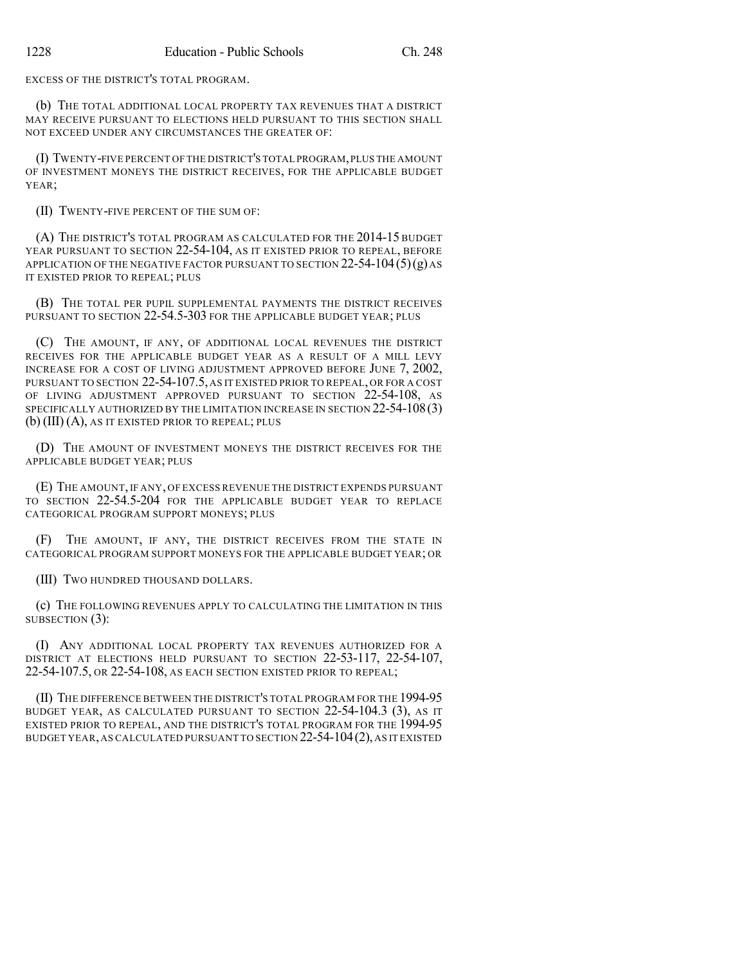EXCESS OF THE DISTRICT'S TOTAL PROGRAM.

(b) THE TOTAL ADDITIONAL LOCAL PROPERTY TAX REVENUES THAT A DISTRICT MAY RECEIVE PURSUANT TO ELECTIONS HELD PURSUANT TO THIS SECTION SHALL NOT EXCEED UNDER ANY CIRCUMSTANCES THE GREATER OF:

(I) TWENTY-FIVE PERCENT OF THE DISTRICT'S TOTAL PROGRAM,PLUS THE AMOUNT OF INVESTMENT MONEYS THE DISTRICT RECEIVES, FOR THE APPLICABLE BUDGET YEAR;

(II) TWENTY-FIVE PERCENT OF THE SUM OF:

(A) THE DISTRICT'S TOTAL PROGRAM AS CALCULATED FOR THE 2014-15 BUDGET YEAR PURSUANT TO SECTION 22-54-104, AS IT EXISTED PRIOR TO REPEAL, BEFORE APPLICATION OF THE NEGATIVE FACTOR PURSUANT TO SECTION  $22-54-104(5)(g)$  AS IT EXISTED PRIOR TO REPEAL; PLUS

(B) THE TOTAL PER PUPIL SUPPLEMENTAL PAYMENTS THE DISTRICT RECEIVES PURSUANT TO SECTION 22-54.5-303 FOR THE APPLICABLE BUDGET YEAR; PLUS

(C) THE AMOUNT, IF ANY, OF ADDITIONAL LOCAL REVENUES THE DISTRICT RECEIVES FOR THE APPLICABLE BUDGET YEAR AS A RESULT OF A MILL LEVY INCREASE FOR A COST OF LIVING ADJUSTMENT APPROVED BEFORE JUNE 7, 2002, PURSUANT TO SECTION 22-54-107.5, AS IT EXISTED PRIOR TO REPEAL, OR FOR A COST OF LIVING ADJUSTMENT APPROVED PURSUANT TO SECTION 22-54-108, AS SPECIFICALLY AUTHORIZED BY THE LIMITATION INCREASE IN SECTION 22-54-108(3) (b) (III) (A), AS IT EXISTED PRIOR TO REPEAL; PLUS

(D) THE AMOUNT OF INVESTMENT MONEYS THE DISTRICT RECEIVES FOR THE APPLICABLE BUDGET YEAR; PLUS

(E) THE AMOUNT, IF ANY, OF EXCESS REVENUE THE DISTRICT EXPENDS PURSUANT TO SECTION 22-54.5-204 FOR THE APPLICABLE BUDGET YEAR TO REPLACE CATEGORICAL PROGRAM SUPPORT MONEYS; PLUS

(F) THE AMOUNT, IF ANY, THE DISTRICT RECEIVES FROM THE STATE IN CATEGORICAL PROGRAM SUPPORT MONEYS FOR THE APPLICABLE BUDGET YEAR; OR

(III) TWO HUNDRED THOUSAND DOLLARS.

(c) THE FOLLOWING REVENUES APPLY TO CALCULATING THE LIMITATION IN THIS SUBSECTION (3):

(I) ANY ADDITIONAL LOCAL PROPERTY TAX REVENUES AUTHORIZED FOR A DISTRICT AT ELECTIONS HELD PURSUANT TO SECTION 22-53-117, 22-54-107, 22-54-107.5, OR 22-54-108, AS EACH SECTION EXISTED PRIOR TO REPEAL;

(II) THE DIFFERENCE BETWEEN THE DISTRICT'S TOTAL PROGRAM FOR THE 1994-95 BUDGET YEAR, AS CALCULATED PURSUANT TO SECTION 22-54-104.3 (3), AS IT EXISTED PRIOR TO REPEAL, AND THE DISTRICT'S TOTAL PROGRAM FOR THE 1994-95 BUDGET YEAR,AS CALCULATED PURSUANT TO SECTION 22-54-104(2), AS IT EXISTED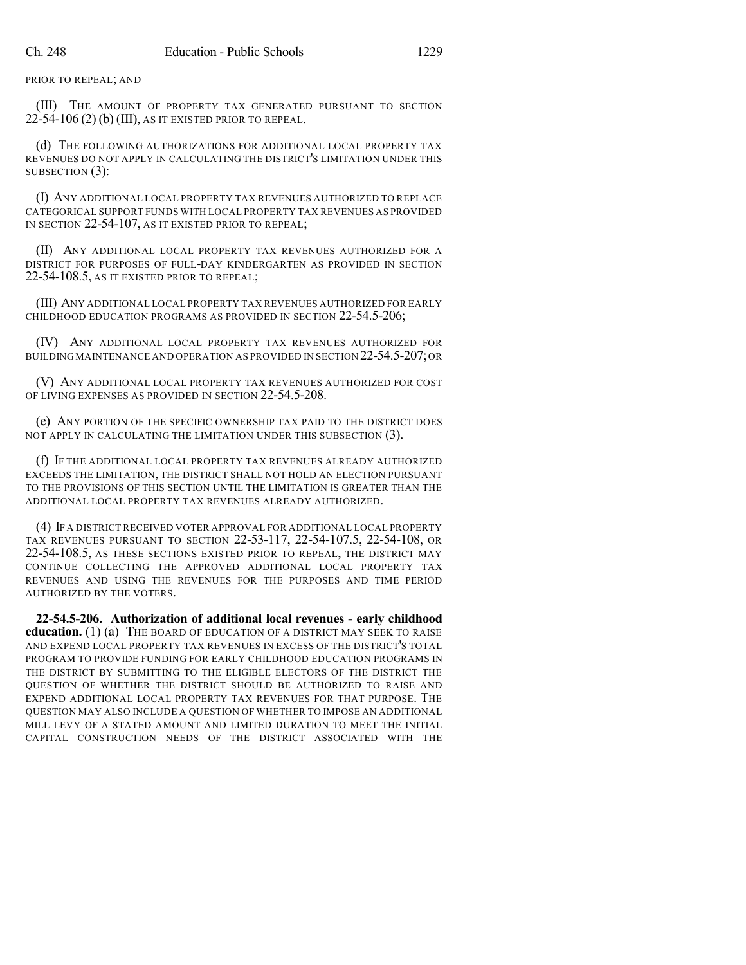PRIOR TO REPEAL; AND

(III) THE AMOUNT OF PROPERTY TAX GENERATED PURSUANT TO SECTION  $22-54-106(2)$  (b) (III), as it existed prior to repeal.

(d) THE FOLLOWING AUTHORIZATIONS FOR ADDITIONAL LOCAL PROPERTY TAX REVENUES DO NOT APPLY IN CALCULATING THE DISTRICT'S LIMITATION UNDER THIS SUBSECTION (3):

(I) ANY ADDITIONAL LOCAL PROPERTY TAX REVENUES AUTHORIZED TO REPLACE CATEGORICAL SUPPORT FUNDS WITH LOCAL PROPERTY TAX REVENUES AS PROVIDED IN SECTION 22-54-107, AS IT EXISTED PRIOR TO REPEAL;

(II) ANY ADDITIONAL LOCAL PROPERTY TAX REVENUES AUTHORIZED FOR A DISTRICT FOR PURPOSES OF FULL-DAY KINDERGARTEN AS PROVIDED IN SECTION 22-54-108.5, AS IT EXISTED PRIOR TO REPEAL;

(III) ANY ADDITIONAL LOCAL PROPERTY TAX REVENUES AUTHORIZED FOR EARLY CHILDHOOD EDUCATION PROGRAMS AS PROVIDED IN SECTION 22-54.5-206;

(IV) ANY ADDITIONAL LOCAL PROPERTY TAX REVENUES AUTHORIZED FOR BUILDING MAINTENANCE AND OPERATION AS PROVIDED IN SECTION 22-54.5-207;OR

(V) ANY ADDITIONAL LOCAL PROPERTY TAX REVENUES AUTHORIZED FOR COST OF LIVING EXPENSES AS PROVIDED IN SECTION 22-54.5-208.

(e) ANY PORTION OF THE SPECIFIC OWNERSHIP TAX PAID TO THE DISTRICT DOES NOT APPLY IN CALCULATING THE LIMITATION UNDER THIS SUBSECTION (3).

(f) IF THE ADDITIONAL LOCAL PROPERTY TAX REVENUES ALREADY AUTHORIZED EXCEEDS THE LIMITATION, THE DISTRICT SHALL NOT HOLD AN ELECTION PURSUANT TO THE PROVISIONS OF THIS SECTION UNTIL THE LIMITATION IS GREATER THAN THE ADDITIONAL LOCAL PROPERTY TAX REVENUES ALREADY AUTHORIZED.

(4) IF A DISTRICT RECEIVED VOTER APPROVAL FOR ADDITIONAL LOCAL PROPERTY TAX REVENUES PURSUANT TO SECTION 22-53-117, 22-54-107.5, 22-54-108, OR 22-54-108.5, AS THESE SECTIONS EXISTED PRIOR TO REPEAL, THE DISTRICT MAY CONTINUE COLLECTING THE APPROVED ADDITIONAL LOCAL PROPERTY TAX REVENUES AND USING THE REVENUES FOR THE PURPOSES AND TIME PERIOD AUTHORIZED BY THE VOTERS.

**22-54.5-206. Authorization of additional local revenues - early childhood education.** (1) (a) THE BOARD OF EDUCATION OF A DISTRICT MAY SEEK TO RAISE AND EXPEND LOCAL PROPERTY TAX REVENUES IN EXCESS OF THE DISTRICT'S TOTAL PROGRAM TO PROVIDE FUNDING FOR EARLY CHILDHOOD EDUCATION PROGRAMS IN THE DISTRICT BY SUBMITTING TO THE ELIGIBLE ELECTORS OF THE DISTRICT THE QUESTION OF WHETHER THE DISTRICT SHOULD BE AUTHORIZED TO RAISE AND EXPEND ADDITIONAL LOCAL PROPERTY TAX REVENUES FOR THAT PURPOSE. THE QUESTION MAY ALSO INCLUDE A QUESTION OF WHETHER TO IMPOSE AN ADDITIONAL MILL LEVY OF A STATED AMOUNT AND LIMITED DURATION TO MEET THE INITIAL CAPITAL CONSTRUCTION NEEDS OF THE DISTRICT ASSOCIATED WITH THE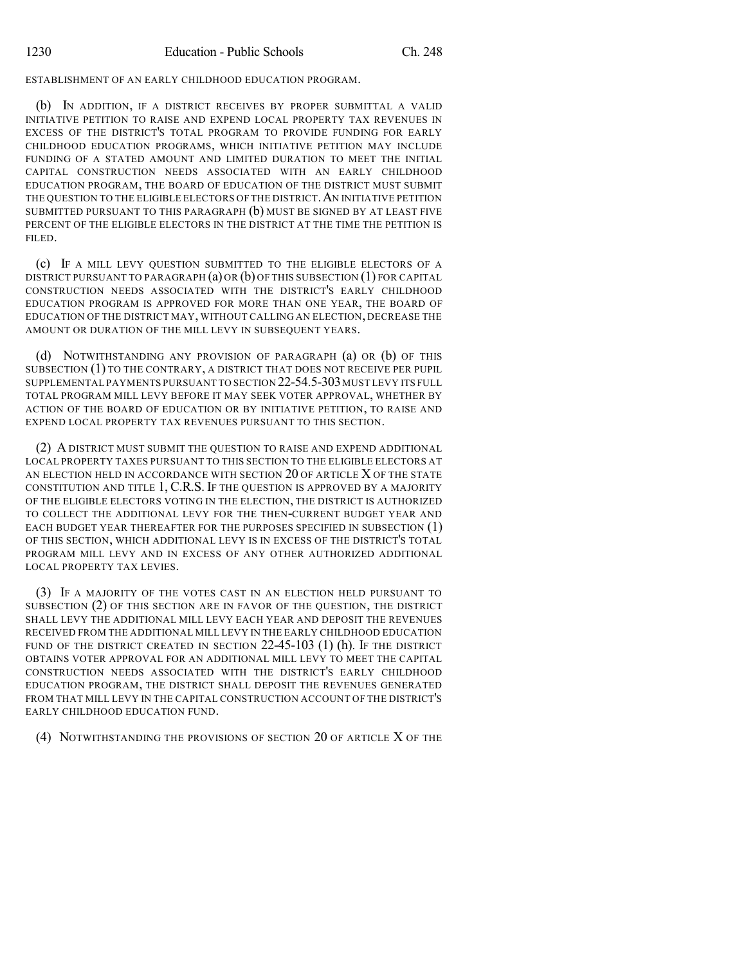ESTABLISHMENT OF AN EARLY CHILDHOOD EDUCATION PROGRAM.

(b) IN ADDITION, IF A DISTRICT RECEIVES BY PROPER SUBMITTAL A VALID INITIATIVE PETITION TO RAISE AND EXPEND LOCAL PROPERTY TAX REVENUES IN EXCESS OF THE DISTRICT'S TOTAL PROGRAM TO PROVIDE FUNDING FOR EARLY CHILDHOOD EDUCATION PROGRAMS, WHICH INITIATIVE PETITION MAY INCLUDE FUNDING OF A STATED AMOUNT AND LIMITED DURATION TO MEET THE INITIAL CAPITAL CONSTRUCTION NEEDS ASSOCIATED WITH AN EARLY CHILDHOOD EDUCATION PROGRAM, THE BOARD OF EDUCATION OF THE DISTRICT MUST SUBMIT THE QUESTION TO THE ELIGIBLE ELECTORS OF THE DISTRICT. AN INITIATIVE PETITION SUBMITTED PURSUANT TO THIS PARAGRAPH (b) MUST BE SIGNED BY AT LEAST FIVE PERCENT OF THE ELIGIBLE ELECTORS IN THE DISTRICT AT THE TIME THE PETITION IS FILED.

(c) IF A MILL LEVY QUESTION SUBMITTED TO THE ELIGIBLE ELECTORS OF A DISTRICT PURSUANT TO PARAGRAPH (a) OR (b) OF THIS SUBSECTION (1) FOR CAPITAL CONSTRUCTION NEEDS ASSOCIATED WITH THE DISTRICT'S EARLY CHILDHOOD EDUCATION PROGRAM IS APPROVED FOR MORE THAN ONE YEAR, THE BOARD OF EDUCATION OF THE DISTRICT MAY, WITHOUT CALLING AN ELECTION, DECREASE THE AMOUNT OR DURATION OF THE MILL LEVY IN SUBSEQUENT YEARS.

(d) NOTWITHSTANDING ANY PROVISION OF PARAGRAPH (a) OR (b) OF THIS SUBSECTION (1) TO THE CONTRARY, A DISTRICT THAT DOES NOT RECEIVE PER PUPIL SUPPLEMENTAL PAYMENTS PURSUANT TO SECTION 22-54.5-303 MUST LEVY ITS FULL TOTAL PROGRAM MILL LEVY BEFORE IT MAY SEEK VOTER APPROVAL, WHETHER BY ACTION OF THE BOARD OF EDUCATION OR BY INITIATIVE PETITION, TO RAISE AND EXPEND LOCAL PROPERTY TAX REVENUES PURSUANT TO THIS SECTION.

(2) A DISTRICT MUST SUBMIT THE QUESTION TO RAISE AND EXPEND ADDITIONAL LOCAL PROPERTY TAXES PURSUANT TO THIS SECTION TO THE ELIGIBLE ELECTORS AT AN ELECTION HELD IN ACCORDANCE WITH SECTION 20 OF ARTICLE X OF THE STATE CONSTITUTION AND TITLE 1, C.R.S. IF THE QUESTION IS APPROVED BY A MAJORITY OF THE ELIGIBLE ELECTORS VOTING IN THE ELECTION, THE DISTRICT IS AUTHORIZED TO COLLECT THE ADDITIONAL LEVY FOR THE THEN-CURRENT BUDGET YEAR AND EACH BUDGET YEAR THEREAFTER FOR THE PURPOSES SPECIFIED IN SUBSECTION (1) OF THIS SECTION, WHICH ADDITIONAL LEVY IS IN EXCESS OF THE DISTRICT'S TOTAL PROGRAM MILL LEVY AND IN EXCESS OF ANY OTHER AUTHORIZED ADDITIONAL LOCAL PROPERTY TAX LEVIES.

(3) IF A MAJORITY OF THE VOTES CAST IN AN ELECTION HELD PURSUANT TO SUBSECTION (2) OF THIS SECTION ARE IN FAVOR OF THE QUESTION, THE DISTRICT SHALL LEVY THE ADDITIONAL MILL LEVY EACH YEAR AND DEPOSIT THE REVENUES RECEIVED FROM THE ADDITIONAL MILL LEVY IN THE EARLY CHILDHOOD EDUCATION FUND OF THE DISTRICT CREATED IN SECTION  $22-45-103$  (1) (h). If the DISTRICT OBTAINS VOTER APPROVAL FOR AN ADDITIONAL MILL LEVY TO MEET THE CAPITAL CONSTRUCTION NEEDS ASSOCIATED WITH THE DISTRICT'S EARLY CHILDHOOD EDUCATION PROGRAM, THE DISTRICT SHALL DEPOSIT THE REVENUES GENERATED FROM THAT MILL LEVY IN THE CAPITAL CONSTRUCTION ACCOUNT OF THE DISTRICT'S EARLY CHILDHOOD EDUCATION FUND.

(4) NOTWITHSTANDING THE PROVISIONS OF SECTION 20 OF ARTICLE X OF THE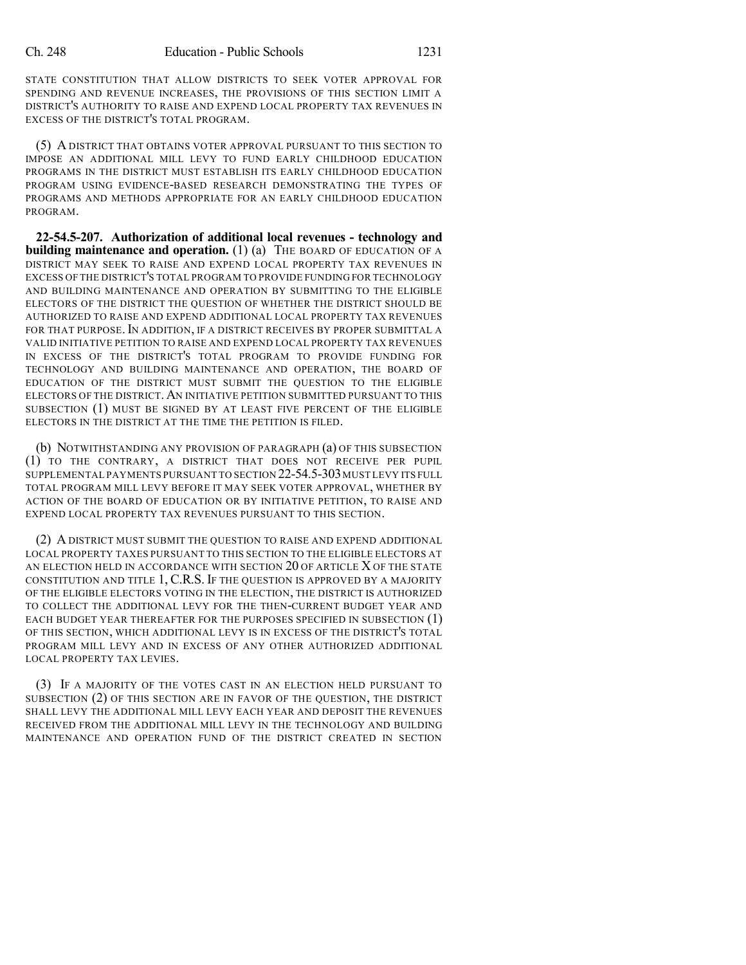STATE CONSTITUTION THAT ALLOW DISTRICTS TO SEEK VOTER APPROVAL FOR SPENDING AND REVENUE INCREASES, THE PROVISIONS OF THIS SECTION LIMIT A DISTRICT'S AUTHORITY TO RAISE AND EXPEND LOCAL PROPERTY TAX REVENUES IN EXCESS OF THE DISTRICT'S TOTAL PROGRAM.

(5) A DISTRICT THAT OBTAINS VOTER APPROVAL PURSUANT TO THIS SECTION TO IMPOSE AN ADDITIONAL MILL LEVY TO FUND EARLY CHILDHOOD EDUCATION PROGRAMS IN THE DISTRICT MUST ESTABLISH ITS EARLY CHILDHOOD EDUCATION PROGRAM USING EVIDENCE-BASED RESEARCH DEMONSTRATING THE TYPES OF PROGRAMS AND METHODS APPROPRIATE FOR AN EARLY CHILDHOOD EDUCATION PROGRAM.

**22-54.5-207. Authorization of additional local revenues - technology and building maintenance and operation.** (1) (a) THE BOARD OF EDUCATION OF A DISTRICT MAY SEEK TO RAISE AND EXPEND LOCAL PROPERTY TAX REVENUES IN EXCESS OF THE DISTRICT'S TOTAL PROGRAM TO PROVIDE FUNDING FOR TECHNOLOGY AND BUILDING MAINTENANCE AND OPERATION BY SUBMITTING TO THE ELIGIBLE ELECTORS OF THE DISTRICT THE QUESTION OF WHETHER THE DISTRICT SHOULD BE AUTHORIZED TO RAISE AND EXPEND ADDITIONAL LOCAL PROPERTY TAX REVENUES FOR THAT PURPOSE. IN ADDITION, IF A DISTRICT RECEIVES BY PROPER SUBMITTAL A VALID INITIATIVE PETITION TO RAISE AND EXPEND LOCAL PROPERTY TAX REVENUES IN EXCESS OF THE DISTRICT'S TOTAL PROGRAM TO PROVIDE FUNDING FOR TECHNOLOGY AND BUILDING MAINTENANCE AND OPERATION, THE BOARD OF EDUCATION OF THE DISTRICT MUST SUBMIT THE QUESTION TO THE ELIGIBLE ELECTORS OF THE DISTRICT.AN INITIATIVE PETITION SUBMITTED PURSUANT TO THIS SUBSECTION (1) MUST BE SIGNED BY AT LEAST FIVE PERCENT OF THE ELIGIBLE ELECTORS IN THE DISTRICT AT THE TIME THE PETITION IS FILED.

(b) NOTWITHSTANDING ANY PROVISION OF PARAGRAPH (a) OF THIS SUBSECTION (1) TO THE CONTRARY, A DISTRICT THAT DOES NOT RECEIVE PER PUPIL SUPPLEMENTAL PAYMENTS PURSUANT TO SECTION 22-54.5-303 MUST LEVY ITS FULL TOTAL PROGRAM MILL LEVY BEFORE IT MAY SEEK VOTER APPROVAL, WHETHER BY ACTION OF THE BOARD OF EDUCATION OR BY INITIATIVE PETITION, TO RAISE AND EXPEND LOCAL PROPERTY TAX REVENUES PURSUANT TO THIS SECTION.

(2) A DISTRICT MUST SUBMIT THE QUESTION TO RAISE AND EXPEND ADDITIONAL LOCAL PROPERTY TAXES PURSUANT TO THIS SECTION TO THE ELIGIBLE ELECTORS AT AN ELECTION HELD IN ACCORDANCE WITH SECTION 20 OF ARTICLE X OF THE STATE CONSTITUTION AND TITLE 1, C.R.S. IF THE QUESTION IS APPROVED BY A MAJORITY OF THE ELIGIBLE ELECTORS VOTING IN THE ELECTION, THE DISTRICT IS AUTHORIZED TO COLLECT THE ADDITIONAL LEVY FOR THE THEN-CURRENT BUDGET YEAR AND EACH BUDGET YEAR THEREAFTER FOR THE PURPOSES SPECIFIED IN SUBSECTION (1) OF THIS SECTION, WHICH ADDITIONAL LEVY IS IN EXCESS OF THE DISTRICT'S TOTAL PROGRAM MILL LEVY AND IN EXCESS OF ANY OTHER AUTHORIZED ADDITIONAL LOCAL PROPERTY TAX LEVIES.

(3) IF A MAJORITY OF THE VOTES CAST IN AN ELECTION HELD PURSUANT TO SUBSECTION (2) OF THIS SECTION ARE IN FAVOR OF THE QUESTION, THE DISTRICT SHALL LEVY THE ADDITIONAL MILL LEVY EACH YEAR AND DEPOSIT THE REVENUES RECEIVED FROM THE ADDITIONAL MILL LEVY IN THE TECHNOLOGY AND BUILDING MAINTENANCE AND OPERATION FUND OF THE DISTRICT CREATED IN SECTION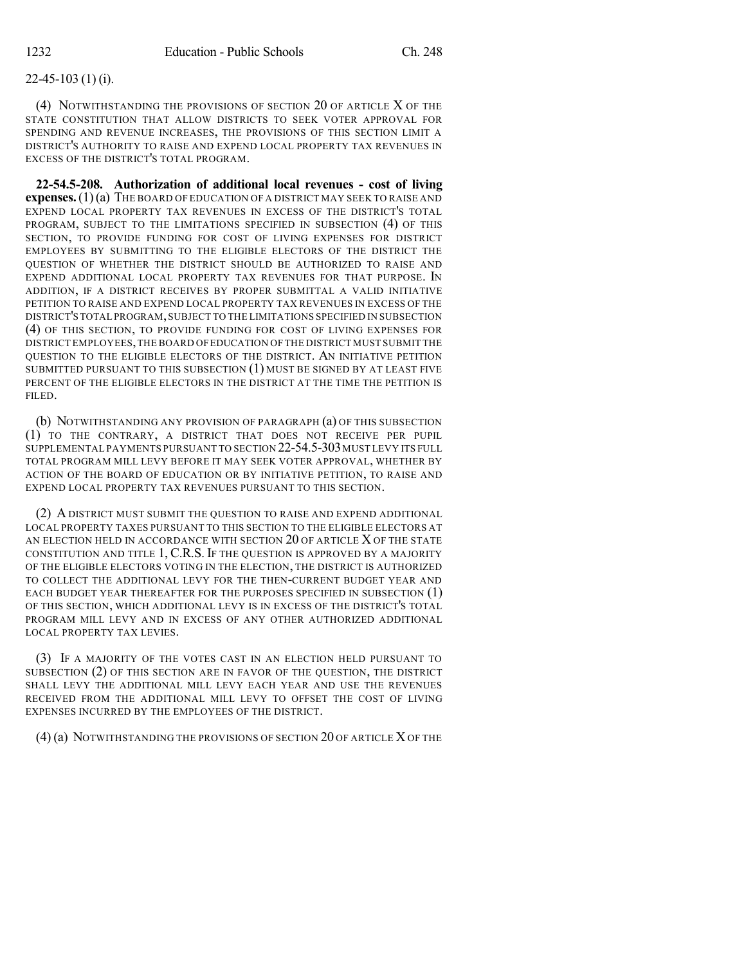### 22-45-103 (1) (i).

(4) NOTWITHSTANDING THE PROVISIONS OF SECTION 20 OF ARTICLE X OF THE STATE CONSTITUTION THAT ALLOW DISTRICTS TO SEEK VOTER APPROVAL FOR SPENDING AND REVENUE INCREASES, THE PROVISIONS OF THIS SECTION LIMIT A DISTRICT'S AUTHORITY TO RAISE AND EXPEND LOCAL PROPERTY TAX REVENUES IN EXCESS OF THE DISTRICT'S TOTAL PROGRAM.

**22-54.5-208. Authorization of additional local revenues - cost of living expenses.**(1)(a) THE BOARD OF EDUCATION OF A DISTRICT MAY SEEK TO RAISE AND EXPEND LOCAL PROPERTY TAX REVENUES IN EXCESS OF THE DISTRICT'S TOTAL PROGRAM, SUBJECT TO THE LIMITATIONS SPECIFIED IN SUBSECTION (4) OF THIS SECTION, TO PROVIDE FUNDING FOR COST OF LIVING EXPENSES FOR DISTRICT EMPLOYEES BY SUBMITTING TO THE ELIGIBLE ELECTORS OF THE DISTRICT THE QUESTION OF WHETHER THE DISTRICT SHOULD BE AUTHORIZED TO RAISE AND EXPEND ADDITIONAL LOCAL PROPERTY TAX REVENUES FOR THAT PURPOSE. IN ADDITION, IF A DISTRICT RECEIVES BY PROPER SUBMITTAL A VALID INITIATIVE PETITION TO RAISE AND EXPEND LOCAL PROPERTY TAX REVENUES IN EXCESS OF THE DISTRICT'S TOTAL PROGRAM,SUBJECT TO THE LIMITATIONS SPECIFIED IN SUBSECTION (4) OF THIS SECTION, TO PROVIDE FUNDING FOR COST OF LIVING EXPENSES FOR DISTRICT EMPLOYEES,THE BOARD OFEDUCATION OF THE DISTRICT MUST SUBMIT THE QUESTION TO THE ELIGIBLE ELECTORS OF THE DISTRICT. AN INITIATIVE PETITION SUBMITTED PURSUANT TO THIS SUBSECTION (1) MUST BE SIGNED BY AT LEAST FIVE PERCENT OF THE ELIGIBLE ELECTORS IN THE DISTRICT AT THE TIME THE PETITION IS FILED.

(b) NOTWITHSTANDING ANY PROVISION OF PARAGRAPH (a) OF THIS SUBSECTION (1) TO THE CONTRARY, A DISTRICT THAT DOES NOT RECEIVE PER PUPIL SUPPLEMENTAL PAYMENTS PURSUANT TO SECTION 22-54.5-303 MUST LEVY ITS FULL TOTAL PROGRAM MILL LEVY BEFORE IT MAY SEEK VOTER APPROVAL, WHETHER BY ACTION OF THE BOARD OF EDUCATION OR BY INITIATIVE PETITION, TO RAISE AND EXPEND LOCAL PROPERTY TAX REVENUES PURSUANT TO THIS SECTION.

(2) A DISTRICT MUST SUBMIT THE QUESTION TO RAISE AND EXPEND ADDITIONAL LOCAL PROPERTY TAXES PURSUANT TO THIS SECTION TO THE ELIGIBLE ELECTORS AT AN ELECTION HELD IN ACCORDANCE WITH SECTION 20 OF ARTICLE X OF THE STATE CONSTITUTION AND TITLE 1, C.R.S. IF THE QUESTION IS APPROVED BY A MAJORITY OF THE ELIGIBLE ELECTORS VOTING IN THE ELECTION, THE DISTRICT IS AUTHORIZED TO COLLECT THE ADDITIONAL LEVY FOR THE THEN-CURRENT BUDGET YEAR AND EACH BUDGET YEAR THEREAFTER FOR THE PURPOSES SPECIFIED IN SUBSECTION (1) OF THIS SECTION, WHICH ADDITIONAL LEVY IS IN EXCESS OF THE DISTRICT'S TOTAL PROGRAM MILL LEVY AND IN EXCESS OF ANY OTHER AUTHORIZED ADDITIONAL LOCAL PROPERTY TAX LEVIES.

(3) IF A MAJORITY OF THE VOTES CAST IN AN ELECTION HELD PURSUANT TO SUBSECTION (2) OF THIS SECTION ARE IN FAVOR OF THE QUESTION, THE DISTRICT SHALL LEVY THE ADDITIONAL MILL LEVY EACH YEAR AND USE THE REVENUES RECEIVED FROM THE ADDITIONAL MILL LEVY TO OFFSET THE COST OF LIVING EXPENSES INCURRED BY THE EMPLOYEES OF THE DISTRICT.

(4) (a) NOTWITHSTANDING THE PROVISIONS OF SECTION 20 OF ARTICLE XOF THE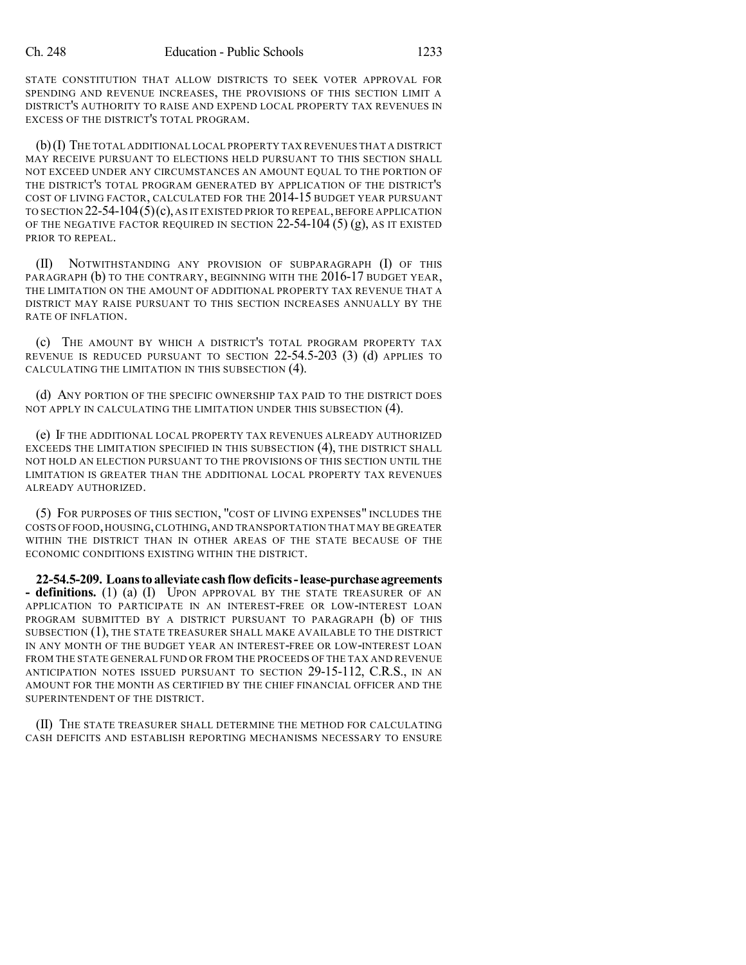STATE CONSTITUTION THAT ALLOW DISTRICTS TO SEEK VOTER APPROVAL FOR SPENDING AND REVENUE INCREASES, THE PROVISIONS OF THIS SECTION LIMIT A DISTRICT'S AUTHORITY TO RAISE AND EXPEND LOCAL PROPERTY TAX REVENUES IN EXCESS OF THE DISTRICT'S TOTAL PROGRAM.

(b)(I) THE TOTAL ADDITIONAL LOCAL PROPERTY TAX REVENUES THAT A DISTRICT MAY RECEIVE PURSUANT TO ELECTIONS HELD PURSUANT TO THIS SECTION SHALL NOT EXCEED UNDER ANY CIRCUMSTANCES AN AMOUNT EQUAL TO THE PORTION OF THE DISTRICT'S TOTAL PROGRAM GENERATED BY APPLICATION OF THE DISTRICT'S COST OF LIVING FACTOR, CALCULATED FOR THE 2014-15 BUDGET YEAR PURSUANT TO SECTION  $22-54-104(5)(c)$ , AS IT EXISTED PRIOR TO REPEAL, BEFORE APPLICATION OF THE NEGATIVE FACTOR REQUIRED IN SECTION  $22-54-104(5)(g)$ , as it existed PRIOR TO REPEAL.

(II) NOTWITHSTANDING ANY PROVISION OF SUBPARAGRAPH (I) OF THIS PARAGRAPH (b) TO THE CONTRARY, BEGINNING WITH THE 2016-17 BUDGET YEAR, THE LIMITATION ON THE AMOUNT OF ADDITIONAL PROPERTY TAX REVENUE THAT A DISTRICT MAY RAISE PURSUANT TO THIS SECTION INCREASES ANNUALLY BY THE RATE OF INFLATION.

(c) THE AMOUNT BY WHICH A DISTRICT'S TOTAL PROGRAM PROPERTY TAX REVENUE IS REDUCED PURSUANT TO SECTION 22-54.5-203 (3) (d) APPLIES TO CALCULATING THE LIMITATION IN THIS SUBSECTION (4).

(d) ANY PORTION OF THE SPECIFIC OWNERSHIP TAX PAID TO THE DISTRICT DOES NOT APPLY IN CALCULATING THE LIMITATION UNDER THIS SUBSECTION (4).

(e) IF THE ADDITIONAL LOCAL PROPERTY TAX REVENUES ALREADY AUTHORIZED EXCEEDS THE LIMITATION SPECIFIED IN THIS SUBSECTION (4), THE DISTRICT SHALL NOT HOLD AN ELECTION PURSUANT TO THE PROVISIONS OF THIS SECTION UNTIL THE LIMITATION IS GREATER THAN THE ADDITIONAL LOCAL PROPERTY TAX REVENUES ALREADY AUTHORIZED.

(5) FOR PURPOSES OF THIS SECTION, "COST OF LIVING EXPENSES" INCLUDES THE COSTS OF FOOD,HOUSING,CLOTHING,AND TRANSPORTATION THAT MAY BE GREATER WITHIN THE DISTRICT THAN IN OTHER AREAS OF THE STATE BECAUSE OF THE ECONOMIC CONDITIONS EXISTING WITHIN THE DISTRICT.

**22-54.5-209. Loanstoalleviate cashflowdeficits-lease-purchaseagreements - definitions.** (1) (a) (I) UPON APPROVAL BY THE STATE TREASURER OF AN APPLICATION TO PARTICIPATE IN AN INTEREST-FREE OR LOW-INTEREST LOAN PROGRAM SUBMITTED BY A DISTRICT PURSUANT TO PARAGRAPH (b) OF THIS SUBSECTION (1), THE STATE TREASURER SHALL MAKE AVAILABLE TO THE DISTRICT IN ANY MONTH OF THE BUDGET YEAR AN INTEREST-FREE OR LOW-INTEREST LOAN FROM THE STATE GENERAL FUND OR FROM THE PROCEEDS OF THE TAX AND REVENUE ANTICIPATION NOTES ISSUED PURSUANT TO SECTION 29-15-112, C.R.S., IN AN AMOUNT FOR THE MONTH AS CERTIFIED BY THE CHIEF FINANCIAL OFFICER AND THE SUPERINTENDENT OF THE DISTRICT.

(II) THE STATE TREASURER SHALL DETERMINE THE METHOD FOR CALCULATING CASH DEFICITS AND ESTABLISH REPORTING MECHANISMS NECESSARY TO ENSURE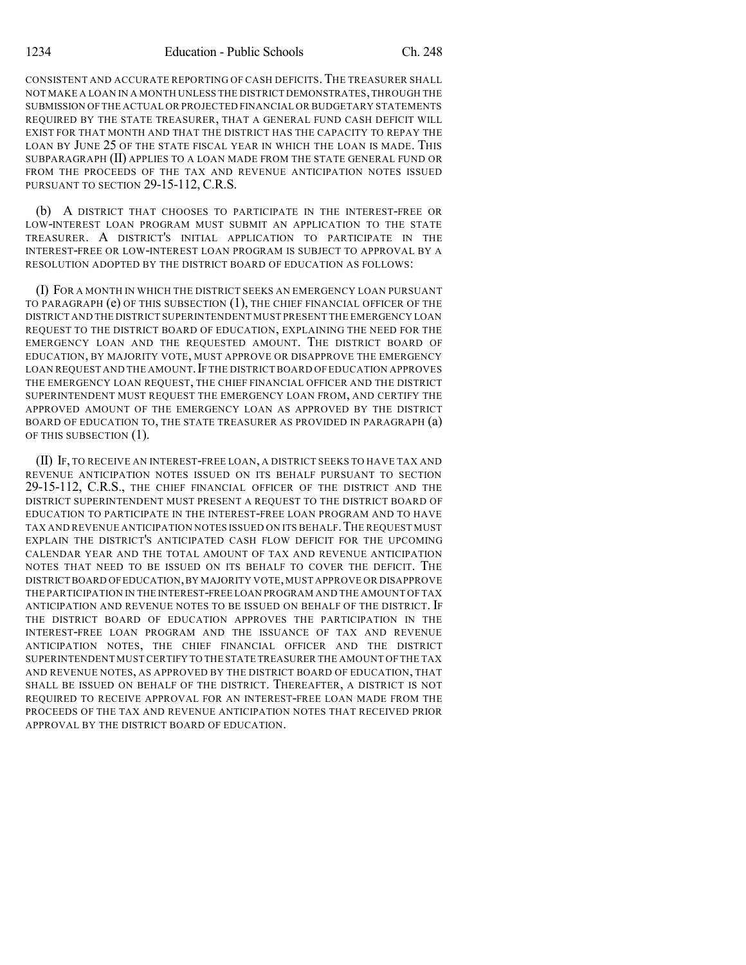CONSISTENT AND ACCURATE REPORTING OF CASH DEFICITS.THE TREASURER SHALL NOT MAKE A LOAN IN A MONTH UNLESS THE DISTRICT DEMONSTRATES,THROUGH THE SUBMISSION OF THE ACTUAL OR PROJECTED FINANCIAL OR BUDGETARY STATEMENTS REQUIRED BY THE STATE TREASURER, THAT A GENERAL FUND CASH DEFICIT WILL EXIST FOR THAT MONTH AND THAT THE DISTRICT HAS THE CAPACITY TO REPAY THE LOAN BY JUNE 25 OF THE STATE FISCAL YEAR IN WHICH THE LOAN IS MADE. THIS SUBPARAGRAPH (II) APPLIES TO A LOAN MADE FROM THE STATE GENERAL FUND OR FROM THE PROCEEDS OF THE TAX AND REVENUE ANTICIPATION NOTES ISSUED PURSUANT TO SECTION 29-15-112, C.R.S.

(b) A DISTRICT THAT CHOOSES TO PARTICIPATE IN THE INTEREST-FREE OR LOW-INTEREST LOAN PROGRAM MUST SUBMIT AN APPLICATION TO THE STATE TREASURER. A DISTRICT'S INITIAL APPLICATION TO PARTICIPATE IN THE INTEREST-FREE OR LOW-INTEREST LOAN PROGRAM IS SUBJECT TO APPROVAL BY A RESOLUTION ADOPTED BY THE DISTRICT BOARD OF EDUCATION AS FOLLOWS:

(I) FOR A MONTH IN WHICH THE DISTRICT SEEKS AN EMERGENCY LOAN PURSUANT TO PARAGRAPH (e) OF THIS SUBSECTION (1), THE CHIEF FINANCIAL OFFICER OF THE DISTRICT AND THE DISTRICT SUPERINTENDENT MUST PRESENT THE EMERGENCY LOAN REQUEST TO THE DISTRICT BOARD OF EDUCATION, EXPLAINING THE NEED FOR THE EMERGENCY LOAN AND THE REQUESTED AMOUNT. THE DISTRICT BOARD OF EDUCATION, BY MAJORITY VOTE, MUST APPROVE OR DISAPPROVE THE EMERGENCY LOAN REQUEST AND THE AMOUNT. IF THE DISTRICT BOARD OF EDUCATION APPROVES THE EMERGENCY LOAN REQUEST, THE CHIEF FINANCIAL OFFICER AND THE DISTRICT SUPERINTENDENT MUST REQUEST THE EMERGENCY LOAN FROM, AND CERTIFY THE APPROVED AMOUNT OF THE EMERGENCY LOAN AS APPROVED BY THE DISTRICT BOARD OF EDUCATION TO, THE STATE TREASURER AS PROVIDED IN PARAGRAPH (a) OF THIS SUBSECTION (1).

(II) IF, TO RECEIVE AN INTEREST-FREE LOAN, A DISTRICT SEEKS TO HAVE TAX AND REVENUE ANTICIPATION NOTES ISSUED ON ITS BEHALF PURSUANT TO SECTION 29-15-112, C.R.S., THE CHIEF FINANCIAL OFFICER OF THE DISTRICT AND THE DISTRICT SUPERINTENDENT MUST PRESENT A REQUEST TO THE DISTRICT BOARD OF EDUCATION TO PARTICIPATE IN THE INTEREST-FREE LOAN PROGRAM AND TO HAVE TAX AND REVENUE ANTICIPATION NOTES ISSUED ON ITS BEHALF.THE REQUEST MUST EXPLAIN THE DISTRICT'S ANTICIPATED CASH FLOW DEFICIT FOR THE UPCOMING CALENDAR YEAR AND THE TOTAL AMOUNT OF TAX AND REVENUE ANTICIPATION NOTES THAT NEED TO BE ISSUED ON ITS BEHALF TO COVER THE DEFICIT. THE DISTRICT BOARD OFEDUCATION,BY MAJORITY VOTE,MUST APPROVE OR DISAPPROVE THE PARTICIPATION IN THE INTEREST-FREE LOAN PROGRAM AND THE AMOUNT OF TAX ANTICIPATION AND REVENUE NOTES TO BE ISSUED ON BEHALF OF THE DISTRICT. IF THE DISTRICT BOARD OF EDUCATION APPROVES THE PARTICIPATION IN THE INTEREST-FREE LOAN PROGRAM AND THE ISSUANCE OF TAX AND REVENUE ANTICIPATION NOTES, THE CHIEF FINANCIAL OFFICER AND THE DISTRICT SUPERINTENDENT MUST CERTIFY TO THE STATE TREASURER THE AMOUNT OF THE TAX AND REVENUE NOTES, AS APPROVED BY THE DISTRICT BOARD OF EDUCATION, THAT SHALL BE ISSUED ON BEHALF OF THE DISTRICT. THEREAFTER, A DISTRICT IS NOT REQUIRED TO RECEIVE APPROVAL FOR AN INTEREST-FREE LOAN MADE FROM THE PROCEEDS OF THE TAX AND REVENUE ANTICIPATION NOTES THAT RECEIVED PRIOR APPROVAL BY THE DISTRICT BOARD OF EDUCATION.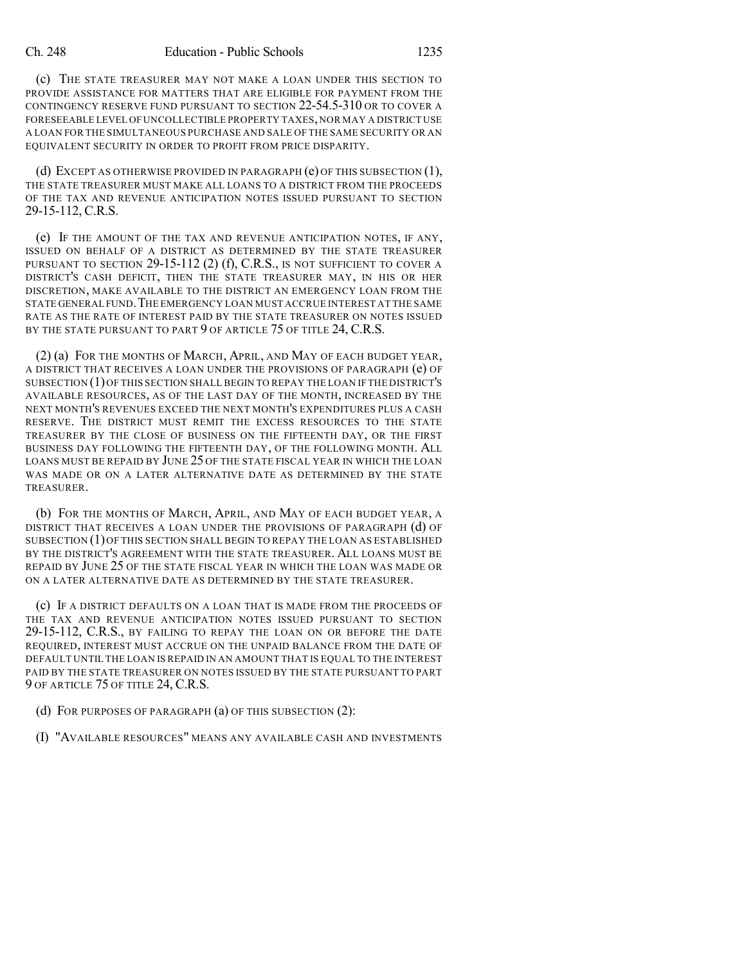(c) THE STATE TREASURER MAY NOT MAKE A LOAN UNDER THIS SECTION TO PROVIDE ASSISTANCE FOR MATTERS THAT ARE ELIGIBLE FOR PAYMENT FROM THE CONTINGENCY RESERVE FUND PURSUANT TO SECTION 22-54.5-310 OR TO COVER A FORESEEABLE LEVEL OF UNCOLLECTIBLE PROPERTY TAXES, NOR MAY A DISTRICT USE A LOAN FOR THE SIMULTANEOUS PURCHASE AND SALE OF THE SAME SECURITY OR AN EQUIVALENT SECURITY IN ORDER TO PROFIT FROM PRICE DISPARITY.

(d) EXCEPT AS OTHERWISE PROVIDED IN PARAGRAPH  $(e)$  OF THIS SUBSECTION  $(1)$ , THE STATE TREASURER MUST MAKE ALL LOANS TO A DISTRICT FROM THE PROCEEDS OF THE TAX AND REVENUE ANTICIPATION NOTES ISSUED PURSUANT TO SECTION 29-15-112, C.R.S.

(e) IF THE AMOUNT OF THE TAX AND REVENUE ANTICIPATION NOTES, IF ANY, ISSUED ON BEHALF OF A DISTRICT AS DETERMINED BY THE STATE TREASURER PURSUANT TO SECTION  $29-15-112$  (2) (f), C.R.S., IS NOT SUFFICIENT TO COVER A DISTRICT'S CASH DEFICIT, THEN THE STATE TREASURER MAY, IN HIS OR HER DISCRETION, MAKE AVAILABLE TO THE DISTRICT AN EMERGENCY LOAN FROM THE STATE GENERAL FUND. THE EMERGENCY LOAN MUST ACCRUE INTEREST AT THE SAME RATE AS THE RATE OF INTEREST PAID BY THE STATE TREASURER ON NOTES ISSUED BY THE STATE PURSUANT TO PART 9 OF ARTICLE 75 OF TITLE 24, C.R.S.

(2) (a) FOR THE MONTHS OF MARCH, APRIL, AND MAY OF EACH BUDGET YEAR, A DISTRICT THAT RECEIVES A LOAN UNDER THE PROVISIONS OF PARAGRAPH (e) OF SUBSECTION (1)OF THIS SECTION SHALL BEGIN TO REPAY THE LOAN IF THE DISTRICT'S AVAILABLE RESOURCES, AS OF THE LAST DAY OF THE MONTH, INCREASED BY THE NEXT MONTH'S REVENUES EXCEED THE NEXT MONTH'S EXPENDITURES PLUS A CASH RESERVE. THE DISTRICT MUST REMIT THE EXCESS RESOURCES TO THE STATE TREASURER BY THE CLOSE OF BUSINESS ON THE FIFTEENTH DAY, OR THE FIRST BUSINESS DAY FOLLOWING THE FIFTEENTH DAY, OF THE FOLLOWING MONTH. ALL LOANS MUST BE REPAID BY JUNE 25 OF THE STATE FISCAL YEAR IN WHICH THE LOAN WAS MADE OR ON A LATER ALTERNATIVE DATE AS DETERMINED BY THE STATE TREASURER.

(b) FOR THE MONTHS OF MARCH, APRIL, AND MAY OF EACH BUDGET YEAR, A DISTRICT THAT RECEIVES A LOAN UNDER THE PROVISIONS OF PARAGRAPH (d) OF SUBSECTION (1)OF THIS SECTION SHALL BEGIN TO REPAY THE LOAN AS ESTABLISHED BY THE DISTRICT'S AGREEMENT WITH THE STATE TREASURER. ALL LOANS MUST BE REPAID BY JUNE 25 OF THE STATE FISCAL YEAR IN WHICH THE LOAN WAS MADE OR ON A LATER ALTERNATIVE DATE AS DETERMINED BY THE STATE TREASURER.

(c) IF A DISTRICT DEFAULTS ON A LOAN THAT IS MADE FROM THE PROCEEDS OF THE TAX AND REVENUE ANTICIPATION NOTES ISSUED PURSUANT TO SECTION 29-15-112, C.R.S., BY FAILING TO REPAY THE LOAN ON OR BEFORE THE DATE REQUIRED, INTEREST MUST ACCRUE ON THE UNPAID BALANCE FROM THE DATE OF DEFAULT UNTIL THE LOAN IS REPAID IN AN AMOUNT THAT IS EQUAL TO THE INTEREST PAID BY THE STATE TREASURER ON NOTES ISSUED BY THE STATE PURSUANT TO PART 9 OF ARTICLE 75 OF TITLE 24, C.R.S.

(d) FOR PURPOSES OF PARAGRAPH (a) OF THIS SUBSECTION (2):

(I) "AVAILABLE RESOURCES" MEANS ANY AVAILABLE CASH AND INVESTMENTS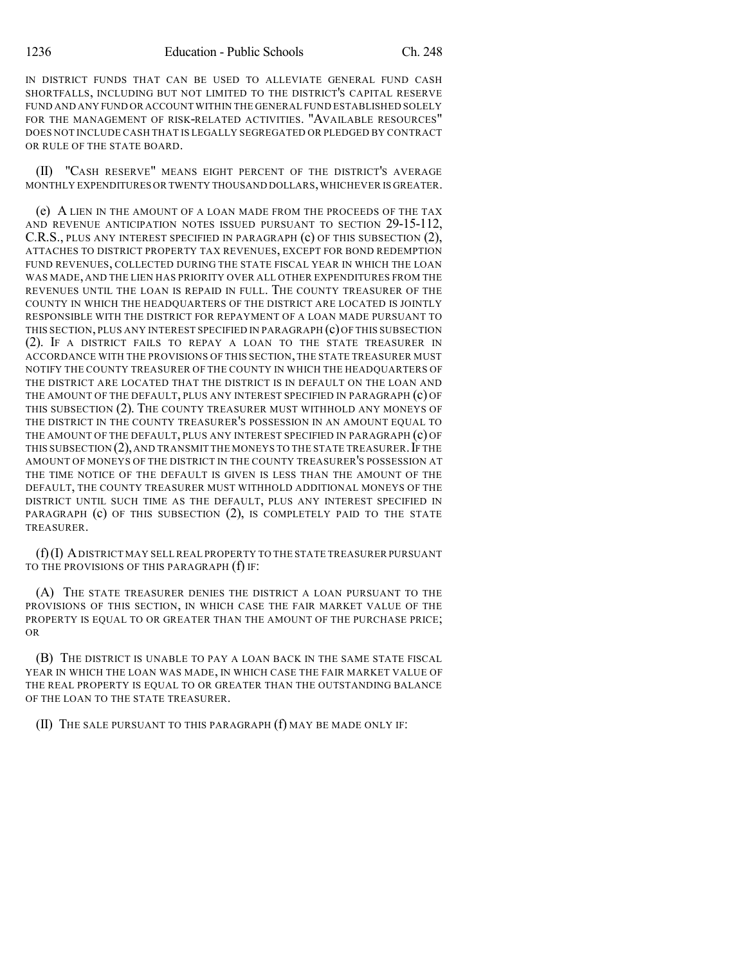IN DISTRICT FUNDS THAT CAN BE USED TO ALLEVIATE GENERAL FUND CASH SHORTFALLS, INCLUDING BUT NOT LIMITED TO THE DISTRICT'S CAPITAL RESERVE FUND AND ANY FUND OR ACCOUNT WITHIN THE GENERAL FUND ESTABLISHED SOLELY FOR THE MANAGEMENT OF RISK-RELATED ACTIVITIES. "AVAILABLE RESOURCES" DOES NOT INCLUDE CASH THAT IS LEGALLY SEGREGATED OR PLEDGED BY CONTRACT OR RULE OF THE STATE BOARD.

(II) "CASH RESERVE" MEANS EIGHT PERCENT OF THE DISTRICT'S AVERAGE MONTHLY EXPENDITURES OR TWENTY THOUSAND DOLLARS,WHICHEVER IS GREATER.

(e) A LIEN IN THE AMOUNT OF A LOAN MADE FROM THE PROCEEDS OF THE TAX AND REVENUE ANTICIPATION NOTES ISSUED PURSUANT TO SECTION 29-15-112, C.R.S., PLUS ANY INTEREST SPECIFIED IN PARAGRAPH (c) OF THIS SUBSECTION (2), ATTACHES TO DISTRICT PROPERTY TAX REVENUES, EXCEPT FOR BOND REDEMPTION FUND REVENUES, COLLECTED DURING THE STATE FISCAL YEAR IN WHICH THE LOAN WAS MADE, AND THE LIEN HAS PRIORITY OVER ALL OTHER EXPENDITURES FROM THE REVENUES UNTIL THE LOAN IS REPAID IN FULL. THE COUNTY TREASURER OF THE COUNTY IN WHICH THE HEADQUARTERS OF THE DISTRICT ARE LOCATED IS JOINTLY RESPONSIBLE WITH THE DISTRICT FOR REPAYMENT OF A LOAN MADE PURSUANT TO THIS SECTION, PLUS ANY INTEREST SPECIFIED IN PARAGRAPH (c) OF THIS SUBSECTION (2). IF A DISTRICT FAILS TO REPAY A LOAN TO THE STATE TREASURER IN ACCORDANCE WITH THE PROVISIONS OF THIS SECTION, THE STATE TREASURER MUST NOTIFY THE COUNTY TREASURER OF THE COUNTY IN WHICH THE HEADQUARTERS OF THE DISTRICT ARE LOCATED THAT THE DISTRICT IS IN DEFAULT ON THE LOAN AND THE AMOUNT OF THE DEFAULT, PLUS ANY INTEREST SPECIFIED IN PARAGRAPH (c) OF THIS SUBSECTION (2). THE COUNTY TREASURER MUST WITHHOLD ANY MONEYS OF THE DISTRICT IN THE COUNTY TREASURER'S POSSESSION IN AN AMOUNT EQUAL TO THE AMOUNT OF THE DEFAULT, PLUS ANY INTEREST SPECIFIED IN PARAGRAPH (c) OF THIS SUBSECTION  $(2)$ , AND TRANSMIT THE MONEYS TO THE STATE TREASURER. IF THE AMOUNT OF MONEYS OF THE DISTRICT IN THE COUNTY TREASURER'S POSSESSION AT THE TIME NOTICE OF THE DEFAULT IS GIVEN IS LESS THAN THE AMOUNT OF THE DEFAULT, THE COUNTY TREASURER MUST WITHHOLD ADDITIONAL MONEYS OF THE DISTRICT UNTIL SUCH TIME AS THE DEFAULT, PLUS ANY INTEREST SPECIFIED IN PARAGRAPH (c) OF THIS SUBSECTION (2), IS COMPLETELY PAID TO THE STATE TREASURER.

(f)(I) ADISTRICT MAY SELL REAL PROPERTY TO THE STATE TREASURER PURSUANT TO THE PROVISIONS OF THIS PARAGRAPH (f) IF:

(A) THE STATE TREASURER DENIES THE DISTRICT A LOAN PURSUANT TO THE PROVISIONS OF THIS SECTION, IN WHICH CASE THE FAIR MARKET VALUE OF THE PROPERTY IS EQUAL TO OR GREATER THAN THE AMOUNT OF THE PURCHASE PRICE; OR

(B) THE DISTRICT IS UNABLE TO PAY A LOAN BACK IN THE SAME STATE FISCAL YEAR IN WHICH THE LOAN WAS MADE, IN WHICH CASE THE FAIR MARKET VALUE OF THE REAL PROPERTY IS EQUAL TO OR GREATER THAN THE OUTSTANDING BALANCE OF THE LOAN TO THE STATE TREASURER.

(II) THE SALE PURSUANT TO THIS PARAGRAPH (f) MAY BE MADE ONLY IF: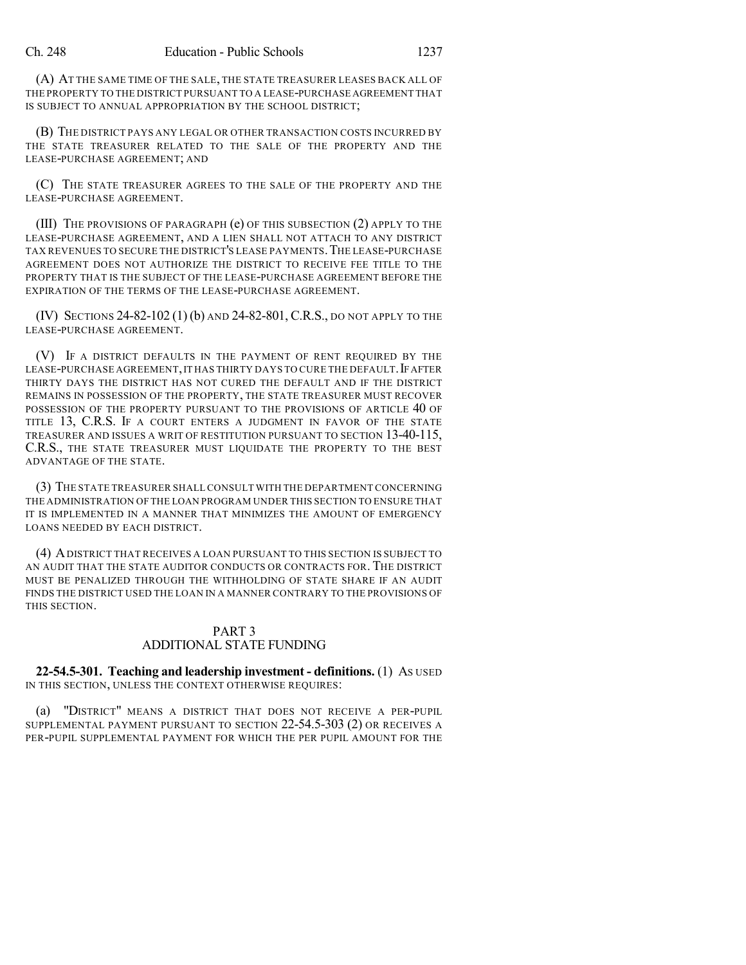(A) AT THE SAME TIME OF THE SALE, THE STATE TREASURER LEASES BACK ALL OF THE PROPERTY TO THE DISTRICT PURSUANT TO A LEASE-PURCHASE AGREEMENT THAT IS SUBJECT TO ANNUAL APPROPRIATION BY THE SCHOOL DISTRICT;

(B) THE DISTRICT PAYS ANY LEGAL OR OTHER TRANSACTION COSTS INCURRED BY THE STATE TREASURER RELATED TO THE SALE OF THE PROPERTY AND THE LEASE-PURCHASE AGREEMENT; AND

(C) THE STATE TREASURER AGREES TO THE SALE OF THE PROPERTY AND THE LEASE-PURCHASE AGREEMENT.

(III) THE PROVISIONS OF PARAGRAPH (e) OF THIS SUBSECTION (2) APPLY TO THE LEASE-PURCHASE AGREEMENT, AND A LIEN SHALL NOT ATTACH TO ANY DISTRICT TAX REVENUES TO SECURE THE DISTRICT'S LEASE PAYMENTS.THE LEASE-PURCHASE AGREEMENT DOES NOT AUTHORIZE THE DISTRICT TO RECEIVE FEE TITLE TO THE PROPERTY THAT IS THE SUBJECT OF THE LEASE-PURCHASE AGREEMENT BEFORE THE EXPIRATION OF THE TERMS OF THE LEASE-PURCHASE AGREEMENT.

(IV) SECTIONS 24-82-102 (1) (b) AND 24-82-801, C.R.S., DO NOT APPLY TO THE LEASE-PURCHASE AGREEMENT.

(V) IF A DISTRICT DEFAULTS IN THE PAYMENT OF RENT REQUIRED BY THE LEASE-PURCHASE AGREEMENT, IT HAS THIRTY DAYS TO CURE THE DEFAULT. IF AFTER THIRTY DAYS THE DISTRICT HAS NOT CURED THE DEFAULT AND IF THE DISTRICT REMAINS IN POSSESSION OF THE PROPERTY, THE STATE TREASURER MUST RECOVER POSSESSION OF THE PROPERTY PURSUANT TO THE PROVISIONS OF ARTICLE 40 OF TITLE 13, C.R.S. IF A COURT ENTERS A JUDGMENT IN FAVOR OF THE STATE TREASURER AND ISSUES A WRIT OF RESTITUTION PURSUANT TO SECTION 13-40-115, C.R.S., THE STATE TREASURER MUST LIQUIDATE THE PROPERTY TO THE BEST ADVANTAGE OF THE STATE.

(3) THE STATE TREASURER SHALL CONSULT WITH THE DEPARTMENT CONCERNING THE ADMINISTRATION OF THE LOAN PROGRAM UNDER THIS SECTION TO ENSURE THAT IT IS IMPLEMENTED IN A MANNER THAT MINIMIZES THE AMOUNT OF EMERGENCY LOANS NEEDED BY EACH DISTRICT.

(4) ADISTRICT THAT RECEIVES A LOAN PURSUANT TO THIS SECTION IS SUBJECT TO AN AUDIT THAT THE STATE AUDITOR CONDUCTS OR CONTRACTS FOR. THE DISTRICT MUST BE PENALIZED THROUGH THE WITHHOLDING OF STATE SHARE IF AN AUDIT FINDS THE DISTRICT USED THE LOAN IN A MANNER CONTRARY TO THE PROVISIONS OF THIS SECTION.

# PART 3 ADDITIONAL STATE FUNDING

**22-54.5-301. Teaching and leadership investment - definitions.** (1) AS USED IN THIS SECTION, UNLESS THE CONTEXT OTHERWISE REQUIRES:

(a) "DISTRICT" MEANS A DISTRICT THAT DOES NOT RECEIVE A PER-PUPIL SUPPLEMENTAL PAYMENT PURSUANT TO SECTION 22-54.5-303 (2) OR RECEIVES A PER-PUPIL SUPPLEMENTAL PAYMENT FOR WHICH THE PER PUPIL AMOUNT FOR THE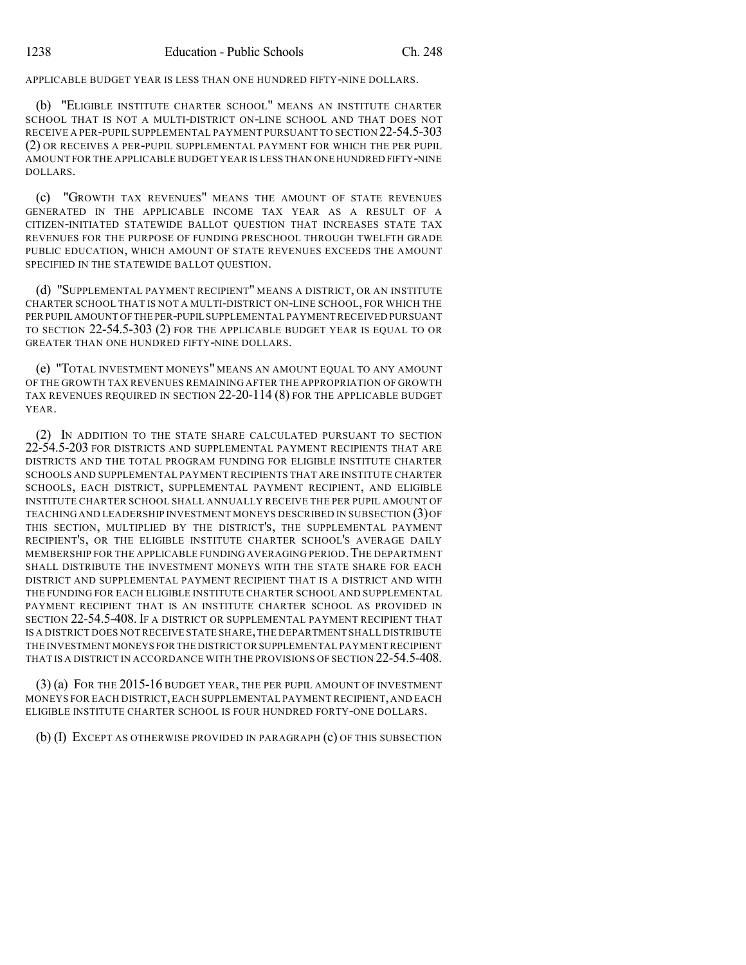APPLICABLE BUDGET YEAR IS LESS THAN ONE HUNDRED FIFTY-NINE DOLLARS.

(b) "ELIGIBLE INSTITUTE CHARTER SCHOOL" MEANS AN INSTITUTE CHARTER SCHOOL THAT IS NOT A MULTI-DISTRICT ON-LINE SCHOOL AND THAT DOES NOT RECEIVE A PER-PUPIL SUPPLEMENTAL PAYMENT PURSUANT TO SECTION 22-54.5-303 (2) OR RECEIVES A PER-PUPIL SUPPLEMENTAL PAYMENT FOR WHICH THE PER PUPIL AMOUNT FOR THE APPLICABLE BUDGET YEAR IS LESS THAN ONE HUNDRED FIFTY-NINE DOLLARS.

(c) "GROWTH TAX REVENUES" MEANS THE AMOUNT OF STATE REVENUES GENERATED IN THE APPLICABLE INCOME TAX YEAR AS A RESULT OF A CITIZEN-INITIATED STATEWIDE BALLOT QUESTION THAT INCREASES STATE TAX REVENUES FOR THE PURPOSE OF FUNDING PRESCHOOL THROUGH TWELFTH GRADE PUBLIC EDUCATION, WHICH AMOUNT OF STATE REVENUES EXCEEDS THE AMOUNT SPECIFIED IN THE STATEWIDE BALLOT OUESTION.

(d) "SUPPLEMENTAL PAYMENT RECIPIENT" MEANS A DISTRICT, OR AN INSTITUTE CHARTER SCHOOL THAT IS NOT A MULTI-DISTRICT ON-LINE SCHOOL, FOR WHICH THE PER PUPIL AMOUNT OFTHE PER-PUPIL SUPPLEMENTAL PAYMENT RECEIVED PURSUANT TO SECTION 22-54.5-303 (2) FOR THE APPLICABLE BUDGET YEAR IS EQUAL TO OR GREATER THAN ONE HUNDRED FIFTY-NINE DOLLARS.

(e) "TOTAL INVESTMENT MONEYS" MEANS AN AMOUNT EQUAL TO ANY AMOUNT OF THE GROWTH TAX REVENUES REMAINING AFTER THE APPROPRIATION OF GROWTH TAX REVENUES REQUIRED IN SECTION 22-20-114 (8) FOR THE APPLICABLE BUDGET YEAR.

(2) IN ADDITION TO THE STATE SHARE CALCULATED PURSUANT TO SECTION 22-54.5-203 FOR DISTRICTS AND SUPPLEMENTAL PAYMENT RECIPIENTS THAT ARE DISTRICTS AND THE TOTAL PROGRAM FUNDING FOR ELIGIBLE INSTITUTE CHARTER SCHOOLS AND SUPPLEMENTAL PAYMENT RECIPIENTS THAT ARE INSTITUTE CHARTER SCHOOLS, EACH DISTRICT, SUPPLEMENTAL PAYMENT RECIPIENT, AND ELIGIBLE INSTITUTE CHARTER SCHOOL SHALL ANNUALLY RECEIVE THE PER PUPIL AMOUNT OF TEACHING AND LEADERSHIP INVESTMENT MONEYS DESCRIBED IN SUBSECTION (3)OF THIS SECTION, MULTIPLIED BY THE DISTRICT'S, THE SUPPLEMENTAL PAYMENT RECIPIENT'S, OR THE ELIGIBLE INSTITUTE CHARTER SCHOOL'S AVERAGE DAILY MEMBERSHIP FOR THE APPLICABLE FUNDING AVERAGING PERIOD.THE DEPARTMENT SHALL DISTRIBUTE THE INVESTMENT MONEYS WITH THE STATE SHARE FOR EACH DISTRICT AND SUPPLEMENTAL PAYMENT RECIPIENT THAT IS A DISTRICT AND WITH THE FUNDING FOR EACH ELIGIBLE INSTITUTE CHARTER SCHOOL AND SUPPLEMENTAL PAYMENT RECIPIENT THAT IS AN INSTITUTE CHARTER SCHOOL AS PROVIDED IN SECTION 22-54.5-408. IF A DISTRICT OR SUPPLEMENTAL PAYMENT RECIPIENT THAT IS A DISTRICT DOES NOTRECEIVE STATE SHARE,THE DEPARTMENT SHALL DISTRIBUTE THE INVESTMENT MONEYS FOR THE DISTRICT ORSUPPLEMENTAL PAYMENTRECIPIENT THAT IS A DISTRICT IN ACCORDANCE WITH THE PROVISIONS OF SECTION 22-54.5-408.

(3) (a) FOR THE 2015-16 BUDGET YEAR, THE PER PUPIL AMOUNT OF INVESTMENT MONEYS FOR EACH DISTRICT,EACH SUPPLEMENTAL PAYMENT RECIPIENT, AND EACH ELIGIBLE INSTITUTE CHARTER SCHOOL IS FOUR HUNDRED FORTY-ONE DOLLARS.

(b) (I) EXCEPT AS OTHERWISE PROVIDED IN PARAGRAPH (c) OF THIS SUBSECTION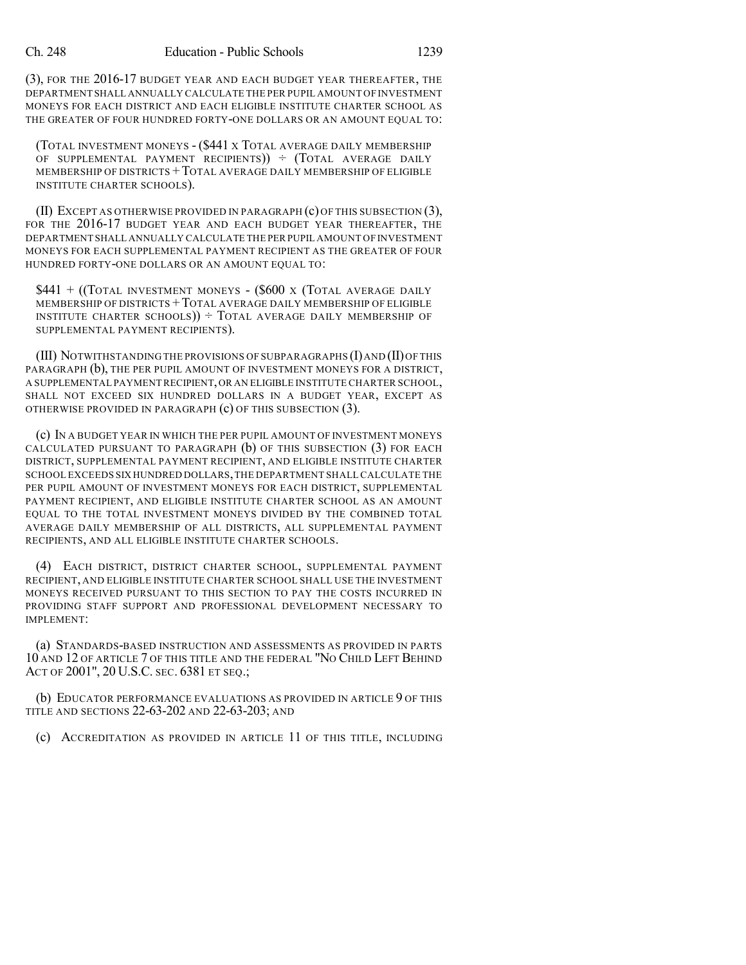(3), FOR THE 2016-17 BUDGET YEAR AND EACH BUDGET YEAR THEREAFTER, THE DEPARTMENT SHALL ANNUALLY CALCULATE THE PER PUPIL AMOUNT OF INVESTMENT MONEYS FOR EACH DISTRICT AND EACH ELIGIBLE INSTITUTE CHARTER SCHOOL AS THE GREATER OF FOUR HUNDRED FORTY-ONE DOLLARS OR AN AMOUNT EQUAL TO:

(TOTAL INVESTMENT MONEYS - (\$441 X TOTAL AVERAGE DAILY MEMBERSHIP OF SUPPLEMENTAL PAYMENT RECIPIENTS)) ÷ (TOTAL AVERAGE DAILY MEMBERSHIP OF DISTRICTS +TOTAL AVERAGE DAILY MEMBERSHIP OF ELIGIBLE INSTITUTE CHARTER SCHOOLS).

(II) EXCEPT AS OTHERWISE PROVIDED IN PARAGRAPH (c) OF THIS SUBSECTION (3), FOR THE 2016-17 BUDGET YEAR AND EACH BUDGET YEAR THEREAFTER. THE DEPARTMENT SHALL ANNUALLY CALCULATE THE PER PUPIL AMOUNT OF INVESTMENT MONEYS FOR EACH SUPPLEMENTAL PAYMENT RECIPIENT AS THE GREATER OF FOUR HUNDRED FORTY-ONE DOLLARS OR AN AMOUNT EQUAL TO:

 $$441 + (TOTAL INVESTMENT MONEYS - ($600 x (TOTAL AVERAGE DALLY))$ MEMBERSHIP OF DISTRICTS +TOTAL AVERAGE DAILY MEMBERSHIP OF ELIGIBLE INSTITUTE CHARTER SCHOOLS))  $\div$  TOTAL AVERAGE DAILY MEMBERSHIP OF SUPPLEMENTAL PAYMENT RECIPIENTS).

 $(III)$  NOTWITHSTANDING THE PROVISIONS OF SUBPARAGRAPHS  $(I)$  AND  $(II)$  OF THIS PARAGRAPH (b), THE PER PUPIL AMOUNT OF INVESTMENT MONEYS FOR A DISTRICT, A SUPPLEMENTAL PAYMENT RECIPIENT,OR AN ELIGIBLE INSTITUTE CHARTER SCHOOL, SHALL NOT EXCEED SIX HUNDRED DOLLARS IN A BUDGET YEAR, EXCEPT AS OTHERWISE PROVIDED IN PARAGRAPH (c) OF THIS SUBSECTION (3).

(c) IN A BUDGET YEAR IN WHICH THE PER PUPIL AMOUNT OF INVESTMENT MONEYS CALCULATED PURSUANT TO PARAGRAPH  $(b)$  OF THIS SUBSECTION  $(3)$  FOR EACH DISTRICT, SUPPLEMENTAL PAYMENT RECIPIENT, AND ELIGIBLE INSTITUTE CHARTER SCHOOL EXCEEDS SIX HUNDRED DOLLARS,THE DEPARTMENT SHALLCALCULATE THE PER PUPIL AMOUNT OF INVESTMENT MONEYS FOR EACH DISTRICT, SUPPLEMENTAL PAYMENT RECIPIENT, AND ELIGIBLE INSTITUTE CHARTER SCHOOL AS AN AMOUNT EQUAL TO THE TOTAL INVESTMENT MONEYS DIVIDED BY THE COMBINED TOTAL AVERAGE DAILY MEMBERSHIP OF ALL DISTRICTS, ALL SUPPLEMENTAL PAYMENT RECIPIENTS, AND ALL ELIGIBLE INSTITUTE CHARTER SCHOOLS.

(4) EACH DISTRICT, DISTRICT CHARTER SCHOOL, SUPPLEMENTAL PAYMENT RECIPIENT, AND ELIGIBLE INSTITUTE CHARTER SCHOOL SHALL USE THE INVESTMENT MONEYS RECEIVED PURSUANT TO THIS SECTION TO PAY THE COSTS INCURRED IN PROVIDING STAFF SUPPORT AND PROFESSIONAL DEVELOPMENT NECESSARY TO IMPLEMENT:

(a) STANDARDS-BASED INSTRUCTION AND ASSESSMENTS AS PROVIDED IN PARTS 10 AND 12 OF ARTICLE 7 OF THIS TITLE AND THE FEDERAL "NO CHILD LEFT BEHIND ACT OF 2001", 20 U.S.C. SEC. 6381 ET SEQ.;

(b) EDUCATOR PERFORMANCE EVALUATIONS AS PROVIDED IN ARTICLE 9 OF THIS TITLE AND SECTIONS 22-63-202 AND 22-63-203; AND

(c) ACCREDITATION AS PROVIDED IN ARTICLE 11 OF THIS TITLE, INCLUDING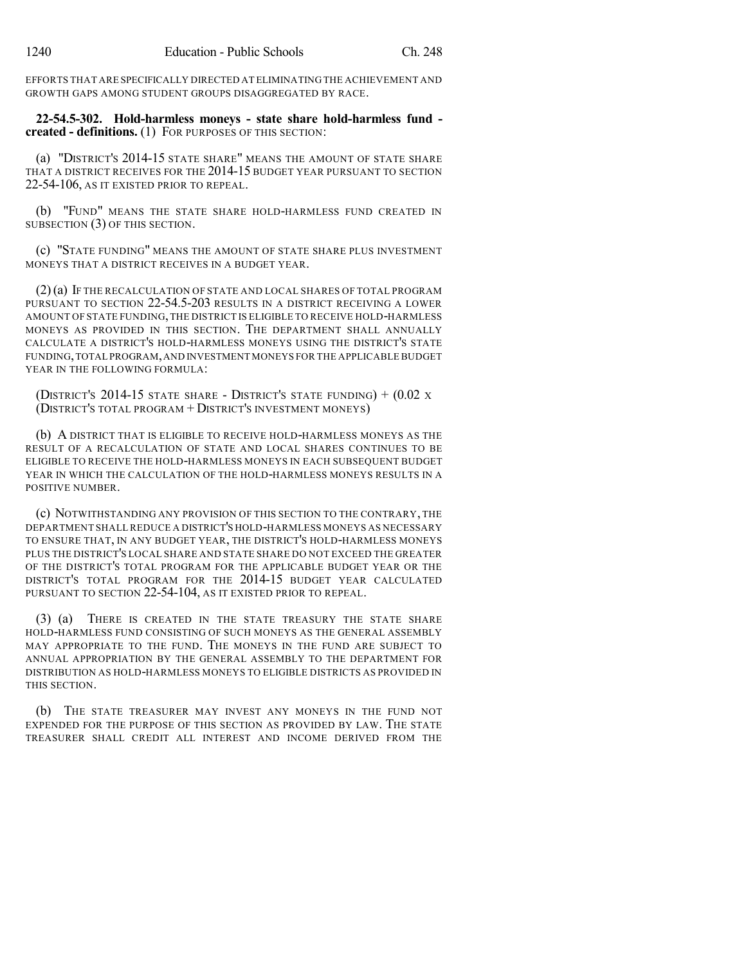EFFORTS THAT ARE SPECIFICALLY DIRECTED AT ELIMINATING THE ACHIEVEMENT AND GROWTH GAPS AMONG STUDENT GROUPS DISAGGREGATED BY RACE.

**22-54.5-302. Hold-harmless moneys - state share hold-harmless fund created - definitions.** (1) FOR PURPOSES OF THIS SECTION:

(a) "DISTRICT'S 2014-15 STATE SHARE" MEANS THE AMOUNT OF STATE SHARE THAT A DISTRICT RECEIVES FOR THE 2014-15 BUDGET YEAR PURSUANT TO SECTION 22-54-106, AS IT EXISTED PRIOR TO REPEAL.

(b) "FUND" MEANS THE STATE SHARE HOLD-HARMLESS FUND CREATED IN SUBSECTION (3) OF THIS SECTION.

(c) "STATE FUNDING" MEANS THE AMOUNT OF STATE SHARE PLUS INVESTMENT MONEYS THAT A DISTRICT RECEIVES IN A BUDGET YEAR.

(2)(a) IF THE RECALCULATION OF STATE AND LOCAL SHARES OF TOTAL PROGRAM PURSUANT TO SECTION 22-54.5-203 RESULTS IN A DISTRICT RECEIVING A LOWER AMOUNT OF STATE FUNDING,THE DISTRICT IS ELIGIBLE TO RECEIVE HOLD-HARMLESS MONEYS AS PROVIDED IN THIS SECTION. THE DEPARTMENT SHALL ANNUALLY CALCULATE A DISTRICT'S HOLD-HARMLESS MONEYS USING THE DISTRICT'S STATE FUNDING,TOTAL PROGRAM,AND INVESTMENT MONEYS FOR THE APPLICABLE BUDGET YEAR IN THE FOLLOWING FORMULA:

(DISTRICT'S 2014-15 STATE SHARE - DISTRICT'S STATE FUNDING)  $+$  (0.02 x) (DISTRICT'S TOTAL PROGRAM + DISTRICT'S INVESTMENT MONEYS)

(b) A DISTRICT THAT IS ELIGIBLE TO RECEIVE HOLD-HARMLESS MONEYS AS THE RESULT OF A RECALCULATION OF STATE AND LOCAL SHARES CONTINUES TO BE ELIGIBLE TO RECEIVE THE HOLD-HARMLESS MONEYS IN EACH SUBSEQUENT BUDGET YEAR IN WHICH THE CALCULATION OF THE HOLD-HARMLESS MONEYS RESULTS IN A POSITIVE NUMBER.

(c) NOTWITHSTANDING ANY PROVISION OF THIS SECTION TO THE CONTRARY, THE DEPARTMENT SHALL REDUCE A DISTRICT'S HOLD-HARMLESS MONEYS AS NECESSARY TO ENSURE THAT, IN ANY BUDGET YEAR, THE DISTRICT'S HOLD-HARMLESS MONEYS PLUS THE DISTRICT'S LOCAL SHARE AND STATE SHARE DO NOT EXCEED THE GREATER OF THE DISTRICT'S TOTAL PROGRAM FOR THE APPLICABLE BUDGET YEAR OR THE DISTRICT'S TOTAL PROGRAM FOR THE 2014-15 BUDGET YEAR CALCULATED PURSUANT TO SECTION 22-54-104, AS IT EXISTED PRIOR TO REPEAL.

(3) (a) THERE IS CREATED IN THE STATE TREASURY THE STATE SHARE HOLD-HARMLESS FUND CONSISTING OF SUCH MONEYS AS THE GENERAL ASSEMBLY MAY APPROPRIATE TO THE FUND. THE MONEYS IN THE FUND ARE SUBJECT TO ANNUAL APPROPRIATION BY THE GENERAL ASSEMBLY TO THE DEPARTMENT FOR DISTRIBUTION AS HOLD-HARMLESS MONEYS TO ELIGIBLE DISTRICTS AS PROVIDED IN THIS SECTION.

(b) THE STATE TREASURER MAY INVEST ANY MONEYS IN THE FUND NOT EXPENDED FOR THE PURPOSE OF THIS SECTION AS PROVIDED BY LAW. THE STATE TREASURER SHALL CREDIT ALL INTEREST AND INCOME DERIVED FROM THE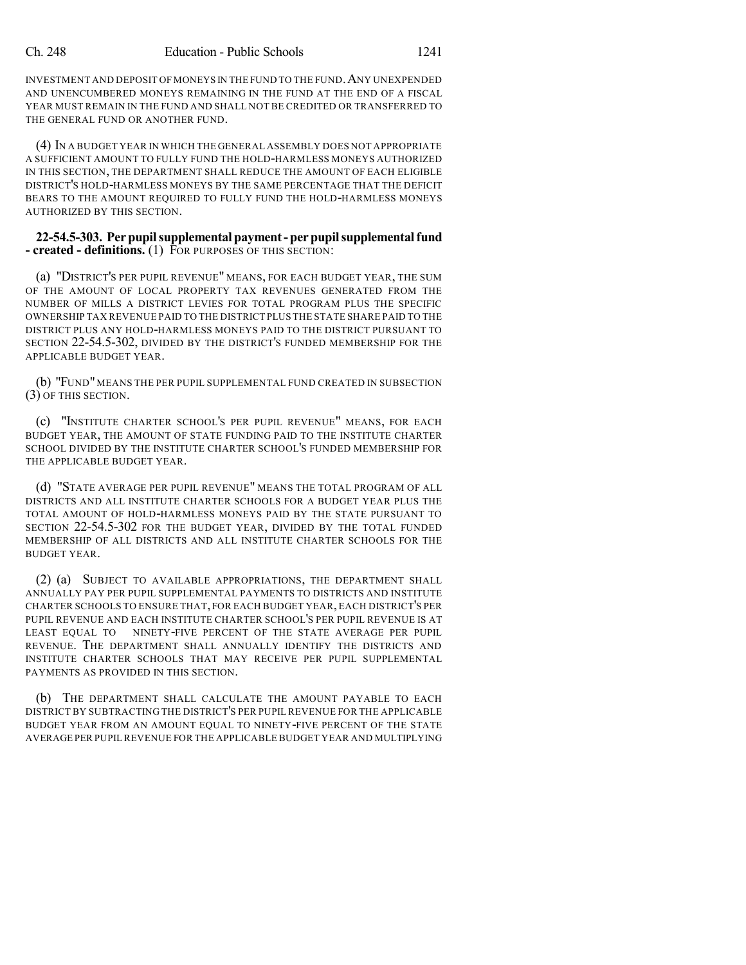INVESTMENT AND DEPOSIT OF MONEYS IN THE FUND TO THE FUND.ANY UNEXPENDED AND UNENCUMBERED MONEYS REMAINING IN THE FUND AT THE END OF A FISCAL YEAR MUST REMAIN IN THE FUND AND SHALL NOT BE CREDITED OR TRANSFERRED TO THE GENERAL FUND OR ANOTHER FUND.

(4) IN A BUDGET YEAR IN WHICH THE GENERAL ASSEMBLY DOES NOT APPROPRIATE A SUFFICIENT AMOUNT TO FULLY FUND THE HOLD-HARMLESS MONEYS AUTHORIZED IN THIS SECTION, THE DEPARTMENT SHALL REDUCE THE AMOUNT OF EACH ELIGIBLE DISTRICT'S HOLD-HARMLESS MONEYS BY THE SAME PERCENTAGE THAT THE DEFICIT BEARS TO THE AMOUNT REQUIRED TO FULLY FUND THE HOLD-HARMLESS MONEYS AUTHORIZED BY THIS SECTION.

### **22-54.5-303. Per pupilsupplemental payment-perpupilsupplementalfund - created - definitions.** (1) FOR PURPOSES OF THIS SECTION:

(a) "DISTRICT'S PER PUPIL REVENUE" MEANS, FOR EACH BUDGET YEAR, THE SUM OF THE AMOUNT OF LOCAL PROPERTY TAX REVENUES GENERATED FROM THE NUMBER OF MILLS A DISTRICT LEVIES FOR TOTAL PROGRAM PLUS THE SPECIFIC OWNERSHIP TAX REVENUE PAID TO THE DISTRICT PLUS THE STATE SHARE PAID TO THE DISTRICT PLUS ANY HOLD-HARMLESS MONEYS PAID TO THE DISTRICT PURSUANT TO SECTION 22-54.5-302, DIVIDED BY THE DISTRICT'S FUNDED MEMBERSHIP FOR THE APPLICABLE BUDGET YEAR.

(b) "FUND" MEANS THE PER PUPIL SUPPLEMENTAL FUND CREATED IN SUBSECTION (3) OF THIS SECTION.

(c) "INSTITUTE CHARTER SCHOOL'S PER PUPIL REVENUE" MEANS, FOR EACH BUDGET YEAR, THE AMOUNT OF STATE FUNDING PAID TO THE INSTITUTE CHARTER SCHOOL DIVIDED BY THE INSTITUTE CHARTER SCHOOL'S FUNDED MEMBERSHIP FOR THE APPLICABLE BUDGET YEAR.

(d) "STATE AVERAGE PER PUPIL REVENUE" MEANS THE TOTAL PROGRAM OF ALL DISTRICTS AND ALL INSTITUTE CHARTER SCHOOLS FOR A BUDGET YEAR PLUS THE TOTAL AMOUNT OF HOLD-HARMLESS MONEYS PAID BY THE STATE PURSUANT TO SECTION 22-54.5-302 FOR THE BUDGET YEAR, DIVIDED BY THE TOTAL FUNDED MEMBERSHIP OF ALL DISTRICTS AND ALL INSTITUTE CHARTER SCHOOLS FOR THE BUDGET YEAR.

(2) (a) SUBJECT TO AVAILABLE APPROPRIATIONS, THE DEPARTMENT SHALL ANNUALLY PAY PER PUPIL SUPPLEMENTAL PAYMENTS TO DISTRICTS AND INSTITUTE CHARTER SCHOOLS TO ENSURE THAT, FOR EACH BUDGET YEAR, EACH DISTRICT'S PER PUPIL REVENUE AND EACH INSTITUTE CHARTER SCHOOL'S PER PUPIL REVENUE IS AT LEAST EQUAL TO NINETY-FIVE PERCENT OF THE STATE AVERAGE PER PUPIL REVENUE. THE DEPARTMENT SHALL ANNUALLY IDENTIFY THE DISTRICTS AND INSTITUTE CHARTER SCHOOLS THAT MAY RECEIVE PER PUPIL SUPPLEMENTAL PAYMENTS AS PROVIDED IN THIS SECTION.

(b) THE DEPARTMENT SHALL CALCULATE THE AMOUNT PAYABLE TO EACH DISTRICT BY SUBTRACTING THE DISTRICT'S PER PUPIL REVENUE FOR THE APPLICABLE BUDGET YEAR FROM AN AMOUNT EQUAL TO NINETY-FIVE PERCENT OF THE STATE AVERAGE PER PUPILREVENUE FOR THE APPLICABLE BUDGET YEAR AND MULTIPLYING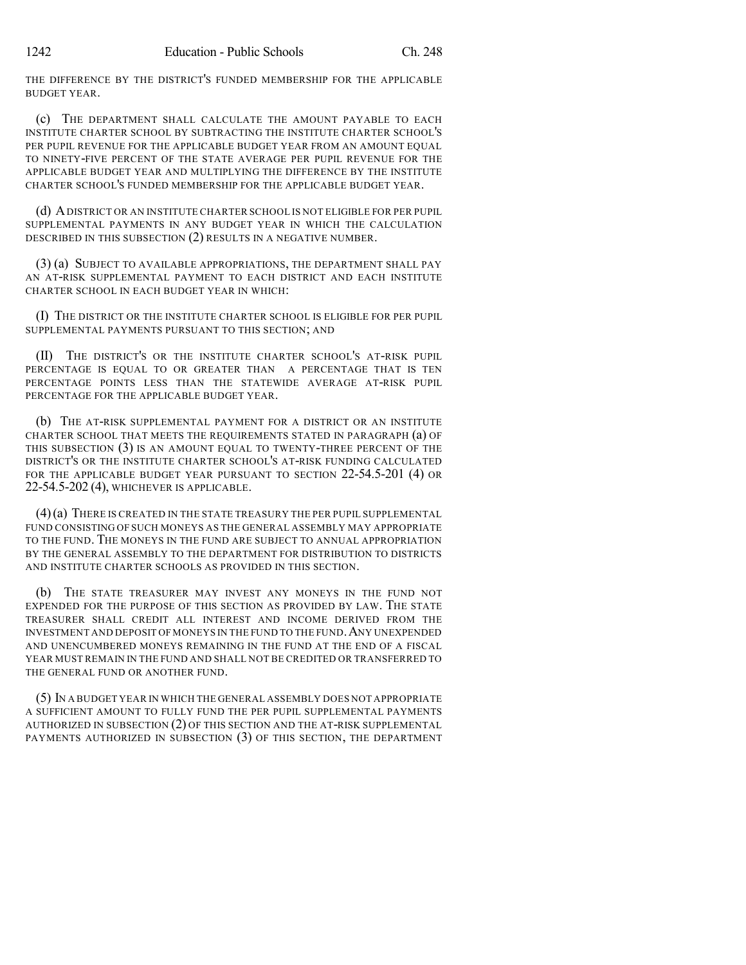THE DIFFERENCE BY THE DISTRICT'S FUNDED MEMBERSHIP FOR THE APPLICABLE BUDGET YEAR.

(c) THE DEPARTMENT SHALL CALCULATE THE AMOUNT PAYABLE TO EACH INSTITUTE CHARTER SCHOOL BY SUBTRACTING THE INSTITUTE CHARTER SCHOOL'S PER PUPIL REVENUE FOR THE APPLICABLE BUDGET YEAR FROM AN AMOUNT EQUAL TO NINETY-FIVE PERCENT OF THE STATE AVERAGE PER PUPIL REVENUE FOR THE APPLICABLE BUDGET YEAR AND MULTIPLYING THE DIFFERENCE BY THE INSTITUTE CHARTER SCHOOL'S FUNDED MEMBERSHIP FOR THE APPLICABLE BUDGET YEAR.

(d) ADISTRICT OR AN INSTITUTE CHARTER SCHOOL IS NOT ELIGIBLE FOR PER PUPIL SUPPLEMENTAL PAYMENTS IN ANY BUDGET YEAR IN WHICH THE CALCULATION DESCRIBED IN THIS SUBSECTION (2) RESULTS IN A NEGATIVE NUMBER.

(3) (a) SUBJECT TO AVAILABLE APPROPRIATIONS, THE DEPARTMENT SHALL PAY AN AT-RISK SUPPLEMENTAL PAYMENT TO EACH DISTRICT AND EACH INSTITUTE CHARTER SCHOOL IN EACH BUDGET YEAR IN WHICH:

(I) THE DISTRICT OR THE INSTITUTE CHARTER SCHOOL IS ELIGIBLE FOR PER PUPIL SUPPLEMENTAL PAYMENTS PURSUANT TO THIS SECTION; AND

(II) THE DISTRICT'S OR THE INSTITUTE CHARTER SCHOOL'S AT-RISK PUPIL PERCENTAGE IS EQUAL TO OR GREATER THAN A PERCENTAGE THAT IS TEN PERCENTAGE POINTS LESS THAN THE STATEWIDE AVERAGE AT-RISK PUPIL PERCENTAGE FOR THE APPLICABLE BUDGET YEAR.

(b) THE AT-RISK SUPPLEMENTAL PAYMENT FOR A DISTRICT OR AN INSTITUTE CHARTER SCHOOL THAT MEETS THE REQUIREMENTS STATED IN PARAGRAPH (a) OF THIS SUBSECTION (3) IS AN AMOUNT EQUAL TO TWENTY-THREE PERCENT OF THE DISTRICT'S OR THE INSTITUTE CHARTER SCHOOL'S AT-RISK FUNDING CALCULATED FOR THE APPLICABLE BUDGET YEAR PURSUANT TO SECTION 22-54.5-201 (4) OR 22-54.5-202 (4), WHICHEVER IS APPLICABLE.

(4)(a) THERE IS CREATED IN THE STATE TREASURY THE PER PUPIL SUPPLEMENTAL FUND CONSISTING OF SUCH MONEYS AS THE GENERAL ASSEMBLY MAY APPROPRIATE TO THE FUND. THE MONEYS IN THE FUND ARE SUBJECT TO ANNUAL APPROPRIATION BY THE GENERAL ASSEMBLY TO THE DEPARTMENT FOR DISTRIBUTION TO DISTRICTS AND INSTITUTE CHARTER SCHOOLS AS PROVIDED IN THIS SECTION.

(b) THE STATE TREASURER MAY INVEST ANY MONEYS IN THE FUND NOT EXPENDED FOR THE PURPOSE OF THIS SECTION AS PROVIDED BY LAW. THE STATE TREASURER SHALL CREDIT ALL INTEREST AND INCOME DERIVED FROM THE INVESTMENT AND DEPOSIT OF MONEYS IN THE FUND TO THE FUND.ANY UNEXPENDED AND UNENCUMBERED MONEYS REMAINING IN THE FUND AT THE END OF A FISCAL YEAR MUST REMAIN IN THE FUND AND SHALL NOT BE CREDITED OR TRANSFERRED TO THE GENERAL FUND OR ANOTHER FUND.

(5) IN A BUDGET YEAR IN WHICH THE GENERAL ASSEMBLY DOES NOT APPROPRIATE A SUFFICIENT AMOUNT TO FULLY FUND THE PER PUPIL SUPPLEMENTAL PAYMENTS AUTHORIZED IN SUBSECTION (2) OF THIS SECTION AND THE AT-RISK SUPPLEMENTAL PAYMENTS AUTHORIZED IN SUBSECTION (3) OF THIS SECTION, THE DEPARTMENT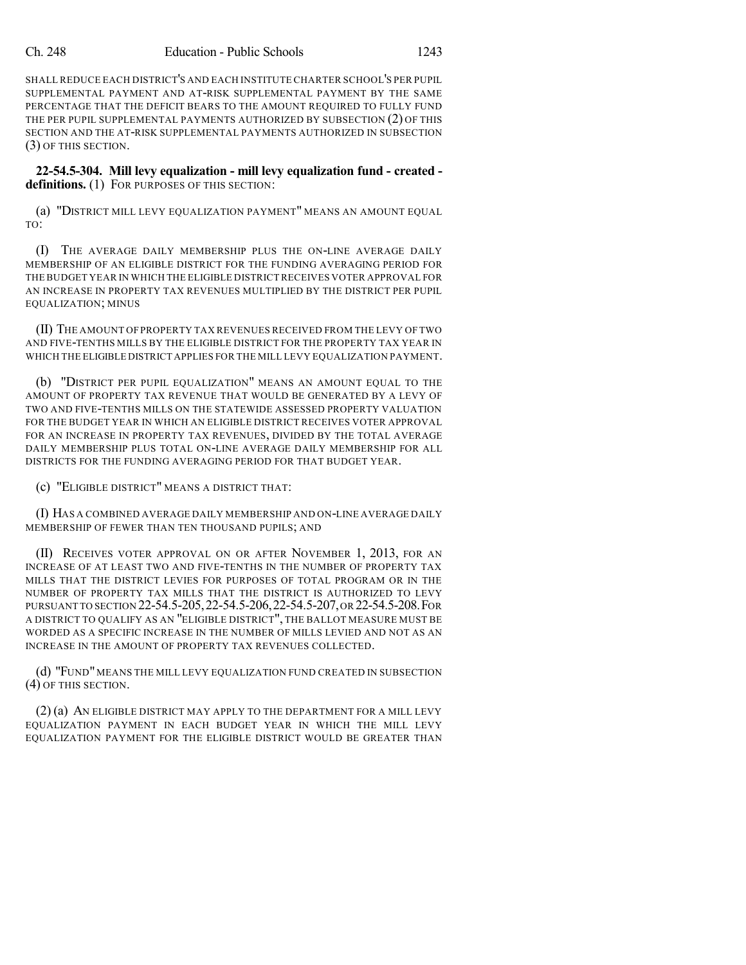SHALL REDUCE EACH DISTRICT'S AND EACH INSTITUTE CHARTER SCHOOL'S PER PUPIL SUPPLEMENTAL PAYMENT AND AT-RISK SUPPLEMENTAL PAYMENT BY THE SAME PERCENTAGE THAT THE DEFICIT BEARS TO THE AMOUNT REQUIRED TO FULLY FUND THE PER PUPIL SUPPLEMENTAL PAYMENTS AUTHORIZED BY SUBSECTION (2) OF THIS SECTION AND THE AT-RISK SUPPLEMENTAL PAYMENTS AUTHORIZED IN SUBSECTION (3) OF THIS SECTION.

**22-54.5-304. Mill levy equalization - mill levy equalization fund - created definitions.** (1) FOR PURPOSES OF THIS SECTION:

(a) "DISTRICT MILL LEVY EQUALIZATION PAYMENT" MEANS AN AMOUNT EQUAL TO:

(I) THE AVERAGE DAILY MEMBERSHIP PLUS THE ON-LINE AVERAGE DAILY MEMBERSHIP OF AN ELIGIBLE DISTRICT FOR THE FUNDING AVERAGING PERIOD FOR THE BUDGET YEAR IN WHICH THE ELIGIBLE DISTRICTRECEIVES VOTER APPROVAL FOR AN INCREASE IN PROPERTY TAX REVENUES MULTIPLIED BY THE DISTRICT PER PUPIL EQUALIZATION; MINUS

(II) THE AMOUNT OF PROPERTY TAX REVENUES RECEIVED FROM THE LEVY OF TWO AND FIVE-TENTHS MILLS BY THE ELIGIBLE DISTRICT FOR THE PROPERTY TAX YEAR IN WHICH THE ELIGIBLE DISTRICT APPLIES FOR THE MILL LEVY EQUALIZATION PAYMENT.

(b) "DISTRICT PER PUPIL EQUALIZATION" MEANS AN AMOUNT EQUAL TO THE AMOUNT OF PROPERTY TAX REVENUE THAT WOULD BE GENERATED BY A LEVY OF TWO AND FIVE-TENTHS MILLS ON THE STATEWIDE ASSESSED PROPERTY VALUATION FOR THE BUDGET YEAR IN WHICH AN ELIGIBLE DISTRICT RECEIVES VOTER APPROVAL FOR AN INCREASE IN PROPERTY TAX REVENUES, DIVIDED BY THE TOTAL AVERAGE DAILY MEMBERSHIP PLUS TOTAL ON-LINE AVERAGE DAILY MEMBERSHIP FOR ALL DISTRICTS FOR THE FUNDING AVERAGING PERIOD FOR THAT BUDGET YEAR.

(c) "ELIGIBLE DISTRICT" MEANS A DISTRICT THAT:

(I) HAS A COMBINED AVERAGE DAILY MEMBERSHIP AND ON-LINE AVERAGE DAILY MEMBERSHIP OF FEWER THAN TEN THOUSAND PUPILS; AND

(II) RECEIVES VOTER APPROVAL ON OR AFTER NOVEMBER 1, 2013, FOR AN INCREASE OF AT LEAST TWO AND FIVE-TENTHS IN THE NUMBER OF PROPERTY TAX MILLS THAT THE DISTRICT LEVIES FOR PURPOSES OF TOTAL PROGRAM OR IN THE NUMBER OF PROPERTY TAX MILLS THAT THE DISTRICT IS AUTHORIZED TO LEVY PURSUANT TO SECTION 22-54.5-205,22-54.5-206,22-54.5-207,OR 22-54.5-208.FOR A DISTRICT TO QUALIFY AS AN "ELIGIBLE DISTRICT", THE BALLOT MEASURE MUST BE WORDED AS A SPECIFIC INCREASE IN THE NUMBER OF MILLS LEVIED AND NOT AS AN INCREASE IN THE AMOUNT OF PROPERTY TAX REVENUES COLLECTED.

(d) "FUND" MEANS THE MILL LEVY EQUALIZATION FUND CREATED IN SUBSECTION (4) OF THIS SECTION.

(2) (a) AN ELIGIBLE DISTRICT MAY APPLY TO THE DEPARTMENT FOR A MILL LEVY EQUALIZATION PAYMENT IN EACH BUDGET YEAR IN WHICH THE MILL LEVY EQUALIZATION PAYMENT FOR THE ELIGIBLE DISTRICT WOULD BE GREATER THAN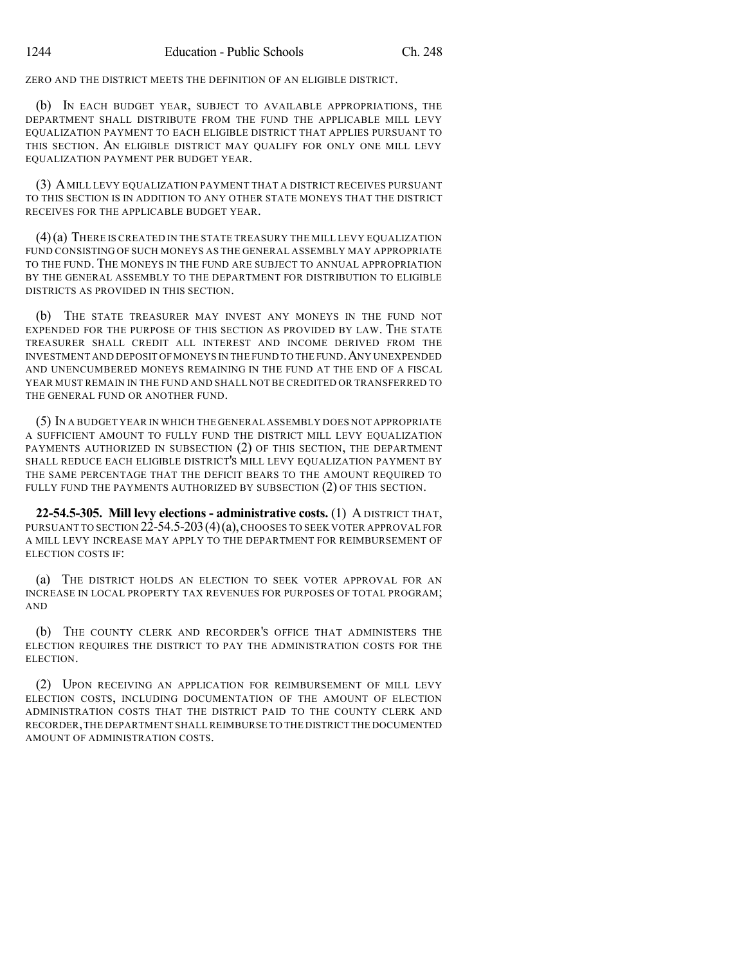ZERO AND THE DISTRICT MEETS THE DEFINITION OF AN ELIGIBLE DISTRICT.

(b) IN EACH BUDGET YEAR, SUBJECT TO AVAILABLE APPROPRIATIONS, THE DEPARTMENT SHALL DISTRIBUTE FROM THE FUND THE APPLICABLE MILL LEVY EQUALIZATION PAYMENT TO EACH ELIGIBLE DISTRICT THAT APPLIES PURSUANT TO THIS SECTION. AN ELIGIBLE DISTRICT MAY QUALIFY FOR ONLY ONE MILL LEVY EQUALIZATION PAYMENT PER BUDGET YEAR.

(3) AMILL LEVY EQUALIZATION PAYMENT THAT A DISTRICT RECEIVES PURSUANT TO THIS SECTION IS IN ADDITION TO ANY OTHER STATE MONEYS THAT THE DISTRICT RECEIVES FOR THE APPLICABLE BUDGET YEAR.

(4)(a) THERE IS CREATED IN THE STATE TREASURY THE MILL LEVY EQUALIZATION FUND CONSISTING OF SUCH MONEYS AS THE GENERAL ASSEMBLY MAY APPROPRIATE TO THE FUND. THE MONEYS IN THE FUND ARE SUBJECT TO ANNUAL APPROPRIATION BY THE GENERAL ASSEMBLY TO THE DEPARTMENT FOR DISTRIBUTION TO ELIGIBLE DISTRICTS AS PROVIDED IN THIS SECTION.

(b) THE STATE TREASURER MAY INVEST ANY MONEYS IN THE FUND NOT EXPENDED FOR THE PURPOSE OF THIS SECTION AS PROVIDED BY LAW. THE STATE TREASURER SHALL CREDIT ALL INTEREST AND INCOME DERIVED FROM THE INVESTMENT AND DEPOSIT OF MONEYS IN THE FUND TO THE FUND.ANY UNEXPENDED AND UNENCUMBERED MONEYS REMAINING IN THE FUND AT THE END OF A FISCAL YEAR MUST REMAIN IN THE FUND AND SHALL NOT BE CREDITED OR TRANSFERRED TO THE GENERAL FUND OR ANOTHER FUND.

(5) IN A BUDGET YEAR IN WHICH THE GENERAL ASSEMBLY DOES NOT APPROPRIATE A SUFFICIENT AMOUNT TO FULLY FUND THE DISTRICT MILL LEVY EQUALIZATION PAYMENTS AUTHORIZED IN SUBSECTION (2) OF THIS SECTION, THE DEPARTMENT SHALL REDUCE EACH ELIGIBLE DISTRICT'S MILL LEVY EQUALIZATION PAYMENT BY THE SAME PERCENTAGE THAT THE DEFICIT BEARS TO THE AMOUNT REQUIRED TO FULLY FUND THE PAYMENTS AUTHORIZED BY SUBSECTION (2) OF THIS SECTION.

**22-54.5-305. Mill levy elections - administrative costs.** (1) A DISTRICT THAT, PURSUANT TO SECTION 22-54.5-203 (4) (a), CHOOSES TO SEEK VOTER APPROVAL FOR A MILL LEVY INCREASE MAY APPLY TO THE DEPARTMENT FOR REIMBURSEMENT OF ELECTION COSTS IF:

(a) THE DISTRICT HOLDS AN ELECTION TO SEEK VOTER APPROVAL FOR AN INCREASE IN LOCAL PROPERTY TAX REVENUES FOR PURPOSES OF TOTAL PROGRAM; AND

(b) THE COUNTY CLERK AND RECORDER'S OFFICE THAT ADMINISTERS THE ELECTION REQUIRES THE DISTRICT TO PAY THE ADMINISTRATION COSTS FOR THE ELECTION.

(2) UPON RECEIVING AN APPLICATION FOR REIMBURSEMENT OF MILL LEVY ELECTION COSTS, INCLUDING DOCUMENTATION OF THE AMOUNT OF ELECTION ADMINISTRATION COSTS THAT THE DISTRICT PAID TO THE COUNTY CLERK AND RECORDER,THE DEPARTMENT SHALL REIMBURSE TO THE DISTRICT THE DOCUMENTED AMOUNT OF ADMINISTRATION COSTS.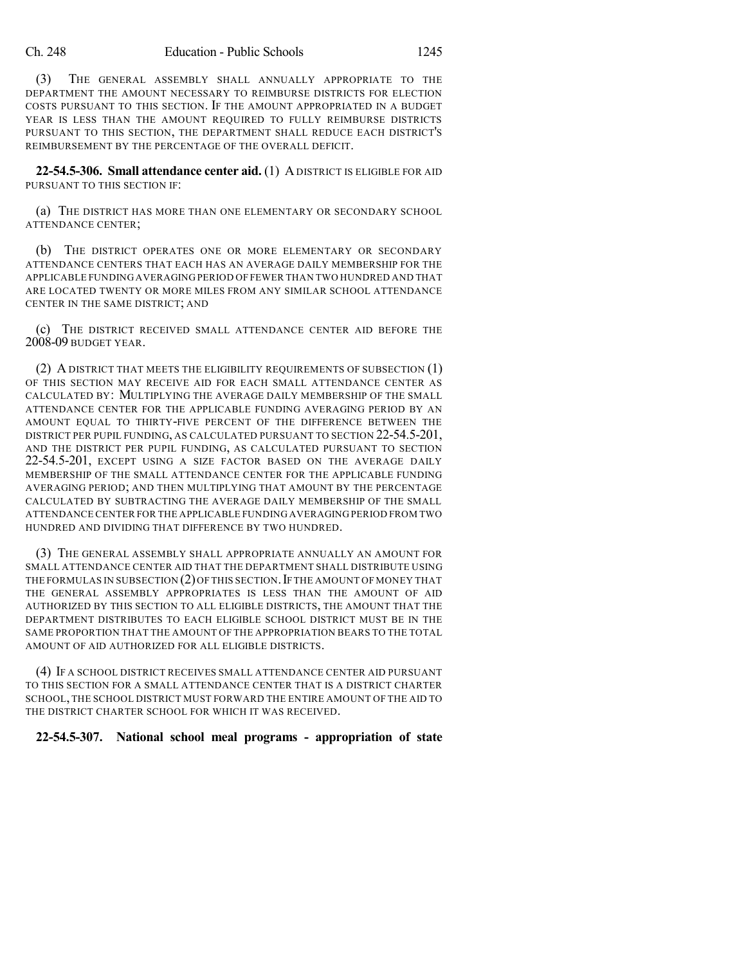(3) THE GENERAL ASSEMBLY SHALL ANNUALLY APPROPRIATE TO THE DEPARTMENT THE AMOUNT NECESSARY TO REIMBURSE DISTRICTS FOR ELECTION COSTS PURSUANT TO THIS SECTION. IF THE AMOUNT APPROPRIATED IN A BUDGET YEAR IS LESS THAN THE AMOUNT REQUIRED TO FULLY REIMBURSE DISTRICTS PURSUANT TO THIS SECTION, THE DEPARTMENT SHALL REDUCE EACH DISTRICT'S REIMBURSEMENT BY THE PERCENTAGE OF THE OVERALL DEFICIT.

**22-54.5-306. Small attendance center aid.** (1) ADISTRICT IS ELIGIBLE FOR AID PURSUANT TO THIS SECTION IF:

(a) THE DISTRICT HAS MORE THAN ONE ELEMENTARY OR SECONDARY SCHOOL ATTENDANCE CENTER;

(b) THE DISTRICT OPERATES ONE OR MORE ELEMENTARY OR SECONDARY ATTENDANCE CENTERS THAT EACH HAS AN AVERAGE DAILY MEMBERSHIP FOR THE APPLICABLE FUNDING AVERAGING PERIOD OF FEWER THAN TWO HUNDRED AND THAT ARE LOCATED TWENTY OR MORE MILES FROM ANY SIMILAR SCHOOL ATTENDANCE CENTER IN THE SAME DISTRICT; AND

(c) THE DISTRICT RECEIVED SMALL ATTENDANCE CENTER AID BEFORE THE 2008-09 BUDGET YEAR.

(2) A DISTRICT THAT MEETS THE ELIGIBILITY REQUIREMENTS OF SUBSECTION (1) OF THIS SECTION MAY RECEIVE AID FOR EACH SMALL ATTENDANCE CENTER AS CALCULATED BY: MULTIPLYING THE AVERAGE DAILY MEMBERSHIP OF THE SMALL ATTENDANCE CENTER FOR THE APPLICABLE FUNDING AVERAGING PERIOD BY AN AMOUNT EQUAL TO THIRTY-FIVE PERCENT OF THE DIFFERENCE BETWEEN THE DISTRICT PER PUPIL FUNDING, AS CALCULATED PURSUANT TO SECTION 22-54.5-201, AND THE DISTRICT PER PUPIL FUNDING, AS CALCULATED PURSUANT TO SECTION 22-54.5-201, EXCEPT USING A SIZE FACTOR BASED ON THE AVERAGE DAILY MEMBERSHIP OF THE SMALL ATTENDANCE CENTER FOR THE APPLICABLE FUNDING AVERAGING PERIOD; AND THEN MULTIPLYING THAT AMOUNT BY THE PERCENTAGE CALCULATED BY SUBTRACTING THE AVERAGE DAILY MEMBERSHIP OF THE SMALL ATTENDANCE CENTER FOR THE APPLICABLE FUNDING AVERAGING PERIOD FROM TWO HUNDRED AND DIVIDING THAT DIFFERENCE BY TWO HUNDRED.

(3) THE GENERAL ASSEMBLY SHALL APPROPRIATE ANNUALLY AN AMOUNT FOR SMALL ATTENDANCE CENTER AID THAT THE DEPARTMENT SHALL DISTRIBUTE USING THE FORMULAS IN SUBSECTION (2) OF THIS SECTION. IF THE AMOUNT OF MONEY THAT THE GENERAL ASSEMBLY APPROPRIATES IS LESS THAN THE AMOUNT OF AID AUTHORIZED BY THIS SECTION TO ALL ELIGIBLE DISTRICTS, THE AMOUNT THAT THE DEPARTMENT DISTRIBUTES TO EACH ELIGIBLE SCHOOL DISTRICT MUST BE IN THE SAME PROPORTION THAT THE AMOUNT OF THE APPROPRIATION BEARS TO THE TOTAL AMOUNT OF AID AUTHORIZED FOR ALL ELIGIBLE DISTRICTS.

(4) IF A SCHOOL DISTRICT RECEIVES SMALL ATTENDANCE CENTER AID PURSUANT TO THIS SECTION FOR A SMALL ATTENDANCE CENTER THAT IS A DISTRICT CHARTER SCHOOL, THE SCHOOL DISTRICT MUST FORWARD THE ENTIRE AMOUNT OF THE AID TO THE DISTRICT CHARTER SCHOOL FOR WHICH IT WAS RECEIVED.

### **22-54.5-307. National school meal programs - appropriation of state**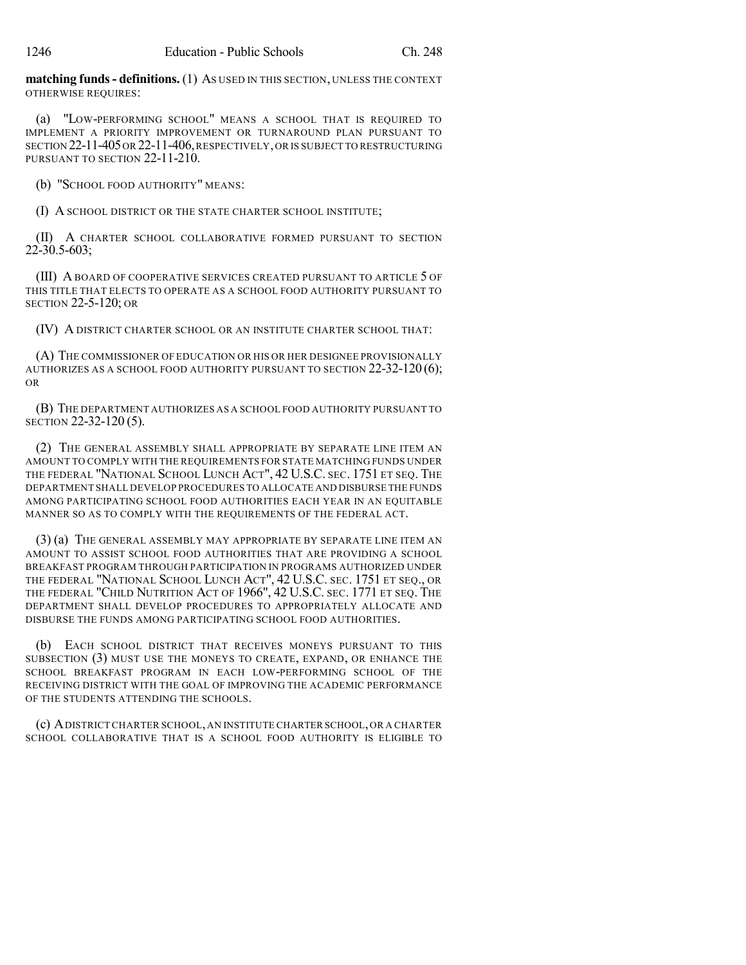**matching funds- definitions.** (1) AS USED IN THIS SECTION, UNLESS THE CONTEXT OTHERWISE REQUIRES:

(a) "LOW-PERFORMING SCHOOL" MEANS A SCHOOL THAT IS REQUIRED TO IMPLEMENT A PRIORITY IMPROVEMENT OR TURNAROUND PLAN PURSUANT TO SECTION 22-11-405 OR 22-11-406, RESPECTIVELY, OR IS SUBJECT TO RESTRUCTURING PURSUANT TO SECTION 22-11-210.

(b) "SCHOOL FOOD AUTHORITY" MEANS:

(I) A SCHOOL DISTRICT OR THE STATE CHARTER SCHOOL INSTITUTE;

(II) A CHARTER SCHOOL COLLABORATIVE FORMED PURSUANT TO SECTION 22-30.5-603;

(III) A BOARD OF COOPERATIVE SERVICES CREATED PURSUANT TO ARTICLE 5 OF THIS TITLE THAT ELECTS TO OPERATE AS A SCHOOL FOOD AUTHORITY PURSUANT TO SECTION 22-5-120; OR

(IV) A DISTRICT CHARTER SCHOOL OR AN INSTITUTE CHARTER SCHOOL THAT:

(A) THE COMMISSIONER OF EDUCATION OR HIS OR HER DESIGNEE PROVISIONALLY AUTHORIZES AS A SCHOOL FOOD AUTHORITY PURSUANT TO SECTION  $22-32-120(6)$ ; OR

(B) THE DEPARTMENT AUTHORIZES AS A SCHOOL FOOD AUTHORITY PURSUANT TO SECTION 22-32-120 (5).

(2) THE GENERAL ASSEMBLY SHALL APPROPRIATE BY SEPARATE LINE ITEM AN AMOUNT TO COMPLY WITH THE REQUIREMENTS FOR STATE MATCHING FUNDS UNDER THE FEDERAL "NATIONAL SCHOOL LUNCH ACT", 42 U.S.C. SEC. 1751 ET SEQ. THE DEPARTMENT SHALL DEVELOP PROCEDURES TO ALLOCATE AND DISBURSE THE FUNDS AMONG PARTICIPATING SCHOOL FOOD AUTHORITIES EACH YEAR IN AN EQUITABLE MANNER SO AS TO COMPLY WITH THE REQUIREMENTS OF THE FEDERAL ACT.

(3) (a) THE GENERAL ASSEMBLY MAY APPROPRIATE BY SEPARATE LINE ITEM AN AMOUNT TO ASSIST SCHOOL FOOD AUTHORITIES THAT ARE PROVIDING A SCHOOL BREAKFAST PROGRAM THROUGH PARTICIPATION IN PROGRAMS AUTHORIZED UNDER THE FEDERAL "NATIONAL SCHOOL LUNCH ACT", 42 U.S.C. SEC. 1751 ET SEQ., OR THE FEDERAL "CHILD NUTRITION ACT OF 1966", 42 U.S.C. SEC. 1771 ET SEQ. THE DEPARTMENT SHALL DEVELOP PROCEDURES TO APPROPRIATELY ALLOCATE AND DISBURSE THE FUNDS AMONG PARTICIPATING SCHOOL FOOD AUTHORITIES.

(b) EACH SCHOOL DISTRICT THAT RECEIVES MONEYS PURSUANT TO THIS SUBSECTION (3) MUST USE THE MONEYS TO CREATE, EXPAND, OR ENHANCE THE SCHOOL BREAKFAST PROGRAM IN EACH LOW-PERFORMING SCHOOL OF THE RECEIVING DISTRICT WITH THE GOAL OF IMPROVING THE ACADEMIC PERFORMANCE OF THE STUDENTS ATTENDING THE SCHOOLS.

(c) ADISTRICT CHARTER SCHOOL,AN INSTITUTE CHARTER SCHOOL,OR A CHARTER SCHOOL COLLABORATIVE THAT IS A SCHOOL FOOD AUTHORITY IS ELIGIBLE TO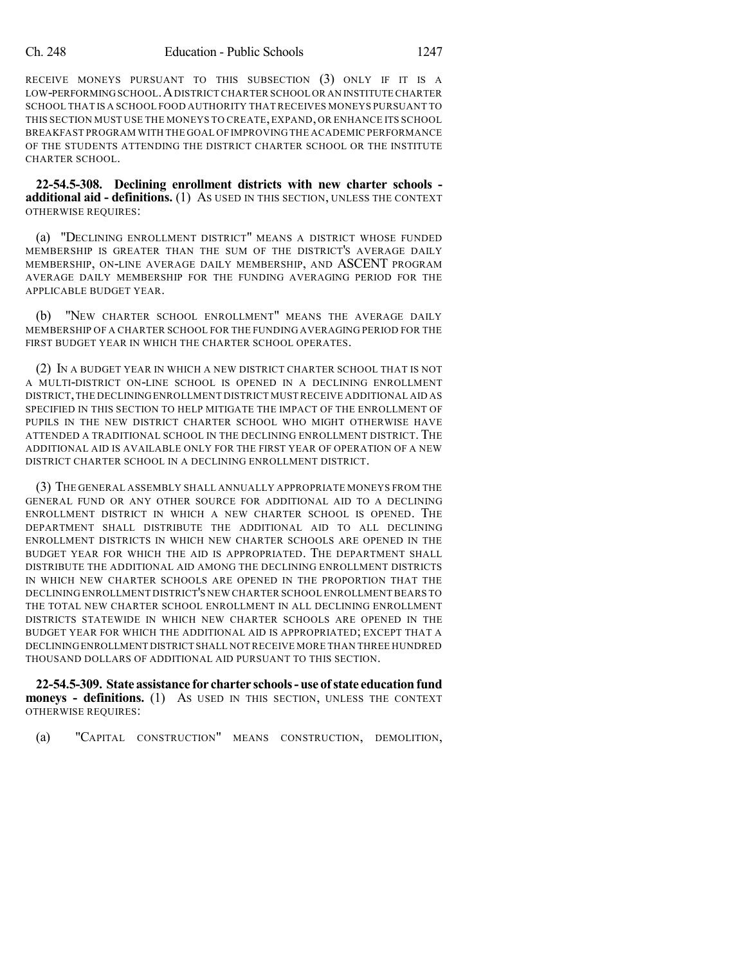RECEIVE MONEYS PURSUANT TO THIS SUBSECTION (3) ONLY IF IT IS A LOW-PERFORMING SCHOOL.ADISTRICTCHARTER SCHOOL OR AN INSTITUTE CHARTER SCHOOL THAT IS A SCHOOL FOOD AUTHORITY THAT RECEIVES MONEYS PURSUANT TO THIS SECTION MUST USE THE MONEYS TO CREATE, EXPAND, OR ENHANCE ITS SCHOOL BREAKFAST PROGRAM WITH THE GOAL OF IMPROVING THE ACADEMIC PERFORMANCE OF THE STUDENTS ATTENDING THE DISTRICT CHARTER SCHOOL OR THE INSTITUTE CHARTER SCHOOL.

**22-54.5-308. Declining enrollment districts with new charter schools additional aid - definitions.** (1) AS USED IN THIS SECTION, UNLESS THE CONTEXT OTHERWISE REQUIRES:

(a) "DECLINING ENROLLMENT DISTRICT" MEANS A DISTRICT WHOSE FUNDED MEMBERSHIP IS GREATER THAN THE SUM OF THE DISTRICT'S AVERAGE DAILY MEMBERSHIP, ON-LINE AVERAGE DAILY MEMBERSHIP, AND ASCENT PROGRAM AVERAGE DAILY MEMBERSHIP FOR THE FUNDING AVERAGING PERIOD FOR THE APPLICABLE BUDGET YEAR.

(b) "NEW CHARTER SCHOOL ENROLLMENT" MEANS THE AVERAGE DAILY MEMBERSHIP OF A CHARTER SCHOOL FOR THE FUNDING AVERAGING PERIOD FOR THE FIRST BUDGET YEAR IN WHICH THE CHARTER SCHOOL OPERATES.

(2) IN A BUDGET YEAR IN WHICH A NEW DISTRICT CHARTER SCHOOL THAT IS NOT A MULTI-DISTRICT ON-LINE SCHOOL IS OPENED IN A DECLINING ENROLLMENT DISTRICT,THE DECLININGENROLLMENT DISTRICT MUST RECEIVE ADDITIONAL AID AS SPECIFIED IN THIS SECTION TO HELP MITIGATE THE IMPACT OF THE ENROLLMENT OF PUPILS IN THE NEW DISTRICT CHARTER SCHOOL WHO MIGHT OTHERWISE HAVE ATTENDED A TRADITIONAL SCHOOL IN THE DECLINING ENROLLMENT DISTRICT. THE ADDITIONAL AID IS AVAILABLE ONLY FOR THE FIRST YEAR OF OPERATION OF A NEW DISTRICT CHARTER SCHOOL IN A DECLINING ENROLLMENT DISTRICT.

(3) THE GENERAL ASSEMBLY SHALL ANNUALLY APPROPRIATE MONEYS FROM THE GENERAL FUND OR ANY OTHER SOURCE FOR ADDITIONAL AID TO A DECLINING ENROLLMENT DISTRICT IN WHICH A NEW CHARTER SCHOOL IS OPENED. THE DEPARTMENT SHALL DISTRIBUTE THE ADDITIONAL AID TO ALL DECLINING ENROLLMENT DISTRICTS IN WHICH NEW CHARTER SCHOOLS ARE OPENED IN THE BUDGET YEAR FOR WHICH THE AID IS APPROPRIATED. THE DEPARTMENT SHALL DISTRIBUTE THE ADDITIONAL AID AMONG THE DECLINING ENROLLMENT DISTRICTS IN WHICH NEW CHARTER SCHOOLS ARE OPENED IN THE PROPORTION THAT THE DECLINING ENROLLMENT DISTRICT'S NEW CHARTER SCHOOL ENROLLMENT BEARS TO THE TOTAL NEW CHARTER SCHOOL ENROLLMENT IN ALL DECLINING ENROLLMENT DISTRICTS STATEWIDE IN WHICH NEW CHARTER SCHOOLS ARE OPENED IN THE BUDGET YEAR FOR WHICH THE ADDITIONAL AID IS APPROPRIATED; EXCEPT THAT A DECLININGENROLLMENT DISTRICT SHALL NOT RECEIVE MORE THAN THREE HUNDRED THOUSAND DOLLARS OF ADDITIONAL AID PURSUANT TO THIS SECTION.

**22-54.5-309. State assistance for charter schools-use of state educationfund moneys - definitions.** (1) AS USED IN THIS SECTION, UNLESS THE CONTEXT OTHERWISE REQUIRES:

(a) "CAPITAL CONSTRUCTION" MEANS CONSTRUCTION, DEMOLITION,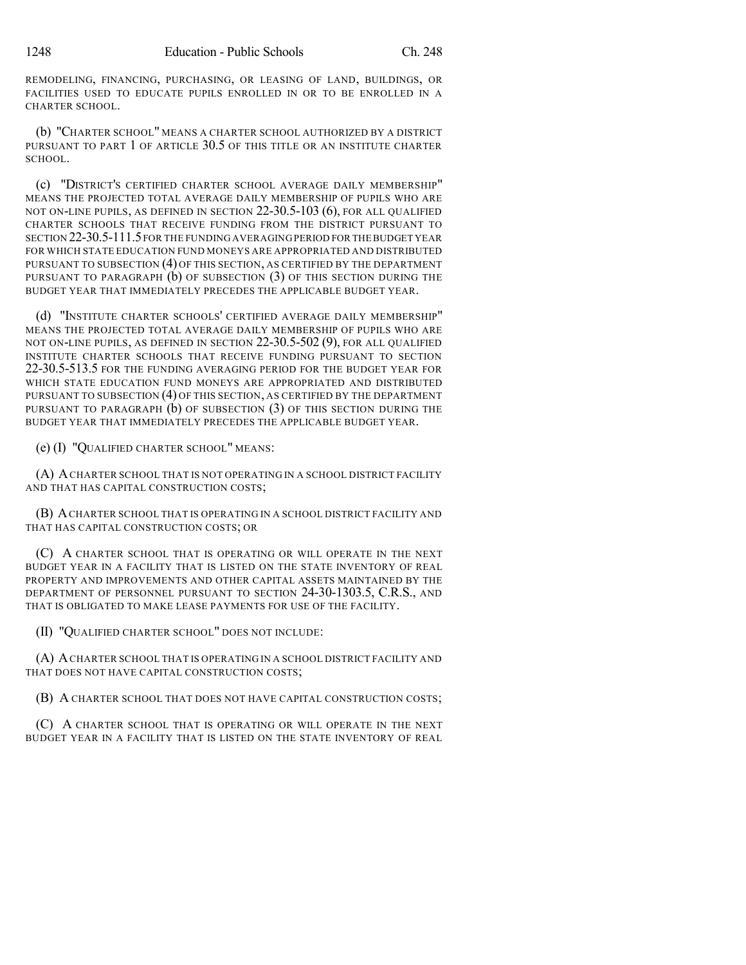REMODELING, FINANCING, PURCHASING, OR LEASING OF LAND, BUILDINGS, OR FACILITIES USED TO EDUCATE PUPILS ENROLLED IN OR TO BE ENROLLED IN A CHARTER SCHOOL.

(b) "CHARTER SCHOOL" MEANS A CHARTER SCHOOL AUTHORIZED BY A DISTRICT PURSUANT TO PART 1 OF ARTICLE 30.5 OF THIS TITLE OR AN INSTITUTE CHARTER SCHOOL.

(c) "DISTRICT'S CERTIFIED CHARTER SCHOOL AVERAGE DAILY MEMBERSHIP" MEANS THE PROJECTED TOTAL AVERAGE DAILY MEMBERSHIP OF PUPILS WHO ARE NOT ON-LINE PUPILS, AS DEFINED IN SECTION 22-30.5-103 (6), FOR ALL QUALIFIED CHARTER SCHOOLS THAT RECEIVE FUNDING FROM THE DISTRICT PURSUANT TO SECTION 22-30.5-111.5FOR THE FUNDING AVERAGING PERIOD FOR THEBUDGET YEAR FOR WHICH STATE EDUCATION FUND MONEYS ARE APPROPRIATED AND DISTRIBUTED PURSUANT TO SUBSECTION (4) OF THIS SECTION, AS CERTIFIED BY THE DEPARTMENT PURSUANT TO PARAGRAPH (b) OF SUBSECTION (3) OF THIS SECTION DURING THE BUDGET YEAR THAT IMMEDIATELY PRECEDES THE APPLICABLE BUDGET YEAR.

(d) "INSTITUTE CHARTER SCHOOLS' CERTIFIED AVERAGE DAILY MEMBERSHIP" MEANS THE PROJECTED TOTAL AVERAGE DAILY MEMBERSHIP OF PUPILS WHO ARE NOT ON-LINE PUPILS, AS DEFINED IN SECTION 22-30.5-502 (9), FOR ALL QUALIFIED INSTITUTE CHARTER SCHOOLS THAT RECEIVE FUNDING PURSUANT TO SECTION 22-30.5-513.5 FOR THE FUNDING AVERAGING PERIOD FOR THE BUDGET YEAR FOR WHICH STATE EDUCATION FUND MONEYS ARE APPROPRIATED AND DISTRIBUTED PURSUANT TO SUBSECTION (4) OF THIS SECTION, AS CERTIFIED BY THE DEPARTMENT PURSUANT TO PARAGRAPH (b) OF SUBSECTION (3) OF THIS SECTION DURING THE BUDGET YEAR THAT IMMEDIATELY PRECEDES THE APPLICABLE BUDGET YEAR.

(e) (I) "QUALIFIED CHARTER SCHOOL" MEANS:

(A) ACHARTER SCHOOL THAT IS NOT OPERATING IN A SCHOOL DISTRICT FACILITY AND THAT HAS CAPITAL CONSTRUCTION COSTS;

(B) ACHARTER SCHOOL THAT IS OPERATING IN A SCHOOL DISTRICT FACILITY AND THAT HAS CAPITAL CONSTRUCTION COSTS; OR

(C) A CHARTER SCHOOL THAT IS OPERATING OR WILL OPERATE IN THE NEXT BUDGET YEAR IN A FACILITY THAT IS LISTED ON THE STATE INVENTORY OF REAL PROPERTY AND IMPROVEMENTS AND OTHER CAPITAL ASSETS MAINTAINED BY THE DEPARTMENT OF PERSONNEL PURSUANT TO SECTION 24-30-1303.5, C.R.S., AND THAT IS OBLIGATED TO MAKE LEASE PAYMENTS FOR USE OF THE FACILITY.

(II) "QUALIFIED CHARTER SCHOOL" DOES NOT INCLUDE:

(A) ACHARTER SCHOOL THAT IS OPERATING IN A SCHOOL DISTRICT FACILITY AND THAT DOES NOT HAVE CAPITAL CONSTRUCTION COSTS;

(B) A CHARTER SCHOOL THAT DOES NOT HAVE CAPITAL CONSTRUCTION COSTS;

(C) A CHARTER SCHOOL THAT IS OPERATING OR WILL OPERATE IN THE NEXT BUDGET YEAR IN A FACILITY THAT IS LISTED ON THE STATE INVENTORY OF REAL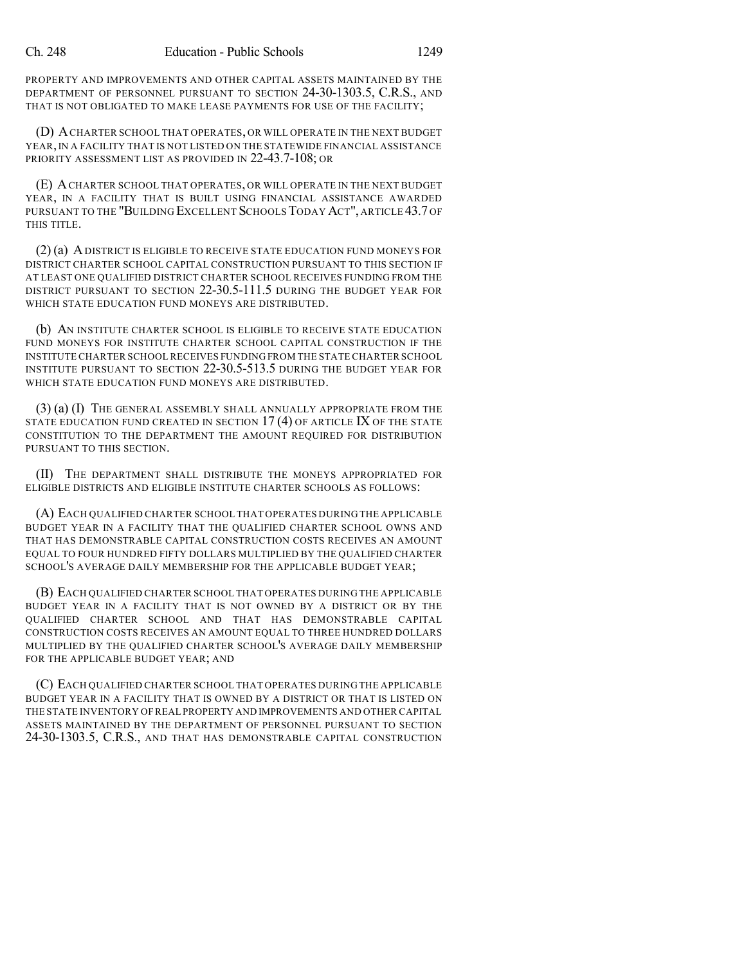PROPERTY AND IMPROVEMENTS AND OTHER CAPITAL ASSETS MAINTAINED BY THE DEPARTMENT OF PERSONNEL PURSUANT TO SECTION 24-30-1303.5, C.R.S., AND THAT IS NOT OBLIGATED TO MAKE LEASE PAYMENTS FOR USE OF THE FACILITY;

(D) ACHARTER SCHOOL THAT OPERATES, OR WILL OPERATE IN THE NEXT BUDGET YEAR,IN A FACILITY THAT IS NOT LISTED ON THE STATEWIDE FINANCIAL ASSISTANCE PRIORITY ASSESSMENT LIST AS PROVIDED IN 22-43.7-108; OR

(E) ACHARTER SCHOOL THAT OPERATES, OR WILL OPERATE IN THE NEXT BUDGET YEAR, IN A FACILITY THAT IS BUILT USING FINANCIAL ASSISTANCE AWARDED PURSUANT TO THE "BUILDING EXCELLENT SCHOOLS TODAY ACT", ARTICLE 43.7 OF THIS TITLE.

(2) (a) ADISTRICT IS ELIGIBLE TO RECEIVE STATE EDUCATION FUND MONEYS FOR DISTRICT CHARTER SCHOOL CAPITAL CONSTRUCTION PURSUANT TO THIS SECTION IF AT LEAST ONE QUALIFIED DISTRICT CHARTER SCHOOL RECEIVES FUNDING FROM THE DISTRICT PURSUANT TO SECTION 22-30.5-111.5 DURING THE BUDGET YEAR FOR WHICH STATE EDUCATION FUND MONEYS ARE DISTRIBUTED.

(b) AN INSTITUTE CHARTER SCHOOL IS ELIGIBLE TO RECEIVE STATE EDUCATION FUND MONEYS FOR INSTITUTE CHARTER SCHOOL CAPITAL CONSTRUCTION IF THE INSTITUTE CHARTER SCHOOL RECEIVES FUNDING FROM THE STATE CHARTER SCHOOL INSTITUTE PURSUANT TO SECTION 22-30.5-513.5 DURING THE BUDGET YEAR FOR WHICH STATE EDUCATION FUND MONEYS ARE DISTRIBUTED.

(3) (a) (I) THE GENERAL ASSEMBLY SHALL ANNUALLY APPROPRIATE FROM THE STATE EDUCATION FUND CREATED IN SECTION 17 (4) OF ARTICLE IX OF THE STATE CONSTITUTION TO THE DEPARTMENT THE AMOUNT REQUIRED FOR DISTRIBUTION PURSUANT TO THIS SECTION.

(II) THE DEPARTMENT SHALL DISTRIBUTE THE MONEYS APPROPRIATED FOR ELIGIBLE DISTRICTS AND ELIGIBLE INSTITUTE CHARTER SCHOOLS AS FOLLOWS:

(A) EACH QUALIFIED CHARTER SCHOOL THAT OPERATES DURING THE APPLICABLE BUDGET YEAR IN A FACILITY THAT THE QUALIFIED CHARTER SCHOOL OWNS AND THAT HAS DEMONSTRABLE CAPITAL CONSTRUCTION COSTS RECEIVES AN AMOUNT EQUAL TO FOUR HUNDRED FIFTY DOLLARS MULTIPLIED BY THE QUALIFIED CHARTER SCHOOL'S AVERAGE DAILY MEMBERSHIP FOR THE APPLICABLE BUDGET YEAR;

(B) EACH QUALIFIED CHARTER SCHOOL THAT OPERATES DURING THE APPLICABLE BUDGET YEAR IN A FACILITY THAT IS NOT OWNED BY A DISTRICT OR BY THE QUALIFIED CHARTER SCHOOL AND THAT HAS DEMONSTRABLE CAPITAL CONSTRUCTION COSTS RECEIVES AN AMOUNT EQUAL TO THREE HUNDRED DOLLARS MULTIPLIED BY THE QUALIFIED CHARTER SCHOOL'S AVERAGE DAILY MEMBERSHIP FOR THE APPLICABLE BUDGET YEAR; AND

(C) EACH QUALIFIED CHARTER SCHOOL THAT OPERATES DURING THE APPLICABLE BUDGET YEAR IN A FACILITY THAT IS OWNED BY A DISTRICT OR THAT IS LISTED ON THE STATE INVENTORY OF REAL PROPERTY AND IMPROVEMENTS AND OTHER CAPITAL ASSETS MAINTAINED BY THE DEPARTMENT OF PERSONNEL PURSUANT TO SECTION 24-30-1303.5, C.R.S., AND THAT HAS DEMONSTRABLE CAPITAL CONSTRUCTION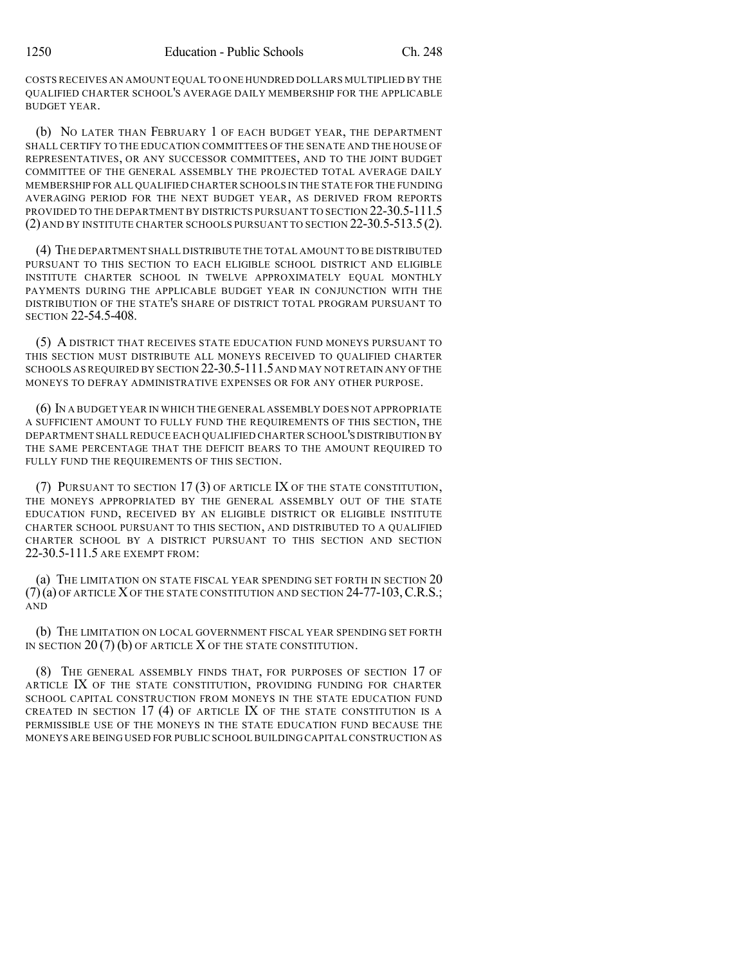COSTS RECEIVES AN AMOUNT EQUAL TO ONE HUNDRED DOLLARS MULTIPLIED BY THE QUALIFIED CHARTER SCHOOL'S AVERAGE DAILY MEMBERSHIP FOR THE APPLICABLE BUDGET YEAR.

(b) NO LATER THAN FEBRUARY 1 OF EACH BUDGET YEAR, THE DEPARTMENT SHALL CERTIFY TO THE EDUCATION COMMITTEES OF THE SENATE AND THE HOUSE OF REPRESENTATIVES, OR ANY SUCCESSOR COMMITTEES, AND TO THE JOINT BUDGET COMMITTEE OF THE GENERAL ASSEMBLY THE PROJECTED TOTAL AVERAGE DAILY MEMBERSHIP FOR ALL QUALIFIED CHARTER SCHOOLS IN THE STATE FOR THE FUNDING AVERAGING PERIOD FOR THE NEXT BUDGET YEAR, AS DERIVED FROM REPORTS PROVIDED TO THE DEPARTMENT BY DISTRICTS PURSUANT TO SECTION 22-30.5-111.5 (2) AND BY INSTITUTE CHARTER SCHOOLS PURSUANT TO SECTION 22-30.5-513.5(2).

(4) THE DEPARTMENT SHALL DISTRIBUTE THE TOTAL AMOUNT TO BE DISTRIBUTED PURSUANT TO THIS SECTION TO EACH ELIGIBLE SCHOOL DISTRICT AND ELIGIBLE INSTITUTE CHARTER SCHOOL IN TWELVE APPROXIMATELY EQUAL MONTHLY PAYMENTS DURING THE APPLICABLE BUDGET YEAR IN CONJUNCTION WITH THE DISTRIBUTION OF THE STATE'S SHARE OF DISTRICT TOTAL PROGRAM PURSUANT TO SECTION 22-54.5-408.

(5) A DISTRICT THAT RECEIVES STATE EDUCATION FUND MONEYS PURSUANT TO THIS SECTION MUST DISTRIBUTE ALL MONEYS RECEIVED TO QUALIFIED CHARTER SCHOOLS AS REQUIRED BY SECTION 22-30.5-111.5AND MAY NOT RETAIN ANY OFTHE MONEYS TO DEFRAY ADMINISTRATIVE EXPENSES OR FOR ANY OTHER PURPOSE.

(6) IN A BUDGET YEAR IN WHICH THE GENERAL ASSEMBLY DOES NOT APPROPRIATE A SUFFICIENT AMOUNT TO FULLY FUND THE REQUIREMENTS OF THIS SECTION, THE DEPARTMENT SHALL REDUCE EACH QUALIFIED CHARTER SCHOOL'S DISTRIBUTION BY THE SAME PERCENTAGE THAT THE DEFICIT BEARS TO THE AMOUNT REQUIRED TO FULLY FUND THE REQUIREMENTS OF THIS SECTION.

(7) PURSUANT TO SECTION 17 (3) OF ARTICLE IX OF THE STATE CONSTITUTION, THE MONEYS APPROPRIATED BY THE GENERAL ASSEMBLY OUT OF THE STATE EDUCATION FUND, RECEIVED BY AN ELIGIBLE DISTRICT OR ELIGIBLE INSTITUTE CHARTER SCHOOL PURSUANT TO THIS SECTION, AND DISTRIBUTED TO A QUALIFIED CHARTER SCHOOL BY A DISTRICT PURSUANT TO THIS SECTION AND SECTION 22-30.5-111.5 ARE EXEMPT FROM:

(a) THE LIMITATION ON STATE FISCAL YEAR SPENDING SET FORTH IN SECTION 20  $(7)(a)$  OF ARTICLE X OF THE STATE CONSTITUTION AND SECTION  $24-77-103$ , C.R.S.; AND

(b) THE LIMITATION ON LOCAL GOVERNMENT FISCAL YEAR SPENDING SET FORTH IN SECTION  $20(7)$  (b) OF ARTICLE X OF THE STATE CONSTITUTION.

(8) THE GENERAL ASSEMBLY FINDS THAT, FOR PURPOSES OF SECTION 17 OF ARTICLE IX OF THE STATE CONSTITUTION, PROVIDING FUNDING FOR CHARTER SCHOOL CAPITAL CONSTRUCTION FROM MONEYS IN THE STATE EDUCATION FUND CREATED IN SECTION 17 (4) OF ARTICLE IX OF THE STATE CONSTITUTION IS A PERMISSIBLE USE OF THE MONEYS IN THE STATE EDUCATION FUND BECAUSE THE MONEYS ARE BEING USED FOR PUBLIC SCHOOLBUILDING CAPITAL CONSTRUCTION AS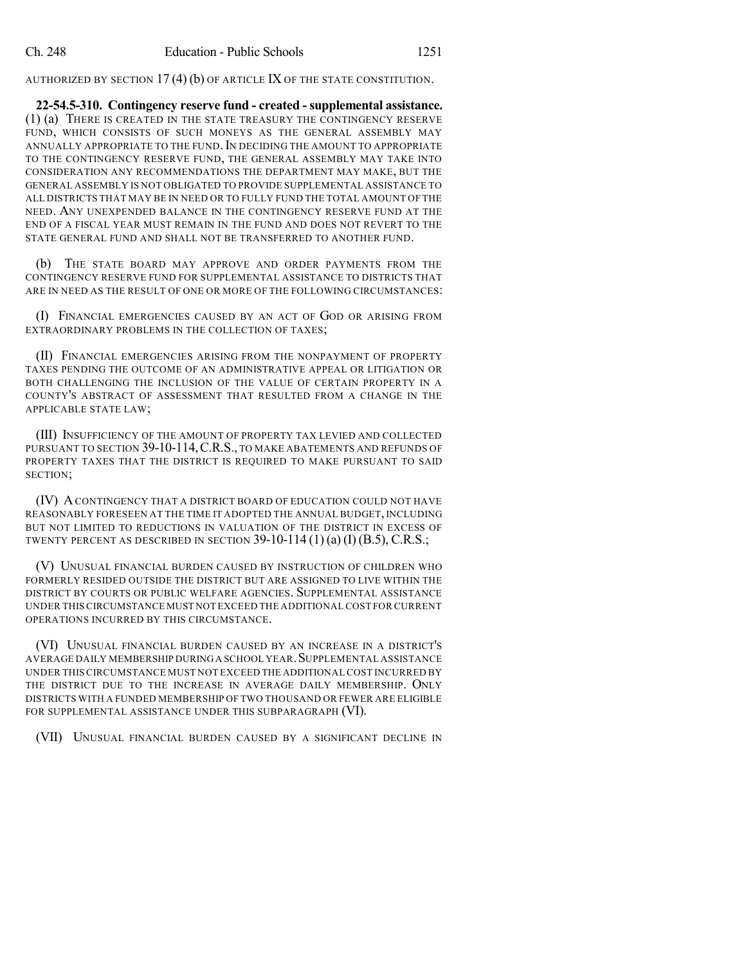AUTHORIZED BY SECTION 17 (4) (b) OF ARTICLE IX OF THE STATE CONSTITUTION.

**22-54.5-310. Contingency reserve fund - created -supplemental assistance.** (1) (a) THERE IS CREATED IN THE STATE TREASURY THE CONTINGENCY RESERVE FUND, WHICH CONSISTS OF SUCH MONEYS AS THE GENERAL ASSEMBLY MAY ANNUALLY APPROPRIATE TO THE FUND. IN DECIDING THE AMOUNT TO APPROPRIATE TO THE CONTINGENCY RESERVE FUND, THE GENERAL ASSEMBLY MAY TAKE INTO CONSIDERATION ANY RECOMMENDATIONS THE DEPARTMENT MAY MAKE, BUT THE GENERAL ASSEMBLY IS NOT OBLIGATED TO PROVIDE SUPPLEMENTAL ASSISTANCE TO ALL DISTRICTS THAT MAY BE IN NEED OR TO FULLY FUND THE TOTAL AMOUNT OF THE NEED. ANY UNEXPENDED BALANCE IN THE CONTINGENCY RESERVE FUND AT THE END OF A FISCAL YEAR MUST REMAIN IN THE FUND AND DOES NOT REVERT TO THE STATE GENERAL FUND AND SHALL NOT BE TRANSFERRED TO ANOTHER FUND.

(b) THE STATE BOARD MAY APPROVE AND ORDER PAYMENTS FROM THE CONTINGENCY RESERVE FUND FOR SUPPLEMENTAL ASSISTANCE TO DISTRICTS THAT ARE IN NEED AS THE RESULT OF ONE OR MORE OF THE FOLLOWING CIRCUMSTANCES:

(I) FINANCIAL EMERGENCIES CAUSED BY AN ACT OF GOD OR ARISING FROM EXTRAORDINARY PROBLEMS IN THE COLLECTION OF TAXES;

(II) FINANCIAL EMERGENCIES ARISING FROM THE NONPAYMENT OF PROPERTY TAXES PENDING THE OUTCOME OF AN ADMINISTRATIVE APPEAL OR LITIGATION OR BOTH CHALLENGING THE INCLUSION OF THE VALUE OF CERTAIN PROPERTY IN A COUNTY'S ABSTRACT OF ASSESSMENT THAT RESULTED FROM A CHANGE IN THE APPLICABLE STATE LAW;

(III) INSUFFICIENCY OF THE AMOUNT OF PROPERTY TAX LEVIED AND COLLECTED PURSUANT TO SECTION 39-10-114, C.R.S., TO MAKE ABATEMENTS AND REFUNDS OF PROPERTY TAXES THAT THE DISTRICT IS REQUIRED TO MAKE PURSUANT TO SAID SECTION;

(IV) ACONTINGENCY THAT A DISTRICT BOARD OF EDUCATION COULD NOT HAVE REASONABLY FORESEEN AT THE TIME IT ADOPTED THE ANNUAL BUDGET, INCLUDING BUT NOT LIMITED TO REDUCTIONS IN VALUATION OF THE DISTRICT IN EXCESS OF TWENTY PERCENT AS DESCRIBED IN SECTION  $39-10-114(1)$  (a) (I) (B.5), C.R.S.;

(V) UNUSUAL FINANCIAL BURDEN CAUSED BY INSTRUCTION OF CHILDREN WHO FORMERLY RESIDED OUTSIDE THE DISTRICT BUT ARE ASSIGNED TO LIVE WITHIN THE DISTRICT BY COURTS OR PUBLIC WELFARE AGENCIES. SUPPLEMENTAL ASSISTANCE UNDER THIS CIRCUMSTANCE MUST NOT EXCEED THE ADDITIONAL COST FOR CURRENT OPERATIONS INCURRED BY THIS CIRCUMSTANCE.

(VI) UNUSUAL FINANCIAL BURDEN CAUSED BY AN INCREASE IN A DISTRICT'S AVERAGE DAILY MEMBERSHIP DURINGA SCHOOL YEAR.SUPPLEMENTAL ASSISTANCE UNDER THIS CIRCUMSTANCE MUST NOT EXCEED THE ADDITIONAL COST INCURRED BY THE DISTRICT DUE TO THE INCREASE IN AVERAGE DAILY MEMBERSHIP. ONLY DISTRICTS WITH A FUNDED MEMBERSHIP OF TWO THOUSAND OR FEWER ARE ELIGIBLE FOR SUPPLEMENTAL ASSISTANCE UNDER THIS SUBPARAGRAPH (VI).

(VII) UNUSUAL FINANCIAL BURDEN CAUSED BY A SIGNIFICANT DECLINE IN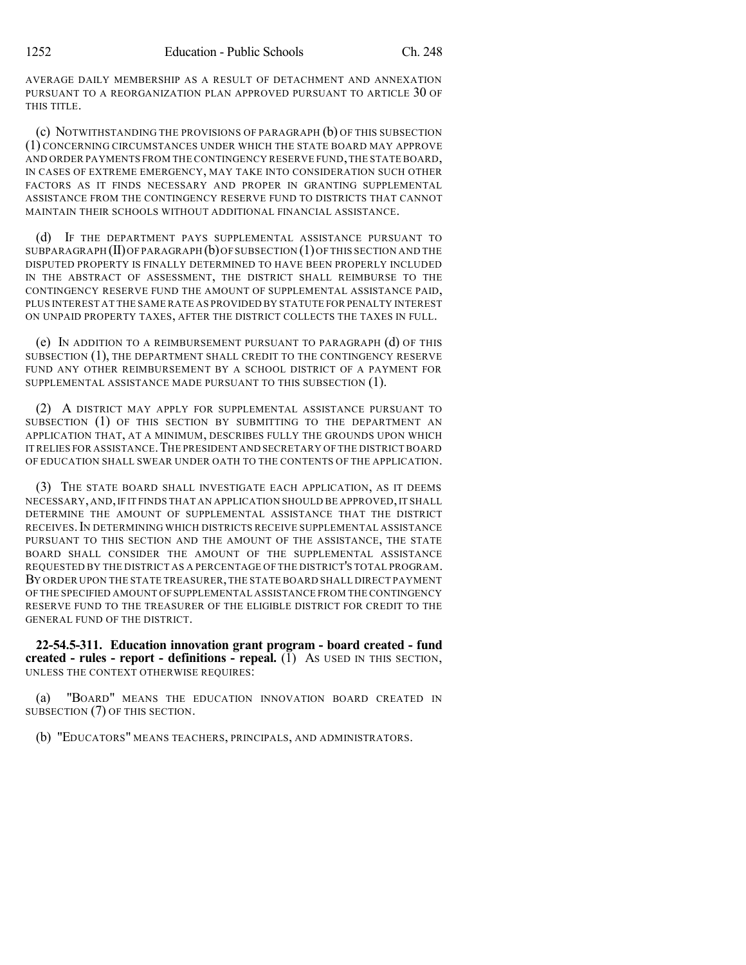AVERAGE DAILY MEMBERSHIP AS A RESULT OF DETACHMENT AND ANNEXATION PURSUANT TO A REORGANIZATION PLAN APPROVED PURSUANT TO ARTICLE 30 OF THIS TITLE.

(c) NOTWITHSTANDING THE PROVISIONS OF PARAGRAPH (b) OF THIS SUBSECTION (1) CONCERNING CIRCUMSTANCES UNDER WHICH THE STATE BOARD MAY APPROVE AND ORDER PAYMENTS FROM THE CONTINGENCY RESERVE FUND,THE STATE BOARD, IN CASES OF EXTREME EMERGENCY, MAY TAKE INTO CONSIDERATION SUCH OTHER FACTORS AS IT FINDS NECESSARY AND PROPER IN GRANTING SUPPLEMENTAL ASSISTANCE FROM THE CONTINGENCY RESERVE FUND TO DISTRICTS THAT CANNOT MAINTAIN THEIR SCHOOLS WITHOUT ADDITIONAL FINANCIAL ASSISTANCE.

(d) IF THE DEPARTMENT PAYS SUPPLEMENTAL ASSISTANCE PURSUANT TO SUBPARAGRAPH  $(II)$  OF PARAGRAPH  $(b)$  OF SUBSECTION  $(1)$  OF THIS SECTION AND THE DISPUTED PROPERTY IS FINALLY DETERMINED TO HAVE BEEN PROPERLY INCLUDED IN THE ABSTRACT OF ASSESSMENT, THE DISTRICT SHALL REIMBURSE TO THE CONTINGENCY RESERVE FUND THE AMOUNT OF SUPPLEMENTAL ASSISTANCE PAID, PLUS INTEREST AT THE SAME RATE AS PROVIDED BY STATUTE FOR PENALTY INTEREST ON UNPAID PROPERTY TAXES, AFTER THE DISTRICT COLLECTS THE TAXES IN FULL.

(e) IN ADDITION TO A REIMBURSEMENT PURSUANT TO PARAGRAPH (d) OF THIS SUBSECTION (1), THE DEPARTMENT SHALL CREDIT TO THE CONTINGENCY RESERVE FUND ANY OTHER REIMBURSEMENT BY A SCHOOL DISTRICT OF A PAYMENT FOR SUPPLEMENTAL ASSISTANCE MADE PURSUANT TO THIS SUBSECTION (1).

(2) A DISTRICT MAY APPLY FOR SUPPLEMENTAL ASSISTANCE PURSUANT TO SUBSECTION (1) OF THIS SECTION BY SUBMITTING TO THE DEPARTMENT AN APPLICATION THAT, AT A MINIMUM, DESCRIBES FULLY THE GROUNDS UPON WHICH IT RELIES FOR ASSISTANCE. THE PRESIDENT AND SECRETARY OF THE DISTRICT BOARD OF EDUCATION SHALL SWEAR UNDER OATH TO THE CONTENTS OF THE APPLICATION.

(3) THE STATE BOARD SHALL INVESTIGATE EACH APPLICATION, AS IT DEEMS NECESSARY, AND, IF IT FINDS THAT AN APPLICATION SHOULD BE APPROVED, IT SHALL DETERMINE THE AMOUNT OF SUPPLEMENTAL ASSISTANCE THAT THE DISTRICT RECEIVES.IN DETERMINING WHICH DISTRICTS RECEIVE SUPPLEMENTAL ASSISTANCE PURSUANT TO THIS SECTION AND THE AMOUNT OF THE ASSISTANCE, THE STATE BOARD SHALL CONSIDER THE AMOUNT OF THE SUPPLEMENTAL ASSISTANCE REQUESTED BY THE DISTRICT AS A PERCENTAGE OF THE DISTRICT'S TOTAL PROGRAM. BY ORDER UPON THE STATE TREASURER,THE STATE BOARD SHALL DIRECT PAYMENT OF THE SPECIFIED AMOUNT OF SUPPLEMENTAL ASSISTANCE FROM THE CONTINGENCY RESERVE FUND TO THE TREASURER OF THE ELIGIBLE DISTRICT FOR CREDIT TO THE GENERAL FUND OF THE DISTRICT.

**22-54.5-311. Education innovation grant program - board created - fund created - rules - report - definitions - repeal.** (1) AS USED IN THIS SECTION, UNLESS THE CONTEXT OTHERWISE REQUIRES:

(a) "BOARD" MEANS THE EDUCATION INNOVATION BOARD CREATED IN SUBSECTION (7) OF THIS SECTION.

(b) "EDUCATORS" MEANS TEACHERS, PRINCIPALS, AND ADMINISTRATORS.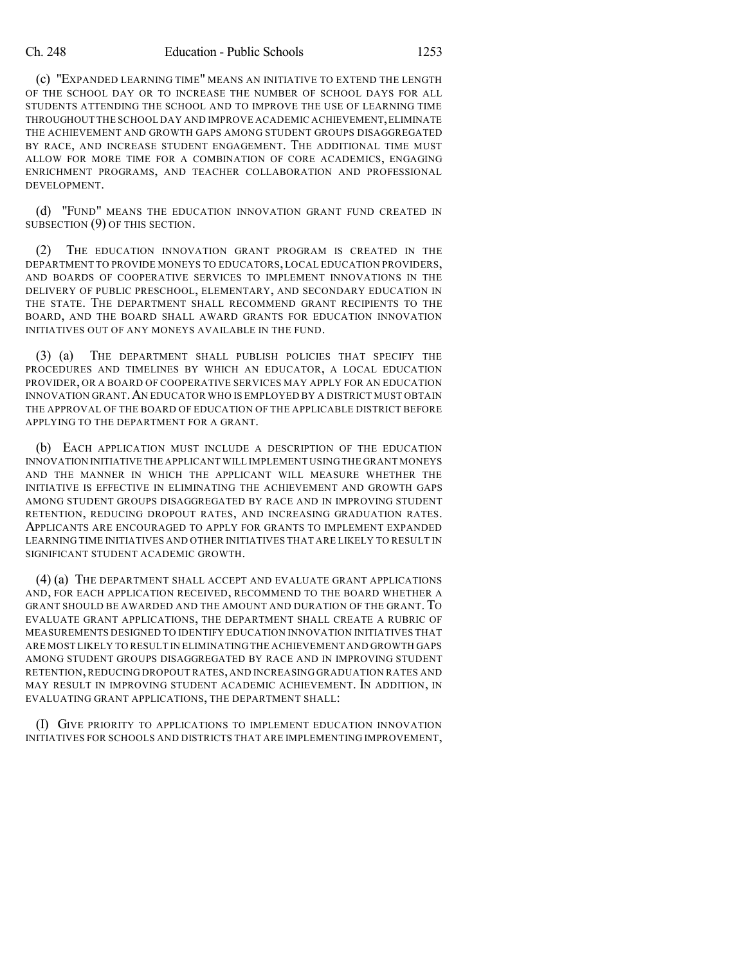(c) "EXPANDED LEARNING TIME" MEANS AN INITIATIVE TO EXTEND THE LENGTH OF THE SCHOOL DAY OR TO INCREASE THE NUMBER OF SCHOOL DAYS FOR ALL STUDENTS ATTENDING THE SCHOOL AND TO IMPROVE THE USE OF LEARNING TIME THROUGHOUT THE SCHOOL DAY AND IMPROVE ACADEMIC ACHIEVEMENT, ELIMINATE THE ACHIEVEMENT AND GROWTH GAPS AMONG STUDENT GROUPS DISAGGREGATED BY RACE, AND INCREASE STUDENT ENGAGEMENT. THE ADDITIONAL TIME MUST ALLOW FOR MORE TIME FOR A COMBINATION OF CORE ACADEMICS, ENGAGING ENRICHMENT PROGRAMS, AND TEACHER COLLABORATION AND PROFESSIONAL DEVELOPMENT.

(d) "FUND" MEANS THE EDUCATION INNOVATION GRANT FUND CREATED IN SUBSECTION (9) OF THIS SECTION.

(2) THE EDUCATION INNOVATION GRANT PROGRAM IS CREATED IN THE DEPARTMENT TO PROVIDE MONEYS TO EDUCATORS, LOCAL EDUCATION PROVIDERS, AND BOARDS OF COOPERATIVE SERVICES TO IMPLEMENT INNOVATIONS IN THE DELIVERY OF PUBLIC PRESCHOOL, ELEMENTARY, AND SECONDARY EDUCATION IN THE STATE. THE DEPARTMENT SHALL RECOMMEND GRANT RECIPIENTS TO THE BOARD, AND THE BOARD SHALL AWARD GRANTS FOR EDUCATION INNOVATION INITIATIVES OUT OF ANY MONEYS AVAILABLE IN THE FUND.

(3) (a) THE DEPARTMENT SHALL PUBLISH POLICIES THAT SPECIFY THE PROCEDURES AND TIMELINES BY WHICH AN EDUCATOR, A LOCAL EDUCATION PROVIDER, OR A BOARD OF COOPERATIVE SERVICES MAY APPLY FOR AN EDUCATION INNOVATION GRANT.AN EDUCATOR WHO IS EMPLOYED BY A DISTRICT MUST OBTAIN THE APPROVAL OF THE BOARD OF EDUCATION OF THE APPLICABLE DISTRICT BEFORE APPLYING TO THE DEPARTMENT FOR A GRANT.

(b) EACH APPLICATION MUST INCLUDE A DESCRIPTION OF THE EDUCATION INNOVATION INITIATIVE THE APPLICANT WILL IMPLEMENT USING THE GRANT MONEYS AND THE MANNER IN WHICH THE APPLICANT WILL MEASURE WHETHER THE INITIATIVE IS EFFECTIVE IN ELIMINATING THE ACHIEVEMENT AND GROWTH GAPS AMONG STUDENT GROUPS DISAGGREGATED BY RACE AND IN IMPROVING STUDENT RETENTION, REDUCING DROPOUT RATES, AND INCREASING GRADUATION RATES. APPLICANTS ARE ENCOURAGED TO APPLY FOR GRANTS TO IMPLEMENT EXPANDED LEARNING TIME INITIATIVES AND OTHER INITIATIVES THAT ARE LIKELY TO RESULT IN SIGNIFICANT STUDENT ACADEMIC GROWTH.

(4) (a) THE DEPARTMENT SHALL ACCEPT AND EVALUATE GRANT APPLICATIONS AND, FOR EACH APPLICATION RECEIVED, RECOMMEND TO THE BOARD WHETHER A GRANT SHOULD BE AWARDED AND THE AMOUNT AND DURATION OF THE GRANT. TO EVALUATE GRANT APPLICATIONS, THE DEPARTMENT SHALL CREATE A RUBRIC OF MEASUREMENTS DESIGNED TO IDENTIFY EDUCATION INNOVATION INITIATIVES THAT ARE MOST LIKELY TO RESULT IN ELIMINATING THE ACHIEVEMENT AND GROWTH GAPS AMONG STUDENT GROUPS DISAGGREGATED BY RACE AND IN IMPROVING STUDENT RETENTION, REDUCING DROPOUT RATES, AND INCREASING GRADUATION RATES AND MAY RESULT IN IMPROVING STUDENT ACADEMIC ACHIEVEMENT. IN ADDITION, IN EVALUATING GRANT APPLICATIONS, THE DEPARTMENT SHALL:

(I) GIVE PRIORITY TO APPLICATIONS TO IMPLEMENT EDUCATION INNOVATION INITIATIVES FOR SCHOOLS AND DISTRICTS THAT ARE IMPLEMENTING IMPROVEMENT,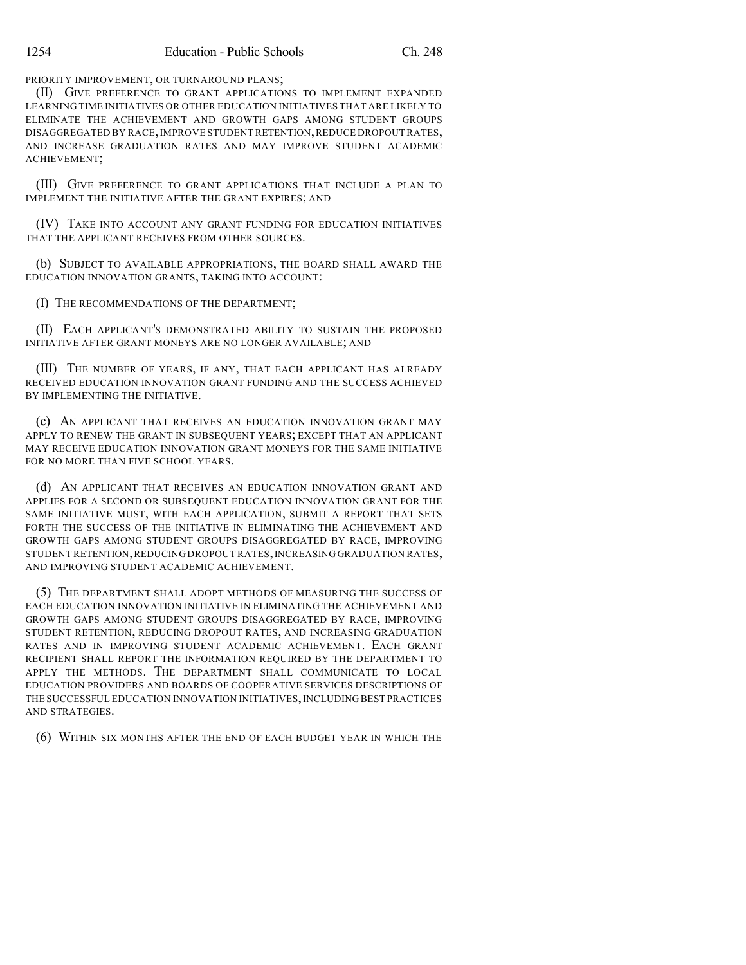PRIORITY IMPROVEMENT, OR TURNAROUND PLANS;

(II) GIVE PREFERENCE TO GRANT APPLICATIONS TO IMPLEMENT EXPANDED LEARNING TIME INITIATIVES OR OTHER EDUCATION INITIATIVES THAT ARE LIKELY TO ELIMINATE THE ACHIEVEMENT AND GROWTH GAPS AMONG STUDENT GROUPS DISAGGREGATED BY RACE,IMPROVE STUDENT RETENTION,REDUCE DROPOUT RATES, AND INCREASE GRADUATION RATES AND MAY IMPROVE STUDENT ACADEMIC ACHIEVEMENT;

(III) GIVE PREFERENCE TO GRANT APPLICATIONS THAT INCLUDE A PLAN TO IMPLEMENT THE INITIATIVE AFTER THE GRANT EXPIRES; AND

(IV) TAKE INTO ACCOUNT ANY GRANT FUNDING FOR EDUCATION INITIATIVES THAT THE APPLICANT RECEIVES FROM OTHER SOURCES.

(b) SUBJECT TO AVAILABLE APPROPRIATIONS, THE BOARD SHALL AWARD THE EDUCATION INNOVATION GRANTS, TAKING INTO ACCOUNT:

(I) THE RECOMMENDATIONS OF THE DEPARTMENT;

(II) EACH APPLICANT'S DEMONSTRATED ABILITY TO SUSTAIN THE PROPOSED INITIATIVE AFTER GRANT MONEYS ARE NO LONGER AVAILABLE; AND

(III) THE NUMBER OF YEARS, IF ANY, THAT EACH APPLICANT HAS ALREADY RECEIVED EDUCATION INNOVATION GRANT FUNDING AND THE SUCCESS ACHIEVED BY IMPLEMENTING THE INITIATIVE.

(c) AN APPLICANT THAT RECEIVES AN EDUCATION INNOVATION GRANT MAY APPLY TO RENEW THE GRANT IN SUBSEQUENT YEARS; EXCEPT THAT AN APPLICANT MAY RECEIVE EDUCATION INNOVATION GRANT MONEYS FOR THE SAME INITIATIVE FOR NO MORE THAN FIVE SCHOOL YEARS.

(d) AN APPLICANT THAT RECEIVES AN EDUCATION INNOVATION GRANT AND APPLIES FOR A SECOND OR SUBSEQUENT EDUCATION INNOVATION GRANT FOR THE SAME INITIATIVE MUST, WITH EACH APPLICATION, SUBMIT A REPORT THAT SETS FORTH THE SUCCESS OF THE INITIATIVE IN ELIMINATING THE ACHIEVEMENT AND GROWTH GAPS AMONG STUDENT GROUPS DISAGGREGATED BY RACE, IMPROVING STUDENT RETENTION,REDUCING DROPOUT RATES,INCREASING GRADUATION RATES, AND IMPROVING STUDENT ACADEMIC ACHIEVEMENT.

(5) THE DEPARTMENT SHALL ADOPT METHODS OF MEASURING THE SUCCESS OF EACH EDUCATION INNOVATION INITIATIVE IN ELIMINATING THE ACHIEVEMENT AND GROWTH GAPS AMONG STUDENT GROUPS DISAGGREGATED BY RACE, IMPROVING STUDENT RETENTION, REDUCING DROPOUT RATES, AND INCREASING GRADUATION RATES AND IN IMPROVING STUDENT ACADEMIC ACHIEVEMENT. EACH GRANT RECIPIENT SHALL REPORT THE INFORMATION REQUIRED BY THE DEPARTMENT TO APPLY THE METHODS. THE DEPARTMENT SHALL COMMUNICATE TO LOCAL EDUCATION PROVIDERS AND BOARDS OF COOPERATIVE SERVICES DESCRIPTIONS OF THE SUCCESSFUL EDUCATION INNOVATION INITIATIVES,INCLUDING BEST PRACTICES AND STRATEGIES.

(6) WITHIN SIX MONTHS AFTER THE END OF EACH BUDGET YEAR IN WHICH THE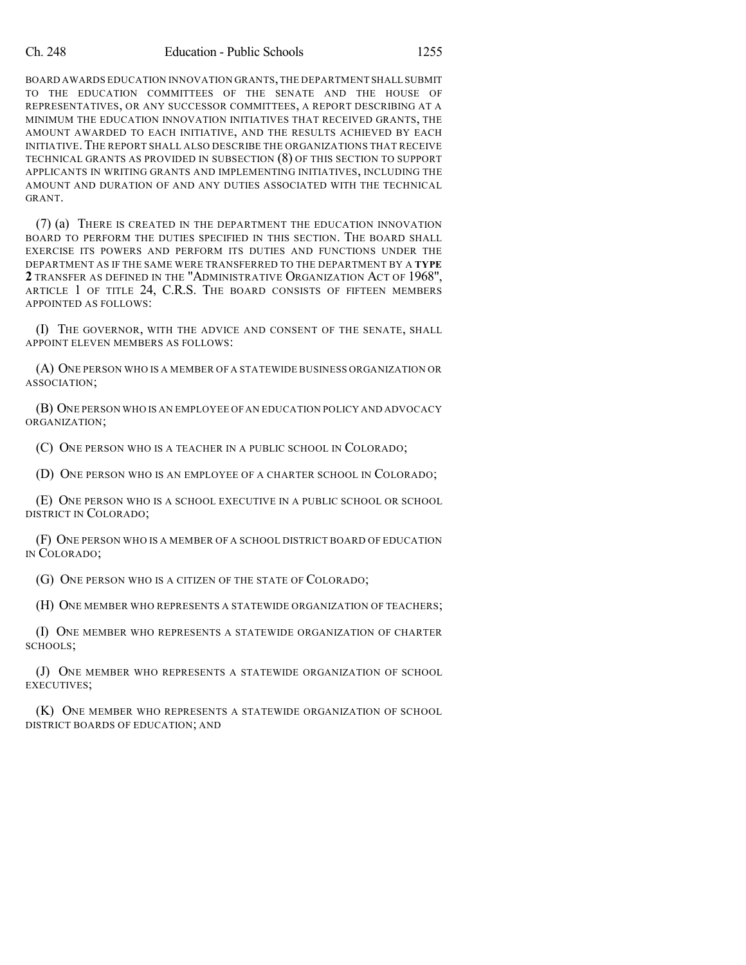BOARD AWARDS EDUCATION INNOVATION GRANTS,THE DEPARTMENT SHALL SUBMIT TO THE EDUCATION COMMITTEES OF THE SENATE AND THE HOUSE OF REPRESENTATIVES, OR ANY SUCCESSOR COMMITTEES, A REPORT DESCRIBING AT A MINIMUM THE EDUCATION INNOVATION INITIATIVES THAT RECEIVED GRANTS, THE AMOUNT AWARDED TO EACH INITIATIVE, AND THE RESULTS ACHIEVED BY EACH INITIATIVE.THE REPORT SHALL ALSO DESCRIBE THE ORGANIZATIONS THAT RECEIVE TECHNICAL GRANTS AS PROVIDED IN SUBSECTION (8) OF THIS SECTION TO SUPPORT APPLICANTS IN WRITING GRANTS AND IMPLEMENTING INITIATIVES, INCLUDING THE AMOUNT AND DURATION OF AND ANY DUTIES ASSOCIATED WITH THE TECHNICAL GRANT.

(7) (a) THERE IS CREATED IN THE DEPARTMENT THE EDUCATION INNOVATION BOARD TO PERFORM THE DUTIES SPECIFIED IN THIS SECTION. THE BOARD SHALL EXERCISE ITS POWERS AND PERFORM ITS DUTIES AND FUNCTIONS UNDER THE DEPARTMENT AS IF THE SAME WERE TRANSFERRED TO THE DEPARTMENT BY A **TYPE 2** TRANSFER AS DEFINED IN THE "ADMINISTRATIVE ORGANIZATION ACT OF 1968", ARTICLE 1 OF TITLE 24, C.R.S. THE BOARD CONSISTS OF FIFTEEN MEMBERS APPOINTED AS FOLLOWS:

(I) THE GOVERNOR, WITH THE ADVICE AND CONSENT OF THE SENATE, SHALL APPOINT ELEVEN MEMBERS AS FOLLOWS:

(A) ONE PERSON WHO IS A MEMBER OF A STATEWIDE BUSINESS ORGANIZATION OR ASSOCIATION;

(B) ONE PERSON WHO IS AN EMPLOYEE OF AN EDUCATION POLICY AND ADVOCACY ORGANIZATION;

(C) ONE PERSON WHO IS A TEACHER IN A PUBLIC SCHOOL IN COLORADO;

(D) ONE PERSON WHO IS AN EMPLOYEE OF A CHARTER SCHOOL IN COLORADO;

(E) ONE PERSON WHO IS A SCHOOL EXECUTIVE IN A PUBLIC SCHOOL OR SCHOOL DISTRICT IN COLORADO;

(F) ONE PERSON WHO IS A MEMBER OF A SCHOOL DISTRICT BOARD OF EDUCATION IN COLORADO;

(G) ONE PERSON WHO IS A CITIZEN OF THE STATE OF COLORADO;

(H) ONE MEMBER WHO REPRESENTS A STATEWIDE ORGANIZATION OF TEACHERS;

(I) ONE MEMBER WHO REPRESENTS A STATEWIDE ORGANIZATION OF CHARTER SCHOOLS;

(J) ONE MEMBER WHO REPRESENTS A STATEWIDE ORGANIZATION OF SCHOOL EXECUTIVES;

(K) ONE MEMBER WHO REPRESENTS A STATEWIDE ORGANIZATION OF SCHOOL DISTRICT BOARDS OF EDUCATION; AND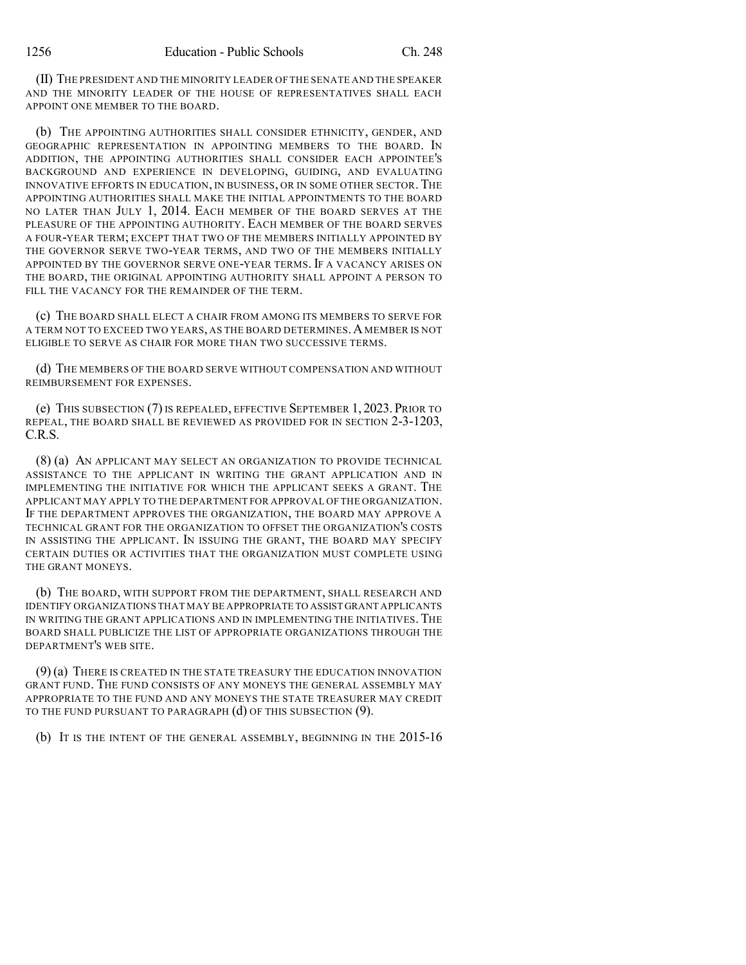(II) THE PRESIDENT AND THE MINORITY LEADER OF THE SENATE AND THE SPEAKER AND THE MINORITY LEADER OF THE HOUSE OF REPRESENTATIVES SHALL EACH APPOINT ONE MEMBER TO THE BOARD.

(b) THE APPOINTING AUTHORITIES SHALL CONSIDER ETHNICITY, GENDER, AND GEOGRAPHIC REPRESENTATION IN APPOINTING MEMBERS TO THE BOARD. IN ADDITION, THE APPOINTING AUTHORITIES SHALL CONSIDER EACH APPOINTEE'S BACKGROUND AND EXPERIENCE IN DEVELOPING, GUIDING, AND EVALUATING INNOVATIVE EFFORTS IN EDUCATION, IN BUSINESS, OR IN SOME OTHER SECTOR. THE APPOINTING AUTHORITIES SHALL MAKE THE INITIAL APPOINTMENTS TO THE BOARD NO LATER THAN JULY 1, 2014. EACH MEMBER OF THE BOARD SERVES AT THE PLEASURE OF THE APPOINTING AUTHORITY. EACH MEMBER OF THE BOARD SERVES A FOUR-YEAR TERM; EXCEPT THAT TWO OF THE MEMBERS INITIALLY APPOINTED BY THE GOVERNOR SERVE TWO-YEAR TERMS, AND TWO OF THE MEMBERS INITIALLY APPOINTED BY THE GOVERNOR SERVE ONE-YEAR TERMS. IF A VACANCY ARISES ON THE BOARD, THE ORIGINAL APPOINTING AUTHORITY SHALL APPOINT A PERSON TO FILL THE VACANCY FOR THE REMAINDER OF THE TERM.

(c) THE BOARD SHALL ELECT A CHAIR FROM AMONG ITS MEMBERS TO SERVE FOR A TERM NOT TO EXCEED TWO YEARS, AS THE BOARD DETERMINES.A MEMBER IS NOT ELIGIBLE TO SERVE AS CHAIR FOR MORE THAN TWO SUCCESSIVE TERMS.

(d) THE MEMBERS OF THE BOARD SERVE WITHOUT COMPENSATION AND WITHOUT REIMBURSEMENT FOR EXPENSES.

(e) THIS SUBSECTION (7) IS REPEALED, EFFECTIVE SEPTEMBER 1, 2023. PRIOR TO REPEAL, THE BOARD SHALL BE REVIEWED AS PROVIDED FOR IN SECTION 2-3-1203, C.R.S.

(8) (a) AN APPLICANT MAY SELECT AN ORGANIZATION TO PROVIDE TECHNICAL ASSISTANCE TO THE APPLICANT IN WRITING THE GRANT APPLICATION AND IN IMPLEMENTING THE INITIATIVE FOR WHICH THE APPLICANT SEEKS A GRANT. THE APPLICANT MAY APPLY TO THE DEPARTMENT FOR APPROVAL OF THE ORGANIZATION. IF THE DEPARTMENT APPROVES THE ORGANIZATION, THE BOARD MAY APPROVE A TECHNICAL GRANT FOR THE ORGANIZATION TO OFFSET THE ORGANIZATION'S COSTS IN ASSISTING THE APPLICANT. IN ISSUING THE GRANT, THE BOARD MAY SPECIFY CERTAIN DUTIES OR ACTIVITIES THAT THE ORGANIZATION MUST COMPLETE USING THE GRANT MONEYS.

(b) THE BOARD, WITH SUPPORT FROM THE DEPARTMENT, SHALL RESEARCH AND IDENTIFY ORGANIZATIONS THAT MAY BE APPROPRIATE TO ASSIST GRANT APPLICANTS IN WRITING THE GRANT APPLICATIONS AND IN IMPLEMENTING THE INITIATIVES. THE BOARD SHALL PUBLICIZE THE LIST OF APPROPRIATE ORGANIZATIONS THROUGH THE DEPARTMENT'S WEB SITE.

(9) (a) THERE IS CREATED IN THE STATE TREASURY THE EDUCATION INNOVATION GRANT FUND. THE FUND CONSISTS OF ANY MONEYS THE GENERAL ASSEMBLY MAY APPROPRIATE TO THE FUND AND ANY MONEYS THE STATE TREASURER MAY CREDIT TO THE FUND PURSUANT TO PARAGRAPH (d) OF THIS SUBSECTION (9).

(b) IT IS THE INTENT OF THE GENERAL ASSEMBLY, BEGINNING IN THE 2015-16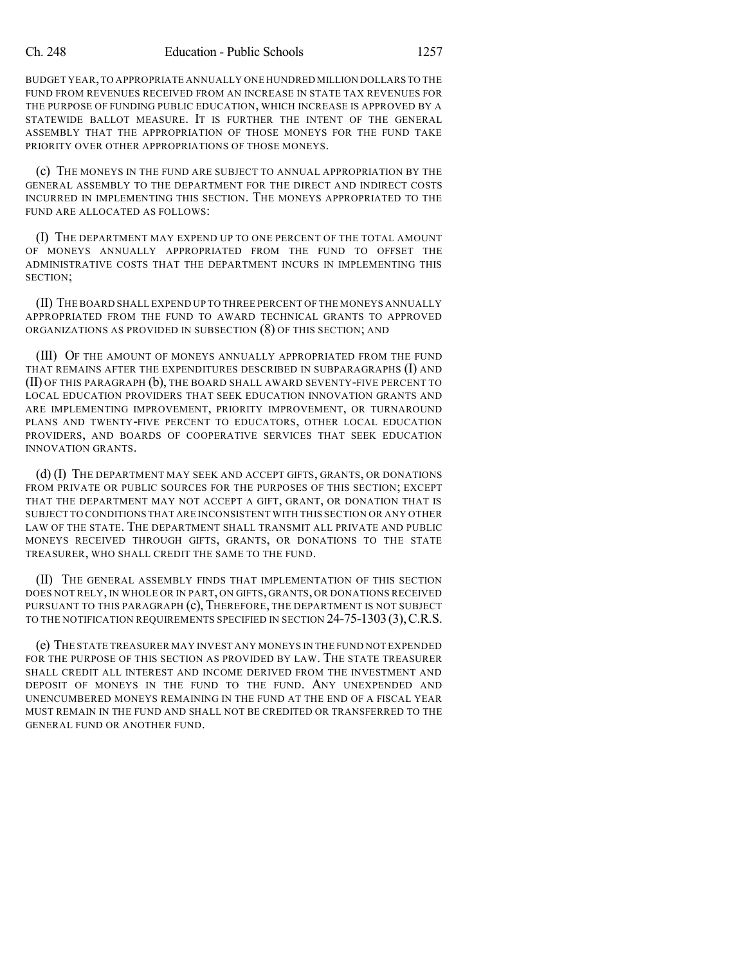BUDGET YEAR,TO APPROPRIATE ANNUALLY ONE HUNDRED MILLION DOLLARS TO THE FUND FROM REVENUES RECEIVED FROM AN INCREASE IN STATE TAX REVENUES FOR THE PURPOSE OF FUNDING PUBLIC EDUCATION, WHICH INCREASE IS APPROVED BY A STATEWIDE BALLOT MEASURE. IT IS FURTHER THE INTENT OF THE GENERAL ASSEMBLY THAT THE APPROPRIATION OF THOSE MONEYS FOR THE FUND TAKE PRIORITY OVER OTHER APPROPRIATIONS OF THOSE MONEYS.

(c) THE MONEYS IN THE FUND ARE SUBJECT TO ANNUAL APPROPRIATION BY THE GENERAL ASSEMBLY TO THE DEPARTMENT FOR THE DIRECT AND INDIRECT COSTS INCURRED IN IMPLEMENTING THIS SECTION. THE MONEYS APPROPRIATED TO THE FUND ARE ALLOCATED AS FOLLOWS:

(I) THE DEPARTMENT MAY EXPEND UP TO ONE PERCENT OF THE TOTAL AMOUNT OF MONEYS ANNUALLY APPROPRIATED FROM THE FUND TO OFFSET THE ADMINISTRATIVE COSTS THAT THE DEPARTMENT INCURS IN IMPLEMENTING THIS SECTION;

(II) THE BOARD SHALL EXPEND UP TO THREE PERCENT OF THE MONEYS ANNUALLY APPROPRIATED FROM THE FUND TO AWARD TECHNICAL GRANTS TO APPROVED ORGANIZATIONS AS PROVIDED IN SUBSECTION (8) OF THIS SECTION; AND

(III) OF THE AMOUNT OF MONEYS ANNUALLY APPROPRIATED FROM THE FUND THAT REMAINS AFTER THE EXPENDITURES DESCRIBED IN SUBPARAGRAPHS (I) AND (II) OF THIS PARAGRAPH (b), THE BOARD SHALL AWARD SEVENTY-FIVE PERCENT TO LOCAL EDUCATION PROVIDERS THAT SEEK EDUCATION INNOVATION GRANTS AND ARE IMPLEMENTING IMPROVEMENT, PRIORITY IMPROVEMENT, OR TURNAROUND PLANS AND TWENTY-FIVE PERCENT TO EDUCATORS, OTHER LOCAL EDUCATION PROVIDERS, AND BOARDS OF COOPERATIVE SERVICES THAT SEEK EDUCATION INNOVATION GRANTS.

(d) (I) THE DEPARTMENT MAY SEEK AND ACCEPT GIFTS, GRANTS, OR DONATIONS FROM PRIVATE OR PUBLIC SOURCES FOR THE PURPOSES OF THIS SECTION; EXCEPT THAT THE DEPARTMENT MAY NOT ACCEPT A GIFT, GRANT, OR DONATION THAT IS SUBJECT TO CONDITIONS THAT ARE INCONSISTENT WITH THIS SECTION OR ANY OTHER LAW OF THE STATE. THE DEPARTMENT SHALL TRANSMIT ALL PRIVATE AND PUBLIC MONEYS RECEIVED THROUGH GIFTS, GRANTS, OR DONATIONS TO THE STATE TREASURER, WHO SHALL CREDIT THE SAME TO THE FUND.

(II) THE GENERAL ASSEMBLY FINDS THAT IMPLEMENTATION OF THIS SECTION DOES NOT RELY, IN WHOLE OR IN PART, ON GIFTS, GRANTS, OR DONATIONS RECEIVED PURSUANT TO THIS PARAGRAPH (c), THEREFORE, THE DEPARTMENT IS NOT SUBJECT TO THE NOTIFICATION REQUIREMENTS SPECIFIED IN SECTION 24-75-1303(3),C.R.S.

(e) THE STATE TREASURER MAY INVEST ANY MONEYS IN THE FUND NOT EXPENDED FOR THE PURPOSE OF THIS SECTION AS PROVIDED BY LAW. THE STATE TREASURER SHALL CREDIT ALL INTEREST AND INCOME DERIVED FROM THE INVESTMENT AND DEPOSIT OF MONEYS IN THE FUND TO THE FUND. ANY UNEXPENDED AND UNENCUMBERED MONEYS REMAINING IN THE FUND AT THE END OF A FISCAL YEAR MUST REMAIN IN THE FUND AND SHALL NOT BE CREDITED OR TRANSFERRED TO THE GENERAL FUND OR ANOTHER FUND.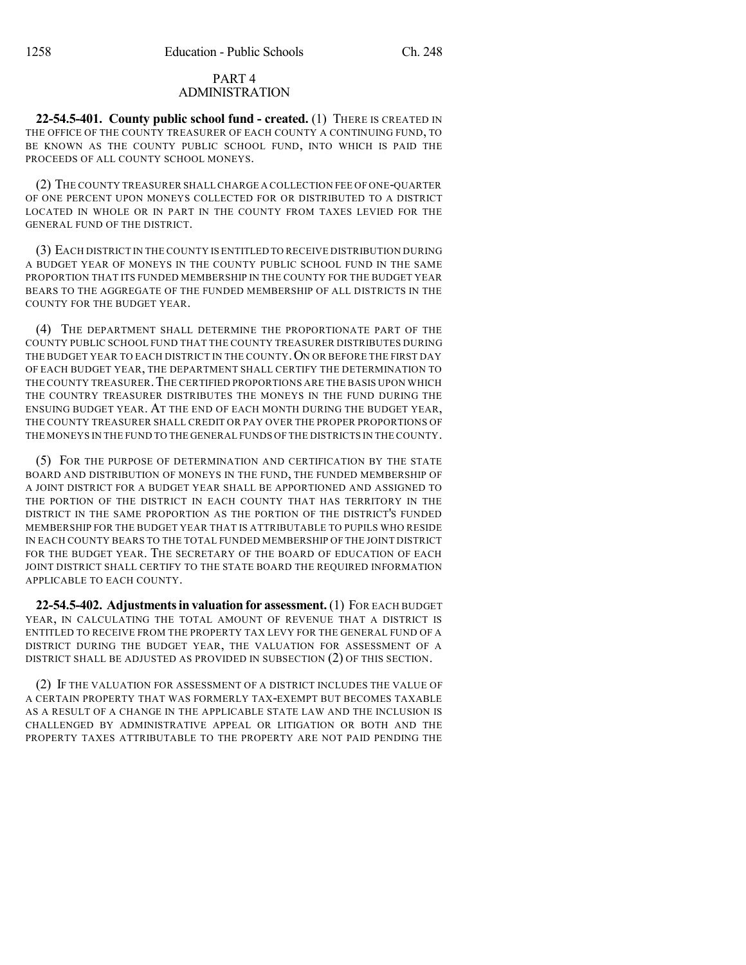# PART 4 ADMINISTRATION

**22-54.5-401. County public school fund - created.** (1) THERE IS CREATED IN THE OFFICE OF THE COUNTY TREASURER OF EACH COUNTY A CONTINUING FUND, TO BE KNOWN AS THE COUNTY PUBLIC SCHOOL FUND, INTO WHICH IS PAID THE PROCEEDS OF ALL COUNTY SCHOOL MONEYS.

(2) THE COUNTY TREASURER SHALLCHARGE A COLLECTION FEE OF ONE-QUARTER OF ONE PERCENT UPON MONEYS COLLECTED FOR OR DISTRIBUTED TO A DISTRICT LOCATED IN WHOLE OR IN PART IN THE COUNTY FROM TAXES LEVIED FOR THE GENERAL FUND OF THE DISTRICT.

(3) EACH DISTRICT IN THE COUNTY IS ENTITLED TO RECEIVE DISTRIBUTION DURING A BUDGET YEAR OF MONEYS IN THE COUNTY PUBLIC SCHOOL FUND IN THE SAME PROPORTION THAT ITS FUNDED MEMBERSHIP IN THE COUNTY FOR THE BUDGET YEAR BEARS TO THE AGGREGATE OF THE FUNDED MEMBERSHIP OF ALL DISTRICTS IN THE COUNTY FOR THE BUDGET YEAR.

(4) THE DEPARTMENT SHALL DETERMINE THE PROPORTIONATE PART OF THE COUNTY PUBLIC SCHOOL FUND THAT THE COUNTY TREASURER DISTRIBUTES DURING THE BUDGET YEAR TO EACH DISTRICT IN THE COUNTY. ON OR BEFORE THE FIRST DAY OF EACH BUDGET YEAR, THE DEPARTMENT SHALL CERTIFY THE DETERMINATION TO THE COUNTY TREASURER. THE CERTIFIED PROPORTIONS ARE THE BASIS UPON WHICH THE COUNTRY TREASURER DISTRIBUTES THE MONEYS IN THE FUND DURING THE ENSUING BUDGET YEAR. AT THE END OF EACH MONTH DURING THE BUDGET YEAR, THE COUNTY TREASURER SHALL CREDIT OR PAY OVER THE PROPER PROPORTIONS OF THE MONEYS IN THE FUND TO THE GENERAL FUNDS OF THE DISTRICTS IN THE COUNTY.

(5) FOR THE PURPOSE OF DETERMINATION AND CERTIFICATION BY THE STATE BOARD AND DISTRIBUTION OF MONEYS IN THE FUND, THE FUNDED MEMBERSHIP OF A JOINT DISTRICT FOR A BUDGET YEAR SHALL BE APPORTIONED AND ASSIGNED TO THE PORTION OF THE DISTRICT IN EACH COUNTY THAT HAS TERRITORY IN THE DISTRICT IN THE SAME PROPORTION AS THE PORTION OF THE DISTRICT'S FUNDED MEMBERSHIP FOR THE BUDGET YEAR THAT IS ATTRIBUTABLE TO PUPILS WHO RESIDE IN EACH COUNTY BEARS TO THE TOTAL FUNDED MEMBERSHIP OF THE JOINT DISTRICT FOR THE BUDGET YEAR. THE SECRETARY OF THE BOARD OF EDUCATION OF EACH JOINT DISTRICT SHALL CERTIFY TO THE STATE BOARD THE REQUIRED INFORMATION APPLICABLE TO EACH COUNTY.

**22-54.5-402. Adjustmentsin valuation for assessment.**(1) FOR EACH BUDGET YEAR, IN CALCULATING THE TOTAL AMOUNT OF REVENUE THAT A DISTRICT IS ENTITLED TO RECEIVE FROM THE PROPERTY TAX LEVY FOR THE GENERAL FUND OF A DISTRICT DURING THE BUDGET YEAR, THE VALUATION FOR ASSESSMENT OF A DISTRICT SHALL BE ADJUSTED AS PROVIDED IN SUBSECTION (2) OF THIS SECTION.

(2) IF THE VALUATION FOR ASSESSMENT OF A DISTRICT INCLUDES THE VALUE OF A CERTAIN PROPERTY THAT WAS FORMERLY TAX-EXEMPT BUT BECOMES TAXABLE AS A RESULT OF A CHANGE IN THE APPLICABLE STATE LAW AND THE INCLUSION IS CHALLENGED BY ADMINISTRATIVE APPEAL OR LITIGATION OR BOTH AND THE PROPERTY TAXES ATTRIBUTABLE TO THE PROPERTY ARE NOT PAID PENDING THE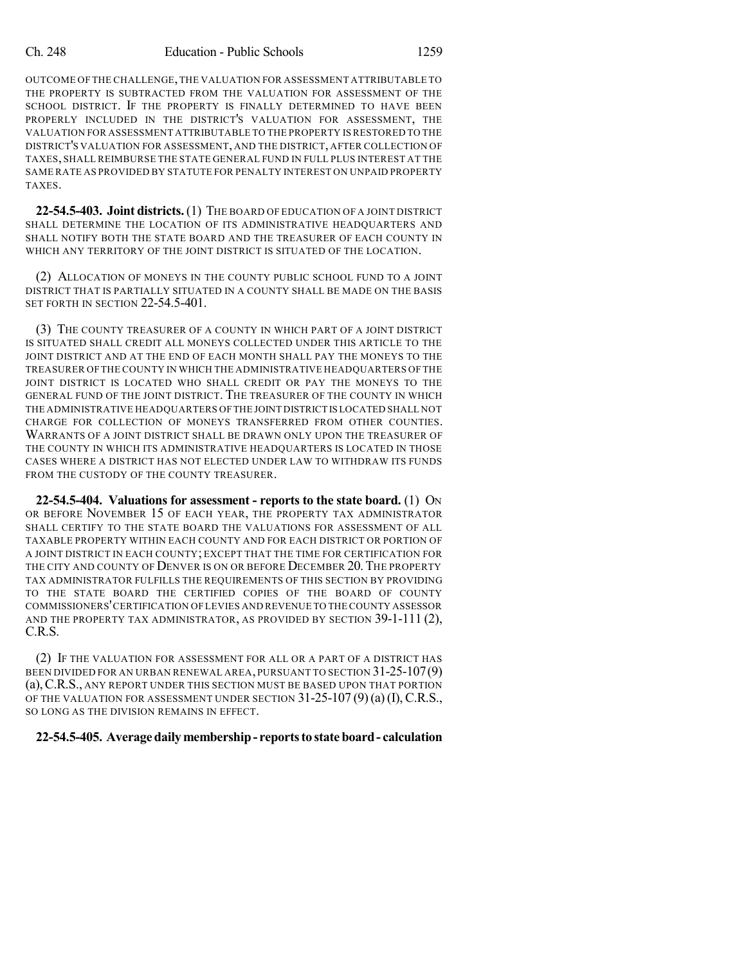OUTCOME OF THE CHALLENGE,THE VALUATION FOR ASSESSMENT ATTRIBUTABLE TO THE PROPERTY IS SUBTRACTED FROM THE VALUATION FOR ASSESSMENT OF THE SCHOOL DISTRICT. IF THE PROPERTY IS FINALLY DETERMINED TO HAVE BEEN PROPERLY INCLUDED IN THE DISTRICT'S VALUATION FOR ASSESSMENT, THE VALUATION FOR ASSESSMENT ATTRIBUTABLE TO THE PROPERTY IS RESTORED TO THE DISTRICT'S VALUATION FOR ASSESSMENT, AND THE DISTRICT, AFTER COLLECTION OF TAXES, SHALL REIMBURSE THE STATE GENERAL FUND IN FULL PLUS INTEREST AT THE SAME RATE AS PROVIDED BY STATUTE FOR PENALTY INTEREST ON UNPAID PROPERTY TAXES.

**22-54.5-403. Joint districts.**(1) THE BOARD OF EDUCATION OF A JOINT DISTRICT SHALL DETERMINE THE LOCATION OF ITS ADMINISTRATIVE HEADQUARTERS AND SHALL NOTIFY BOTH THE STATE BOARD AND THE TREASURER OF EACH COUNTY IN WHICH ANY TERRITORY OF THE JOINT DISTRICT IS SITUATED OF THE LOCATION.

(2) ALLOCATION OF MONEYS IN THE COUNTY PUBLIC SCHOOL FUND TO A JOINT DISTRICT THAT IS PARTIALLY SITUATED IN A COUNTY SHALL BE MADE ON THE BASIS SET FORTH IN SECTION 22-54.5-401.

(3) THE COUNTY TREASURER OF A COUNTY IN WHICH PART OF A JOINT DISTRICT IS SITUATED SHALL CREDIT ALL MONEYS COLLECTED UNDER THIS ARTICLE TO THE JOINT DISTRICT AND AT THE END OF EACH MONTH SHALL PAY THE MONEYS TO THE TREASURER OF THE COUNTY IN WHICH THE ADMINISTRATIVE HEADQUARTERS OF THE JOINT DISTRICT IS LOCATED WHO SHALL CREDIT OR PAY THE MONEYS TO THE GENERAL FUND OF THE JOINT DISTRICT. THE TREASURER OF THE COUNTY IN WHICH THE ADMINISTRATIVE HEADQUARTERS OF THE JOINT DISTRICT IS LOCATED SHALL NOT CHARGE FOR COLLECTION OF MONEYS TRANSFERRED FROM OTHER COUNTIES. WARRANTS OF A JOINT DISTRICT SHALL BE DRAWN ONLY UPON THE TREASURER OF THE COUNTY IN WHICH ITS ADMINISTRATIVE HEADQUARTERS IS LOCATED IN THOSE CASES WHERE A DISTRICT HAS NOT ELECTED UNDER LAW TO WITHDRAW ITS FUNDS FROM THE CUSTODY OF THE COUNTY TREASURER.

**22-54.5-404. Valuations for assessment - reports to the state board.** (1) ON OR BEFORE NOVEMBER 15 OF EACH YEAR, THE PROPERTY TAX ADMINISTRATOR SHALL CERTIFY TO THE STATE BOARD THE VALUATIONS FOR ASSESSMENT OF ALL TAXABLE PROPERTY WITHIN EACH COUNTY AND FOR EACH DISTRICT OR PORTION OF A JOINT DISTRICT IN EACH COUNTY; EXCEPT THAT THE TIME FOR CERTIFICATION FOR THE CITY AND COUNTY OF DENVER IS ON OR BEFORE DECEMBER 20. THE PROPERTY TAX ADMINISTRATOR FULFILLS THE REQUIREMENTS OF THIS SECTION BY PROVIDING TO THE STATE BOARD THE CERTIFIED COPIES OF THE BOARD OF COUNTY COMMISSIONERS'CERTIFICATION OF LEVIES AND REVENUE TO THE COUNTY ASSESSOR AND THE PROPERTY TAX ADMINISTRATOR, AS PROVIDED BY SECTION 39-1-111 (2), C.R.S.

(2) IF THE VALUATION FOR ASSESSMENT FOR ALL OR A PART OF A DISTRICT HAS BEEN DIVIDED FOR AN URBAN RENEWAL AREA, PURSUANT TO SECTION 31-25-107(9) (a),C.R.S., ANY REPORT UNDER THIS SECTION MUST BE BASED UPON THAT PORTION OF THE VALUATION FOR ASSESSMENT UNDER SECTION  $31-25-107(9)(a)(I)$ , C.R.S., SO LONG AS THE DIVISION REMAINS IN EFFECT.

## **22-54.5-405. Averagedailymembership- reportsto stateboard- calculation**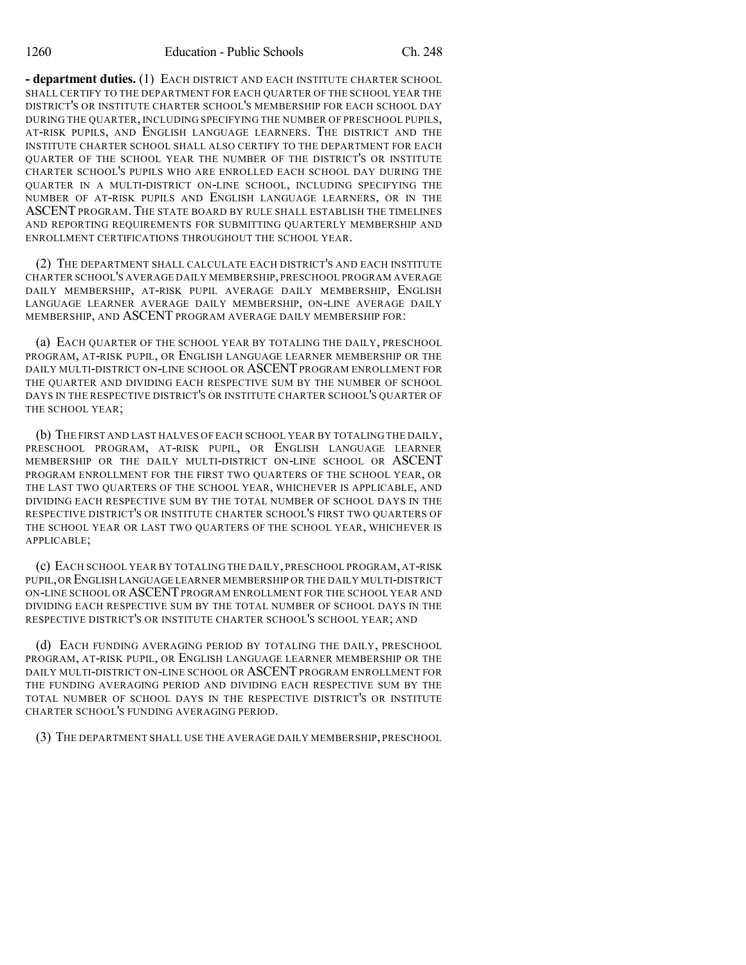**- department duties.** (1) EACH DISTRICT AND EACH INSTITUTE CHARTER SCHOOL SHALL CERTIFY TO THE DEPARTMENT FOR EACH QUARTER OF THE SCHOOL YEAR THE DISTRICT'S OR INSTITUTE CHARTER SCHOOL'S MEMBERSHIP FOR EACH SCHOOL DAY DURING THE QUARTER, INCLUDING SPECIFYING THE NUMBER OF PRESCHOOL PUPILS, AT-RISK PUPILS, AND ENGLISH LANGUAGE LEARNERS. THE DISTRICT AND THE INSTITUTE CHARTER SCHOOL SHALL ALSO CERTIFY TO THE DEPARTMENT FOR EACH QUARTER OF THE SCHOOL YEAR THE NUMBER OF THE DISTRICT'S OR INSTITUTE CHARTER SCHOOL'S PUPILS WHO ARE ENROLLED EACH SCHOOL DAY DURING THE QUARTER IN A MULTI-DISTRICT ON-LINE SCHOOL, INCLUDING SPECIFYING THE NUMBER OF AT-RISK PUPILS AND ENGLISH LANGUAGE LEARNERS, OR IN THE ASCENTPROGRAM. THE STATE BOARD BY RULE SHALL ESTABLISH THE TIMELINES AND REPORTING REQUIREMENTS FOR SUBMITTING QUARTERLY MEMBERSHIP AND ENROLLMENT CERTIFICATIONS THROUGHOUT THE SCHOOL YEAR.

(2) THE DEPARTMENT SHALL CALCULATE EACH DISTRICT'S AND EACH INSTITUTE CHARTER SCHOOL'S AVERAGE DAILY MEMBERSHIP, PRESCHOOL PROGRAM AVERAGE DAILY MEMBERSHIP, AT-RISK PUPIL AVERAGE DAILY MEMBERSHIP, ENGLISH LANGUAGE LEARNER AVERAGE DAILY MEMBERSHIP, ON-LINE AVERAGE DAILY MEMBERSHIP, AND ASCENT PROGRAM AVERAGE DAILY MEMBERSHIP FOR:

(a) EACH QUARTER OF THE SCHOOL YEAR BY TOTALING THE DAILY, PRESCHOOL PROGRAM, AT-RISK PUPIL, OR ENGLISH LANGUAGE LEARNER MEMBERSHIP OR THE DAILY MULTI-DISTRICT ON-LINE SCHOOL OR ASCENT PROGRAM ENROLLMENT FOR THE QUARTER AND DIVIDING EACH RESPECTIVE SUM BY THE NUMBER OF SCHOOL DAYS IN THE RESPECTIVE DISTRICT'S OR INSTITUTE CHARTER SCHOOL'S QUARTER OF THE SCHOOL YEAR;

(b) THE FIRST AND LAST HALVES OF EACH SCHOOL YEAR BY TOTALING THE DAILY, PRESCHOOL PROGRAM, AT-RISK PUPIL, OR ENGLISH LANGUAGE LEARNER MEMBERSHIP OR THE DAILY MULTI-DISTRICT ON-LINE SCHOOL OR ASCENT PROGRAM ENROLLMENT FOR THE FIRST TWO QUARTERS OF THE SCHOOL YEAR, OR THE LAST TWO QUARTERS OF THE SCHOOL YEAR, WHICHEVER IS APPLICABLE, AND DIVIDING EACH RESPECTIVE SUM BY THE TOTAL NUMBER OF SCHOOL DAYS IN THE RESPECTIVE DISTRICT'S OR INSTITUTE CHARTER SCHOOL'S FIRST TWO QUARTERS OF THE SCHOOL YEAR OR LAST TWO QUARTERS OF THE SCHOOL YEAR, WHICHEVER IS APPLICABLE;

(c) EACH SCHOOL YEAR BY TOTALING THE DAILY, PRESCHOOL PROGRAM, AT-RISK PUPIL,OR ENGLISH LANGUAGE LEARNER MEMBERSHIP OR THE DAILY MULTI-DISTRICT ON-LINE SCHOOL OR ASCENTPROGRAM ENROLLMENT FOR THE SCHOOL YEAR AND DIVIDING EACH RESPECTIVE SUM BY THE TOTAL NUMBER OF SCHOOL DAYS IN THE RESPECTIVE DISTRICT'S OR INSTITUTE CHARTER SCHOOL'S SCHOOL YEAR; AND

(d) EACH FUNDING AVERAGING PERIOD BY TOTALING THE DAILY, PRESCHOOL PROGRAM, AT-RISK PUPIL, OR ENGLISH LANGUAGE LEARNER MEMBERSHIP OR THE DAILY MULTI-DISTRICT ON-LINE SCHOOL OR ASCENT PROGRAM ENROLLMENT FOR THE FUNDING AVERAGING PERIOD AND DIVIDING EACH RESPECTIVE SUM BY THE TOTAL NUMBER OF SCHOOL DAYS IN THE RESPECTIVE DISTRICT'S OR INSTITUTE CHARTER SCHOOL'S FUNDING AVERAGING PERIOD.

(3) THE DEPARTMENT SHALL USE THE AVERAGE DAILY MEMBERSHIP, PRESCHOOL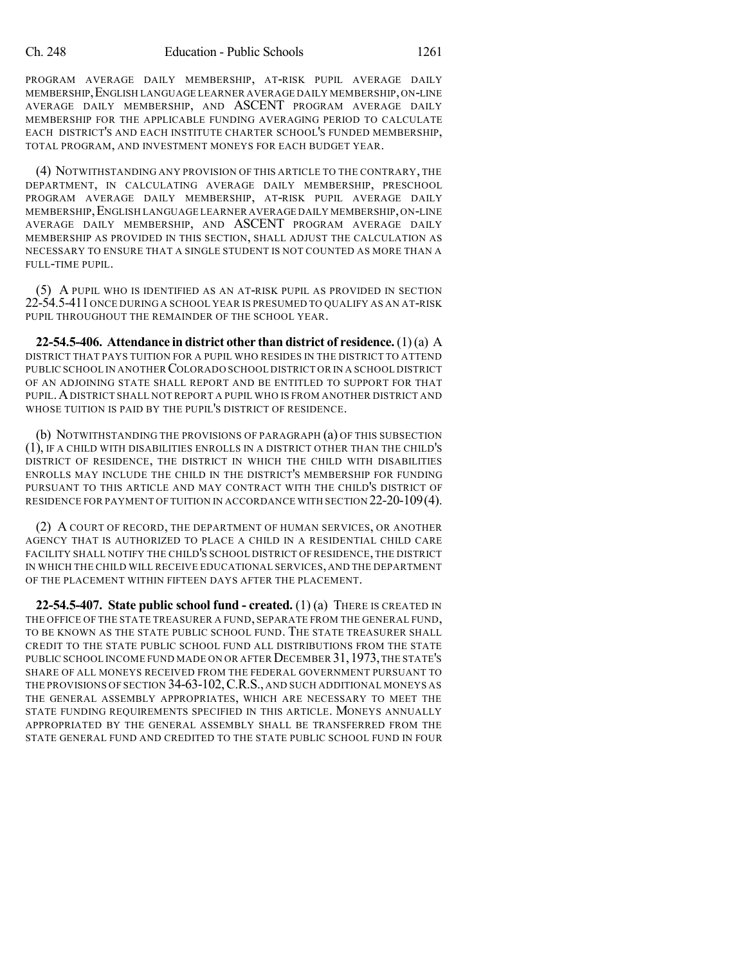PROGRAM AVERAGE DAILY MEMBERSHIP, AT-RISK PUPIL AVERAGE DAILY MEMBERSHIP,ENGLISH LANGUAGE LEARNER AVERAGE DAILY MEMBERSHIP,ON-LINE AVERAGE DAILY MEMBERSHIP, AND ASCENT PROGRAM AVERAGE DAILY MEMBERSHIP FOR THE APPLICABLE FUNDING AVERAGING PERIOD TO CALCULATE EACH DISTRICT'S AND EACH INSTITUTE CHARTER SCHOOL'S FUNDED MEMBERSHIP, TOTAL PROGRAM, AND INVESTMENT MONEYS FOR EACH BUDGET YEAR.

(4) NOTWITHSTANDING ANY PROVISION OF THIS ARTICLE TO THE CONTRARY, THE DEPARTMENT, IN CALCULATING AVERAGE DAILY MEMBERSHIP, PRESCHOOL PROGRAM AVERAGE DAILY MEMBERSHIP, AT-RISK PUPIL AVERAGE DAILY MEMBERSHIP,ENGLISH LANGUAGE LEARNER AVERAGE DAILY MEMBERSHIP,ON-LINE AVERAGE DAILY MEMBERSHIP, AND ASCENT PROGRAM AVERAGE DAILY MEMBERSHIP AS PROVIDED IN THIS SECTION, SHALL ADJUST THE CALCULATION AS NECESSARY TO ENSURE THAT A SINGLE STUDENT IS NOT COUNTED AS MORE THAN A FULL-TIME PUPIL.

(5) A PUPIL WHO IS IDENTIFIED AS AN AT-RISK PUPIL AS PROVIDED IN SECTION 22-54.5-411ONCE DURING A SCHOOL YEAR IS PRESUMED TO QUALIFY AS AN AT-RISK PUPIL THROUGHOUT THE REMAINDER OF THE SCHOOL YEAR.

**22-54.5-406. Attendance in district other than district of residence.** (1)(a) A DISTRICT THAT PAYS TUITION FOR A PUPIL WHO RESIDES IN THE DISTRICT TO ATTEND PUBLIC SCHOOL IN ANOTHER COLORADO SCHOOL DISTRICT OR IN A SCHOOL DISTRICT OF AN ADJOINING STATE SHALL REPORT AND BE ENTITLED TO SUPPORT FOR THAT PUPIL.ADISTRICT SHALL NOT REPORT A PUPIL WHO IS FROM ANOTHER DISTRICT AND WHOSE TUITION IS PAID BY THE PUPIL'S DISTRICT OF RESIDENCE.

(b) NOTWITHSTANDING THE PROVISIONS OF PARAGRAPH (a) OF THIS SUBSECTION (1), IF A CHILD WITH DISABILITIES ENROLLS IN A DISTRICT OTHER THAN THE CHILD'S DISTRICT OF RESIDENCE, THE DISTRICT IN WHICH THE CHILD WITH DISABILITIES ENROLLS MAY INCLUDE THE CHILD IN THE DISTRICT'S MEMBERSHIP FOR FUNDING PURSUANT TO THIS ARTICLE AND MAY CONTRACT WITH THE CHILD'S DISTRICT OF RESIDENCE FOR PAYMENT OF TUITION IN ACCORDANCE WITH SECTION 22-20-109(4).

(2) A COURT OF RECORD, THE DEPARTMENT OF HUMAN SERVICES, OR ANOTHER AGENCY THAT IS AUTHORIZED TO PLACE A CHILD IN A RESIDENTIAL CHILD CARE FACILITY SHALL NOTIFY THE CHILD'S SCHOOL DISTRICT OF RESIDENCE, THE DISTRICT IN WHICH THE CHILD WILL RECEIVE EDUCATIONAL SERVICES, AND THE DEPARTMENT OF THE PLACEMENT WITHIN FIFTEEN DAYS AFTER THE PLACEMENT.

**22-54.5-407. State public school fund - created.** (1) (a) THERE IS CREATED IN THE OFFICE OF THE STATE TREASURER A FUND, SEPARATE FROM THE GENERAL FUND, TO BE KNOWN AS THE STATE PUBLIC SCHOOL FUND. THE STATE TREASURER SHALL CREDIT TO THE STATE PUBLIC SCHOOL FUND ALL DISTRIBUTIONS FROM THE STATE PUBLIC SCHOOL INCOME FUND MADE ON OR AFTER DECEMBER 31,1973,THE STATE'S SHARE OF ALL MONEYS RECEIVED FROM THE FEDERAL GOVERNMENT PURSUANT TO THE PROVISIONS OF SECTION 34-63-102, C.R.S., AND SUCH ADDITIONAL MONEYS AS THE GENERAL ASSEMBLY APPROPRIATES, WHICH ARE NECESSARY TO MEET THE STATE FUNDING REQUIREMENTS SPECIFIED IN THIS ARTICLE. MONEYS ANNUALLY APPROPRIATED BY THE GENERAL ASSEMBLY SHALL BE TRANSFERRED FROM THE STATE GENERAL FUND AND CREDITED TO THE STATE PUBLIC SCHOOL FUND IN FOUR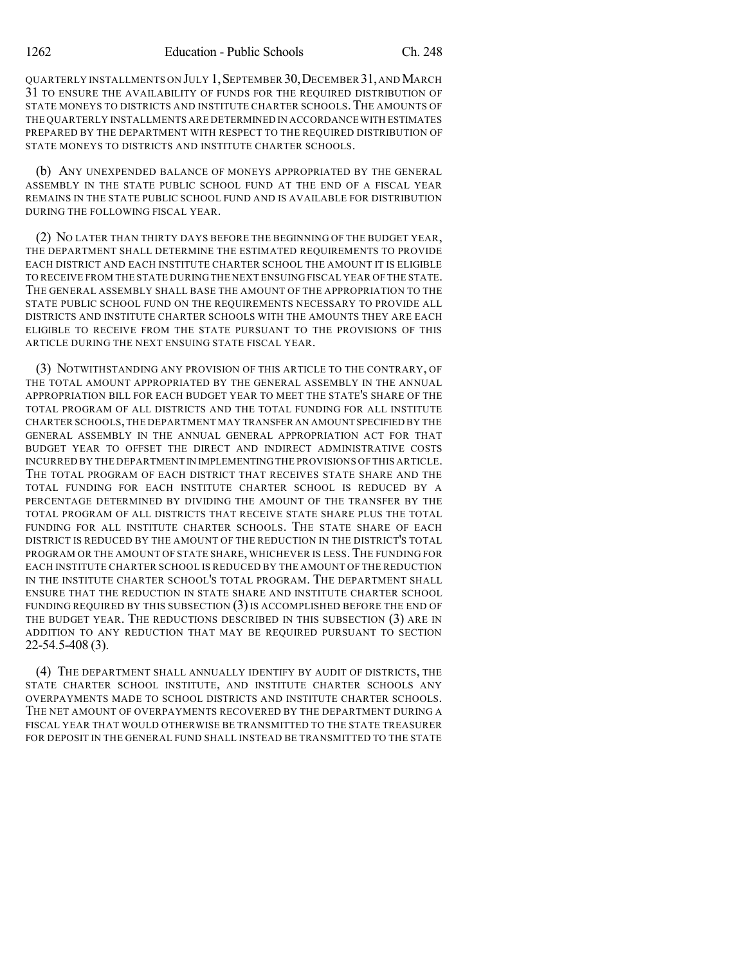QUARTERLY INSTALLMENTS ON JULY 1,SEPTEMBER 30,DECEMBER 31,ANDMARCH 31 TO ENSURE THE AVAILABILITY OF FUNDS FOR THE REQUIRED DISTRIBUTION OF STATE MONEYS TO DISTRICTS AND INSTITUTE CHARTER SCHOOLS.THE AMOUNTS OF THE QUARTERLY INSTALLMENTS ARE DETERMINED IN ACCORDANCE WITH ESTIMATES PREPARED BY THE DEPARTMENT WITH RESPECT TO THE REQUIRED DISTRIBUTION OF STATE MONEYS TO DISTRICTS AND INSTITUTE CHARTER SCHOOLS.

(b) ANY UNEXPENDED BALANCE OF MONEYS APPROPRIATED BY THE GENERAL ASSEMBLY IN THE STATE PUBLIC SCHOOL FUND AT THE END OF A FISCAL YEAR REMAINS IN THE STATE PUBLIC SCHOOL FUND AND IS AVAILABLE FOR DISTRIBUTION DURING THE FOLLOWING FISCAL YEAR.

(2) NO LATER THAN THIRTY DAYS BEFORE THE BEGINNING OF THE BUDGET YEAR, THE DEPARTMENT SHALL DETERMINE THE ESTIMATED REQUIREMENTS TO PROVIDE EACH DISTRICT AND EACH INSTITUTE CHARTER SCHOOL THE AMOUNT IT IS ELIGIBLE TO RECEIVE FROM THE STATE DURING THE NEXT ENSUING FISCAL YEAR OF THE STATE. THE GENERAL ASSEMBLY SHALL BASE THE AMOUNT OF THE APPROPRIATION TO THE STATE PUBLIC SCHOOL FUND ON THE REQUIREMENTS NECESSARY TO PROVIDE ALL DISTRICTS AND INSTITUTE CHARTER SCHOOLS WITH THE AMOUNTS THEY ARE EACH ELIGIBLE TO RECEIVE FROM THE STATE PURSUANT TO THE PROVISIONS OF THIS ARTICLE DURING THE NEXT ENSUING STATE FISCAL YEAR.

(3) NOTWITHSTANDING ANY PROVISION OF THIS ARTICLE TO THE CONTRARY, OF THE TOTAL AMOUNT APPROPRIATED BY THE GENERAL ASSEMBLY IN THE ANNUAL APPROPRIATION BILL FOR EACH BUDGET YEAR TO MEET THE STATE'S SHARE OF THE TOTAL PROGRAM OF ALL DISTRICTS AND THE TOTAL FUNDING FOR ALL INSTITUTE CHARTER SCHOOLS,THE DEPARTMENT MAY TRANSFER AN AMOUNT SPECIFIED BY THE GENERAL ASSEMBLY IN THE ANNUAL GENERAL APPROPRIATION ACT FOR THAT BUDGET YEAR TO OFFSET THE DIRECT AND INDIRECT ADMINISTRATIVE COSTS INCURRED BY THE DEPARTMENT IN IMPLEMENTING THE PROVISIONS OF THIS ARTICLE. THE TOTAL PROGRAM OF EACH DISTRICT THAT RECEIVES STATE SHARE AND THE TOTAL FUNDING FOR EACH INSTITUTE CHARTER SCHOOL IS REDUCED BY A PERCENTAGE DETERMINED BY DIVIDING THE AMOUNT OF THE TRANSFER BY THE TOTAL PROGRAM OF ALL DISTRICTS THAT RECEIVE STATE SHARE PLUS THE TOTAL FUNDING FOR ALL INSTITUTE CHARTER SCHOOLS. THE STATE SHARE OF EACH DISTRICT IS REDUCED BY THE AMOUNT OF THE REDUCTION IN THE DISTRICT'S TOTAL PROGRAM OR THE AMOUNT OF STATE SHARE, WHICHEVER IS LESS. THE FUNDING FOR EACH INSTITUTE CHARTER SCHOOL IS REDUCED BY THE AMOUNT OF THE REDUCTION IN THE INSTITUTE CHARTER SCHOOL'S TOTAL PROGRAM. THE DEPARTMENT SHALL ENSURE THAT THE REDUCTION IN STATE SHARE AND INSTITUTE CHARTER SCHOOL FUNDING REQUIRED BY THIS SUBSECTION (3)IS ACCOMPLISHED BEFORE THE END OF THE BUDGET YEAR. THE REDUCTIONS DESCRIBED IN THIS SUBSECTION (3) ARE IN ADDITION TO ANY REDUCTION THAT MAY BE REQUIRED PURSUANT TO SECTION 22-54.5-408 (3).

(4) THE DEPARTMENT SHALL ANNUALLY IDENTIFY BY AUDIT OF DISTRICTS, THE STATE CHARTER SCHOOL INSTITUTE, AND INSTITUTE CHARTER SCHOOLS ANY OVERPAYMENTS MADE TO SCHOOL DISTRICTS AND INSTITUTE CHARTER SCHOOLS. THE NET AMOUNT OF OVERPAYMENTS RECOVERED BY THE DEPARTMENT DURING A FISCAL YEAR THAT WOULD OTHERWISE BE TRANSMITTED TO THE STATE TREASURER FOR DEPOSIT IN THE GENERAL FUND SHALL INSTEAD BE TRANSMITTED TO THE STATE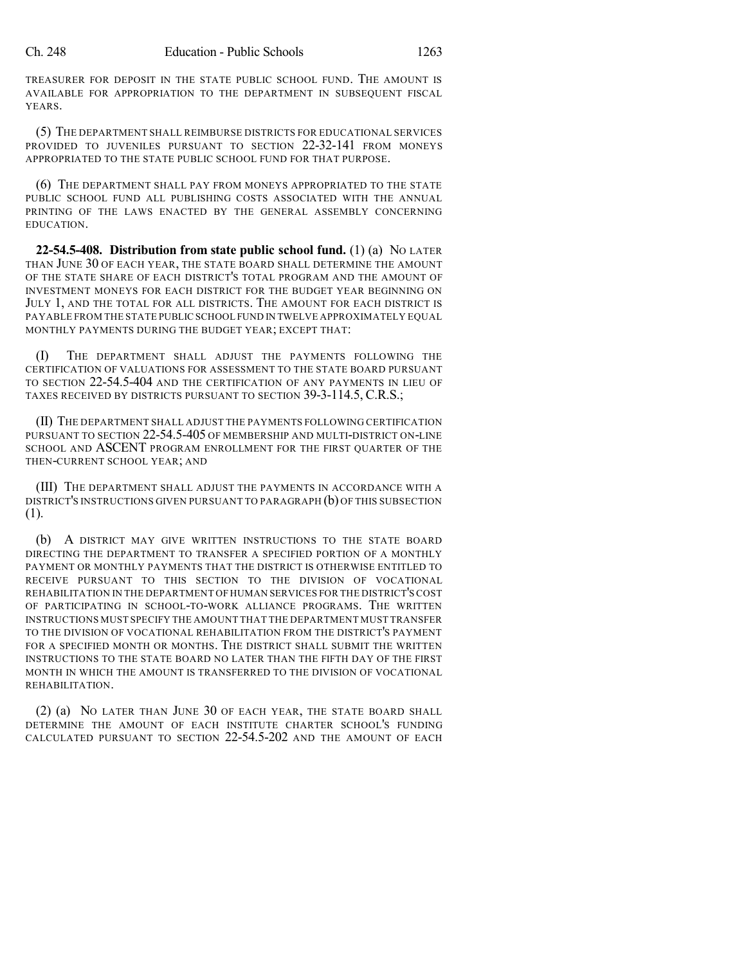TREASURER FOR DEPOSIT IN THE STATE PUBLIC SCHOOL FUND. THE AMOUNT IS AVAILABLE FOR APPROPRIATION TO THE DEPARTMENT IN SUBSEQUENT FISCAL YEARS.

(5) THE DEPARTMENT SHALL REIMBURSE DISTRICTS FOR EDUCATIONAL SERVICES PROVIDED TO JUVENILES PURSUANT TO SECTION 22-32-141 FROM MONEYS APPROPRIATED TO THE STATE PUBLIC SCHOOL FUND FOR THAT PURPOSE.

(6) THE DEPARTMENT SHALL PAY FROM MONEYS APPROPRIATED TO THE STATE PUBLIC SCHOOL FUND ALL PUBLISHING COSTS ASSOCIATED WITH THE ANNUAL PRINTING OF THE LAWS ENACTED BY THE GENERAL ASSEMBLY CONCERNING EDUCATION.

**22-54.5-408. Distribution from state public school fund.** (1) (a) NO LATER THAN JUNE 30 OF EACH YEAR, THE STATE BOARD SHALL DETERMINE THE AMOUNT OF THE STATE SHARE OF EACH DISTRICT'S TOTAL PROGRAM AND THE AMOUNT OF INVESTMENT MONEYS FOR EACH DISTRICT FOR THE BUDGET YEAR BEGINNING ON JULY 1, AND THE TOTAL FOR ALL DISTRICTS. THE AMOUNT FOR EACH DISTRICT IS PAYABLE FROM THE STATE PUBLIC SCHOOL FUND IN TWELVE APPROXIMATELY EQUAL MONTHLY PAYMENTS DURING THE BUDGET YEAR; EXCEPT THAT:

(I) THE DEPARTMENT SHALL ADJUST THE PAYMENTS FOLLOWING THE CERTIFICATION OF VALUATIONS FOR ASSESSMENT TO THE STATE BOARD PURSUANT TO SECTION 22-54.5-404 AND THE CERTIFICATION OF ANY PAYMENTS IN LIEU OF TAXES RECEIVED BY DISTRICTS PURSUANT TO SECTION 39-3-114.5, C.R.S.;

(II) THE DEPARTMENT SHALL ADJUST THE PAYMENTS FOLLOWING CERTIFICATION PURSUANT TO SECTION 22-54.5-405 OF MEMBERSHIP AND MULTI-DISTRICT ON-LINE SCHOOL AND ASCENT PROGRAM ENROLLMENT FOR THE FIRST QUARTER OF THE THEN-CURRENT SCHOOL YEAR; AND

(III) THE DEPARTMENT SHALL ADJUST THE PAYMENTS IN ACCORDANCE WITH A DISTRICT'S INSTRUCTIONS GIVEN PURSUANT TO PARAGRAPH (b) OF THIS SUBSECTION (1).

(b) A DISTRICT MAY GIVE WRITTEN INSTRUCTIONS TO THE STATE BOARD DIRECTING THE DEPARTMENT TO TRANSFER A SPECIFIED PORTION OF A MONTHLY PAYMENT OR MONTHLY PAYMENTS THAT THE DISTRICT IS OTHERWISE ENTITLED TO RECEIVE PURSUANT TO THIS SECTION TO THE DIVISION OF VOCATIONAL REHABILITATION IN THE DEPARTMENT OF HUMAN SERVICES FOR THE DISTRICT'S COST OF PARTICIPATING IN SCHOOL-TO-WORK ALLIANCE PROGRAMS. THE WRITTEN INSTRUCTIONS MUST SPECIFY THE AMOUNT THAT THE DEPARTMENT MUST TRANSFER TO THE DIVISION OF VOCATIONAL REHABILITATION FROM THE DISTRICT'S PAYMENT FOR A SPECIFIED MONTH OR MONTHS. THE DISTRICT SHALL SUBMIT THE WRITTEN INSTRUCTIONS TO THE STATE BOARD NO LATER THAN THE FIFTH DAY OF THE FIRST MONTH IN WHICH THE AMOUNT IS TRANSFERRED TO THE DIVISION OF VOCATIONAL REHABILITATION.

(2) (a) NO LATER THAN JUNE 30 OF EACH YEAR, THE STATE BOARD SHALL DETERMINE THE AMOUNT OF EACH INSTITUTE CHARTER SCHOOL'S FUNDING CALCULATED PURSUANT TO SECTION 22-54.5-202 AND THE AMOUNT OF EACH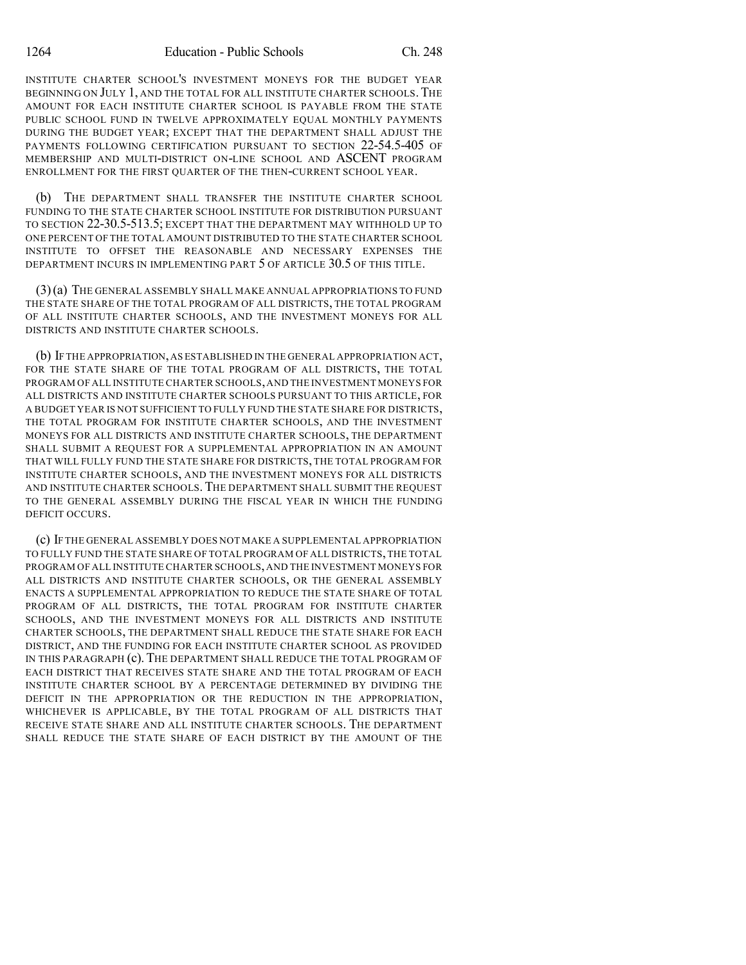INSTITUTE CHARTER SCHOOL'S INVESTMENT MONEYS FOR THE BUDGET YEAR BEGINNING ON JULY 1, AND THE TOTAL FOR ALL INSTITUTE CHARTER SCHOOLS.THE AMOUNT FOR EACH INSTITUTE CHARTER SCHOOL IS PAYABLE FROM THE STATE PUBLIC SCHOOL FUND IN TWELVE APPROXIMATELY EQUAL MONTHLY PAYMENTS DURING THE BUDGET YEAR; EXCEPT THAT THE DEPARTMENT SHALL ADJUST THE PAYMENTS FOLLOWING CERTIFICATION PURSUANT TO SECTION 22-54.5-405 OF MEMBERSHIP AND MULTI-DISTRICT ON-LINE SCHOOL AND ASCENT PROGRAM ENROLLMENT FOR THE FIRST QUARTER OF THE THEN-CURRENT SCHOOL YEAR.

(b) THE DEPARTMENT SHALL TRANSFER THE INSTITUTE CHARTER SCHOOL FUNDING TO THE STATE CHARTER SCHOOL INSTITUTE FOR DISTRIBUTION PURSUANT TO SECTION 22-30.5-513.5; EXCEPT THAT THE DEPARTMENT MAY WITHHOLD UP TO ONE PERCENT OF THE TOTAL AMOUNT DISTRIBUTED TO THE STATE CHARTER SCHOOL INSTITUTE TO OFFSET THE REASONABLE AND NECESSARY EXPENSES THE DEPARTMENT INCURS IN IMPLEMENTING PART 5 OF ARTICLE 30.5 OF THIS TITLE.

(3)(a) THE GENERAL ASSEMBLY SHALL MAKE ANNUAL APPROPRIATIONS TO FUND THE STATE SHARE OF THE TOTAL PROGRAM OF ALL DISTRICTS, THE TOTAL PROGRAM OF ALL INSTITUTE CHARTER SCHOOLS, AND THE INVESTMENT MONEYS FOR ALL DISTRICTS AND INSTITUTE CHARTER SCHOOLS.

(b) IF THE APPROPRIATION,AS ESTABLISHED IN THE GENERAL APPROPRIATION ACT, FOR THE STATE SHARE OF THE TOTAL PROGRAM OF ALL DISTRICTS, THE TOTAL PROGRAM OF ALL INSTITUTE CHARTER SCHOOLS,AND THE INVESTMENT MONEYS FOR ALL DISTRICTS AND INSTITUTE CHARTER SCHOOLS PURSUANT TO THIS ARTICLE, FOR A BUDGET YEAR IS NOT SUFFICIENT TO FULLY FUND THE STATE SHARE FOR DISTRICTS, THE TOTAL PROGRAM FOR INSTITUTE CHARTER SCHOOLS, AND THE INVESTMENT MONEYS FOR ALL DISTRICTS AND INSTITUTE CHARTER SCHOOLS, THE DEPARTMENT SHALL SUBMIT A REQUEST FOR A SUPPLEMENTAL APPROPRIATION IN AN AMOUNT THAT WILL FULLY FUND THE STATE SHARE FOR DISTRICTS, THE TOTAL PROGRAM FOR INSTITUTE CHARTER SCHOOLS, AND THE INVESTMENT MONEYS FOR ALL DISTRICTS AND INSTITUTE CHARTER SCHOOLS.THE DEPARTMENT SHALL SUBMIT THE REQUEST TO THE GENERAL ASSEMBLY DURING THE FISCAL YEAR IN WHICH THE FUNDING DEFICIT OCCURS.

(c) IF THE GENERAL ASSEMBLY DOES NOT MAKE A SUPPLEMENTAL APPROPRIATION TO FULLY FUND THE STATE SHARE OF TOTAL PROGRAM OF ALL DISTRICTS,THE TOTAL PROGRAM OF ALL INSTITUTE CHARTER SCHOOLS,AND THE INVESTMENT MONEYS FOR ALL DISTRICTS AND INSTITUTE CHARTER SCHOOLS, OR THE GENERAL ASSEMBLY ENACTS A SUPPLEMENTAL APPROPRIATION TO REDUCE THE STATE SHARE OF TOTAL PROGRAM OF ALL DISTRICTS, THE TOTAL PROGRAM FOR INSTITUTE CHARTER SCHOOLS, AND THE INVESTMENT MONEYS FOR ALL DISTRICTS AND INSTITUTE CHARTER SCHOOLS, THE DEPARTMENT SHALL REDUCE THE STATE SHARE FOR EACH DISTRICT, AND THE FUNDING FOR EACH INSTITUTE CHARTER SCHOOL AS PROVIDED IN THIS PARAGRAPH (c). THE DEPARTMENT SHALL REDUCE THE TOTAL PROGRAM OF EACH DISTRICT THAT RECEIVES STATE SHARE AND THE TOTAL PROGRAM OF EACH INSTITUTE CHARTER SCHOOL BY A PERCENTAGE DETERMINED BY DIVIDING THE DEFICIT IN THE APPROPRIATION OR THE REDUCTION IN THE APPROPRIATION, WHICHEVER IS APPLICABLE, BY THE TOTAL PROGRAM OF ALL DISTRICTS THAT RECEIVE STATE SHARE AND ALL INSTITUTE CHARTER SCHOOLS. THE DEPARTMENT SHALL REDUCE THE STATE SHARE OF EACH DISTRICT BY THE AMOUNT OF THE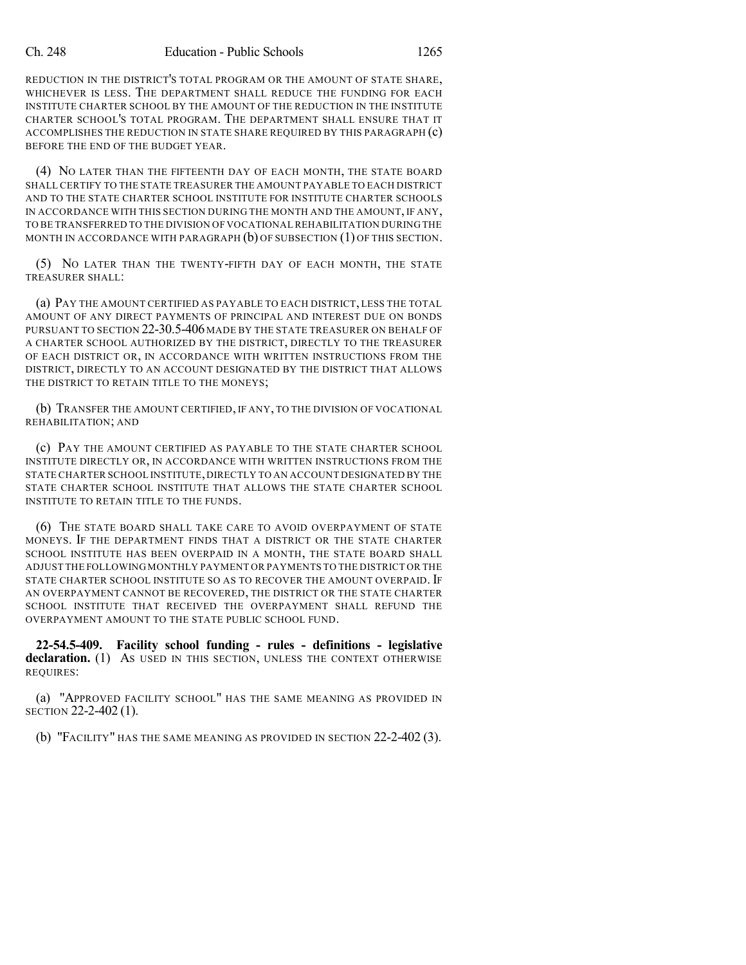REDUCTION IN THE DISTRICT'S TOTAL PROGRAM OR THE AMOUNT OF STATE SHARE, WHICHEVER IS LESS. THE DEPARTMENT SHALL REDUCE THE FUNDING FOR EACH INSTITUTE CHARTER SCHOOL BY THE AMOUNT OF THE REDUCTION IN THE INSTITUTE CHARTER SCHOOL'S TOTAL PROGRAM. THE DEPARTMENT SHALL ENSURE THAT IT ACCOMPLISHES THE REDUCTION IN STATE SHARE REQUIRED BY THIS PARAGRAPH (c) BEFORE THE END OF THE BUDGET YEAR.

(4) NO LATER THAN THE FIFTEENTH DAY OF EACH MONTH, THE STATE BOARD SHALL CERTIFY TO THE STATE TREASURER THE AMOUNT PAYABLE TO EACH DISTRICT AND TO THE STATE CHARTER SCHOOL INSTITUTE FOR INSTITUTE CHARTER SCHOOLS IN ACCORDANCE WITH THIS SECTION DURING THE MONTH AND THE AMOUNT, IF ANY, TO BE TRANSFERRED TO THE DIVISION OF VOCATIONAL REHABILITATION DURING THE MONTH IN ACCORDANCE WITH PARAGRAPH  $(b)$  OF SUBSECTION  $(1)$  OF THIS SECTION.

(5) NO LATER THAN THE TWENTY-FIFTH DAY OF EACH MONTH, THE STATE TREASURER SHALL:

(a) PAY THE AMOUNT CERTIFIED AS PAYABLE TO EACH DISTRICT, LESS THE TOTAL AMOUNT OF ANY DIRECT PAYMENTS OF PRINCIPAL AND INTEREST DUE ON BONDS PURSUANT TO SECTION 22-30.5-406 MADE BY THE STATE TREASURER ON BEHALF OF A CHARTER SCHOOL AUTHORIZED BY THE DISTRICT, DIRECTLY TO THE TREASURER OF EACH DISTRICT OR, IN ACCORDANCE WITH WRITTEN INSTRUCTIONS FROM THE DISTRICT, DIRECTLY TO AN ACCOUNT DESIGNATED BY THE DISTRICT THAT ALLOWS THE DISTRICT TO RETAIN TITLE TO THE MONEYS;

(b) TRANSFER THE AMOUNT CERTIFIED, IF ANY, TO THE DIVISION OF VOCATIONAL REHABILITATION; AND

(c) PAY THE AMOUNT CERTIFIED AS PAYABLE TO THE STATE CHARTER SCHOOL INSTITUTE DIRECTLY OR, IN ACCORDANCE WITH WRITTEN INSTRUCTIONS FROM THE STATE CHARTER SCHOOL INSTITUTE,DIRECTLY TO AN ACCOUNT DESIGNATED BY THE STATE CHARTER SCHOOL INSTITUTE THAT ALLOWS THE STATE CHARTER SCHOOL INSTITUTE TO RETAIN TITLE TO THE FUNDS.

(6) THE STATE BOARD SHALL TAKE CARE TO AVOID OVERPAYMENT OF STATE MONEYS. IF THE DEPARTMENT FINDS THAT A DISTRICT OR THE STATE CHARTER SCHOOL INSTITUTE HAS BEEN OVERPAID IN A MONTH, THE STATE BOARD SHALL ADJUST THE FOLLOWING MONTHLY PAYMENT OR PAYMENTS TO THE DISTRICT OR THE STATE CHARTER SCHOOL INSTITUTE SO AS TO RECOVER THE AMOUNT OVERPAID. IF AN OVERPAYMENT CANNOT BE RECOVERED, THE DISTRICT OR THE STATE CHARTER SCHOOL INSTITUTE THAT RECEIVED THE OVERPAYMENT SHALL REFUND THE OVERPAYMENT AMOUNT TO THE STATE PUBLIC SCHOOL FUND.

**22-54.5-409. Facility school funding - rules - definitions - legislative declaration.** (1) As USED IN THIS SECTION, UNLESS THE CONTEXT OTHERWISE REQUIRES:

(a) "APPROVED FACILITY SCHOOL" HAS THE SAME MEANING AS PROVIDED IN SECTION 22-2-402 (1).

(b) "FACILITY" HAS THE SAME MEANING AS PROVIDED IN SECTION 22-2-402 (3).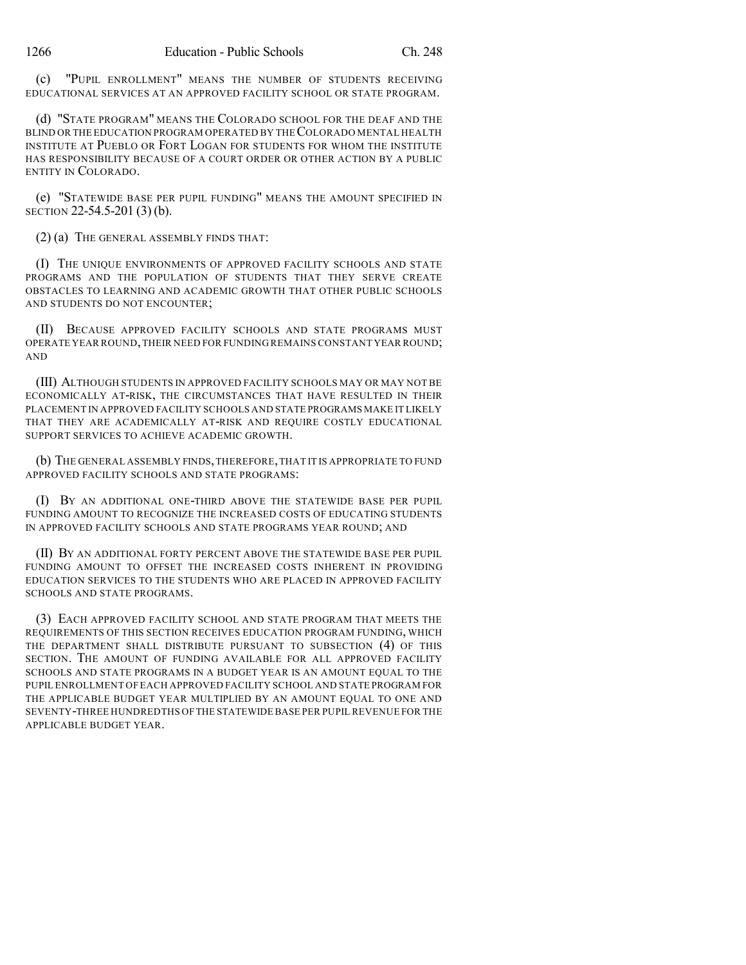(c) "PUPIL ENROLLMENT" MEANS THE NUMBER OF STUDENTS RECEIVING EDUCATIONAL SERVICES AT AN APPROVED FACILITY SCHOOL OR STATE PROGRAM.

(d) "STATE PROGRAM" MEANS THE COLORADO SCHOOL FOR THE DEAF AND THE BLIND OR THE EDUCATION PROGRAM OPERATED BY THECOLORADO MENTAL HEALTH INSTITUTE AT PUEBLO OR FORT LOGAN FOR STUDENTS FOR WHOM THE INSTITUTE HAS RESPONSIBILITY BECAUSE OF A COURT ORDER OR OTHER ACTION BY A PUBLIC ENTITY IN COLORADO.

(e) "STATEWIDE BASE PER PUPIL FUNDING" MEANS THE AMOUNT SPECIFIED IN SECTION 22-54.5-201 (3) (b).

(2) (a) THE GENERAL ASSEMBLY FINDS THAT:

(I) THE UNIQUE ENVIRONMENTS OF APPROVED FACILITY SCHOOLS AND STATE PROGRAMS AND THE POPULATION OF STUDENTS THAT THEY SERVE CREATE OBSTACLES TO LEARNING AND ACADEMIC GROWTH THAT OTHER PUBLIC SCHOOLS AND STUDENTS DO NOT ENCOUNTER;

(II) BECAUSE APPROVED FACILITY SCHOOLS AND STATE PROGRAMS MUST OPERATE YEAR ROUND,THEIR NEED FOR FUNDING REMAINS CONSTANT YEAR ROUND; AND

(III) ALTHOUGH STUDENTS IN APPROVED FACILITY SCHOOLS MAY OR MAY NOT BE ECONOMICALLY AT-RISK, THE CIRCUMSTANCES THAT HAVE RESULTED IN THEIR PLACEMENT IN APPROVED FACILITY SCHOOLS AND STATE PROGRAMS MAKE IT LIKELY THAT THEY ARE ACADEMICALLY AT-RISK AND REQUIRE COSTLY EDUCATIONAL SUPPORT SERVICES TO ACHIEVE ACADEMIC GROWTH.

(b) THE GENERAL ASSEMBLY FINDS,THEREFORE,THAT IT IS APPROPRIATE TO FUND APPROVED FACILITY SCHOOLS AND STATE PROGRAMS:

(I) BY AN ADDITIONAL ONE-THIRD ABOVE THE STATEWIDE BASE PER PUPIL FUNDING AMOUNT TO RECOGNIZE THE INCREASED COSTS OF EDUCATING STUDENTS IN APPROVED FACILITY SCHOOLS AND STATE PROGRAMS YEAR ROUND; AND

(II) BY AN ADDITIONAL FORTY PERCENT ABOVE THE STATEWIDE BASE PER PUPIL FUNDING AMOUNT TO OFFSET THE INCREASED COSTS INHERENT IN PROVIDING EDUCATION SERVICES TO THE STUDENTS WHO ARE PLACED IN APPROVED FACILITY SCHOOLS AND STATE PROGRAMS.

(3) EACH APPROVED FACILITY SCHOOL AND STATE PROGRAM THAT MEETS THE REQUIREMENTS OF THIS SECTION RECEIVES EDUCATION PROGRAM FUNDING, WHICH THE DEPARTMENT SHALL DISTRIBUTE PURSUANT TO SUBSECTION (4) OF THIS SECTION. THE AMOUNT OF FUNDING AVAILABLE FOR ALL APPROVED FACILITY SCHOOLS AND STATE PROGRAMS IN A BUDGET YEAR IS AN AMOUNT EQUAL TO THE PUPIL ENROLLMENT OF EACH APPROVED FACILITY SCHOOL AND STATE PROGRAM FOR THE APPLICABLE BUDGET YEAR MULTIPLIED BY AN AMOUNT EQUAL TO ONE AND SEVENTY-THREE HUNDREDTHS OFTHE STATEWIDE BASE PER PUPIL REVENUE FOR THE APPLICABLE BUDGET YEAR.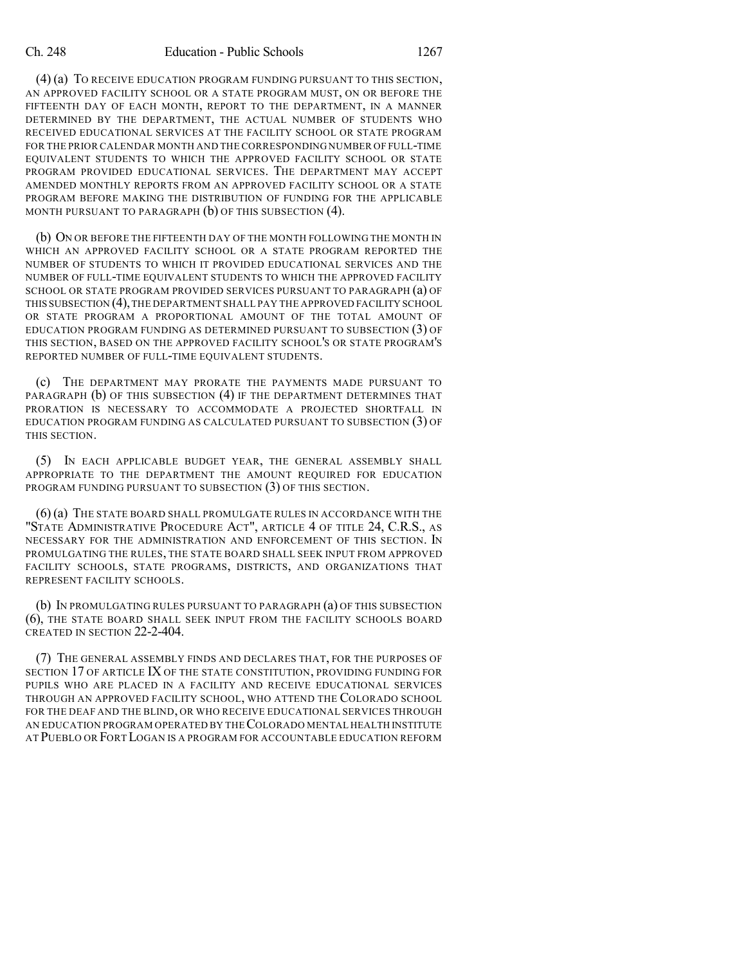(4) (a) TO RECEIVE EDUCATION PROGRAM FUNDING PURSUANT TO THIS SECTION, AN APPROVED FACILITY SCHOOL OR A STATE PROGRAM MUST, ON OR BEFORE THE FIFTEENTH DAY OF EACH MONTH, REPORT TO THE DEPARTMENT, IN A MANNER DETERMINED BY THE DEPARTMENT, THE ACTUAL NUMBER OF STUDENTS WHO RECEIVED EDUCATIONAL SERVICES AT THE FACILITY SCHOOL OR STATE PROGRAM FOR THE PRIOR CALENDAR MONTH AND THE CORRESPONDING NUMBER OF FULL-TIME EQUIVALENT STUDENTS TO WHICH THE APPROVED FACILITY SCHOOL OR STATE PROGRAM PROVIDED EDUCATIONAL SERVICES. THE DEPARTMENT MAY ACCEPT AMENDED MONTHLY REPORTS FROM AN APPROVED FACILITY SCHOOL OR A STATE PROGRAM BEFORE MAKING THE DISTRIBUTION OF FUNDING FOR THE APPLICABLE MONTH PURSUANT TO PARAGRAPH (b) OF THIS SUBSECTION (4).

(b) ON OR BEFORE THE FIFTEENTH DAY OF THE MONTH FOLLOWING THE MONTH IN WHICH AN APPROVED FACILITY SCHOOL OR A STATE PROGRAM REPORTED THE NUMBER OF STUDENTS TO WHICH IT PROVIDED EDUCATIONAL SERVICES AND THE NUMBER OF FULL-TIME EQUIVALENT STUDENTS TO WHICH THE APPROVED FACILITY SCHOOL OR STATE PROGRAM PROVIDED SERVICES PURSUANT TO PARAGRAPH (a) OF THIS SUBSECTION (4),THE DEPARTMENT SHALL PAY THE APPROVED FACILITY SCHOOL OR STATE PROGRAM A PROPORTIONAL AMOUNT OF THE TOTAL AMOUNT OF EDUCATION PROGRAM FUNDING AS DETERMINED PURSUANT TO SUBSECTION (3) OF THIS SECTION, BASED ON THE APPROVED FACILITY SCHOOL'S OR STATE PROGRAM'S REPORTED NUMBER OF FULL-TIME EQUIVALENT STUDENTS.

(c) THE DEPARTMENT MAY PRORATE THE PAYMENTS MADE PURSUANT TO PARAGRAPH (b) OF THIS SUBSECTION (4) IF THE DEPARTMENT DETERMINES THAT PRORATION IS NECESSARY TO ACCOMMODATE A PROJECTED SHORTFALL IN EDUCATION PROGRAM FUNDING AS CALCULATED PURSUANT TO SUBSECTION (3) OF THIS SECTION.

(5) IN EACH APPLICABLE BUDGET YEAR, THE GENERAL ASSEMBLY SHALL APPROPRIATE TO THE DEPARTMENT THE AMOUNT REQUIRED FOR EDUCATION PROGRAM FUNDING PURSUANT TO SUBSECTION (3) OF THIS SECTION.

(6) (a) THE STATE BOARD SHALL PROMULGATE RULES IN ACCORDANCE WITH THE "STATE ADMINISTRATIVE PROCEDURE ACT", ARTICLE 4 OF TITLE 24, C.R.S., AS NECESSARY FOR THE ADMINISTRATION AND ENFORCEMENT OF THIS SECTION. IN PROMULGATING THE RULES, THE STATE BOARD SHALL SEEK INPUT FROM APPROVED FACILITY SCHOOLS, STATE PROGRAMS, DISTRICTS, AND ORGANIZATIONS THAT REPRESENT FACILITY SCHOOLS.

(b) IN PROMULGATING RULES PURSUANT TO PARAGRAPH (a) OF THIS SUBSECTION (6), THE STATE BOARD SHALL SEEK INPUT FROM THE FACILITY SCHOOLS BOARD CREATED IN SECTION 22-2-404.

(7) THE GENERAL ASSEMBLY FINDS AND DECLARES THAT, FOR THE PURPOSES OF SECTION 17 OF ARTICLE IX OF THE STATE CONSTITUTION, PROVIDING FUNDING FOR PUPILS WHO ARE PLACED IN A FACILITY AND RECEIVE EDUCATIONAL SERVICES THROUGH AN APPROVED FACILITY SCHOOL, WHO ATTEND THE COLORADO SCHOOL FOR THE DEAF AND THE BLIND, OR WHO RECEIVE EDUCATIONAL SERVICES THROUGH AN EDUCATION PROGRAM OPERATED BY THECOLORADO MENTAL HEALTH INSTITUTE AT PUEBLO OR FORT LOGAN IS A PROGRAM FOR ACCOUNTABLE EDUCATION REFORM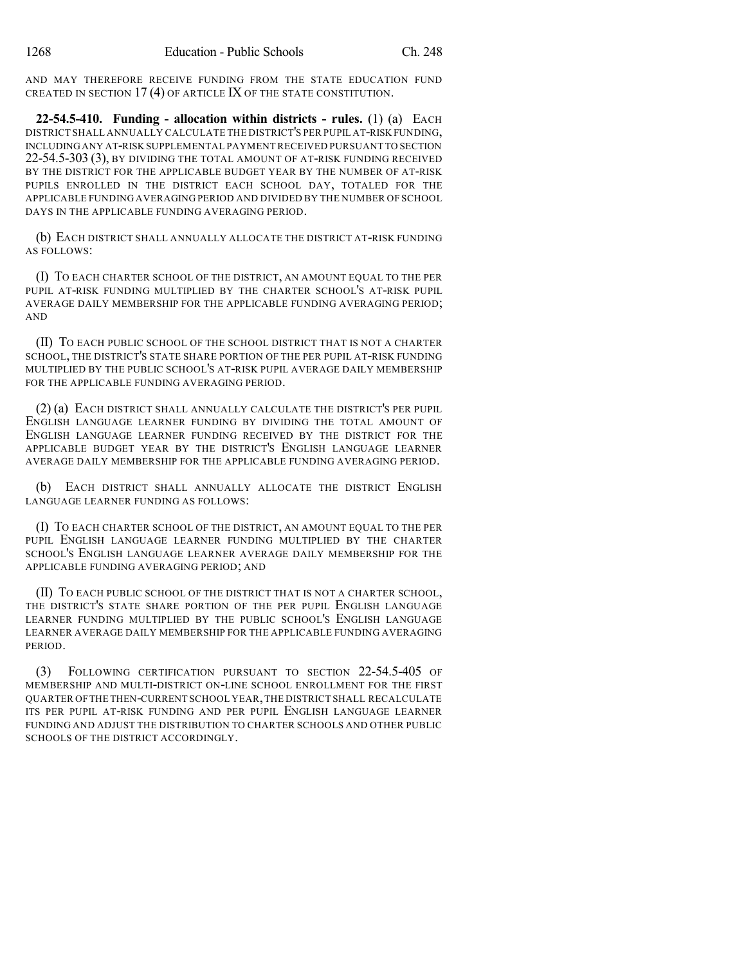AND MAY THEREFORE RECEIVE FUNDING FROM THE STATE EDUCATION FUND CREATED IN SECTION 17 (4) OF ARTICLE IX OF THE STATE CONSTITUTION.

**22-54.5-410. Funding - allocation within districts - rules.** (1) (a) EACH DISTRICT SHALL ANNUALLY CALCULATE THE DISTRICT'S PER PUPIL AT-RISK FUNDING, INCLUDINGANY AT-RISK SUPPLEMENTAL PAYMENT RECEIVED PURSUANT TO SECTION 22-54.5-303 (3), BY DIVIDING THE TOTAL AMOUNT OF AT-RISK FUNDING RECEIVED BY THE DISTRICT FOR THE APPLICABLE BUDGET YEAR BY THE NUMBER OF AT-RISK PUPILS ENROLLED IN THE DISTRICT EACH SCHOOL DAY, TOTALED FOR THE APPLICABLE FUNDING AVERAGING PERIOD AND DIVIDED BY THE NUMBER OF SCHOOL DAYS IN THE APPLICABLE FUNDING AVERAGING PERIOD.

(b) EACH DISTRICT SHALL ANNUALLY ALLOCATE THE DISTRICT AT-RISK FUNDING AS FOLLOWS:

(I) TO EACH CHARTER SCHOOL OF THE DISTRICT, AN AMOUNT EQUAL TO THE PER PUPIL AT-RISK FUNDING MULTIPLIED BY THE CHARTER SCHOOL'S AT-RISK PUPIL AVERAGE DAILY MEMBERSHIP FOR THE APPLICABLE FUNDING AVERAGING PERIOD; AND

(II) TO EACH PUBLIC SCHOOL OF THE SCHOOL DISTRICT THAT IS NOT A CHARTER SCHOOL, THE DISTRICT'S STATE SHARE PORTION OF THE PER PUPIL AT-RISK FUNDING MULTIPLIED BY THE PUBLIC SCHOOL'S AT-RISK PUPIL AVERAGE DAILY MEMBERSHIP FOR THE APPLICABLE FUNDING AVERAGING PERIOD.

(2) (a) EACH DISTRICT SHALL ANNUALLY CALCULATE THE DISTRICT'S PER PUPIL ENGLISH LANGUAGE LEARNER FUNDING BY DIVIDING THE TOTAL AMOUNT OF ENGLISH LANGUAGE LEARNER FUNDING RECEIVED BY THE DISTRICT FOR THE APPLICABLE BUDGET YEAR BY THE DISTRICT'S ENGLISH LANGUAGE LEARNER AVERAGE DAILY MEMBERSHIP FOR THE APPLICABLE FUNDING AVERAGING PERIOD.

(b) EACH DISTRICT SHALL ANNUALLY ALLOCATE THE DISTRICT ENGLISH LANGUAGE LEARNER FUNDING AS FOLLOWS:

(I) TO EACH CHARTER SCHOOL OF THE DISTRICT, AN AMOUNT EQUAL TO THE PER PUPIL ENGLISH LANGUAGE LEARNER FUNDING MULTIPLIED BY THE CHARTER SCHOOL'S ENGLISH LANGUAGE LEARNER AVERAGE DAILY MEMBERSHIP FOR THE APPLICABLE FUNDING AVERAGING PERIOD; AND

(II) TO EACH PUBLIC SCHOOL OF THE DISTRICT THAT IS NOT A CHARTER SCHOOL, THE DISTRICT'S STATE SHARE PORTION OF THE PER PUPIL ENGLISH LANGUAGE LEARNER FUNDING MULTIPLIED BY THE PUBLIC SCHOOL'S ENGLISH LANGUAGE LEARNER AVERAGE DAILY MEMBERSHIP FOR THE APPLICABLE FUNDING AVERAGING PERIOD.

(3) FOLLOWING CERTIFICATION PURSUANT TO SECTION 22-54.5-405 OF MEMBERSHIP AND MULTI-DISTRICT ON-LINE SCHOOL ENROLLMENT FOR THE FIRST QUARTER OFTHE THEN-CURRENT SCHOOL YEAR,THE DISTRICT SHALL RECALCULATE ITS PER PUPIL AT-RISK FUNDING AND PER PUPIL ENGLISH LANGUAGE LEARNER FUNDING AND ADJUST THE DISTRIBUTION TO CHARTER SCHOOLS AND OTHER PUBLIC SCHOOLS OF THE DISTRICT ACCORDINGLY.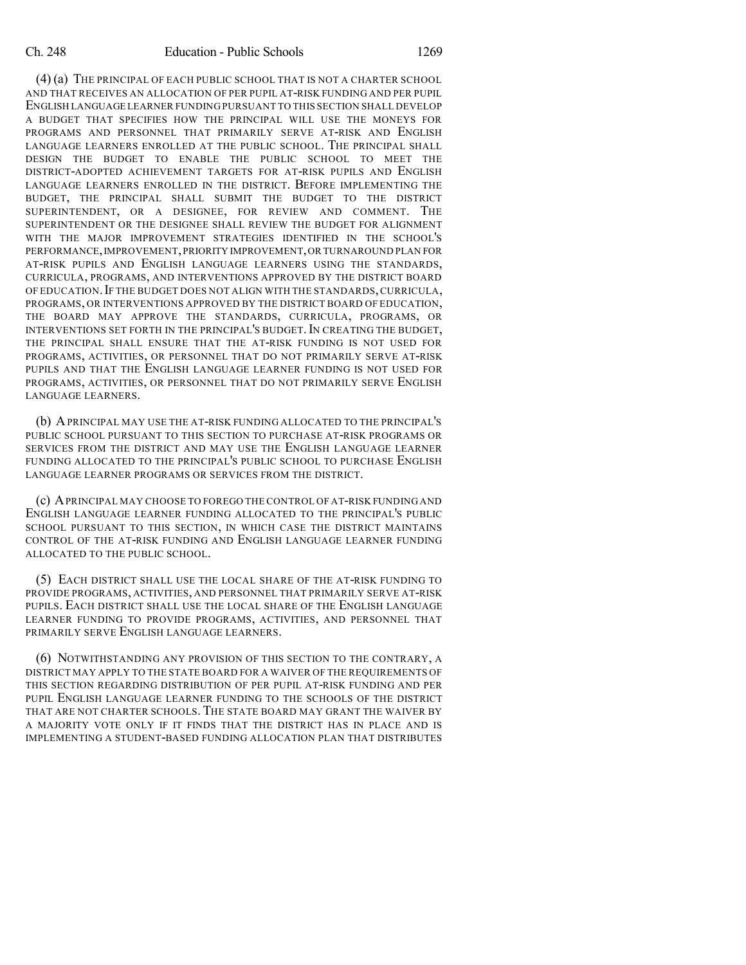(4) (a) THE PRINCIPAL OF EACH PUBLIC SCHOOL THAT IS NOT A CHARTER SCHOOL AND THAT RECEIVES AN ALLOCATION OF PER PUPIL AT-RISK FUNDING AND PER PUPIL ENGLISH LANGUAGE LEARNER FUNDING PURSUANT TO THIS SECTION SHALL DEVELOP A BUDGET THAT SPECIFIES HOW THE PRINCIPAL WILL USE THE MONEYS FOR PROGRAMS AND PERSONNEL THAT PRIMARILY SERVE AT-RISK AND ENGLISH LANGUAGE LEARNERS ENROLLED AT THE PUBLIC SCHOOL. THE PRINCIPAL SHALL DESIGN THE BUDGET TO ENABLE THE PUBLIC SCHOOL TO MEET THE DISTRICT-ADOPTED ACHIEVEMENT TARGETS FOR AT-RISK PUPILS AND ENGLISH LANGUAGE LEARNERS ENROLLED IN THE DISTRICT. BEFORE IMPLEMENTING THE BUDGET, THE PRINCIPAL SHALL SUBMIT THE BUDGET TO THE DISTRICT SUPERINTENDENT, OR A DESIGNEE, FOR REVIEW AND COMMENT. THE SUPERINTENDENT OR THE DESIGNEE SHALL REVIEW THE BUDGET FOR ALIGNMENT WITH THE MAJOR IMPROVEMENT STRATEGIES IDENTIFIED IN THE SCHOOL'S PERFORMANCE,IMPROVEMENT,PRIORITY IMPROVEMENT,OR TURNAROUND PLAN FOR AT-RISK PUPILS AND ENGLISH LANGUAGE LEARNERS USING THE STANDARDS, CURRICULA, PROGRAMS, AND INTERVENTIONS APPROVED BY THE DISTRICT BOARD OF EDUCATION.IF THE BUDGET DOES NOT ALIGN WITH THE STANDARDS,CURRICULA, PROGRAMS, OR INTERVENTIONS APPROVED BY THE DISTRICT BOARD OF EDUCATION, THE BOARD MAY APPROVE THE STANDARDS, CURRICULA, PROGRAMS, OR INTERVENTIONS SET FORTH IN THE PRINCIPAL'S BUDGET. IN CREATING THE BUDGET, THE PRINCIPAL SHALL ENSURE THAT THE AT-RISK FUNDING IS NOT USED FOR PROGRAMS, ACTIVITIES, OR PERSONNEL THAT DO NOT PRIMARILY SERVE AT-RISK PUPILS AND THAT THE ENGLISH LANGUAGE LEARNER FUNDING IS NOT USED FOR PROGRAMS, ACTIVITIES, OR PERSONNEL THAT DO NOT PRIMARILY SERVE ENGLISH LANGUAGE LEARNERS.

(b) APRINCIPAL MAY USE THE AT-RISK FUNDING ALLOCATED TO THE PRINCIPAL'S PUBLIC SCHOOL PURSUANT TO THIS SECTION TO PURCHASE AT-RISK PROGRAMS OR SERVICES FROM THE DISTRICT AND MAY USE THE ENGLISH LANGUAGE LEARNER FUNDING ALLOCATED TO THE PRINCIPAL'S PUBLIC SCHOOL TO PURCHASE ENGLISH LANGUAGE LEARNER PROGRAMS OR SERVICES FROM THE DISTRICT.

(c) APRINCIPAL MAY CHOOSE TO FOREGO THE CONTROL OF AT-RISK FUNDING AND ENGLISH LANGUAGE LEARNER FUNDING ALLOCATED TO THE PRINCIPAL'S PUBLIC SCHOOL PURSUANT TO THIS SECTION, IN WHICH CASE THE DISTRICT MAINTAINS CONTROL OF THE AT-RISK FUNDING AND ENGLISH LANGUAGE LEARNER FUNDING ALLOCATED TO THE PUBLIC SCHOOL.

(5) EACH DISTRICT SHALL USE THE LOCAL SHARE OF THE AT-RISK FUNDING TO PROVIDE PROGRAMS, ACTIVITIES, AND PERSONNEL THAT PRIMARILY SERVE AT-RISK PUPILS. EACH DISTRICT SHALL USE THE LOCAL SHARE OF THE ENGLISH LANGUAGE LEARNER FUNDING TO PROVIDE PROGRAMS, ACTIVITIES, AND PERSONNEL THAT PRIMARILY SERVE ENGLISH LANGUAGE LEARNERS.

(6) NOTWITHSTANDING ANY PROVISION OF THIS SECTION TO THE CONTRARY, A DISTRICT MAY APPLY TO THE STATE BOARD FOR A WAIVER OF THE REQUIREMENTS OF THIS SECTION REGARDING DISTRIBUTION OF PER PUPIL AT-RISK FUNDING AND PER PUPIL ENGLISH LANGUAGE LEARNER FUNDING TO THE SCHOOLS OF THE DISTRICT THAT ARE NOT CHARTER SCHOOLS. THE STATE BOARD MAY GRANT THE WAIVER BY A MAJORITY VOTE ONLY IF IT FINDS THAT THE DISTRICT HAS IN PLACE AND IS IMPLEMENTING A STUDENT-BASED FUNDING ALLOCATION PLAN THAT DISTRIBUTES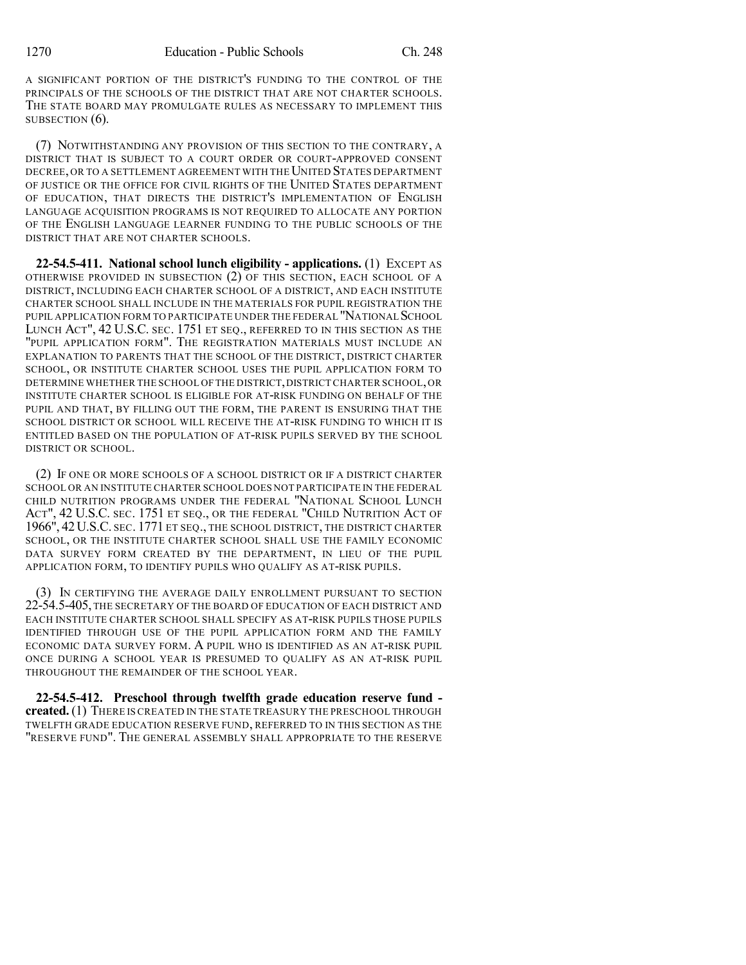A SIGNIFICANT PORTION OF THE DISTRICT'S FUNDING TO THE CONTROL OF THE PRINCIPALS OF THE SCHOOLS OF THE DISTRICT THAT ARE NOT CHARTER SCHOOLS. THE STATE BOARD MAY PROMULGATE RULES AS NECESSARY TO IMPLEMENT THIS SUBSECTION  $(6)$ .

(7) NOTWITHSTANDING ANY PROVISION OF THIS SECTION TO THE CONTRARY, A DISTRICT THAT IS SUBJECT TO A COURT ORDER OR COURT-APPROVED CONSENT DECREE, OR TO A SETTLEMENT AGREEMENT WITH THE UNITED STATES DEPARTMENT OF JUSTICE OR THE OFFICE FOR CIVIL RIGHTS OF THE UNITED STATES DEPARTMENT OF EDUCATION, THAT DIRECTS THE DISTRICT'S IMPLEMENTATION OF ENGLISH LANGUAGE ACQUISITION PROGRAMS IS NOT REQUIRED TO ALLOCATE ANY PORTION OF THE ENGLISH LANGUAGE LEARNER FUNDING TO THE PUBLIC SCHOOLS OF THE DISTRICT THAT ARE NOT CHARTER SCHOOLS.

**22-54.5-411. National school lunch eligibility - applications.** (1) EXCEPT AS OTHERWISE PROVIDED IN SUBSECTION (2) OF THIS SECTION, EACH SCHOOL OF A DISTRICT, INCLUDING EACH CHARTER SCHOOL OF A DISTRICT, AND EACH INSTITUTE CHARTER SCHOOL SHALL INCLUDE IN THE MATERIALS FOR PUPIL REGISTRATION THE PUPIL APPLICATION FORM TO PARTICIPATE UNDER THE FEDERAL "NATIONAL SCHOOL LUNCH ACT", 42 U.S.C. SEC. 1751 ET SEQ., REFERRED TO IN THIS SECTION AS THE "PUPIL APPLICATION FORM". THE REGISTRATION MATERIALS MUST INCLUDE AN EXPLANATION TO PARENTS THAT THE SCHOOL OF THE DISTRICT, DISTRICT CHARTER SCHOOL, OR INSTITUTE CHARTER SCHOOL USES THE PUPIL APPLICATION FORM TO DETERMINE WHETHER THE SCHOOL OF THE DISTRICT,DISTRICT CHARTER SCHOOL,OR INSTITUTE CHARTER SCHOOL IS ELIGIBLE FOR AT-RISK FUNDING ON BEHALF OF THE PUPIL AND THAT, BY FILLING OUT THE FORM, THE PARENT IS ENSURING THAT THE SCHOOL DISTRICT OR SCHOOL WILL RECEIVE THE AT-RISK FUNDING TO WHICH IT IS ENTITLED BASED ON THE POPULATION OF AT-RISK PUPILS SERVED BY THE SCHOOL DISTRICT OR SCHOOL.

(2) IF ONE OR MORE SCHOOLS OF A SCHOOL DISTRICT OR IF A DISTRICT CHARTER SCHOOL OR AN INSTITUTE CHARTER SCHOOL DOES NOT PARTICIPATE IN THE FEDERAL CHILD NUTRITION PROGRAMS UNDER THE FEDERAL "NATIONAL SCHOOL LUNCH ACT", 42 U.S.C. SEC. 1751 ET SEQ., OR THE FEDERAL "CHILD NUTRITION ACT OF 1966", 42 U.S.C. SEC. 1771 ET SEQ., THE SCHOOL DISTRICT, THE DISTRICT CHARTER SCHOOL, OR THE INSTITUTE CHARTER SCHOOL SHALL USE THE FAMILY ECONOMIC DATA SURVEY FORM CREATED BY THE DEPARTMENT, IN LIEU OF THE PUPIL APPLICATION FORM, TO IDENTIFY PUPILS WHO QUALIFY AS AT-RISK PUPILS.

(3) IN CERTIFYING THE AVERAGE DAILY ENROLLMENT PURSUANT TO SECTION 22-54.5-405, THE SECRETARY OF THE BOARD OF EDUCATION OF EACH DISTRICT AND EACH INSTITUTE CHARTER SCHOOL SHALL SPECIFY AS AT-RISK PUPILS THOSE PUPILS IDENTIFIED THROUGH USE OF THE PUPIL APPLICATION FORM AND THE FAMILY ECONOMIC DATA SURVEY FORM. A PUPIL WHO IS IDENTIFIED AS AN AT-RISK PUPIL ONCE DURING A SCHOOL YEAR IS PRESUMED TO QUALIFY AS AN AT-RISK PUPIL THROUGHOUT THE REMAINDER OF THE SCHOOL YEAR.

**22-54.5-412. Preschool through twelfth grade education reserve fund created.**(1) THERE IS CREATED IN THE STATE TREASURY THE PRESCHOOL THROUGH TWELFTH GRADE EDUCATION RESERVE FUND, REFERRED TO IN THIS SECTION AS THE "RESERVE FUND". THE GENERAL ASSEMBLY SHALL APPROPRIATE TO THE RESERVE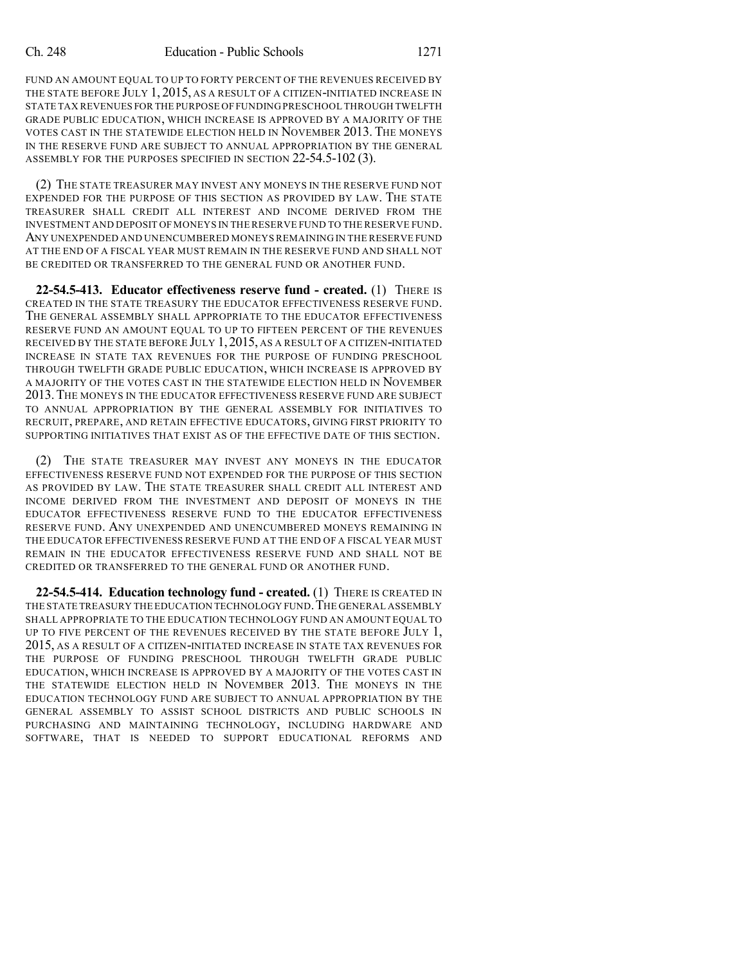FUND AN AMOUNT EQUAL TO UP TO FORTY PERCENT OF THE REVENUES RECEIVED BY THE STATE BEFORE JULY 1, 2015, AS A RESULT OF A CITIZEN-INITIATED INCREASE IN STATE TAX REVENUES FOR THE PURPOSE OF FUNDING PRESCHOOL THROUGH TWELFTH GRADE PUBLIC EDUCATION, WHICH INCREASE IS APPROVED BY A MAJORITY OF THE VOTES CAST IN THE STATEWIDE ELECTION HELD IN NOVEMBER 2013. THE MONEYS IN THE RESERVE FUND ARE SUBJECT TO ANNUAL APPROPRIATION BY THE GENERAL ASSEMBLY FOR THE PURPOSES SPECIFIED IN SECTION 22-54.5-102 (3).

(2) THE STATE TREASURER MAY INVEST ANY MONEYS IN THE RESERVE FUND NOT EXPENDED FOR THE PURPOSE OF THIS SECTION AS PROVIDED BY LAW. THE STATE TREASURER SHALL CREDIT ALL INTEREST AND INCOME DERIVED FROM THE INVESTMENT AND DEPOSIT OF MONEYS IN THE RESERVE FUND TO THE RESERVE FUND. ANY UNEXPENDED AND UNENCUMBERED MONEYS REMAINING IN THE RESERVE FUND AT THE END OF A FISCAL YEAR MUST REMAIN IN THE RESERVE FUND AND SHALL NOT BE CREDITED OR TRANSFERRED TO THE GENERAL FUND OR ANOTHER FUND.

**22-54.5-413. Educator effectiveness reserve fund - created.** (1) THERE IS CREATED IN THE STATE TREASURY THE EDUCATOR EFFECTIVENESS RESERVE FUND. THE GENERAL ASSEMBLY SHALL APPROPRIATE TO THE EDUCATOR EFFECTIVENESS RESERVE FUND AN AMOUNT EQUAL TO UP TO FIFTEEN PERCENT OF THE REVENUES RECEIVED BY THE STATE BEFORE JULY 1, 2015, AS A RESULT OF A CITIZEN-INITIATED INCREASE IN STATE TAX REVENUES FOR THE PURPOSE OF FUNDING PRESCHOOL THROUGH TWELFTH GRADE PUBLIC EDUCATION, WHICH INCREASE IS APPROVED BY A MAJORITY OF THE VOTES CAST IN THE STATEWIDE ELECTION HELD IN NOVEMBER 2013.THE MONEYS IN THE EDUCATOR EFFECTIVENESS RESERVE FUND ARE SUBJECT TO ANNUAL APPROPRIATION BY THE GENERAL ASSEMBLY FOR INITIATIVES TO RECRUIT, PREPARE, AND RETAIN EFFECTIVE EDUCATORS, GIVING FIRST PRIORITY TO SUPPORTING INITIATIVES THAT EXIST AS OF THE EFFECTIVE DATE OF THIS SECTION.

(2) THE STATE TREASURER MAY INVEST ANY MONEYS IN THE EDUCATOR EFFECTIVENESS RESERVE FUND NOT EXPENDED FOR THE PURPOSE OF THIS SECTION AS PROVIDED BY LAW. THE STATE TREASURER SHALL CREDIT ALL INTEREST AND INCOME DERIVED FROM THE INVESTMENT AND DEPOSIT OF MONEYS IN THE EDUCATOR EFFECTIVENESS RESERVE FUND TO THE EDUCATOR EFFECTIVENESS RESERVE FUND. ANY UNEXPENDED AND UNENCUMBERED MONEYS REMAINING IN THE EDUCATOR EFFECTIVENESS RESERVE FUND AT THE END OF A FISCAL YEAR MUST REMAIN IN THE EDUCATOR EFFECTIVENESS RESERVE FUND AND SHALL NOT BE CREDITED OR TRANSFERRED TO THE GENERAL FUND OR ANOTHER FUND.

**22-54.5-414. Education technology fund - created.** (1) THERE IS CREATED IN THE STATE TREASURY THE EDUCATION TECHNOLOGY FUND. THE GENERAL ASSEMBLY SHALL APPROPRIATE TO THE EDUCATION TECHNOLOGY FUND AN AMOUNT EQUAL TO UP TO FIVE PERCENT OF THE REVENUES RECEIVED BY THE STATE BEFORE JULY 1, 2015, AS A RESULT OF A CITIZEN-INITIATED INCREASE IN STATE TAX REVENUES FOR THE PURPOSE OF FUNDING PRESCHOOL THROUGH TWELFTH GRADE PUBLIC EDUCATION, WHICH INCREASE IS APPROVED BY A MAJORITY OF THE VOTES CAST IN THE STATEWIDE ELECTION HELD IN NOVEMBER 2013. THE MONEYS IN THE EDUCATION TECHNOLOGY FUND ARE SUBJECT TO ANNUAL APPROPRIATION BY THE GENERAL ASSEMBLY TO ASSIST SCHOOL DISTRICTS AND PUBLIC SCHOOLS IN PURCHASING AND MAINTAINING TECHNOLOGY, INCLUDING HARDWARE AND SOFTWARE, THAT IS NEEDED TO SUPPORT EDUCATIONAL REFORMS AND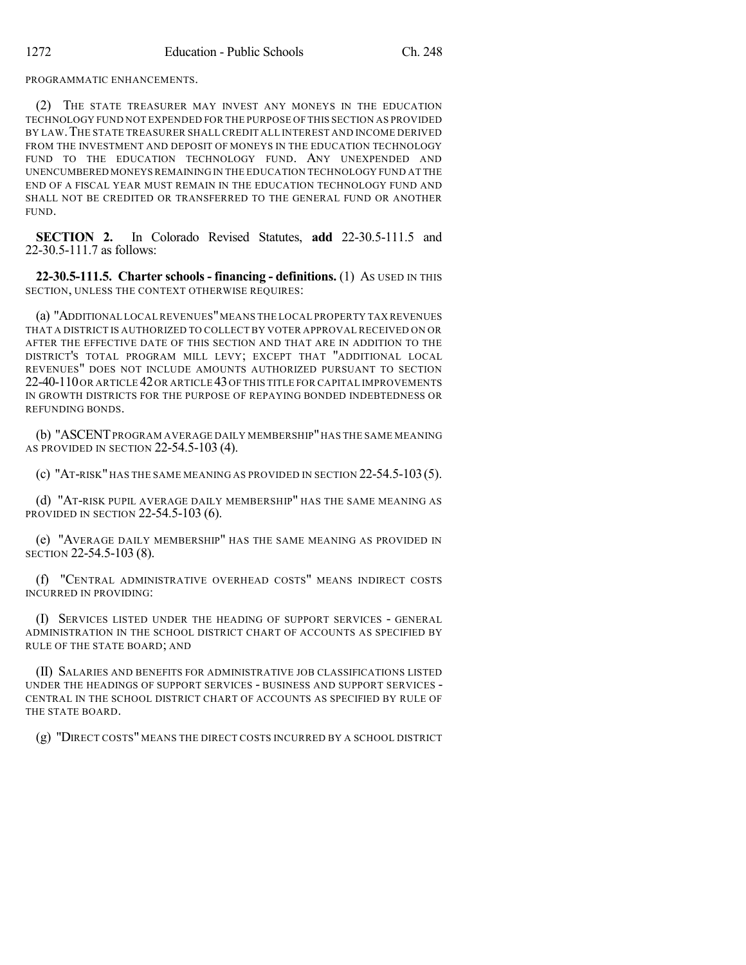PROGRAMMATIC ENHANCEMENTS.

(2) THE STATE TREASURER MAY INVEST ANY MONEYS IN THE EDUCATION TECHNOLOGY FUND NOT EXPENDED FOR THE PURPOSE OF THIS SECTION AS PROVIDED BY LAW.THE STATE TREASURER SHALL CREDIT ALL INTEREST AND INCOME DERIVED FROM THE INVESTMENT AND DEPOSIT OF MONEYS IN THE EDUCATION TECHNOLOGY FUND TO THE EDUCATION TECHNOLOGY FUND. ANY UNEXPENDED AND UNENCUMBERED MONEYSREMAINING IN THE EDUCATION TECHNOLOGY FUND AT THE END OF A FISCAL YEAR MUST REMAIN IN THE EDUCATION TECHNOLOGY FUND AND SHALL NOT BE CREDITED OR TRANSFERRED TO THE GENERAL FUND OR ANOTHER FUND.

**SECTION 2.** In Colorado Revised Statutes, **add** 22-30.5-111.5 and 22-30.5-111.7 as follows:

**22-30.5-111.5. Charter schools - financing - definitions.** (1) AS USED IN THIS SECTION, UNLESS THE CONTEXT OTHERWISE REQUIRES:

(a) "ADDITIONAL LOCAL REVENUES"MEANS THE LOCAL PROPERTY TAX REVENUES THAT A DISTRICT IS AUTHORIZED TO COLLECT BY VOTER APPROVAL RECEIVED ON OR AFTER THE EFFECTIVE DATE OF THIS SECTION AND THAT ARE IN ADDITION TO THE DISTRICT'S TOTAL PROGRAM MILL LEVY; EXCEPT THAT "ADDITIONAL LOCAL REVENUES" DOES NOT INCLUDE AMOUNTS AUTHORIZED PURSUANT TO SECTION 22-40-110OR ARTICLE 42OR ARTICLE 43OF THIS TITLE FOR CAPITAL IMPROVEMENTS IN GROWTH DISTRICTS FOR THE PURPOSE OF REPAYING BONDED INDEBTEDNESS OR REFUNDING BONDS.

(b) "ASCENT PROGRAM AVERAGE DAILY MEMBERSHIP" HAS THE SAME MEANING AS PROVIDED IN SECTION 22-54.5-103 (4).

(c) "AT-RISK" HAS THE SAME MEANING AS PROVIDED IN SECTION 22-54.5-103(5).

(d) "AT-RISK PUPIL AVERAGE DAILY MEMBERSHIP" HAS THE SAME MEANING AS PROVIDED IN SECTION 22-54.5-103 (6).

(e) "AVERAGE DAILY MEMBERSHIP" HAS THE SAME MEANING AS PROVIDED IN SECTION 22-54.5-103 (8).

(f) "CENTRAL ADMINISTRATIVE OVERHEAD COSTS" MEANS INDIRECT COSTS INCURRED IN PROVIDING:

(I) SERVICES LISTED UNDER THE HEADING OF SUPPORT SERVICES - GENERAL ADMINISTRATION IN THE SCHOOL DISTRICT CHART OF ACCOUNTS AS SPECIFIED BY RULE OF THE STATE BOARD; AND

(II) SALARIES AND BENEFITS FOR ADMINISTRATIVE JOB CLASSIFICATIONS LISTED UNDER THE HEADINGS OF SUPPORT SERVICES - BUSINESS AND SUPPORT SERVICES - CENTRAL IN THE SCHOOL DISTRICT CHART OF ACCOUNTS AS SPECIFIED BY RULE OF THE STATE BOARD.

(g) "DIRECT COSTS" MEANS THE DIRECT COSTS INCURRED BY A SCHOOL DISTRICT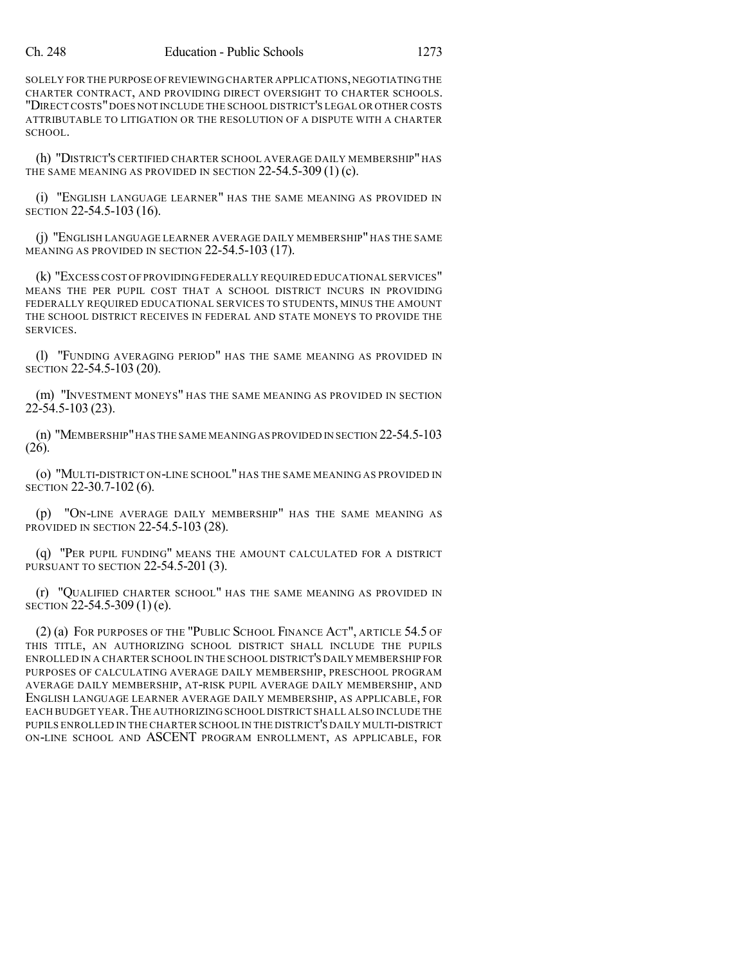SOLELY FOR THE PURPOSE OF REVIEWING CHARTER APPLICATIONS, NEGOTIATING THE CHARTER CONTRACT, AND PROVIDING DIRECT OVERSIGHT TO CHARTER SCHOOLS. "DIRECTCOSTS"DOES NOT INCLUDE THE SCHOOL DISTRICT'S LEGAL OR OTHER COSTS ATTRIBUTABLE TO LITIGATION OR THE RESOLUTION OF A DISPUTE WITH A CHARTER SCHOOL.

(h) "DISTRICT'S CERTIFIED CHARTER SCHOOL AVERAGE DAILY MEMBERSHIP" HAS THE SAME MEANING AS PROVIDED IN SECTION 22-54.5-309 (1) (c).

(i) "ENGLISH LANGUAGE LEARNER" HAS THE SAME MEANING AS PROVIDED IN SECTION 22-54.5-103 (16).

(j) "ENGLISH LANGUAGE LEARNER AVERAGE DAILY MEMBERSHIP" HAS THE SAME MEANING AS PROVIDED IN SECTION 22-54.5-103 (17).

(k) "EXCESS COST OF PROVIDING FEDERALLY REQUIRED EDUCATIONAL SERVICES" MEANS THE PER PUPIL COST THAT A SCHOOL DISTRICT INCURS IN PROVIDING FEDERALLY REQUIRED EDUCATIONAL SERVICES TO STUDENTS, MINUS THE AMOUNT THE SCHOOL DISTRICT RECEIVES IN FEDERAL AND STATE MONEYS TO PROVIDE THE SERVICES.

(l) "FUNDING AVERAGING PERIOD" HAS THE SAME MEANING AS PROVIDED IN SECTION 22-54.5-103 (20).

(m) "INVESTMENT MONEYS" HAS THE SAME MEANING AS PROVIDED IN SECTION 22-54.5-103 (23).

(n) "MEMBERSHIP"HAS THE SAME MEANINGAS PROVIDED IN SECTION 22-54.5-103 (26).

(o) "MULTI-DISTRICT ON-LINE SCHOOL" HAS THE SAME MEANING AS PROVIDED IN SECTION 22-30.7-102 (6).

(p) "ON-LINE AVERAGE DAILY MEMBERSHIP" HAS THE SAME MEANING AS PROVIDED IN SECTION 22-54.5-103 (28).

(q) "PER PUPIL FUNDING" MEANS THE AMOUNT CALCULATED FOR A DISTRICT PURSUANT TO SECTION 22-54.5-201 (3).

(r) "QUALIFIED CHARTER SCHOOL" HAS THE SAME MEANING AS PROVIDED IN SECTION 22-54.5-309 (1) (e).

(2) (a) FOR PURPOSES OF THE "PUBLIC SCHOOL FINANCE ACT", ARTICLE 54.5 OF THIS TITLE, AN AUTHORIZING SCHOOL DISTRICT SHALL INCLUDE THE PUPILS ENROLLED IN A CHARTER SCHOOL IN THE SCHOOL DISTRICT'S DAILY MEMBERSHIP FOR PURPOSES OF CALCULATING AVERAGE DAILY MEMBERSHIP, PRESCHOOL PROGRAM AVERAGE DAILY MEMBERSHIP, AT-RISK PUPIL AVERAGE DAILY MEMBERSHIP, AND ENGLISH LANGUAGE LEARNER AVERAGE DAILY MEMBERSHIP, AS APPLICABLE, FOR EACH BUDGET YEAR.THE AUTHORIZING SCHOOL DISTRICT SHALL ALSO INCLUDE THE PUPILS ENROLLED IN THE CHARTER SCHOOL IN THE DISTRICT'S DAILY MULTI-DISTRICT ON-LINE SCHOOL AND ASCENT PROGRAM ENROLLMENT, AS APPLICABLE, FOR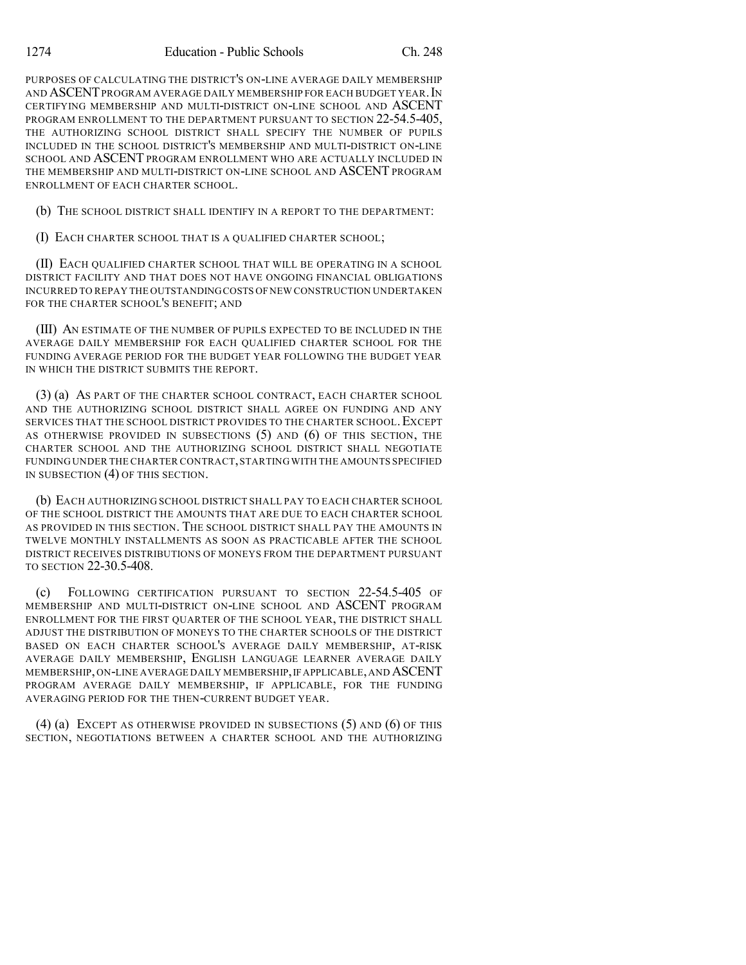PURPOSES OF CALCULATING THE DISTRICT'S ON-LINE AVERAGE DAILY MEMBERSHIP AND ASCENTPROGRAM AVERAGE DAILY MEMBERSHIP FOR EACH BUDGET YEAR.IN CERTIFYING MEMBERSHIP AND MULTI-DISTRICT ON-LINE SCHOOL AND ASCENT PROGRAM ENROLLMENT TO THE DEPARTMENT PURSUANT TO SECTION 22-54.5-405, THE AUTHORIZING SCHOOL DISTRICT SHALL SPECIFY THE NUMBER OF PUPILS INCLUDED IN THE SCHOOL DISTRICT'S MEMBERSHIP AND MULTI-DISTRICT ON-LINE SCHOOL AND ASCENT PROGRAM ENROLLMENT WHO ARE ACTUALLY INCLUDED IN THE MEMBERSHIP AND MULTI-DISTRICT ON-LINE SCHOOL AND ASCENT PROGRAM ENROLLMENT OF EACH CHARTER SCHOOL.

(b) THE SCHOOL DISTRICT SHALL IDENTIFY IN A REPORT TO THE DEPARTMENT:

(I) EACH CHARTER SCHOOL THAT IS A QUALIFIED CHARTER SCHOOL;

(II) EACH QUALIFIED CHARTER SCHOOL THAT WILL BE OPERATING IN A SCHOOL DISTRICT FACILITY AND THAT DOES NOT HAVE ONGOING FINANCIAL OBLIGATIONS INCURRED TO REPAY THE OUTSTANDINGCOSTS OFNEW CONSTRUCTION UNDERTAKEN FOR THE CHARTER SCHOOL'S BENEFIT; AND

(III) AN ESTIMATE OF THE NUMBER OF PUPILS EXPECTED TO BE INCLUDED IN THE AVERAGE DAILY MEMBERSHIP FOR EACH QUALIFIED CHARTER SCHOOL FOR THE FUNDING AVERAGE PERIOD FOR THE BUDGET YEAR FOLLOWING THE BUDGET YEAR IN WHICH THE DISTRICT SUBMITS THE REPORT.

(3) (a) AS PART OF THE CHARTER SCHOOL CONTRACT, EACH CHARTER SCHOOL AND THE AUTHORIZING SCHOOL DISTRICT SHALL AGREE ON FUNDING AND ANY SERVICES THAT THE SCHOOL DISTRICT PROVIDES TO THE CHARTER SCHOOL.EXCEPT AS OTHERWISE PROVIDED IN SUBSECTIONS (5) AND (6) OF THIS SECTION, THE CHARTER SCHOOL AND THE AUTHORIZING SCHOOL DISTRICT SHALL NEGOTIATE FUNDING UNDER THE CHARTER CONTRACT,STARTING WITH THE AMOUNTS SPECIFIED IN SUBSECTION (4) OF THIS SECTION.

(b) EACH AUTHORIZING SCHOOL DISTRICT SHALL PAY TO EACH CHARTER SCHOOL OF THE SCHOOL DISTRICT THE AMOUNTS THAT ARE DUE TO EACH CHARTER SCHOOL AS PROVIDED IN THIS SECTION. THE SCHOOL DISTRICT SHALL PAY THE AMOUNTS IN TWELVE MONTHLY INSTALLMENTS AS SOON AS PRACTICABLE AFTER THE SCHOOL DISTRICT RECEIVES DISTRIBUTIONS OF MONEYS FROM THE DEPARTMENT PURSUANT TO SECTION 22-30.5-408.

(c) FOLLOWING CERTIFICATION PURSUANT TO SECTION 22-54.5-405 OF MEMBERSHIP AND MULTI-DISTRICT ON-LINE SCHOOL AND ASCENT PROGRAM ENROLLMENT FOR THE FIRST QUARTER OF THE SCHOOL YEAR, THE DISTRICT SHALL ADJUST THE DISTRIBUTION OF MONEYS TO THE CHARTER SCHOOLS OF THE DISTRICT BASED ON EACH CHARTER SCHOOL'S AVERAGE DAILY MEMBERSHIP, AT-RISK AVERAGE DAILY MEMBERSHIP, ENGLISH LANGUAGE LEARNER AVERAGE DAILY MEMBERSHIP,ON-LINE AVERAGE DAILY MEMBERSHIP,IFAPPLICABLE,AND ASCENT PROGRAM AVERAGE DAILY MEMBERSHIP, IF APPLICABLE, FOR THE FUNDING AVERAGING PERIOD FOR THE THEN-CURRENT BUDGET YEAR.

(4) (a) EXCEPT AS OTHERWISE PROVIDED IN SUBSECTIONS (5) AND (6) OF THIS SECTION, NEGOTIATIONS BETWEEN A CHARTER SCHOOL AND THE AUTHORIZING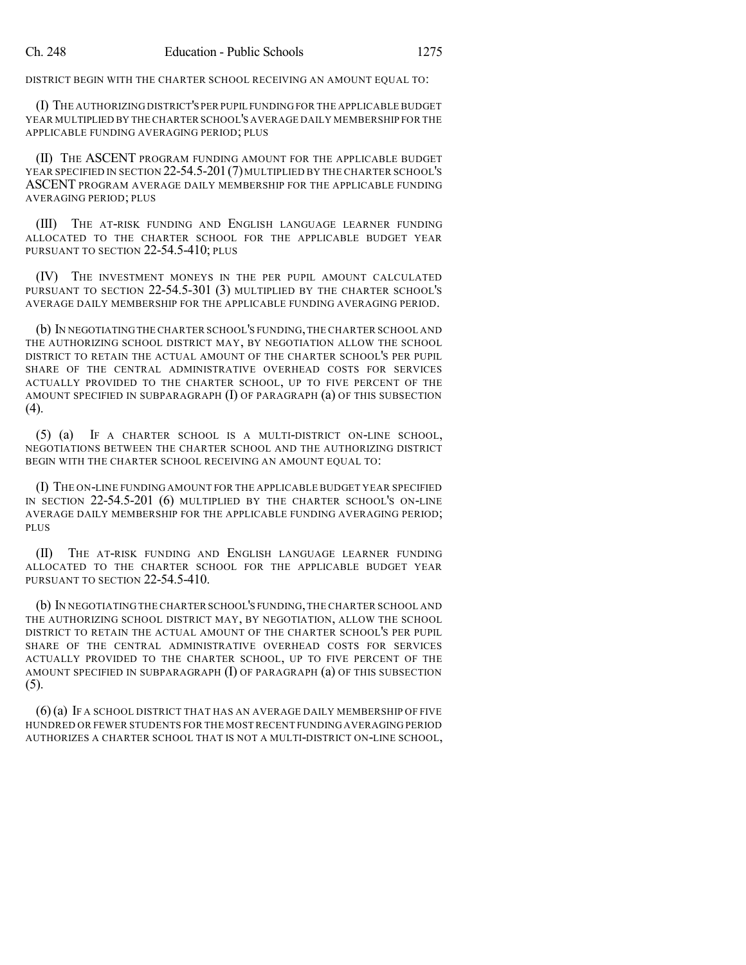DISTRICT BEGIN WITH THE CHARTER SCHOOL RECEIVING AN AMOUNT EQUAL TO:

(I) THE AUTHORIZING DISTRICT'S PER PUPIL FUNDING FOR THE APPLICABLE BUDGET YEAR MULTIPLIED BY THE CHARTER SCHOOL'S AVERAGE DAILY MEMBERSHIP FOR THE APPLICABLE FUNDING AVERAGING PERIOD; PLUS

(II) THE ASCENT PROGRAM FUNDING AMOUNT FOR THE APPLICABLE BUDGET YEAR SPECIFIED IN SECTION 22-54.5-201 (7) MULTIPLIED BY THE CHARTER SCHOOL'S ASCENT PROGRAM AVERAGE DAILY MEMBERSHIP FOR THE APPLICABLE FUNDING AVERAGING PERIOD; PLUS

(III) THE AT-RISK FUNDING AND ENGLISH LANGUAGE LEARNER FUNDING ALLOCATED TO THE CHARTER SCHOOL FOR THE APPLICABLE BUDGET YEAR PURSUANT TO SECTION 22-54.5-410; PLUS

(IV) THE INVESTMENT MONEYS IN THE PER PUPIL AMOUNT CALCULATED PURSUANT TO SECTION 22-54.5-301 (3) MULTIPLIED BY THE CHARTER SCHOOL'S AVERAGE DAILY MEMBERSHIP FOR THE APPLICABLE FUNDING AVERAGING PERIOD.

(b) IN NEGOTIATINGTHE CHARTER SCHOOL'S FUNDING,THE CHARTER SCHOOL AND THE AUTHORIZING SCHOOL DISTRICT MAY, BY NEGOTIATION ALLOW THE SCHOOL DISTRICT TO RETAIN THE ACTUAL AMOUNT OF THE CHARTER SCHOOL'S PER PUPIL SHARE OF THE CENTRAL ADMINISTRATIVE OVERHEAD COSTS FOR SERVICES ACTUALLY PROVIDED TO THE CHARTER SCHOOL, UP TO FIVE PERCENT OF THE AMOUNT SPECIFIED IN SUBPARAGRAPH (I) OF PARAGRAPH (a) OF THIS SUBSECTION (4).

(5) (a) IF A CHARTER SCHOOL IS A MULTI-DISTRICT ON-LINE SCHOOL, NEGOTIATIONS BETWEEN THE CHARTER SCHOOL AND THE AUTHORIZING DISTRICT BEGIN WITH THE CHARTER SCHOOL RECEIVING AN AMOUNT EQUAL TO:

(I) THE ON-LINE FUNDING AMOUNT FOR THE APPLICABLE BUDGET YEAR SPECIFIED IN SECTION 22-54.5-201 (6) MULTIPLIED BY THE CHARTER SCHOOL'S ON-LINE AVERAGE DAILY MEMBERSHIP FOR THE APPLICABLE FUNDING AVERAGING PERIOD; PLUS

(II) THE AT-RISK FUNDING AND ENGLISH LANGUAGE LEARNER FUNDING ALLOCATED TO THE CHARTER SCHOOL FOR THE APPLICABLE BUDGET YEAR PURSUANT TO SECTION 22-54.5-410.

(b) IN NEGOTIATING THE CHARTER SCHOOL'S FUNDING,THE CHARTER SCHOOL AND THE AUTHORIZING SCHOOL DISTRICT MAY, BY NEGOTIATION, ALLOW THE SCHOOL DISTRICT TO RETAIN THE ACTUAL AMOUNT OF THE CHARTER SCHOOL'S PER PUPIL SHARE OF THE CENTRAL ADMINISTRATIVE OVERHEAD COSTS FOR SERVICES ACTUALLY PROVIDED TO THE CHARTER SCHOOL, UP TO FIVE PERCENT OF THE AMOUNT SPECIFIED IN SUBPARAGRAPH  $(I)$  of paragraph  $(a)$  of this subsection (5).

(6)(a) IF A SCHOOL DISTRICT THAT HAS AN AVERAGE DAILY MEMBERSHIP OF FIVE HUNDRED OR FEWER STUDENTS FOR THE MOSTRECENT FUNDING AVERAGING PERIOD AUTHORIZES A CHARTER SCHOOL THAT IS NOT A MULTI-DISTRICT ON-LINE SCHOOL,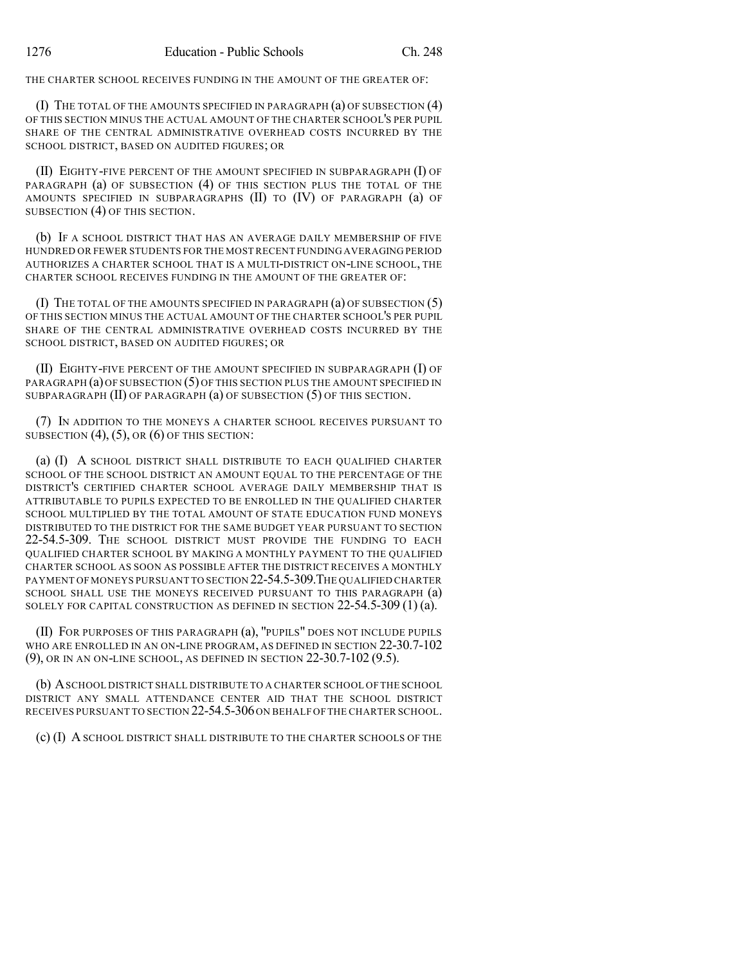THE CHARTER SCHOOL RECEIVES FUNDING IN THE AMOUNT OF THE GREATER OF:

(I) THE TOTAL OF THE AMOUNTS SPECIFIED IN PARAGRAPH (a) OF SUBSECTION (4) OF THIS SECTION MINUS THE ACTUAL AMOUNT OF THE CHARTER SCHOOL'S PER PUPIL SHARE OF THE CENTRAL ADMINISTRATIVE OVERHEAD COSTS INCURRED BY THE SCHOOL DISTRICT, BASED ON AUDITED FIGURES; OR

(II) EIGHTY-FIVE PERCENT OF THE AMOUNT SPECIFIED IN SUBPARAGRAPH (I) OF PARAGRAPH (a) OF SUBSECTION (4) OF THIS SECTION PLUS THE TOTAL OF THE AMOUNTS SPECIFIED IN SUBPARAGRAPHS (II) TO (IV) OF PARAGRAPH (a) OF SUBSECTION (4) OF THIS SECTION.

(b) IF A SCHOOL DISTRICT THAT HAS AN AVERAGE DAILY MEMBERSHIP OF FIVE HUNDRED OR FEWER STUDENTS FOR THE MOSTRECENT FUNDING AVERAGING PERIOD AUTHORIZES A CHARTER SCHOOL THAT IS A MULTI-DISTRICT ON-LINE SCHOOL, THE CHARTER SCHOOL RECEIVES FUNDING IN THE AMOUNT OF THE GREATER OF:

(I) THE TOTAL OF THE AMOUNTS SPECIFIED IN PARAGRAPH (a) OF SUBSECTION (5) OF THIS SECTION MINUS THE ACTUAL AMOUNT OF THE CHARTER SCHOOL'S PER PUPIL SHARE OF THE CENTRAL ADMINISTRATIVE OVERHEAD COSTS INCURRED BY THE SCHOOL DISTRICT, BASED ON AUDITED FIGURES; OR

(II) EIGHTY-FIVE PERCENT OF THE AMOUNT SPECIFIED IN SUBPARAGRAPH (I) OF PARAGRAPH (a) OF SUBSECTION (5) OF THIS SECTION PLUS THE AMOUNT SPECIFIED IN SUBPARAGRAPH (II) OF PARAGRAPH (a) OF SUBSECTION (5) OF THIS SECTION.

(7) IN ADDITION TO THE MONEYS A CHARTER SCHOOL RECEIVES PURSUANT TO SUBSECTION  $(4)$ ,  $(5)$ , OR  $(6)$  OF THIS SECTION:

(a) (I) A SCHOOL DISTRICT SHALL DISTRIBUTE TO EACH QUALIFIED CHARTER SCHOOL OF THE SCHOOL DISTRICT AN AMOUNT EQUAL TO THE PERCENTAGE OF THE DISTRICT'S CERTIFIED CHARTER SCHOOL AVERAGE DAILY MEMBERSHIP THAT IS ATTRIBUTABLE TO PUPILS EXPECTED TO BE ENROLLED IN THE QUALIFIED CHARTER SCHOOL MULTIPLIED BY THE TOTAL AMOUNT OF STATE EDUCATION FUND MONEYS DISTRIBUTED TO THE DISTRICT FOR THE SAME BUDGET YEAR PURSUANT TO SECTION 22-54.5-309. THE SCHOOL DISTRICT MUST PROVIDE THE FUNDING TO EACH QUALIFIED CHARTER SCHOOL BY MAKING A MONTHLY PAYMENT TO THE QUALIFIED CHARTER SCHOOL AS SOON AS POSSIBLE AFTER THE DISTRICT RECEIVES A MONTHLY PAYMENT OF MONEYS PURSUANT TO SECTION 22-54.5-309.THE QUALIFIED CHARTER SCHOOL SHALL USE THE MONEYS RECEIVED PURSUANT TO THIS PARAGRAPH (a) SOLELY FOR CAPITAL CONSTRUCTION AS DEFINED IN SECTION 22-54.5-309 (1) (a).

(II) FOR PURPOSES OF THIS PARAGRAPH (a), "PUPILS" DOES NOT INCLUDE PUPILS WHO ARE ENROLLED IN AN ON-LINE PROGRAM, AS DEFINED IN SECTION 22-30.7-102 (9), OR IN AN ON-LINE SCHOOL, AS DEFINED IN SECTION 22-30.7-102 (9.5).

(b) ASCHOOL DISTRICT SHALL DISTRIBUTE TO A CHARTER SCHOOL OF THE SCHOOL DISTRICT ANY SMALL ATTENDANCE CENTER AID THAT THE SCHOOL DISTRICT RECEIVES PURSUANT TO SECTION 22-54.5-306 ON BEHALF OF THE CHARTER SCHOOL.

(c) (I) A SCHOOL DISTRICT SHALL DISTRIBUTE TO THE CHARTER SCHOOLS OF THE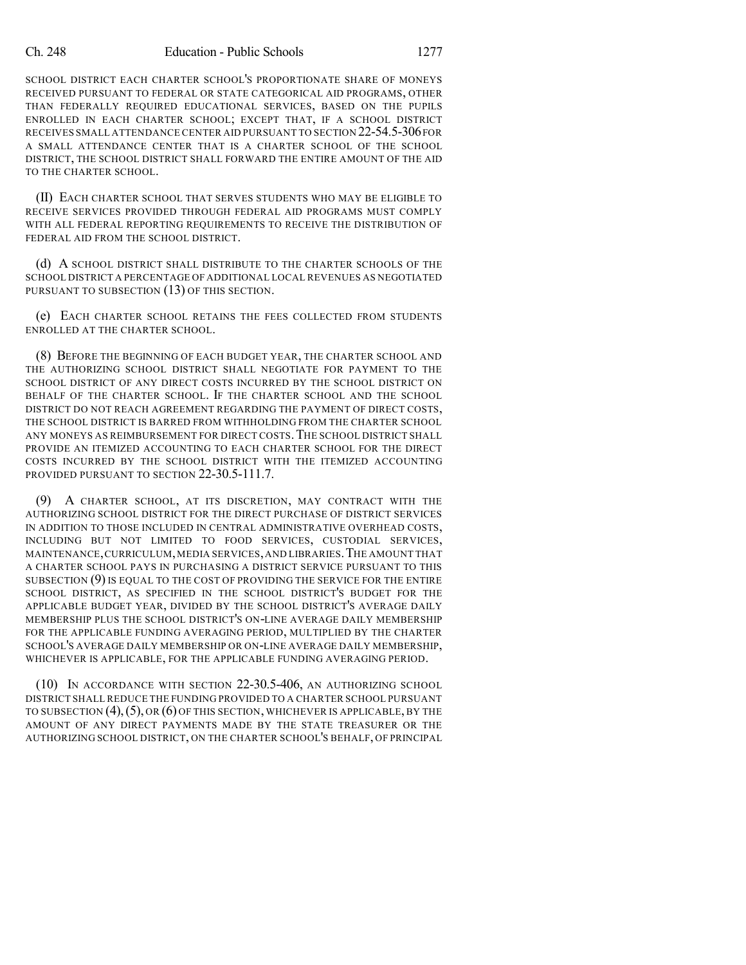SCHOOL DISTRICT EACH CHARTER SCHOOL'S PROPORTIONATE SHARE OF MONEYS RECEIVED PURSUANT TO FEDERAL OR STATE CATEGORICAL AID PROGRAMS, OTHER THAN FEDERALLY REQUIRED EDUCATIONAL SERVICES, BASED ON THE PUPILS ENROLLED IN EACH CHARTER SCHOOL; EXCEPT THAT, IF A SCHOOL DISTRICT RECEIVES SMALL ATTENDANCE CENTER AID PURSUANT TO SECTION 22-54.5-306FOR A SMALL ATTENDANCE CENTER THAT IS A CHARTER SCHOOL OF THE SCHOOL DISTRICT, THE SCHOOL DISTRICT SHALL FORWARD THE ENTIRE AMOUNT OF THE AID TO THE CHARTER SCHOOL.

(II) EACH CHARTER SCHOOL THAT SERVES STUDENTS WHO MAY BE ELIGIBLE TO RECEIVE SERVICES PROVIDED THROUGH FEDERAL AID PROGRAMS MUST COMPLY WITH ALL FEDERAL REPORTING REQUIREMENTS TO RECEIVE THE DISTRIBUTION OF FEDERAL AID FROM THE SCHOOL DISTRICT.

(d) A SCHOOL DISTRICT SHALL DISTRIBUTE TO THE CHARTER SCHOOLS OF THE SCHOOL DISTRICT A PERCENTAGE OF ADDITIONAL LOCAL REVENUES AS NEGOTIATED PURSUANT TO SUBSECTION (13) OF THIS SECTION.

(e) EACH CHARTER SCHOOL RETAINS THE FEES COLLECTED FROM STUDENTS ENROLLED AT THE CHARTER SCHOOL.

(8) BEFORE THE BEGINNING OF EACH BUDGET YEAR, THE CHARTER SCHOOL AND THE AUTHORIZING SCHOOL DISTRICT SHALL NEGOTIATE FOR PAYMENT TO THE SCHOOL DISTRICT OF ANY DIRECT COSTS INCURRED BY THE SCHOOL DISTRICT ON BEHALF OF THE CHARTER SCHOOL. IF THE CHARTER SCHOOL AND THE SCHOOL DISTRICT DO NOT REACH AGREEMENT REGARDING THE PAYMENT OF DIRECT COSTS, THE SCHOOL DISTRICT IS BARRED FROM WITHHOLDING FROM THE CHARTER SCHOOL ANY MONEYS AS REIMBURSEMENT FOR DIRECT COSTS.THE SCHOOL DISTRICT SHALL PROVIDE AN ITEMIZED ACCOUNTING TO EACH CHARTER SCHOOL FOR THE DIRECT COSTS INCURRED BY THE SCHOOL DISTRICT WITH THE ITEMIZED ACCOUNTING PROVIDED PURSUANT TO SECTION 22-30.5-111.7.

(9) A CHARTER SCHOOL, AT ITS DISCRETION, MAY CONTRACT WITH THE AUTHORIZING SCHOOL DISTRICT FOR THE DIRECT PURCHASE OF DISTRICT SERVICES IN ADDITION TO THOSE INCLUDED IN CENTRAL ADMINISTRATIVE OVERHEAD COSTS, INCLUDING BUT NOT LIMITED TO FOOD SERVICES, CUSTODIAL SERVICES, MAINTENANCE,CURRICULUM,MEDIA SERVICES,AND LIBRARIES.THE AMOUNT THAT A CHARTER SCHOOL PAYS IN PURCHASING A DISTRICT SERVICE PURSUANT TO THIS SUBSECTION (9) IS EQUAL TO THE COST OF PROVIDING THE SERVICE FOR THE ENTIRE SCHOOL DISTRICT, AS SPECIFIED IN THE SCHOOL DISTRICT'S BUDGET FOR THE APPLICABLE BUDGET YEAR, DIVIDED BY THE SCHOOL DISTRICT'S AVERAGE DAILY MEMBERSHIP PLUS THE SCHOOL DISTRICT'S ON-LINE AVERAGE DAILY MEMBERSHIP FOR THE APPLICABLE FUNDING AVERAGING PERIOD, MULTIPLIED BY THE CHARTER SCHOOL'S AVERAGE DAILY MEMBERSHIP OR ON-LINE AVERAGE DAILY MEMBERSHIP, WHICHEVER IS APPLICABLE, FOR THE APPLICABLE FUNDING AVERAGING PERIOD.

(10) IN ACCORDANCE WITH SECTION 22-30.5-406, AN AUTHORIZING SCHOOL DISTRICT SHALL REDUCE THE FUNDING PROVIDED TO A CHARTER SCHOOL PURSUANT TO SUBSECTION  $(4)$ ,  $(5)$ , OR  $(6)$  OF THIS SECTION, WHICHEVER IS APPLICABLE, BY THE AMOUNT OF ANY DIRECT PAYMENTS MADE BY THE STATE TREASURER OR THE AUTHORIZING SCHOOL DISTRICT, ON THE CHARTER SCHOOL'S BEHALF, OF PRINCIPAL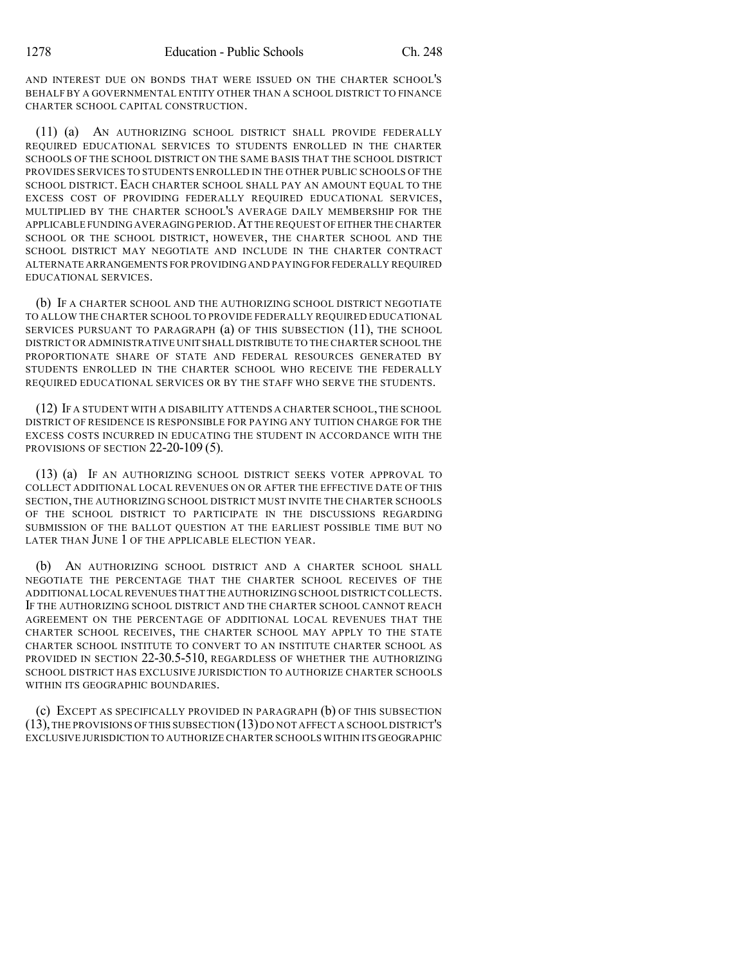AND INTEREST DUE ON BONDS THAT WERE ISSUED ON THE CHARTER SCHOOL'S BEHALF BY A GOVERNMENTAL ENTITY OTHER THAN A SCHOOL DISTRICT TO FINANCE CHARTER SCHOOL CAPITAL CONSTRUCTION.

(11) (a) AN AUTHORIZING SCHOOL DISTRICT SHALL PROVIDE FEDERALLY REQUIRED EDUCATIONAL SERVICES TO STUDENTS ENROLLED IN THE CHARTER SCHOOLS OF THE SCHOOL DISTRICT ON THE SAME BASIS THAT THE SCHOOL DISTRICT PROVIDES SERVICES TO STUDENTS ENROLLED IN THE OTHER PUBLIC SCHOOLS OF THE SCHOOL DISTRICT. EACH CHARTER SCHOOL SHALL PAY AN AMOUNT EQUAL TO THE EXCESS COST OF PROVIDING FEDERALLY REQUIRED EDUCATIONAL SERVICES, MULTIPLIED BY THE CHARTER SCHOOL'S AVERAGE DAILY MEMBERSHIP FOR THE APPLICABLE FUNDING AVERAGING PERIOD.AT THE REQUEST OF EITHER THE CHARTER SCHOOL OR THE SCHOOL DISTRICT, HOWEVER, THE CHARTER SCHOOL AND THE SCHOOL DISTRICT MAY NEGOTIATE AND INCLUDE IN THE CHARTER CONTRACT ALTERNATE ARRANGEMENTS FOR PROVIDING AND PAYINGFOR FEDERALLY REQUIRED EDUCATIONAL SERVICES.

(b) IF A CHARTER SCHOOL AND THE AUTHORIZING SCHOOL DISTRICT NEGOTIATE TO ALLOW THE CHARTER SCHOOL TO PROVIDE FEDERALLY REQUIRED EDUCATIONAL SERVICES PURSUANT TO PARAGRAPH (a) OF THIS SUBSECTION (11), THE SCHOOL DISTRICT OR ADMINISTRATIVE UNIT SHALL DISTRIBUTE TO THE CHARTER SCHOOL THE PROPORTIONATE SHARE OF STATE AND FEDERAL RESOURCES GENERATED BY STUDENTS ENROLLED IN THE CHARTER SCHOOL WHO RECEIVE THE FEDERALLY REQUIRED EDUCATIONAL SERVICES OR BY THE STAFF WHO SERVE THE STUDENTS.

(12) IF A STUDENT WITH A DISABILITY ATTENDS A CHARTER SCHOOL, THE SCHOOL DISTRICT OF RESIDENCE IS RESPONSIBLE FOR PAYING ANY TUITION CHARGE FOR THE EXCESS COSTS INCURRED IN EDUCATING THE STUDENT IN ACCORDANCE WITH THE PROVISIONS OF SECTION 22-20-109 (5).

(13) (a) IF AN AUTHORIZING SCHOOL DISTRICT SEEKS VOTER APPROVAL TO COLLECT ADDITIONAL LOCAL REVENUES ON OR AFTER THE EFFECTIVE DATE OF THIS SECTION, THE AUTHORIZING SCHOOL DISTRICT MUST INVITE THE CHARTER SCHOOLS OF THE SCHOOL DISTRICT TO PARTICIPATE IN THE DISCUSSIONS REGARDING SUBMISSION OF THE BALLOT QUESTION AT THE EARLIEST POSSIBLE TIME BUT NO LATER THAN JUNE 1 OF THE APPLICABLE ELECTION YEAR.

(b) AN AUTHORIZING SCHOOL DISTRICT AND A CHARTER SCHOOL SHALL NEGOTIATE THE PERCENTAGE THAT THE CHARTER SCHOOL RECEIVES OF THE ADDITIONAL LOCAL REVENUES THAT THE AUTHORIZING SCHOOL DISTRICTCOLLECTS. IF THE AUTHORIZING SCHOOL DISTRICT AND THE CHARTER SCHOOL CANNOT REACH AGREEMENT ON THE PERCENTAGE OF ADDITIONAL LOCAL REVENUES THAT THE CHARTER SCHOOL RECEIVES, THE CHARTER SCHOOL MAY APPLY TO THE STATE CHARTER SCHOOL INSTITUTE TO CONVERT TO AN INSTITUTE CHARTER SCHOOL AS PROVIDED IN SECTION 22-30.5-510, REGARDLESS OF WHETHER THE AUTHORIZING SCHOOL DISTRICT HAS EXCLUSIVE JURISDICTION TO AUTHORIZE CHARTER SCHOOLS WITHIN ITS GEOGRAPHIC BOUNDARIES.

(c) EXCEPT AS SPECIFICALLY PROVIDED IN PARAGRAPH (b) OF THIS SUBSECTION (13),THE PROVISIONS OF THIS SUBSECTION (13)DO NOT AFFECT A SCHOOL DISTRICT'S EXCLUSIVE JURISDICTION TO AUTHORIZE CHARTER SCHOOLS WITHIN ITS GEOGRAPHIC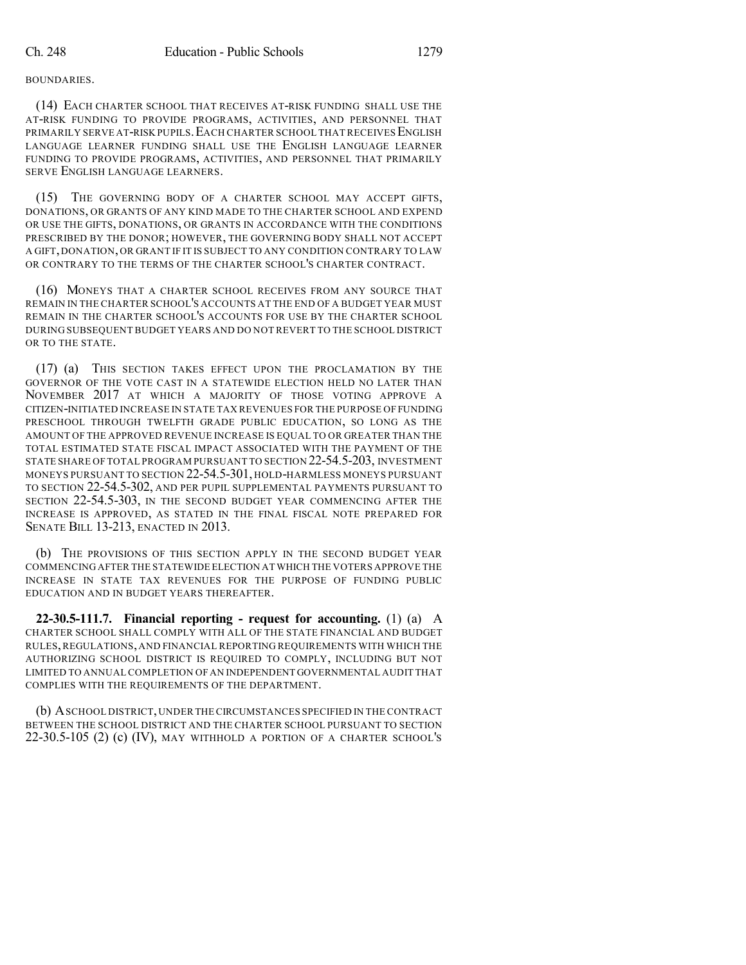BOUNDARIES.

(14) EACH CHARTER SCHOOL THAT RECEIVES AT-RISK FUNDING SHALL USE THE AT-RISK FUNDING TO PROVIDE PROGRAMS, ACTIVITIES, AND PERSONNEL THAT PRIMARILY SERVE AT-RISK PUPILS. EACH CHARTER SCHOOL THAT RECEIVES ENGLISH LANGUAGE LEARNER FUNDING SHALL USE THE ENGLISH LANGUAGE LEARNER FUNDING TO PROVIDE PROGRAMS, ACTIVITIES, AND PERSONNEL THAT PRIMARILY SERVE ENGLISH LANGUAGE LEARNERS.

(15) THE GOVERNING BODY OF A CHARTER SCHOOL MAY ACCEPT GIFTS, DONATIONS, OR GRANTS OF ANY KIND MADE TO THE CHARTER SCHOOL AND EXPEND OR USE THE GIFTS, DONATIONS, OR GRANTS IN ACCORDANCE WITH THE CONDITIONS PRESCRIBED BY THE DONOR; HOWEVER, THE GOVERNING BODY SHALL NOT ACCEPT A GIFT, DONATION, OR GRANT IF IT IS SUBJECT TO ANY CONDITION CONTRARY TO LAW OR CONTRARY TO THE TERMS OF THE CHARTER SCHOOL'S CHARTER CONTRACT.

(16) MONEYS THAT A CHARTER SCHOOL RECEIVES FROM ANY SOURCE THAT REMAIN IN THE CHARTER SCHOOL'S ACCOUNTS AT THE END OF A BUDGET YEAR MUST REMAIN IN THE CHARTER SCHOOL'S ACCOUNTS FOR USE BY THE CHARTER SCHOOL DURING SUBSEQUENT BUDGET YEARS AND DO NOT REVERT TO THE SCHOOL DISTRICT OR TO THE STATE.

(17) (a) THIS SECTION TAKES EFFECT UPON THE PROCLAMATION BY THE GOVERNOR OF THE VOTE CAST IN A STATEWIDE ELECTION HELD NO LATER THAN NOVEMBER 2017 AT WHICH A MAJORITY OF THOSE VOTING APPROVE A CITIZEN-INITIATED INCREASE IN STATE TAX REVENUES FOR THE PURPOSE OF FUNDING PRESCHOOL THROUGH TWELFTH GRADE PUBLIC EDUCATION, SO LONG AS THE AMOUNT OF THE APPROVED REVENUE INCREASE IS EQUAL TO OR GREATER THAN THE TOTAL ESTIMATED STATE FISCAL IMPACT ASSOCIATED WITH THE PAYMENT OF THE STATE SHARE OF TOTAL PROGRAM PURSUANT TO SECTION 22-54.5-203, INVESTMENT MONEYS PURSUANT TO SECTION 22-54.5-301, HOLD-HARMLESS MONEYS PURSUANT TO SECTION 22-54.5-302, AND PER PUPIL SUPPLEMENTAL PAYMENTS PURSUANT TO SECTION 22-54.5-303, IN THE SECOND BUDGET YEAR COMMENCING AFTER THE INCREASE IS APPROVED, AS STATED IN THE FINAL FISCAL NOTE PREPARED FOR SENATE BILL 13-213, ENACTED IN 2013.

(b) THE PROVISIONS OF THIS SECTION APPLY IN THE SECOND BUDGET YEAR COMMENCING AFTER THE STATEWIDE ELECTION AT WHICH THE VOTERS APPROVE THE INCREASE IN STATE TAX REVENUES FOR THE PURPOSE OF FUNDING PUBLIC EDUCATION AND IN BUDGET YEARS THEREAFTER.

**22-30.5-111.7. Financial reporting - request for accounting.** (1) (a) A CHARTER SCHOOL SHALL COMPLY WITH ALL OF THE STATE FINANCIAL AND BUDGET RULES,REGULATIONS, AND FINANCIAL REPORTING REQUIREMENTS WITH WHICH THE AUTHORIZING SCHOOL DISTRICT IS REQUIRED TO COMPLY, INCLUDING BUT NOT LIMITED TO ANNUAL COMPLETION OF AN INDEPENDENT GOVERNMENTAL AUDIT THAT COMPLIES WITH THE REQUIREMENTS OF THE DEPARTMENT.

(b) ASCHOOL DISTRICT,UNDER THECIRCUMSTANCES SPECIFIED IN THE CONTRACT BETWEEN THE SCHOOL DISTRICT AND THE CHARTER SCHOOL PURSUANT TO SECTION 22-30.5-105 (2) (c) (IV), MAY WITHHOLD A PORTION OF A CHARTER SCHOOL'S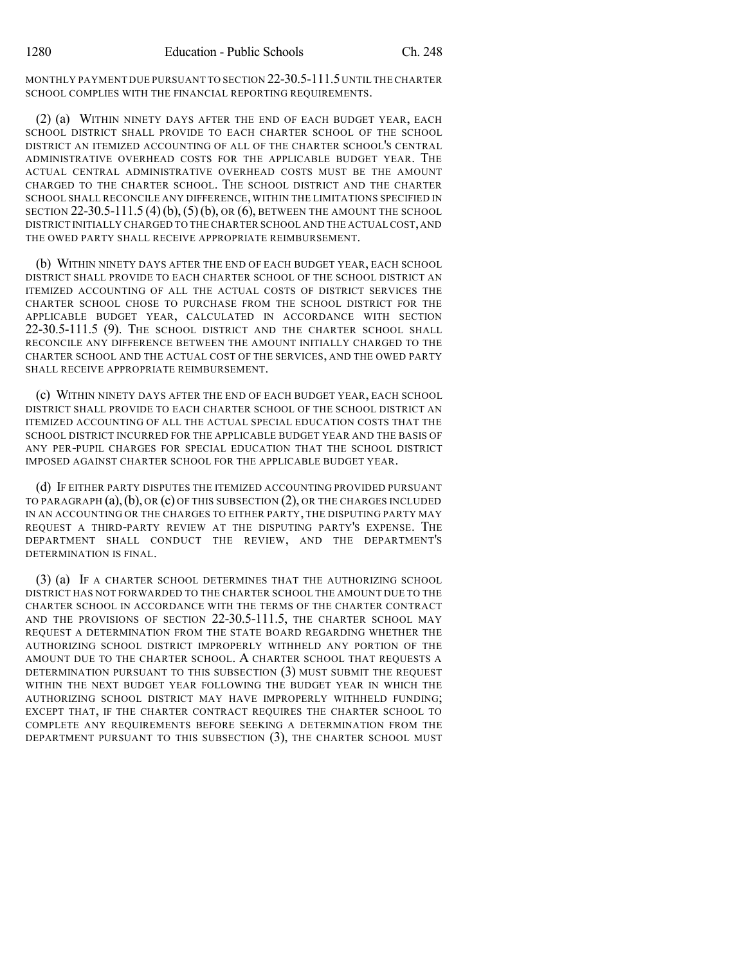MONTHLY PAYMENT DUE PURSUANT TO SECTION 22-30.5-111.5UNTIL THE CHARTER SCHOOL COMPLIES WITH THE FINANCIAL REPORTING REQUIREMENTS.

(2) (a) WITHIN NINETY DAYS AFTER THE END OF EACH BUDGET YEAR, EACH SCHOOL DISTRICT SHALL PROVIDE TO EACH CHARTER SCHOOL OF THE SCHOOL DISTRICT AN ITEMIZED ACCOUNTING OF ALL OF THE CHARTER SCHOOL'S CENTRAL ADMINISTRATIVE OVERHEAD COSTS FOR THE APPLICABLE BUDGET YEAR. THE ACTUAL CENTRAL ADMINISTRATIVE OVERHEAD COSTS MUST BE THE AMOUNT CHARGED TO THE CHARTER SCHOOL. THE SCHOOL DISTRICT AND THE CHARTER SCHOOL SHALL RECONCILE ANY DIFFERENCE, WITHIN THE LIMITATIONS SPECIFIED IN SECTION 22-30.5-111.5 (4)(b), (5)(b), OR (6), BETWEEN THE AMOUNT THE SCHOOL DISTRICT INITIALLY CHARGED TO THE CHARTER SCHOOL AND THE ACTUAL COST,AND THE OWED PARTY SHALL RECEIVE APPROPRIATE REIMBURSEMENT.

(b) WITHIN NINETY DAYS AFTER THE END OF EACH BUDGET YEAR, EACH SCHOOL DISTRICT SHALL PROVIDE TO EACH CHARTER SCHOOL OF THE SCHOOL DISTRICT AN ITEMIZED ACCOUNTING OF ALL THE ACTUAL COSTS OF DISTRICT SERVICES THE CHARTER SCHOOL CHOSE TO PURCHASE FROM THE SCHOOL DISTRICT FOR THE APPLICABLE BUDGET YEAR, CALCULATED IN ACCORDANCE WITH SECTION 22-30.5-111.5 (9). THE SCHOOL DISTRICT AND THE CHARTER SCHOOL SHALL RECONCILE ANY DIFFERENCE BETWEEN THE AMOUNT INITIALLY CHARGED TO THE CHARTER SCHOOL AND THE ACTUAL COST OF THE SERVICES, AND THE OWED PARTY SHALL RECEIVE APPROPRIATE REIMBURSEMENT.

(c) WITHIN NINETY DAYS AFTER THE END OF EACH BUDGET YEAR, EACH SCHOOL DISTRICT SHALL PROVIDE TO EACH CHARTER SCHOOL OF THE SCHOOL DISTRICT AN ITEMIZED ACCOUNTING OF ALL THE ACTUAL SPECIAL EDUCATION COSTS THAT THE SCHOOL DISTRICT INCURRED FOR THE APPLICABLE BUDGET YEAR AND THE BASIS OF ANY PER-PUPIL CHARGES FOR SPECIAL EDUCATION THAT THE SCHOOL DISTRICT IMPOSED AGAINST CHARTER SCHOOL FOR THE APPLICABLE BUDGET YEAR.

(d) IF EITHER PARTY DISPUTES THE ITEMIZED ACCOUNTING PROVIDED PURSUANT TO PARAGRAPH  $(a)$ ,  $(b)$ , OR  $(c)$  Of this subsection  $(2)$ , Or the charges included IN AN ACCOUNTING OR THE CHARGES TO EITHER PARTY, THE DISPUTING PARTY MAY REQUEST A THIRD-PARTY REVIEW AT THE DISPUTING PARTY'S EXPENSE. THE DEPARTMENT SHALL CONDUCT THE REVIEW, AND THE DEPARTMENT'S DETERMINATION IS FINAL.

(3) (a) IF A CHARTER SCHOOL DETERMINES THAT THE AUTHORIZING SCHOOL DISTRICT HAS NOT FORWARDED TO THE CHARTER SCHOOL THE AMOUNT DUE TO THE CHARTER SCHOOL IN ACCORDANCE WITH THE TERMS OF THE CHARTER CONTRACT AND THE PROVISIONS OF SECTION 22-30.5-111.5, THE CHARTER SCHOOL MAY REQUEST A DETERMINATION FROM THE STATE BOARD REGARDING WHETHER THE AUTHORIZING SCHOOL DISTRICT IMPROPERLY WITHHELD ANY PORTION OF THE AMOUNT DUE TO THE CHARTER SCHOOL. A CHARTER SCHOOL THAT REQUESTS A DETERMINATION PURSUANT TO THIS SUBSECTION (3) MUST SUBMIT THE REQUEST WITHIN THE NEXT BUDGET YEAR FOLLOWING THE BUDGET YEAR IN WHICH THE AUTHORIZING SCHOOL DISTRICT MAY HAVE IMPROPERLY WITHHELD FUNDING; EXCEPT THAT, IF THE CHARTER CONTRACT REQUIRES THE CHARTER SCHOOL TO COMPLETE ANY REQUIREMENTS BEFORE SEEKING A DETERMINATION FROM THE DEPARTMENT PURSUANT TO THIS SUBSECTION (3), THE CHARTER SCHOOL MUST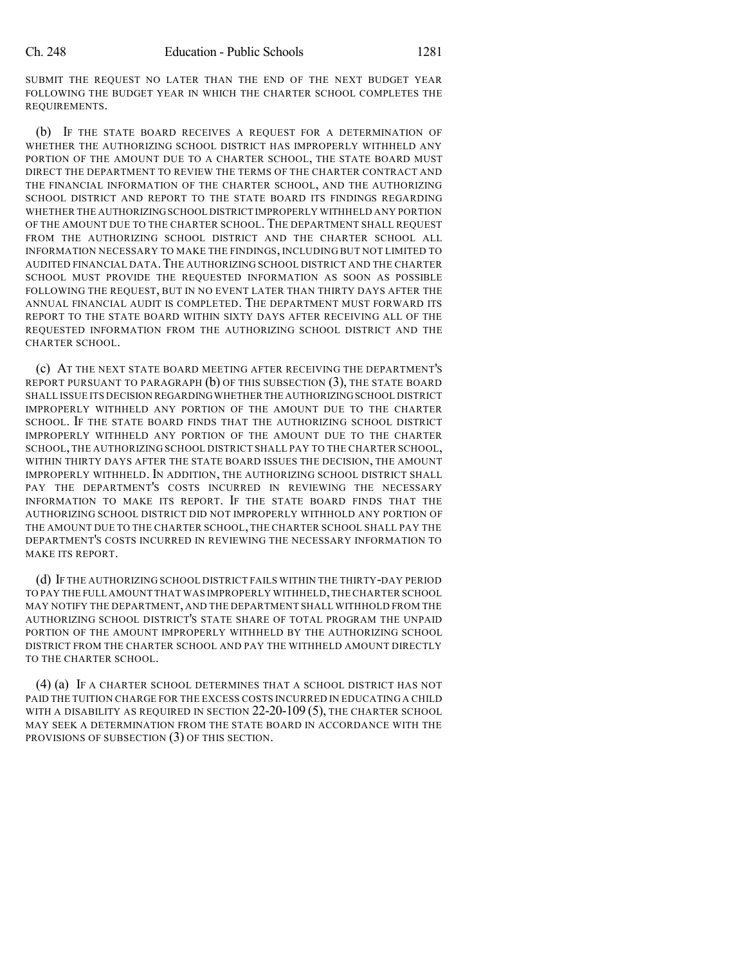SUBMIT THE REQUEST NO LATER THAN THE END OF THE NEXT BUDGET YEAR FOLLOWING THE BUDGET YEAR IN WHICH THE CHARTER SCHOOL COMPLETES THE REQUIREMENTS.

(b) IF THE STATE BOARD RECEIVES A REQUEST FOR A DETERMINATION OF WHETHER THE AUTHORIZING SCHOOL DISTRICT HAS IMPROPERLY WITHHELD ANY PORTION OF THE AMOUNT DUE TO A CHARTER SCHOOL, THE STATE BOARD MUST DIRECT THE DEPARTMENT TO REVIEW THE TERMS OF THE CHARTER CONTRACT AND THE FINANCIAL INFORMATION OF THE CHARTER SCHOOL, AND THE AUTHORIZING SCHOOL DISTRICT AND REPORT TO THE STATE BOARD ITS FINDINGS REGARDING WHETHER THE AUTHORIZINGSCHOOL DISTRICT IMPROPERLY WITHHELD ANY PORTION OF THE AMOUNT DUE TO THE CHARTER SCHOOL. THE DEPARTMENT SHALL REQUEST FROM THE AUTHORIZING SCHOOL DISTRICT AND THE CHARTER SCHOOL ALL INFORMATION NECESSARY TO MAKE THE FINDINGS, INCLUDING BUT NOT LIMITED TO AUDITED FINANCIAL DATA.THE AUTHORIZING SCHOOL DISTRICT AND THE CHARTER SCHOOL MUST PROVIDE THE REQUESTED INFORMATION AS SOON AS POSSIBLE FOLLOWING THE REQUEST, BUT IN NO EVENT LATER THAN THIRTY DAYS AFTER THE ANNUAL FINANCIAL AUDIT IS COMPLETED. THE DEPARTMENT MUST FORWARD ITS REPORT TO THE STATE BOARD WITHIN SIXTY DAYS AFTER RECEIVING ALL OF THE REQUESTED INFORMATION FROM THE AUTHORIZING SCHOOL DISTRICT AND THE CHARTER SCHOOL.

(c) AT THE NEXT STATE BOARD MEETING AFTER RECEIVING THE DEPARTMENT'S REPORT PURSUANT TO PARAGRAPH (b) OF THIS SUBSECTION (3), THE STATE BOARD SHALL ISSUE ITS DECISION REGARDINGWHETHER THE AUTHORIZINGSCHOOL DISTRICT IMPROPERLY WITHHELD ANY PORTION OF THE AMOUNT DUE TO THE CHARTER SCHOOL. IF THE STATE BOARD FINDS THAT THE AUTHORIZING SCHOOL DISTRICT IMPROPERLY WITHHELD ANY PORTION OF THE AMOUNT DUE TO THE CHARTER SCHOOL, THE AUTHORIZING SCHOOL DISTRICT SHALL PAY TO THE CHARTER SCHOOL, WITHIN THIRTY DAYS AFTER THE STATE BOARD ISSUES THE DECISION, THE AMOUNT IMPROPERLY WITHHELD. IN ADDITION, THE AUTHORIZING SCHOOL DISTRICT SHALL PAY THE DEPARTMENT'S COSTS INCURRED IN REVIEWING THE NECESSARY INFORMATION TO MAKE ITS REPORT. IF THE STATE BOARD FINDS THAT THE AUTHORIZING SCHOOL DISTRICT DID NOT IMPROPERLY WITHHOLD ANY PORTION OF THE AMOUNT DUE TO THE CHARTER SCHOOL, THE CHARTER SCHOOL SHALL PAY THE DEPARTMENT'S COSTS INCURRED IN REVIEWING THE NECESSARY INFORMATION TO MAKE ITS REPORT.

(d) IF THE AUTHORIZING SCHOOL DISTRICT FAILS WITHIN THE THIRTY-DAY PERIOD TO PAY THE FULL AMOUNT THAT WAS IMPROPERLY WITHHELD,THE CHARTER SCHOOL MAY NOTIFY THE DEPARTMENT, AND THE DEPARTMENT SHALL WITHHOLD FROM THE AUTHORIZING SCHOOL DISTRICT'S STATE SHARE OF TOTAL PROGRAM THE UNPAID PORTION OF THE AMOUNT IMPROPERLY WITHHELD BY THE AUTHORIZING SCHOOL DISTRICT FROM THE CHARTER SCHOOL AND PAY THE WITHHELD AMOUNT DIRECTLY TO THE CHARTER SCHOOL.

(4) (a) IF A CHARTER SCHOOL DETERMINES THAT A SCHOOL DISTRICT HAS NOT PAID THE TUITION CHARGE FOR THE EXCESS COSTS INCURRED IN EDUCATING A CHILD WITH A DISABILITY AS REQUIRED IN SECTION 22-20-109 (5), THE CHARTER SCHOOL MAY SEEK A DETERMINATION FROM THE STATE BOARD IN ACCORDANCE WITH THE PROVISIONS OF SUBSECTION (3) OF THIS SECTION.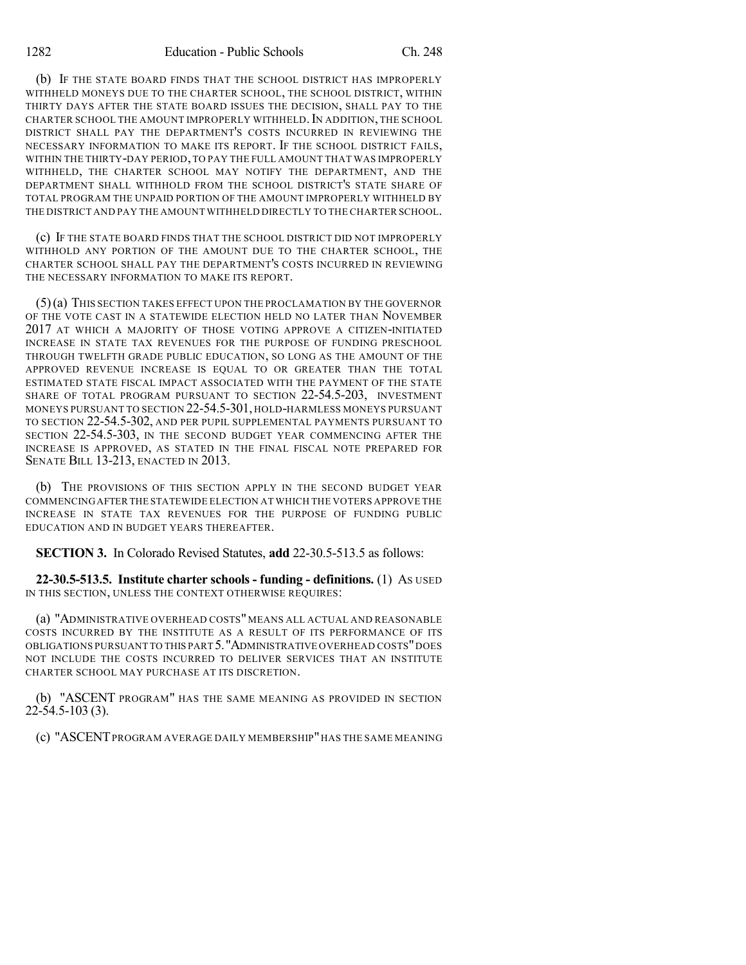(b) IF THE STATE BOARD FINDS THAT THE SCHOOL DISTRICT HAS IMPROPERLY WITHHELD MONEYS DUE TO THE CHARTER SCHOOL, THE SCHOOL DISTRICT, WITHIN THIRTY DAYS AFTER THE STATE BOARD ISSUES THE DECISION, SHALL PAY TO THE CHARTER SCHOOL THE AMOUNT IMPROPERLY WITHHELD. IN ADDITION, THE SCHOOL DISTRICT SHALL PAY THE DEPARTMENT'S COSTS INCURRED IN REVIEWING THE NECESSARY INFORMATION TO MAKE ITS REPORT. IF THE SCHOOL DISTRICT FAILS, WITHIN THE THIRTY-DAY PERIOD,TO PAY THE FULL AMOUNT THAT WAS IMPROPERLY WITHHELD, THE CHARTER SCHOOL MAY NOTIFY THE DEPARTMENT, AND THE DEPARTMENT SHALL WITHHOLD FROM THE SCHOOL DISTRICT'S STATE SHARE OF TOTAL PROGRAM THE UNPAID PORTION OF THE AMOUNT IMPROPERLY WITHHELD BY THE DISTRICT AND PAY THE AMOUNTWITHHELD DIRECTLY TO THE CHARTER SCHOOL.

(c) IF THE STATE BOARD FINDS THAT THE SCHOOL DISTRICT DID NOT IMPROPERLY WITHHOLD ANY PORTION OF THE AMOUNT DUE TO THE CHARTER SCHOOL, THE CHARTER SCHOOL SHALL PAY THE DEPARTMENT'S COSTS INCURRED IN REVIEWING THE NECESSARY INFORMATION TO MAKE ITS REPORT.

(5)(a) THIS SECTION TAKES EFFECT UPON THE PROCLAMATION BY THE GOVERNOR OF THE VOTE CAST IN A STATEWIDE ELECTION HELD NO LATER THAN NOVEMBER 2017 AT WHICH A MAJORITY OF THOSE VOTING APPROVE A CITIZEN-INITIATED INCREASE IN STATE TAX REVENUES FOR THE PURPOSE OF FUNDING PRESCHOOL THROUGH TWELFTH GRADE PUBLIC EDUCATION, SO LONG AS THE AMOUNT OF THE APPROVED REVENUE INCREASE IS EQUAL TO OR GREATER THAN THE TOTAL ESTIMATED STATE FISCAL IMPACT ASSOCIATED WITH THE PAYMENT OF THE STATE SHARE OF TOTAL PROGRAM PURSUANT TO SECTION 22-54.5-203, INVESTMENT MONEYS PURSUANT TO SECTION 22-54.5-301, HOLD-HARMLESS MONEYS PURSUANT TO SECTION 22-54.5-302, AND PER PUPIL SUPPLEMENTAL PAYMENTS PURSUANT TO SECTION 22-54.5-303, IN THE SECOND BUDGET YEAR COMMENCING AFTER THE INCREASE IS APPROVED, AS STATED IN THE FINAL FISCAL NOTE PREPARED FOR SENATE BILL 13-213, ENACTED IN 2013.

(b) THE PROVISIONS OF THIS SECTION APPLY IN THE SECOND BUDGET YEAR COMMENCINGAFTER THE STATEWIDE ELECTION AT WHICH THE VOTERS APPROVE THE INCREASE IN STATE TAX REVENUES FOR THE PURPOSE OF FUNDING PUBLIC EDUCATION AND IN BUDGET YEARS THEREAFTER.

**SECTION 3.** In Colorado Revised Statutes, **add** 22-30.5-513.5 as follows:

**22-30.5-513.5. Institute charter schools - funding - definitions.** (1) AS USED IN THIS SECTION, UNLESS THE CONTEXT OTHERWISE REQUIRES:

(a) "ADMINISTRATIVE OVERHEAD COSTS" MEANS ALL ACTUAL AND REASONABLE COSTS INCURRED BY THE INSTITUTE AS A RESULT OF ITS PERFORMANCE OF ITS OBLIGATIONS PURSUANT TO THIS PART 5."ADMINISTRATIVE OVERHEAD COSTS"DOES NOT INCLUDE THE COSTS INCURRED TO DELIVER SERVICES THAT AN INSTITUTE CHARTER SCHOOL MAY PURCHASE AT ITS DISCRETION.

(b) "ASCENT PROGRAM" HAS THE SAME MEANING AS PROVIDED IN SECTION 22-54.5-103 (3).

(c) "ASCENTPROGRAM AVERAGE DAILY MEMBERSHIP"HAS THE SAME MEANING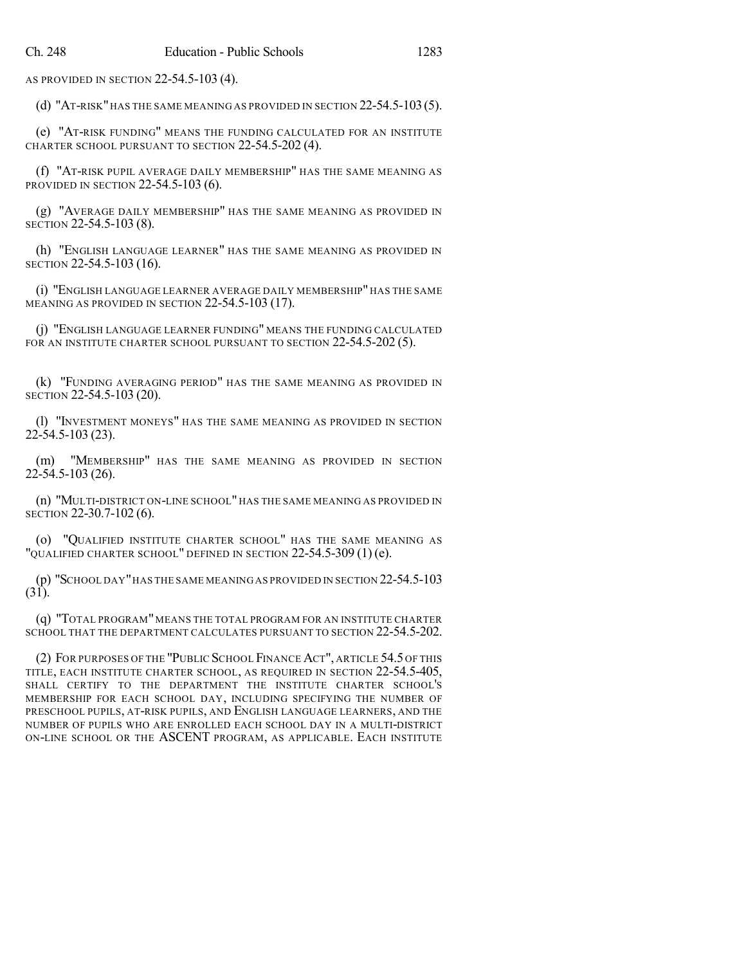AS PROVIDED IN SECTION 22-54.5-103 (4).

(d) "AT-RISK"HAS THE SAME MEANING AS PROVIDED IN SECTION 22-54.5-103(5).

(e) "AT-RISK FUNDING" MEANS THE FUNDING CALCULATED FOR AN INSTITUTE CHARTER SCHOOL PURSUANT TO SECTION 22-54.5-202 (4).

(f) "AT-RISK PUPIL AVERAGE DAILY MEMBERSHIP" HAS THE SAME MEANING AS PROVIDED IN SECTION 22-54.5-103 (6).

(g) "AVERAGE DAILY MEMBERSHIP" HAS THE SAME MEANING AS PROVIDED IN SECTION 22-54.5-103 (8).

(h) "ENGLISH LANGUAGE LEARNER" HAS THE SAME MEANING AS PROVIDED IN SECTION 22-54.5-103 (16).

(i) "ENGLISH LANGUAGE LEARNER AVERAGE DAILY MEMBERSHIP" HAS THE SAME MEANING AS PROVIDED IN SECTION 22-54.5-103 (17).

(j) "ENGLISH LANGUAGE LEARNER FUNDING" MEANS THE FUNDING CALCULATED FOR AN INSTITUTE CHARTER SCHOOL PURSUANT TO SECTION 22-54.5-202 (5).

(k) "FUNDING AVERAGING PERIOD" HAS THE SAME MEANING AS PROVIDED IN SECTION 22-54.5-103 (20).

(l) "INVESTMENT MONEYS" HAS THE SAME MEANING AS PROVIDED IN SECTION 22-54.5-103 (23).

(m) "MEMBERSHIP" HAS THE SAME MEANING AS PROVIDED IN SECTION 22-54.5-103 (26).

(n) "MULTI-DISTRICT ON-LINE SCHOOL" HAS THE SAME MEANING AS PROVIDED IN SECTION 22-30.7-102 (6).

(o) "QUALIFIED INSTITUTE CHARTER SCHOOL" HAS THE SAME MEANING AS "QUALIFIED CHARTER SCHOOL" DEFINED IN SECTION 22-54.5-309 (1) (e).

(p) "SCHOOL DAY"HAS THE SAME MEANING AS PROVIDED IN SECTION 22-54.5-103  $(31).$ 

(q) "TOTAL PROGRAM" MEANS THE TOTAL PROGRAM FOR AN INSTITUTE CHARTER SCHOOL THAT THE DEPARTMENT CALCULATES PURSUANT TO SECTION 22-54.5-202.

(2) FOR PURPOSES OF THE "PUBLIC SCHOOL FINANCE ACT", ARTICLE 54.5 OF THIS TITLE, EACH INSTITUTE CHARTER SCHOOL, AS REQUIRED IN SECTION 22-54.5-405, SHALL CERTIFY TO THE DEPARTMENT THE INSTITUTE CHARTER SCHOOL'S MEMBERSHIP FOR EACH SCHOOL DAY, INCLUDING SPECIFYING THE NUMBER OF PRESCHOOL PUPILS, AT-RISK PUPILS, AND ENGLISH LANGUAGE LEARNERS, AND THE NUMBER OF PUPILS WHO ARE ENROLLED EACH SCHOOL DAY IN A MULTI-DISTRICT ON-LINE SCHOOL OR THE ASCENT PROGRAM, AS APPLICABLE. EACH INSTITUTE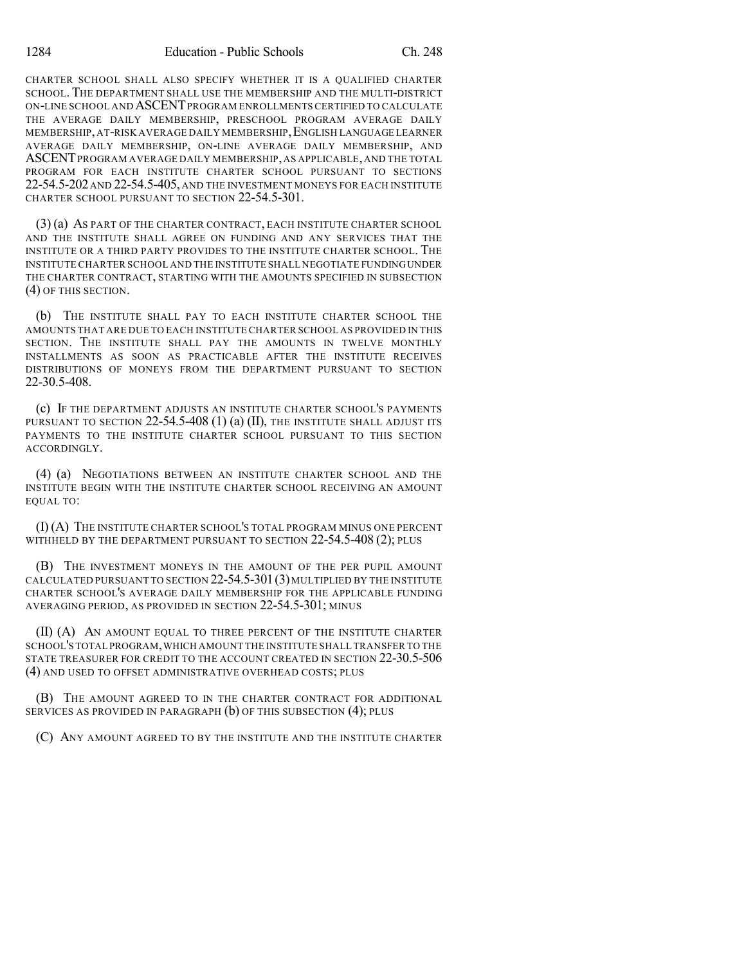CHARTER SCHOOL SHALL ALSO SPECIFY WHETHER IT IS A QUALIFIED CHARTER SCHOOL. THE DEPARTMENT SHALL USE THE MEMBERSHIP AND THE MULTI-DISTRICT ON-LINE SCHOOL AND ASCENTPROGRAM ENROLLMENTS CERTIFIED TO CALCULATE THE AVERAGE DAILY MEMBERSHIP, PRESCHOOL PROGRAM AVERAGE DAILY MEMBERSHIP,AT-RISK AVERAGE DAILY MEMBERSHIP,ENGLISH LANGUAGE LEARNER AVERAGE DAILY MEMBERSHIP, ON-LINE AVERAGE DAILY MEMBERSHIP, AND ASCENTPROGRAM AVERAGE DAILY MEMBERSHIP,AS APPLICABLE,AND THE TOTAL PROGRAM FOR EACH INSTITUTE CHARTER SCHOOL PURSUANT TO SECTIONS 22-54.5-202 AND 22-54.5-405, AND THE INVESTMENT MONEYS FOR EACH INSTITUTE CHARTER SCHOOL PURSUANT TO SECTION 22-54.5-301.

(3) (a) AS PART OF THE CHARTER CONTRACT, EACH INSTITUTE CHARTER SCHOOL AND THE INSTITUTE SHALL AGREE ON FUNDING AND ANY SERVICES THAT THE INSTITUTE OR A THIRD PARTY PROVIDES TO THE INSTITUTE CHARTER SCHOOL. THE INSTITUTE CHARTER SCHOOL AND THE INSTITUTE SHALL NEGOTIATE FUNDINGUNDER THE CHARTER CONTRACT, STARTING WITH THE AMOUNTS SPECIFIED IN SUBSECTION (4) OF THIS SECTION.

(b) THE INSTITUTE SHALL PAY TO EACH INSTITUTE CHARTER SCHOOL THE AMOUNTS THAT ARE DUE TO EACH INSTITUTE CHARTER SCHOOL AS PROVIDED IN THIS SECTION. THE INSTITUTE SHALL PAY THE AMOUNTS IN TWELVE MONTHLY INSTALLMENTS AS SOON AS PRACTICABLE AFTER THE INSTITUTE RECEIVES DISTRIBUTIONS OF MONEYS FROM THE DEPARTMENT PURSUANT TO SECTION 22-30.5-408.

(c) IF THE DEPARTMENT ADJUSTS AN INSTITUTE CHARTER SCHOOL'S PAYMENTS PURSUANT TO SECTION 22-54.5-408 (1) (a) (II), THE INSTITUTE SHALL ADJUST ITS PAYMENTS TO THE INSTITUTE CHARTER SCHOOL PURSUANT TO THIS SECTION ACCORDINGLY.

(4) (a) NEGOTIATIONS BETWEEN AN INSTITUTE CHARTER SCHOOL AND THE INSTITUTE BEGIN WITH THE INSTITUTE CHARTER SCHOOL RECEIVING AN AMOUNT EQUAL TO:

(I) (A) THE INSTITUTE CHARTER SCHOOL'S TOTAL PROGRAM MINUS ONE PERCENT WITHHELD BY THE DEPARTMENT PURSUANT TO SECTION 22-54.5-408 (2); PLUS

(B) THE INVESTMENT MONEYS IN THE AMOUNT OF THE PER PUPIL AMOUNT CALCULATED PURSUANT TO SECTION 22-54.5-301(3)MULTIPLIED BY THE INSTITUTE CHARTER SCHOOL'S AVERAGE DAILY MEMBERSHIP FOR THE APPLICABLE FUNDING AVERAGING PERIOD, AS PROVIDED IN SECTION 22-54.5-301; MINUS

(II) (A) AN AMOUNT EQUAL TO THREE PERCENT OF THE INSTITUTE CHARTER SCHOOL'STOTAL PROGRAM,WHICH AMOUNT THE INSTITUTE SHALL TRANSFER TO THE STATE TREASURER FOR CREDIT TO THE ACCOUNT CREATED IN SECTION 22-30.5-506 (4) AND USED TO OFFSET ADMINISTRATIVE OVERHEAD COSTS; PLUS

(B) THE AMOUNT AGREED TO IN THE CHARTER CONTRACT FOR ADDITIONAL SERVICES AS PROVIDED IN PARAGRAPH (b) OF THIS SUBSECTION (4); PLUS

(C) ANY AMOUNT AGREED TO BY THE INSTITUTE AND THE INSTITUTE CHARTER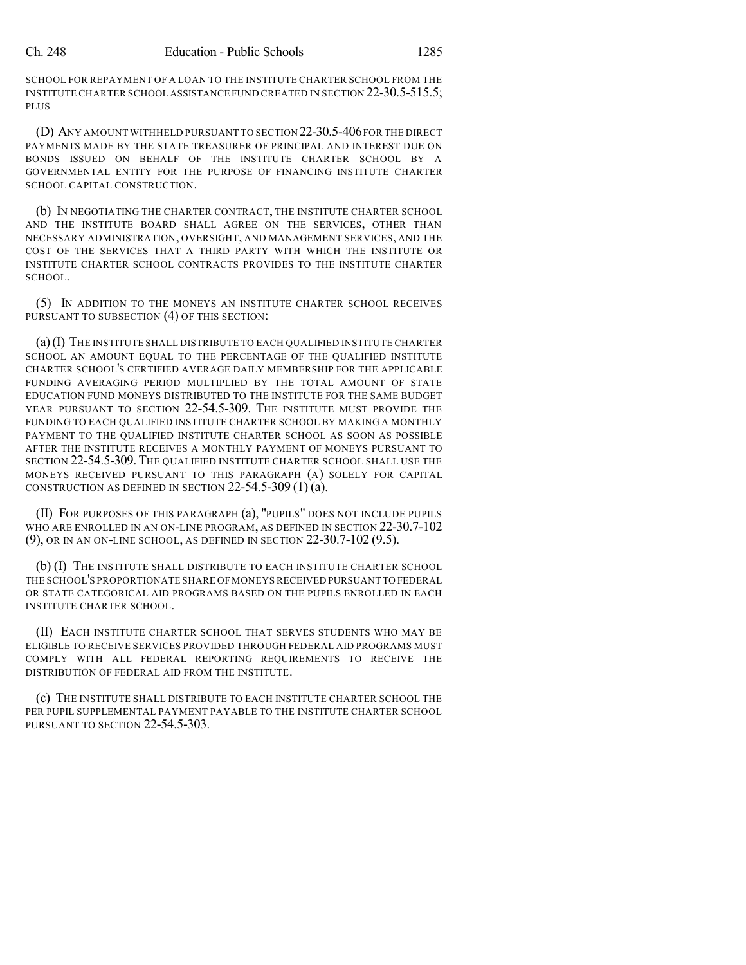SCHOOL FOR REPAYMENT OF A LOAN TO THE INSTITUTE CHARTER SCHOOL FROM THE INSTITUTE CHARTER SCHOOL ASSISTANCE FUND CREATED IN SECTION 22-30.5-515.5; **PLUS** 

(D) ANY AMOUNT WITHHELD PURSUANT TO SECTION 22-30.5-406FOR THE DIRECT PAYMENTS MADE BY THE STATE TREASURER OF PRINCIPAL AND INTEREST DUE ON BONDS ISSUED ON BEHALF OF THE INSTITUTE CHARTER SCHOOL BY A GOVERNMENTAL ENTITY FOR THE PURPOSE OF FINANCING INSTITUTE CHARTER SCHOOL CAPITAL CONSTRUCTION.

(b) IN NEGOTIATING THE CHARTER CONTRACT, THE INSTITUTE CHARTER SCHOOL AND THE INSTITUTE BOARD SHALL AGREE ON THE SERVICES, OTHER THAN NECESSARY ADMINISTRATION, OVERSIGHT, AND MANAGEMENT SERVICES, AND THE COST OF THE SERVICES THAT A THIRD PARTY WITH WHICH THE INSTITUTE OR INSTITUTE CHARTER SCHOOL CONTRACTS PROVIDES TO THE INSTITUTE CHARTER SCHOOL.

(5) IN ADDITION TO THE MONEYS AN INSTITUTE CHARTER SCHOOL RECEIVES PURSUANT TO SUBSECTION (4) OF THIS SECTION:

(a)(I) THE INSTITUTE SHALL DISTRIBUTE TO EACH QUALIFIED INSTITUTE CHARTER SCHOOL AN AMOUNT EQUAL TO THE PERCENTAGE OF THE QUALIFIED INSTITUTE CHARTER SCHOOL'S CERTIFIED AVERAGE DAILY MEMBERSHIP FOR THE APPLICABLE FUNDING AVERAGING PERIOD MULTIPLIED BY THE TOTAL AMOUNT OF STATE EDUCATION FUND MONEYS DISTRIBUTED TO THE INSTITUTE FOR THE SAME BUDGET YEAR PURSUANT TO SECTION 22-54.5-309. THE INSTITUTE MUST PROVIDE THE FUNDING TO EACH QUALIFIED INSTITUTE CHARTER SCHOOL BY MAKING A MONTHLY PAYMENT TO THE QUALIFIED INSTITUTE CHARTER SCHOOL AS SOON AS POSSIBLE AFTER THE INSTITUTE RECEIVES A MONTHLY PAYMENT OF MONEYS PURSUANT TO SECTION 22-54.5-309. THE QUALIFIED INSTITUTE CHARTER SCHOOL SHALL USE THE MONEYS RECEIVED PURSUANT TO THIS PARAGRAPH (A) SOLELY FOR CAPITAL CONSTRUCTION AS DEFINED IN SECTION  $22-54.5-309(1)(a)$ .

(II) FOR PURPOSES OF THIS PARAGRAPH (a), "PUPILS" DOES NOT INCLUDE PUPILS WHO ARE ENROLLED IN AN ON-LINE PROGRAM, AS DEFINED IN SECTION 22-30.7-102 (9), OR IN AN ON-LINE SCHOOL, AS DEFINED IN SECTION 22-30.7-102 (9.5).

(b) (I) THE INSTITUTE SHALL DISTRIBUTE TO EACH INSTITUTE CHARTER SCHOOL THE SCHOOL'S PROPORTIONATE SHARE OF MONEYS RECEIVED PURSUANT TO FEDERAL OR STATE CATEGORICAL AID PROGRAMS BASED ON THE PUPILS ENROLLED IN EACH INSTITUTE CHARTER SCHOOL.

(II) EACH INSTITUTE CHARTER SCHOOL THAT SERVES STUDENTS WHO MAY BE ELIGIBLE TO RECEIVE SERVICES PROVIDED THROUGH FEDERAL AID PROGRAMS MUST COMPLY WITH ALL FEDERAL REPORTING REQUIREMENTS TO RECEIVE THE DISTRIBUTION OF FEDERAL AID FROM THE INSTITUTE.

(c) THE INSTITUTE SHALL DISTRIBUTE TO EACH INSTITUTE CHARTER SCHOOL THE PER PUPIL SUPPLEMENTAL PAYMENT PAYABLE TO THE INSTITUTE CHARTER SCHOOL PURSUANT TO SECTION 22-54.5-303.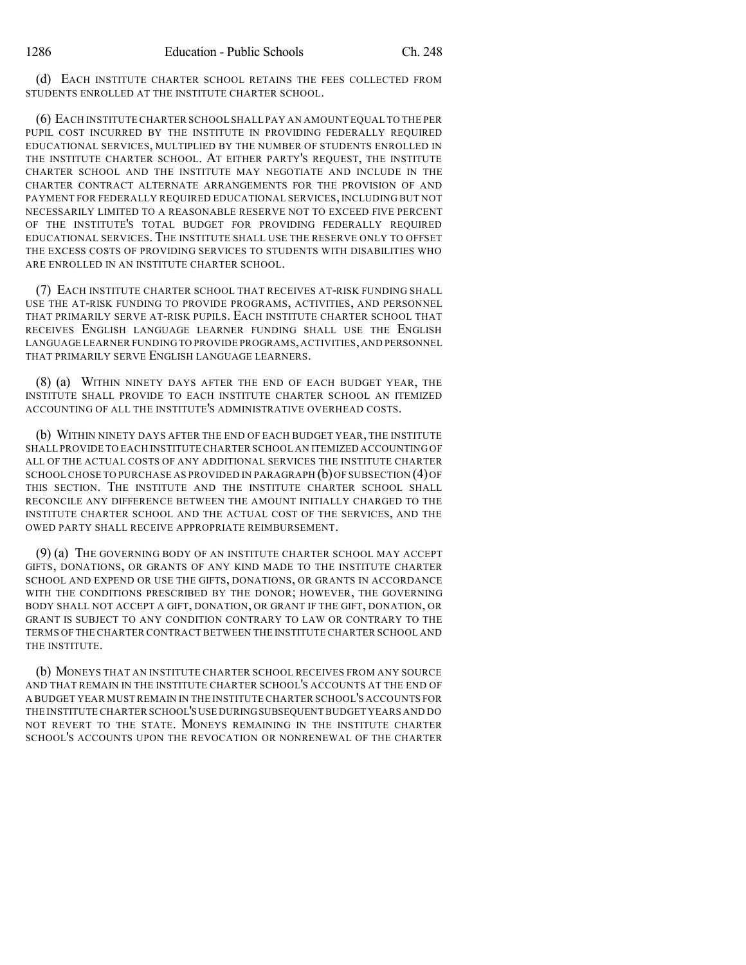(d) EACH INSTITUTE CHARTER SCHOOL RETAINS THE FEES COLLECTED FROM STUDENTS ENROLLED AT THE INSTITUTE CHARTER SCHOOL.

(6) EACH INSTITUTE CHARTER SCHOOL SHALL PAY AN AMOUNT EQUAL TO THE PER PUPIL COST INCURRED BY THE INSTITUTE IN PROVIDING FEDERALLY REQUIRED EDUCATIONAL SERVICES, MULTIPLIED BY THE NUMBER OF STUDENTS ENROLLED IN THE INSTITUTE CHARTER SCHOOL. AT EITHER PARTY'S REQUEST, THE INSTITUTE CHARTER SCHOOL AND THE INSTITUTE MAY NEGOTIATE AND INCLUDE IN THE CHARTER CONTRACT ALTERNATE ARRANGEMENTS FOR THE PROVISION OF AND PAYMENT FOR FEDERALLY REQUIRED EDUCATIONAL SERVICES, INCLUDING BUT NOT NECESSARILY LIMITED TO A REASONABLE RESERVE NOT TO EXCEED FIVE PERCENT OF THE INSTITUTE'S TOTAL BUDGET FOR PROVIDING FEDERALLY REQUIRED EDUCATIONAL SERVICES. THE INSTITUTE SHALL USE THE RESERVE ONLY TO OFFSET THE EXCESS COSTS OF PROVIDING SERVICES TO STUDENTS WITH DISABILITIES WHO ARE ENROLLED IN AN INSTITUTE CHARTER SCHOOL.

(7) EACH INSTITUTE CHARTER SCHOOL THAT RECEIVES AT-RISK FUNDING SHALL USE THE AT-RISK FUNDING TO PROVIDE PROGRAMS, ACTIVITIES, AND PERSONNEL THAT PRIMARILY SERVE AT-RISK PUPILS. EACH INSTITUTE CHARTER SCHOOL THAT RECEIVES ENGLISH LANGUAGE LEARNER FUNDING SHALL USE THE ENGLISH LANGUAGE LEARNER FUNDING TO PROVIDE PROGRAMS,ACTIVITIES,AND PERSONNEL THAT PRIMARILY SERVE ENGLISH LANGUAGE LEARNERS.

(8) (a) WITHIN NINETY DAYS AFTER THE END OF EACH BUDGET YEAR, THE INSTITUTE SHALL PROVIDE TO EACH INSTITUTE CHARTER SCHOOL AN ITEMIZED ACCOUNTING OF ALL THE INSTITUTE'S ADMINISTRATIVE OVERHEAD COSTS.

(b) WITHIN NINETY DAYS AFTER THE END OF EACH BUDGET YEAR, THE INSTITUTE SHALL PROVIDE TO EACH INSTITUTE CHARTER SCHOOL AN ITEMIZED ACCOUNTING OF ALL OF THE ACTUAL COSTS OF ANY ADDITIONAL SERVICES THE INSTITUTE CHARTER SCHOOL CHOSE TO PURCHASE AS PROVIDED IN PARAGRAPH (b) OF SUBSECTION (4) OF THIS SECTION. THE INSTITUTE AND THE INSTITUTE CHARTER SCHOOL SHALL RECONCILE ANY DIFFERENCE BETWEEN THE AMOUNT INITIALLY CHARGED TO THE INSTITUTE CHARTER SCHOOL AND THE ACTUAL COST OF THE SERVICES, AND THE OWED PARTY SHALL RECEIVE APPROPRIATE REIMBURSEMENT.

(9) (a) THE GOVERNING BODY OF AN INSTITUTE CHARTER SCHOOL MAY ACCEPT GIFTS, DONATIONS, OR GRANTS OF ANY KIND MADE TO THE INSTITUTE CHARTER SCHOOL AND EXPEND OR USE THE GIFTS, DONATIONS, OR GRANTS IN ACCORDANCE WITH THE CONDITIONS PRESCRIBED BY THE DONOR; HOWEVER, THE GOVERNING BODY SHALL NOT ACCEPT A GIFT, DONATION, OR GRANT IF THE GIFT, DONATION, OR GRANT IS SUBJECT TO ANY CONDITION CONTRARY TO LAW OR CONTRARY TO THE TERMS OF THE CHARTER CONTRACT BETWEEN THE INSTITUTE CHARTER SCHOOL AND THE INSTITUTE.

(b) MONEYS THAT AN INSTITUTE CHARTER SCHOOL RECEIVES FROM ANY SOURCE AND THAT REMAIN IN THE INSTITUTE CHARTER SCHOOL'S ACCOUNTS AT THE END OF A BUDGET YEAR MUST REMAIN IN THE INSTITUTE CHARTER SCHOOL'S ACCOUNTS FOR THE INSTITUTE CHARTER SCHOOL'S USE DURINGSUBSEQUENT BUDGET YEARS AND DO NOT REVERT TO THE STATE. MONEYS REMAINING IN THE INSTITUTE CHARTER SCHOOL'S ACCOUNTS UPON THE REVOCATION OR NONRENEWAL OF THE CHARTER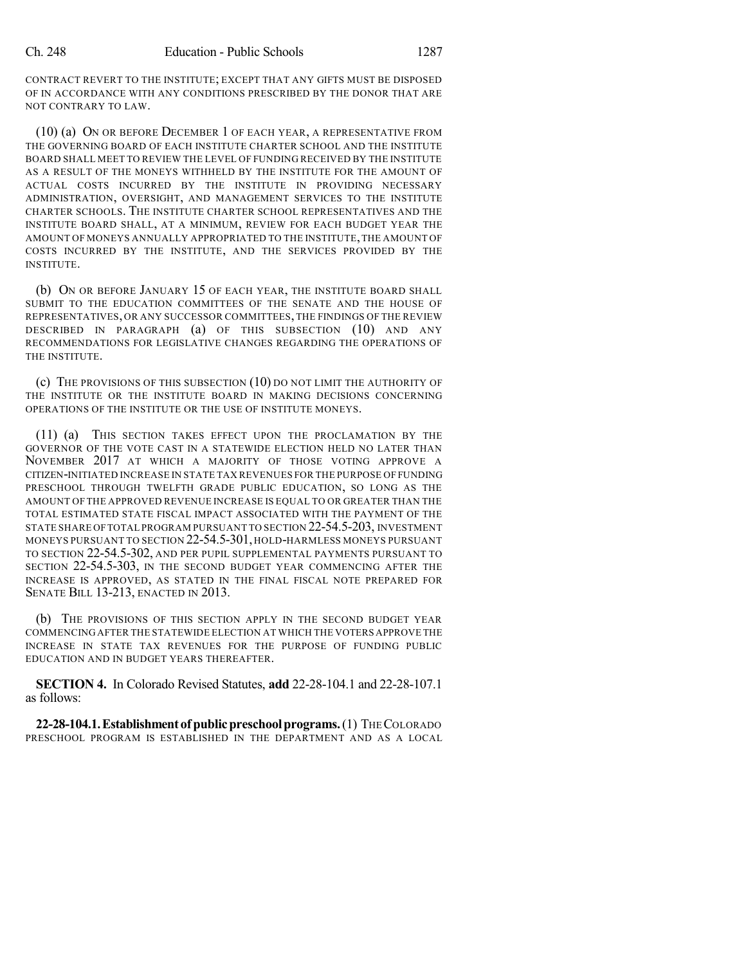CONTRACT REVERT TO THE INSTITUTE; EXCEPT THAT ANY GIFTS MUST BE DISPOSED OF IN ACCORDANCE WITH ANY CONDITIONS PRESCRIBED BY THE DONOR THAT ARE NOT CONTRARY TO LAW.

(10) (a) ON OR BEFORE DECEMBER 1 OF EACH YEAR, A REPRESENTATIVE FROM THE GOVERNING BOARD OF EACH INSTITUTE CHARTER SCHOOL AND THE INSTITUTE BOARD SHALL MEET TO REVIEW THE LEVEL OF FUNDING RECEIVED BY THE INSTITUTE AS A RESULT OF THE MONEYS WITHHELD BY THE INSTITUTE FOR THE AMOUNT OF ACTUAL COSTS INCURRED BY THE INSTITUTE IN PROVIDING NECESSARY ADMINISTRATION, OVERSIGHT, AND MANAGEMENT SERVICES TO THE INSTITUTE CHARTER SCHOOLS. THE INSTITUTE CHARTER SCHOOL REPRESENTATIVES AND THE INSTITUTE BOARD SHALL, AT A MINIMUM, REVIEW FOR EACH BUDGET YEAR THE AMOUNT OF MONEYS ANNUALLY APPROPRIATED TO THE INSTITUTE,THE AMOUNT OF COSTS INCURRED BY THE INSTITUTE, AND THE SERVICES PROVIDED BY THE INSTITUTE.

(b) ON OR BEFORE JANUARY 15 OF EACH YEAR, THE INSTITUTE BOARD SHALL SUBMIT TO THE EDUCATION COMMITTEES OF THE SENATE AND THE HOUSE OF REPRESENTATIVES, OR ANY SUCCESSOR COMMITTEES, THE FINDINGS OF THE REVIEW DESCRIBED IN PARAGRAPH (a) OF THIS SUBSECTION (10) AND ANY RECOMMENDATIONS FOR LEGISLATIVE CHANGES REGARDING THE OPERATIONS OF THE INSTITUTE.

(c) THE PROVISIONS OF THIS SUBSECTION (10) DO NOT LIMIT THE AUTHORITY OF THE INSTITUTE OR THE INSTITUTE BOARD IN MAKING DECISIONS CONCERNING OPERATIONS OF THE INSTITUTE OR THE USE OF INSTITUTE MONEYS.

(11) (a) THIS SECTION TAKES EFFECT UPON THE PROCLAMATION BY THE GOVERNOR OF THE VOTE CAST IN A STATEWIDE ELECTION HELD NO LATER THAN NOVEMBER 2017 AT WHICH A MAJORITY OF THOSE VOTING APPROVE A CITIZEN-INITIATED INCREASE IN STATE TAX REVENUES FOR THE PURPOSE OF FUNDING PRESCHOOL THROUGH TWELFTH GRADE PUBLIC EDUCATION, SO LONG AS THE AMOUNT OF THE APPROVED REVENUE INCREASE IS EQUAL TO OR GREATER THAN THE TOTAL ESTIMATED STATE FISCAL IMPACT ASSOCIATED WITH THE PAYMENT OF THE STATE SHARE OFTOTAL PROGRAM PURSUANT TO SECTION 22-54.5-203, INVESTMENT MONEYS PURSUANT TO SECTION 22-54.5-301, HOLD-HARMLESS MONEYS PURSUANT TO SECTION 22-54.5-302, AND PER PUPIL SUPPLEMENTAL PAYMENTS PURSUANT TO SECTION 22-54.5-303, IN THE SECOND BUDGET YEAR COMMENCING AFTER THE INCREASE IS APPROVED, AS STATED IN THE FINAL FISCAL NOTE PREPARED FOR SENATE BILL 13-213, ENACTED IN 2013.

(b) THE PROVISIONS OF THIS SECTION APPLY IN THE SECOND BUDGET YEAR COMMENCING AFTER THE STATEWIDE ELECTION AT WHICH THE VOTERS APPROVE THE INCREASE IN STATE TAX REVENUES FOR THE PURPOSE OF FUNDING PUBLIC EDUCATION AND IN BUDGET YEARS THEREAFTER.

**SECTION 4.** In Colorado Revised Statutes, **add** 22-28-104.1 and 22-28-107.1 as follows:

**22-28-104.1.Establishment of publicpreschoolprograms.**(1) THECOLORADO PRESCHOOL PROGRAM IS ESTABLISHED IN THE DEPARTMENT AND AS A LOCAL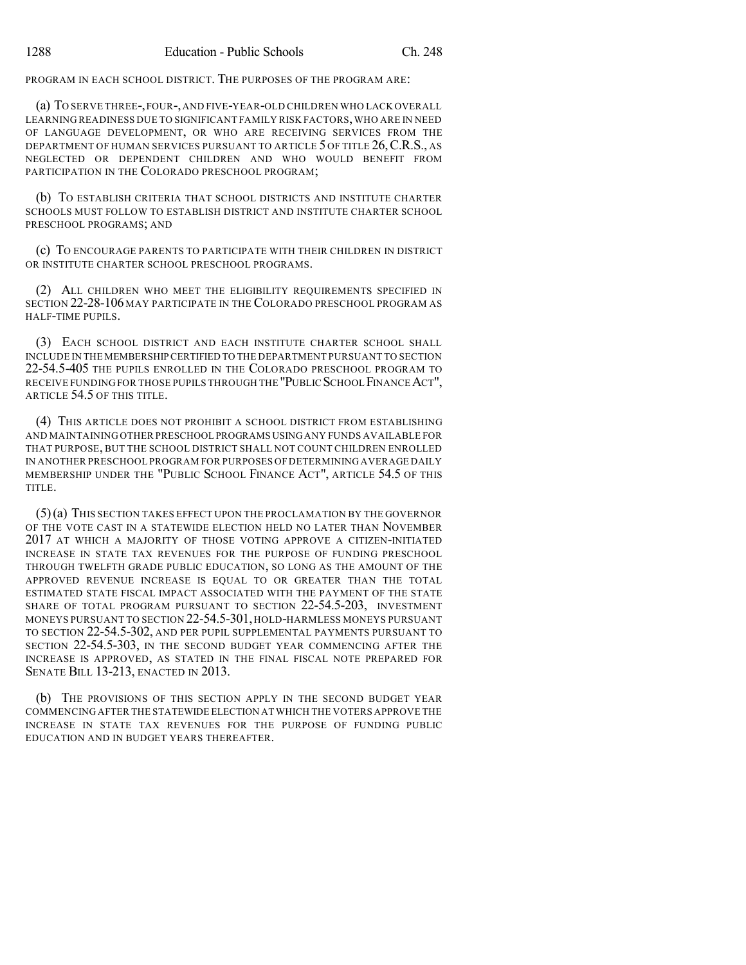PROGRAM IN EACH SCHOOL DISTRICT. THE PURPOSES OF THE PROGRAM ARE:

(a) TO SERVE THREE-,FOUR-,AND FIVE-YEAR-OLD CHILDREN WHO LACK OVERALL LEARNING READINESS DUE TO SIGNIFICANT FAMILY RISK FACTORS, WHO ARE IN NEED OF LANGUAGE DEVELOPMENT, OR WHO ARE RECEIVING SERVICES FROM THE DEPARTMENT OF HUMAN SERVICES PURSUANT TO ARTICLE 5 OF TITLE 26,C.R.S., AS NEGLECTED OR DEPENDENT CHILDREN AND WHO WOULD BENEFIT FROM PARTICIPATION IN THE COLORADO PRESCHOOL PROGRAM;

(b) TO ESTABLISH CRITERIA THAT SCHOOL DISTRICTS AND INSTITUTE CHARTER SCHOOLS MUST FOLLOW TO ESTABLISH DISTRICT AND INSTITUTE CHARTER SCHOOL PRESCHOOL PROGRAMS; AND

(c) TO ENCOURAGE PARENTS TO PARTICIPATE WITH THEIR CHILDREN IN DISTRICT OR INSTITUTE CHARTER SCHOOL PRESCHOOL PROGRAMS.

(2) ALL CHILDREN WHO MEET THE ELIGIBILITY REQUIREMENTS SPECIFIED IN SECTION 22-28-106 MAY PARTICIPATE IN THE COLORADO PRESCHOOL PROGRAM AS HALF-TIME PUPILS.

(3) EACH SCHOOL DISTRICT AND EACH INSTITUTE CHARTER SCHOOL SHALL INCLUDE IN THE MEMBERSHIPCERTIFIED TO THE DEPARTMENT PURSUANT TO SECTION 22-54.5-405 THE PUPILS ENROLLED IN THE COLORADO PRESCHOOL PROGRAM TO RECEIVE FUNDING FOR THOSE PUPILS THROUGH THE "PUBLIC SCHOOL FINANCE ACT", ARTICLE 54.5 OF THIS TITLE.

(4) THIS ARTICLE DOES NOT PROHIBIT A SCHOOL DISTRICT FROM ESTABLISHING AND MAINTAINING OTHER PRESCHOOL PROGRAMS USING ANY FUNDS AVAILABLE FOR THAT PURPOSE, BUT THE SCHOOL DISTRICT SHALL NOT COUNT CHILDREN ENROLLED IN ANOTHER PRESCHOOL PROGRAM FOR PURPOSES OF DETERMINING AVERAGE DAILY MEMBERSHIP UNDER THE "PUBLIC SCHOOL FINANCE ACT", ARTICLE 54.5 OF THIS TITLE.

(5)(a) THIS SECTION TAKES EFFECT UPON THE PROCLAMATION BY THE GOVERNOR OF THE VOTE CAST IN A STATEWIDE ELECTION HELD NO LATER THAN NOVEMBER 2017 AT WHICH A MAJORITY OF THOSE VOTING APPROVE A CITIZEN-INITIATED INCREASE IN STATE TAX REVENUES FOR THE PURPOSE OF FUNDING PRESCHOOL THROUGH TWELFTH GRADE PUBLIC EDUCATION, SO LONG AS THE AMOUNT OF THE APPROVED REVENUE INCREASE IS EQUAL TO OR GREATER THAN THE TOTAL ESTIMATED STATE FISCAL IMPACT ASSOCIATED WITH THE PAYMENT OF THE STATE SHARE OF TOTAL PROGRAM PURSUANT TO SECTION 22-54.5-203, INVESTMENT MONEYS PURSUANT TO SECTION 22-54.5-301, HOLD-HARMLESS MONEYS PURSUANT TO SECTION 22-54.5-302, AND PER PUPIL SUPPLEMENTAL PAYMENTS PURSUANT TO SECTION 22-54.5-303, IN THE SECOND BUDGET YEAR COMMENCING AFTER THE INCREASE IS APPROVED, AS STATED IN THE FINAL FISCAL NOTE PREPARED FOR SENATE BILL 13-213, ENACTED IN 2013.

(b) THE PROVISIONS OF THIS SECTION APPLY IN THE SECOND BUDGET YEAR COMMENCING AFTER THE STATEWIDE ELECTION AT WHICH THE VOTERS APPROVE THE INCREASE IN STATE TAX REVENUES FOR THE PURPOSE OF FUNDING PUBLIC EDUCATION AND IN BUDGET YEARS THEREAFTER.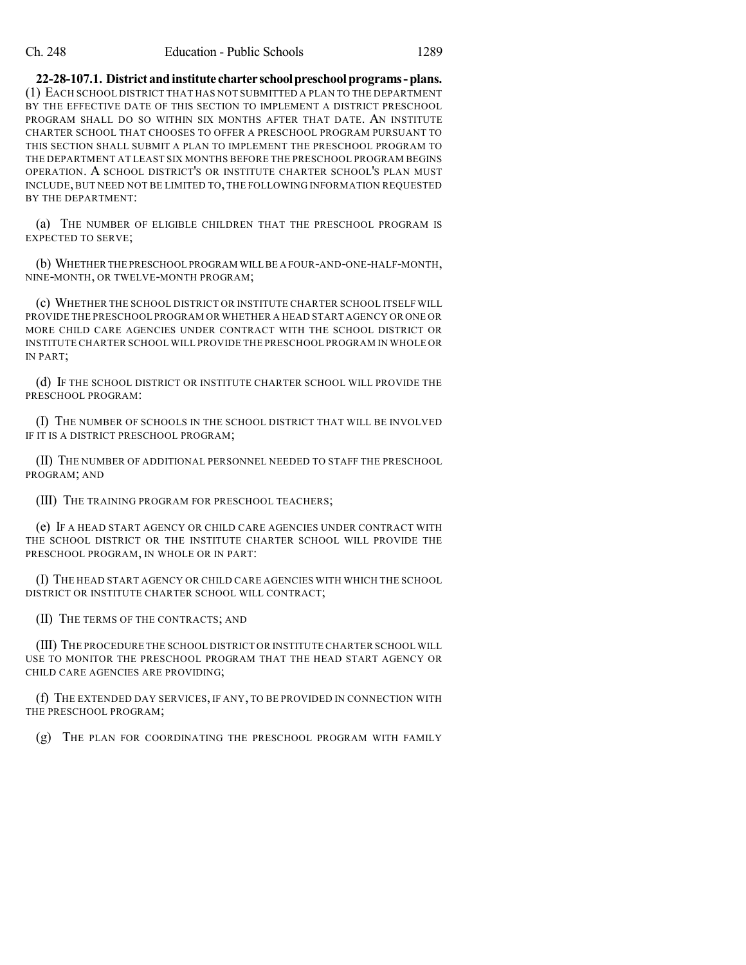**22-28-107.1. Districtandinstitute charterschoolpreschoolprograms-plans.** (1) EACH SCHOOL DISTRICT THAT HAS NOT SUBMITTED A PLAN TO THE DEPARTMENT BY THE EFFECTIVE DATE OF THIS SECTION TO IMPLEMENT A DISTRICT PRESCHOOL PROGRAM SHALL DO SO WITHIN SIX MONTHS AFTER THAT DATE. AN INSTITUTE CHARTER SCHOOL THAT CHOOSES TO OFFER A PRESCHOOL PROGRAM PURSUANT TO THIS SECTION SHALL SUBMIT A PLAN TO IMPLEMENT THE PRESCHOOL PROGRAM TO THE DEPARTMENT AT LEAST SIX MONTHS BEFORE THE PRESCHOOL PROGRAM BEGINS OPERATION. A SCHOOL DISTRICT'S OR INSTITUTE CHARTER SCHOOL'S PLAN MUST INCLUDE, BUT NEED NOT BE LIMITED TO, THE FOLLOWING INFORMATION REQUESTED BY THE DEPARTMENT:

(a) THE NUMBER OF ELIGIBLE CHILDREN THAT THE PRESCHOOL PROGRAM IS EXPECTED TO SERVE;

(b) WHETHER THE PRESCHOOL PROGRAM WILL BE A FOUR-AND-ONE-HALF-MONTH, NINE-MONTH, OR TWELVE-MONTH PROGRAM;

(c) WHETHER THE SCHOOL DISTRICT OR INSTITUTE CHARTER SCHOOL ITSELF WILL PROVIDE THE PRESCHOOL PROGRAM OR WHETHER A HEAD START AGENCY OR ONE OR MORE CHILD CARE AGENCIES UNDER CONTRACT WITH THE SCHOOL DISTRICT OR INSTITUTE CHARTER SCHOOL WILL PROVIDE THE PRESCHOOL PROGRAM IN WHOLE OR IN PART;

(d) IF THE SCHOOL DISTRICT OR INSTITUTE CHARTER SCHOOL WILL PROVIDE THE PRESCHOOL PROGRAM:

(I) THE NUMBER OF SCHOOLS IN THE SCHOOL DISTRICT THAT WILL BE INVOLVED IF IT IS A DISTRICT PRESCHOOL PROGRAM;

(II) THE NUMBER OF ADDITIONAL PERSONNEL NEEDED TO STAFF THE PRESCHOOL PROGRAM; AND

(III) THE TRAINING PROGRAM FOR PRESCHOOL TEACHERS;

(e) IF A HEAD START AGENCY OR CHILD CARE AGENCIES UNDER CONTRACT WITH THE SCHOOL DISTRICT OR THE INSTITUTE CHARTER SCHOOL WILL PROVIDE THE PRESCHOOL PROGRAM, IN WHOLE OR IN PART:

(I) THE HEAD START AGENCY OR CHILD CARE AGENCIES WITH WHICH THE SCHOOL DISTRICT OR INSTITUTE CHARTER SCHOOL WILL CONTRACT;

(II) THE TERMS OF THE CONTRACTS; AND

(III) THE PROCEDURE THE SCHOOL DISTRICT OR INSTITUTE CHARTER SCHOOL WILL USE TO MONITOR THE PRESCHOOL PROGRAM THAT THE HEAD START AGENCY OR CHILD CARE AGENCIES ARE PROVIDING;

(f) THE EXTENDED DAY SERVICES, IF ANY, TO BE PROVIDED IN CONNECTION WITH THE PRESCHOOL PROGRAM;

(g) THE PLAN FOR COORDINATING THE PRESCHOOL PROGRAM WITH FAMILY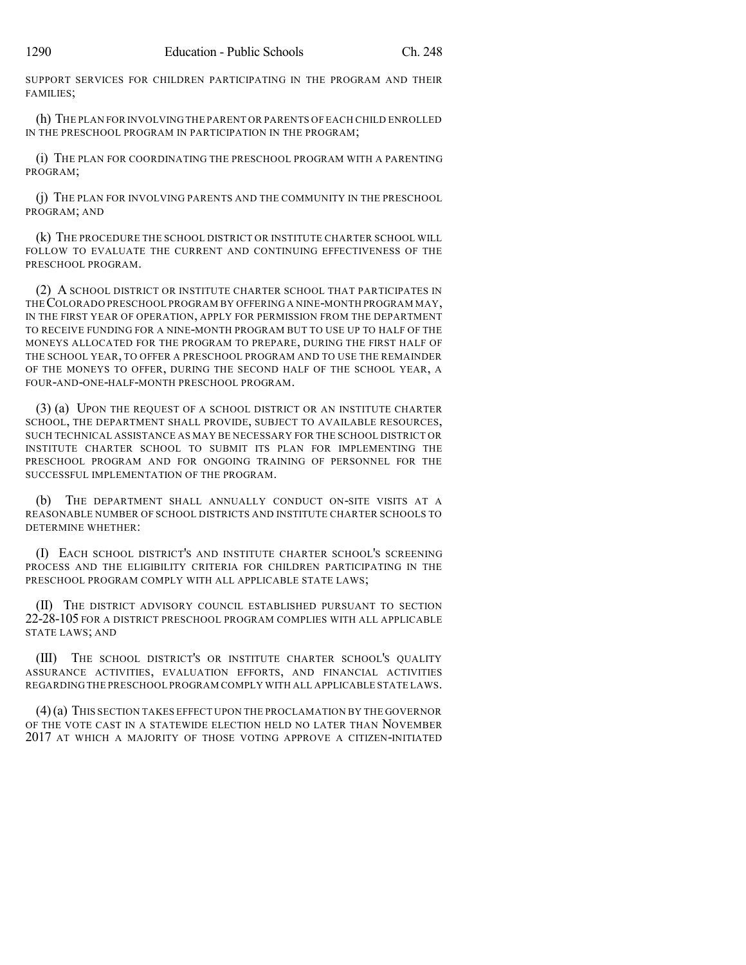SUPPORT SERVICES FOR CHILDREN PARTICIPATING IN THE PROGRAM AND THEIR FAMILIES;

(h) THE PLAN FOR INVOLVING THE PARENT OR PARENTS OF EACH CHILD ENROLLED IN THE PRESCHOOL PROGRAM IN PARTICIPATION IN THE PROGRAM;

(i) THE PLAN FOR COORDINATING THE PRESCHOOL PROGRAM WITH A PARENTING PROGRAM;

(j) THE PLAN FOR INVOLVING PARENTS AND THE COMMUNITY IN THE PRESCHOOL PROGRAM; AND

(k) THE PROCEDURE THE SCHOOL DISTRICT OR INSTITUTE CHARTER SCHOOL WILL FOLLOW TO EVALUATE THE CURRENT AND CONTINUING EFFECTIVENESS OF THE PRESCHOOL PROGRAM.

(2) A SCHOOL DISTRICT OR INSTITUTE CHARTER SCHOOL THAT PARTICIPATES IN THECOLORADO PRESCHOOL PROGRAM BY OFFERING A NINE-MONTH PROGRAM MAY, IN THE FIRST YEAR OF OPERATION, APPLY FOR PERMISSION FROM THE DEPARTMENT TO RECEIVE FUNDING FOR A NINE-MONTH PROGRAM BUT TO USE UP TO HALF OF THE MONEYS ALLOCATED FOR THE PROGRAM TO PREPARE, DURING THE FIRST HALF OF THE SCHOOL YEAR, TO OFFER A PRESCHOOL PROGRAM AND TO USE THE REMAINDER OF THE MONEYS TO OFFER, DURING THE SECOND HALF OF THE SCHOOL YEAR, A FOUR-AND-ONE-HALF-MONTH PRESCHOOL PROGRAM.

(3) (a) UPON THE REQUEST OF A SCHOOL DISTRICT OR AN INSTITUTE CHARTER SCHOOL, THE DEPARTMENT SHALL PROVIDE, SUBJECT TO AVAILABLE RESOURCES, SUCH TECHNICAL ASSISTANCE AS MAY BE NECESSARY FOR THE SCHOOL DISTRICT OR INSTITUTE CHARTER SCHOOL TO SUBMIT ITS PLAN FOR IMPLEMENTING THE PRESCHOOL PROGRAM AND FOR ONGOING TRAINING OF PERSONNEL FOR THE SUCCESSFUL IMPLEMENTATION OF THE PROGRAM.

(b) THE DEPARTMENT SHALL ANNUALLY CONDUCT ON-SITE VISITS AT A REASONABLE NUMBER OF SCHOOL DISTRICTS AND INSTITUTE CHARTER SCHOOLS TO DETERMINE WHETHER:

(I) EACH SCHOOL DISTRICT'S AND INSTITUTE CHARTER SCHOOL'S SCREENING PROCESS AND THE ELIGIBILITY CRITERIA FOR CHILDREN PARTICIPATING IN THE PRESCHOOL PROGRAM COMPLY WITH ALL APPLICABLE STATE LAWS;

(II) THE DISTRICT ADVISORY COUNCIL ESTABLISHED PURSUANT TO SECTION 22-28-105 FOR A DISTRICT PRESCHOOL PROGRAM COMPLIES WITH ALL APPLICABLE STATE LAWS; AND

(III) THE SCHOOL DISTRICT'S OR INSTITUTE CHARTER SCHOOL'S QUALITY ASSURANCE ACTIVITIES, EVALUATION EFFORTS, AND FINANCIAL ACTIVITIES REGARDING THE PRESCHOOL PROGRAM COMPLY WITH ALL APPLICABLE STATE LAWS.

(4)(a) THIS SECTION TAKES EFFECT UPON THE PROCLAMATION BY THE GOVERNOR OF THE VOTE CAST IN A STATEWIDE ELECTION HELD NO LATER THAN NOVEMBER 2017 AT WHICH A MAJORITY OF THOSE VOTING APPROVE A CITIZEN-INITIATED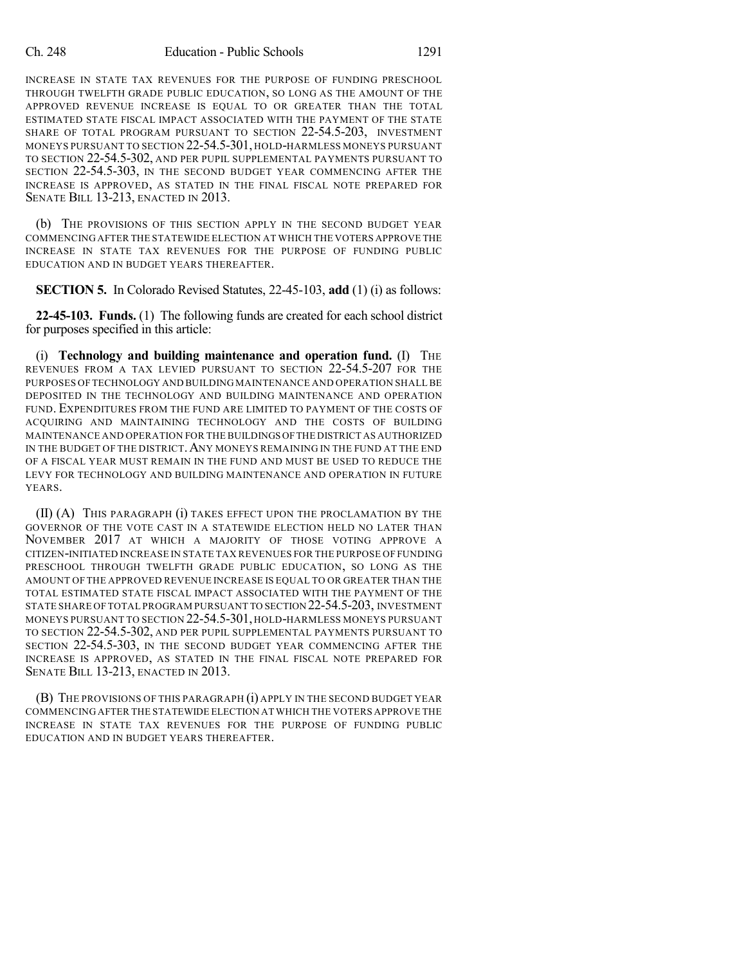INCREASE IN STATE TAX REVENUES FOR THE PURPOSE OF FUNDING PRESCHOOL THROUGH TWELFTH GRADE PUBLIC EDUCATION, SO LONG AS THE AMOUNT OF THE APPROVED REVENUE INCREASE IS EQUAL TO OR GREATER THAN THE TOTAL ESTIMATED STATE FISCAL IMPACT ASSOCIATED WITH THE PAYMENT OF THE STATE SHARE OF TOTAL PROGRAM PURSUANT TO SECTION 22-54.5-203, INVESTMENT MONEYS PURSUANT TO SECTION 22-54.5-301, HOLD-HARMLESS MONEYS PURSUANT TO SECTION 22-54.5-302, AND PER PUPIL SUPPLEMENTAL PAYMENTS PURSUANT TO SECTION 22-54.5-303, IN THE SECOND BUDGET YEAR COMMENCING AFTER THE INCREASE IS APPROVED, AS STATED IN THE FINAL FISCAL NOTE PREPARED FOR SENATE BILL 13-213, ENACTED IN 2013.

(b) THE PROVISIONS OF THIS SECTION APPLY IN THE SECOND BUDGET YEAR COMMENCING AFTER THE STATEWIDE ELECTION AT WHICH THE VOTERS APPROVE THE INCREASE IN STATE TAX REVENUES FOR THE PURPOSE OF FUNDING PUBLIC EDUCATION AND IN BUDGET YEARS THEREAFTER.

**SECTION 5.** In Colorado Revised Statutes, 22-45-103, **add** (1) (i) as follows:

**22-45-103. Funds.** (1) The following funds are created for each school district for purposes specified in this article:

(i) **Technology and building maintenance and operation fund.** (I) THE REVENUES FROM A TAX LEVIED PURSUANT TO SECTION 22-54.5-207 FOR THE PURPOSES OF TECHNOLOGY AND BUILDING MAINTENANCE AND OPERATION SHALLBE DEPOSITED IN THE TECHNOLOGY AND BUILDING MAINTENANCE AND OPERATION FUND. EXPENDITURES FROM THE FUND ARE LIMITED TO PAYMENT OF THE COSTS OF ACQUIRING AND MAINTAINING TECHNOLOGY AND THE COSTS OF BUILDING MAINTENANCE AND OPERATION FOR THE BUILDINGS OFTHE DISTRICT AS AUTHORIZED IN THE BUDGET OF THE DISTRICT.ANY MONEYS REMAINING IN THE FUND AT THE END OF A FISCAL YEAR MUST REMAIN IN THE FUND AND MUST BE USED TO REDUCE THE LEVY FOR TECHNOLOGY AND BUILDING MAINTENANCE AND OPERATION IN FUTURE YEARS.

(II) (A) THIS PARAGRAPH (i) TAKES EFFECT UPON THE PROCLAMATION BY THE GOVERNOR OF THE VOTE CAST IN A STATEWIDE ELECTION HELD NO LATER THAN NOVEMBER 2017 AT WHICH A MAJORITY OF THOSE VOTING APPROVE A CITIZEN-INITIATED INCREASE IN STATE TAX REVENUES FOR THE PURPOSE OF FUNDING PRESCHOOL THROUGH TWELFTH GRADE PUBLIC EDUCATION, SO LONG AS THE AMOUNT OF THE APPROVED REVENUE INCREASE IS EQUAL TO OR GREATER THAN THE TOTAL ESTIMATED STATE FISCAL IMPACT ASSOCIATED WITH THE PAYMENT OF THE STATE SHARE OF TOTAL PROGRAM PURSUANT TO SECTION 22-54.5-203, INVESTMENT MONEYS PURSUANT TO SECTION 22-54.5-301, HOLD-HARMLESS MONEYS PURSUANT TO SECTION 22-54.5-302, AND PER PUPIL SUPPLEMENTAL PAYMENTS PURSUANT TO SECTION 22-54.5-303, IN THE SECOND BUDGET YEAR COMMENCING AFTER THE INCREASE IS APPROVED, AS STATED IN THE FINAL FISCAL NOTE PREPARED FOR SENATE BILL 13-213, ENACTED IN 2013.

(B) THE PROVISIONS OF THIS PARAGRAPH (i) APPLY IN THE SECOND BUDGET YEAR COMMENCING AFTER THE STATEWIDE ELECTION AT WHICH THE VOTERS APPROVE THE INCREASE IN STATE TAX REVENUES FOR THE PURPOSE OF FUNDING PUBLIC EDUCATION AND IN BUDGET YEARS THEREAFTER.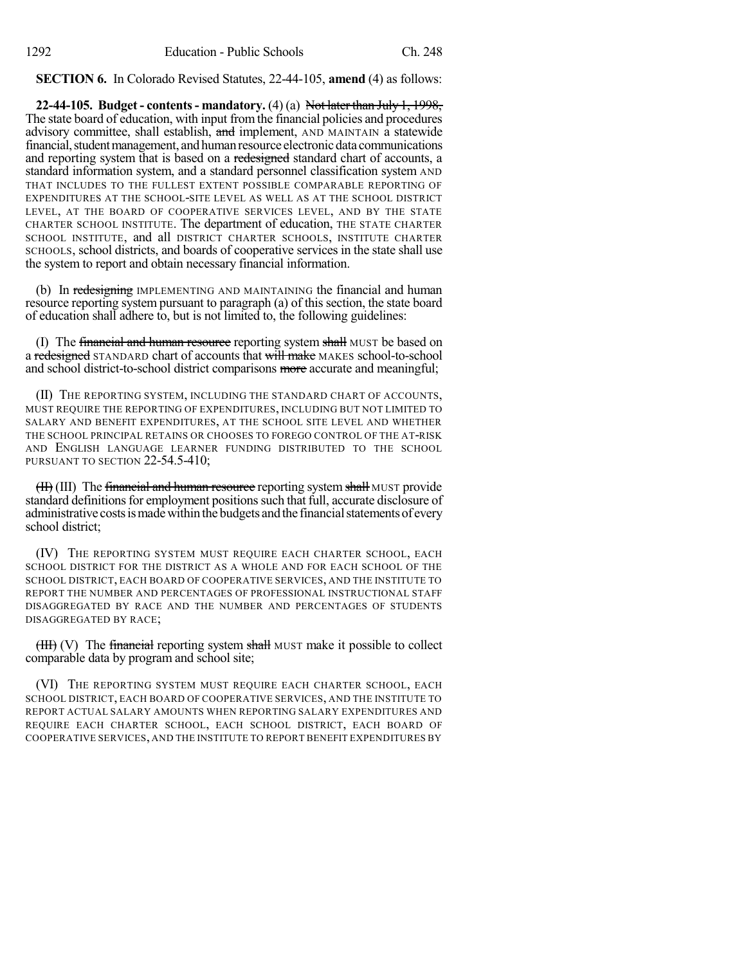**SECTION 6.** In Colorado Revised Statutes, 22-44-105, **amend** (4) as follows:

**22-44-105. Budget - contents- mandatory.** (4) (a) Not later than July 1, 1998, The state board of education, with input fromthe financial policies and procedures advisory committee, shall establish, and implement, AND MAINTAIN a statewide financial, student management, and human resource electronic data communications and reporting system that is based on a redesigned standard chart of accounts, a standard information system, and a standard personnel classification system AND THAT INCLUDES TO THE FULLEST EXTENT POSSIBLE COMPARABLE REPORTING OF EXPENDITURES AT THE SCHOOL-SITE LEVEL AS WELL AS AT THE SCHOOL DISTRICT LEVEL, AT THE BOARD OF COOPERATIVE SERVICES LEVEL, AND BY THE STATE CHARTER SCHOOL INSTITUTE. The department of education, THE STATE CHARTER SCHOOL INSTITUTE, and all DISTRICT CHARTER SCHOOLS, INSTITUTE CHARTER SCHOOLS, school districts, and boards of cooperative services in the state shall use the system to report and obtain necessary financial information.

(b) In redesigning IMPLEMENTING AND MAINTAINING the financial and human resource reporting system pursuant to paragraph (a) of this section, the state board of education shall adhere to, but is not limited to, the following guidelines:

(I) The financial and human resource reporting system shall MUST be based on a redesigned STANDARD chart of accounts that will make MAKES school-to-school and school district-to-school district comparisons more accurate and meaningful;

(II) THE REPORTING SYSTEM, INCLUDING THE STANDARD CHART OF ACCOUNTS, MUST REQUIRE THE REPORTING OF EXPENDITURES, INCLUDING BUT NOT LIMITED TO SALARY AND BENEFIT EXPENDITURES, AT THE SCHOOL SITE LEVEL AND WHETHER THE SCHOOL PRINCIPAL RETAINS OR CHOOSES TO FOREGO CONTROL OF THE AT-RISK AND ENGLISH LANGUAGE LEARNER FUNDING DISTRIBUTED TO THE SCHOOL PURSUANT TO SECTION 22-54.5-410;

(III) The financial and human resource reporting system shall MUST provide standard definitions for employment positions such that full, accurate disclosure of administrative costs is made within the budgets and the financial statements of every school district;

(IV) THE REPORTING SYSTEM MUST REQUIRE EACH CHARTER SCHOOL, EACH SCHOOL DISTRICT FOR THE DISTRICT AS A WHOLE AND FOR EACH SCHOOL OF THE SCHOOL DISTRICT, EACH BOARD OF COOPERATIVE SERVICES, AND THE INSTITUTE TO REPORT THE NUMBER AND PERCENTAGES OF PROFESSIONAL INSTRUCTIONAL STAFF DISAGGREGATED BY RACE AND THE NUMBER AND PERCENTAGES OF STUDENTS DISAGGREGATED BY RACE;

 $(HH)$  (V) The financial reporting system shall MUST make it possible to collect comparable data by program and school site;

(VI) THE REPORTING SYSTEM MUST REQUIRE EACH CHARTER SCHOOL, EACH SCHOOL DISTRICT, EACH BOARD OF COOPERATIVE SERVICES, AND THE INSTITUTE TO REPORT ACTUAL SALARY AMOUNTS WHEN REPORTING SALARY EXPENDITURES AND REQUIRE EACH CHARTER SCHOOL, EACH SCHOOL DISTRICT, EACH BOARD OF COOPERATIVE SERVICES, AND THE INSTITUTE TO REPORT BENEFIT EXPENDITURES BY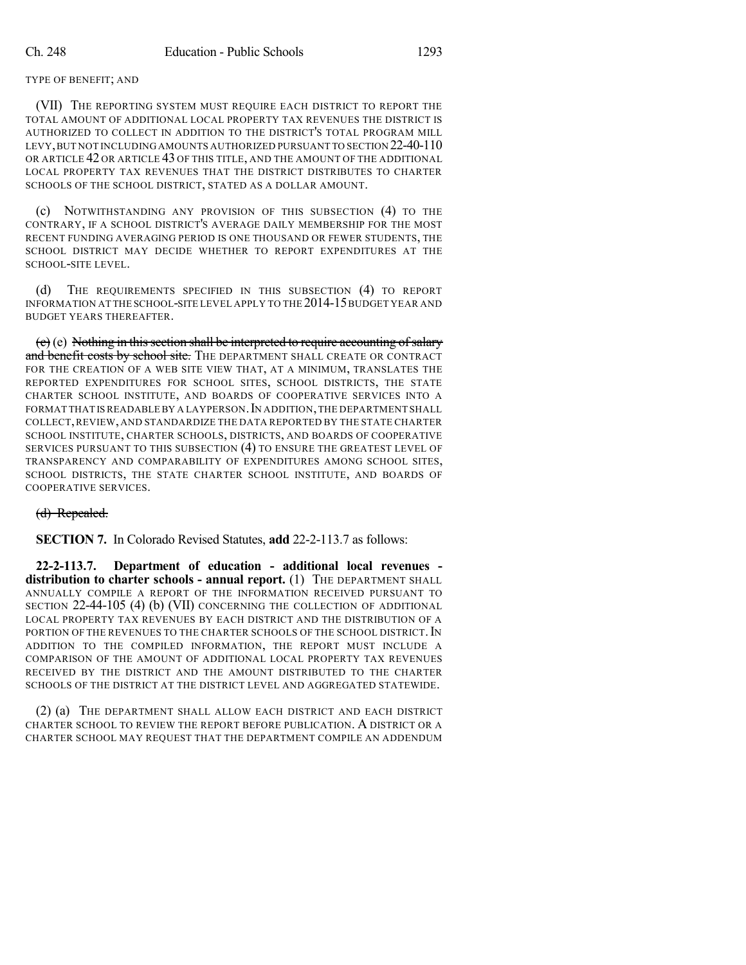## TYPE OF BENEFIT; AND

(VII) THE REPORTING SYSTEM MUST REQUIRE EACH DISTRICT TO REPORT THE TOTAL AMOUNT OF ADDITIONAL LOCAL PROPERTY TAX REVENUES THE DISTRICT IS AUTHORIZED TO COLLECT IN ADDITION TO THE DISTRICT'S TOTAL PROGRAM MILL LEVY,BUT NOT INCLUDING AMOUNTS AUTHORIZED PURSUANT TO SECTION 22-40-110 OR ARTICLE 42 OR ARTICLE 43 OF THIS TITLE, AND THE AMOUNT OF THE ADDITIONAL LOCAL PROPERTY TAX REVENUES THAT THE DISTRICT DISTRIBUTES TO CHARTER SCHOOLS OF THE SCHOOL DISTRICT, STATED AS A DOLLAR AMOUNT.

(c) NOTWITHSTANDING ANY PROVISION OF THIS SUBSECTION (4) TO THE CONTRARY, IF A SCHOOL DISTRICT'S AVERAGE DAILY MEMBERSHIP FOR THE MOST RECENT FUNDING AVERAGING PERIOD IS ONE THOUSAND OR FEWER STUDENTS, THE SCHOOL DISTRICT MAY DECIDE WHETHER TO REPORT EXPENDITURES AT THE SCHOOL-SITE LEVEL.

(d) THE REQUIREMENTS SPECIFIED IN THIS SUBSECTION (4) TO REPORT INFORMATION AT THE SCHOOL-SITE LEVEL APPLY TO THE 2014-15BUDGET YEAR AND BUDGET YEARS THEREAFTER.

 $(e)$  (e) Nothing in this section shall be interpreted to require accounting of salary and benefit costs by school site. THE DEPARTMENT SHALL CREATE OR CONTRACT FOR THE CREATION OF A WEB SITE VIEW THAT, AT A MINIMUM, TRANSLATES THE REPORTED EXPENDITURES FOR SCHOOL SITES, SCHOOL DISTRICTS, THE STATE CHARTER SCHOOL INSTITUTE, AND BOARDS OF COOPERATIVE SERVICES INTO A FORMAT THAT IS READABLE BY A LAYPERSON. IN ADDITION, THE DEPARTMENT SHALL COLLECT,REVIEW, AND STANDARDIZE THE DATA REPORTED BY THE STATE CHARTER SCHOOL INSTITUTE, CHARTER SCHOOLS, DISTRICTS, AND BOARDS OF COOPERATIVE SERVICES PURSUANT TO THIS SUBSECTION (4) TO ENSURE THE GREATEST LEVEL OF TRANSPARENCY AND COMPARABILITY OF EXPENDITURES AMONG SCHOOL SITES, SCHOOL DISTRICTS, THE STATE CHARTER SCHOOL INSTITUTE, AND BOARDS OF COOPERATIVE SERVICES.

## (d) Repealed.

**SECTION 7.** In Colorado Revised Statutes, **add** 22-2-113.7 as follows:

**22-2-113.7. Department of education - additional local revenues distribution to charter schools - annual report.** (1) THE DEPARTMENT SHALL ANNUALLY COMPILE A REPORT OF THE INFORMATION RECEIVED PURSUANT TO SECTION 22-44-105 (4) (b) (VII) CONCERNING THE COLLECTION OF ADDITIONAL LOCAL PROPERTY TAX REVENUES BY EACH DISTRICT AND THE DISTRIBUTION OF A PORTION OF THE REVENUES TO THE CHARTER SCHOOLS OF THE SCHOOL DISTRICT. IN ADDITION TO THE COMPILED INFORMATION, THE REPORT MUST INCLUDE A COMPARISON OF THE AMOUNT OF ADDITIONAL LOCAL PROPERTY TAX REVENUES RECEIVED BY THE DISTRICT AND THE AMOUNT DISTRIBUTED TO THE CHARTER SCHOOLS OF THE DISTRICT AT THE DISTRICT LEVEL AND AGGREGATED STATEWIDE.

(2) (a) THE DEPARTMENT SHALL ALLOW EACH DISTRICT AND EACH DISTRICT CHARTER SCHOOL TO REVIEW THE REPORT BEFORE PUBLICATION. A DISTRICT OR A CHARTER SCHOOL MAY REQUEST THAT THE DEPARTMENT COMPILE AN ADDENDUM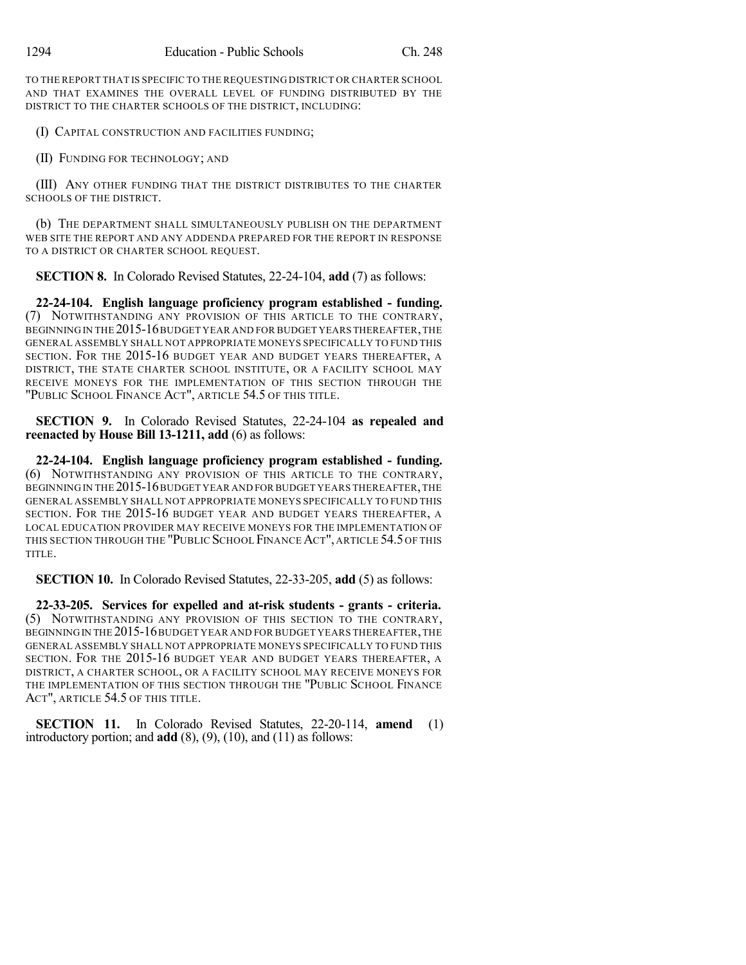TO THE REPORT THAT IS SPECIFIC TO THE REQUESTING DISTRICT OR CHARTER SCHOOL AND THAT EXAMINES THE OVERALL LEVEL OF FUNDING DISTRIBUTED BY THE DISTRICT TO THE CHARTER SCHOOLS OF THE DISTRICT, INCLUDING:

(I) CAPITAL CONSTRUCTION AND FACILITIES FUNDING;

(II) FUNDING FOR TECHNOLOGY; AND

(III) ANY OTHER FUNDING THAT THE DISTRICT DISTRIBUTES TO THE CHARTER SCHOOLS OF THE DISTRICT.

(b) THE DEPARTMENT SHALL SIMULTANEOUSLY PUBLISH ON THE DEPARTMENT WEB SITE THE REPORT AND ANY ADDENDA PREPARED FOR THE REPORT IN RESPONSE TO A DISTRICT OR CHARTER SCHOOL REQUEST.

**SECTION 8.** In Colorado Revised Statutes, 22-24-104, **add** (7) as follows:

**22-24-104. English language proficiency program established - funding.** (7) NOTWITHSTANDING ANY PROVISION OF THIS ARTICLE TO THE CONTRARY, BEGINNING IN THE 2015-16BUDGET YEAR AND FOR BUDGET YEARS THEREAFTER,THE GENERAL ASSEMBLY SHALL NOT APPROPRIATE MONEYS SPECIFICALLY TO FUND THIS SECTION. FOR THE 2015-16 BUDGET YEAR AND BUDGET YEARS THEREAFTER, A DISTRICT, THE STATE CHARTER SCHOOL INSTITUTE, OR A FACILITY SCHOOL MAY RECEIVE MONEYS FOR THE IMPLEMENTATION OF THIS SECTION THROUGH THE "PUBLIC SCHOOL FINANCE ACT", ARTICLE 54.5 OF THIS TITLE.

**SECTION 9.** In Colorado Revised Statutes, 22-24-104 **as repealed and reenacted by House Bill 13-1211, add** (6) as follows:

**22-24-104. English language proficiency program established - funding.** (6) NOTWITHSTANDING ANY PROVISION OF THIS ARTICLE TO THE CONTRARY, BEGINNING IN THE 2015-16 BUDGET YEAR AND FOR BUDGET YEARS THEREAFTER, THE GENERAL ASSEMBLY SHALL NOT APPROPRIATE MONEYS SPECIFICALLY TO FUND THIS SECTION. FOR THE 2015-16 BUDGET YEAR AND BUDGET YEARS THEREAFTER, A LOCAL EDUCATION PROVIDER MAY RECEIVE MONEYS FOR THE IMPLEMENTATION OF THIS SECTION THROUGH THE "PUBLIC SCHOOL FINANCE ACT", ARTICLE 54.5 OF THIS TITLE.

**SECTION 10.** In Colorado Revised Statutes, 22-33-205, **add** (5) as follows:

**22-33-205. Services for expelled and at-risk students - grants - criteria.** (5) NOTWITHSTANDING ANY PROVISION OF THIS SECTION TO THE CONTRARY, BEGINNING IN THE 2015-16 BUDGET YEAR AND FOR BUDGET YEARS THEREAFTER, THE GENERAL ASSEMBLY SHALL NOT APPROPRIATE MONEYS SPECIFICALLY TO FUND THIS SECTION. FOR THE 2015-16 BUDGET YEAR AND BUDGET YEARS THEREAFTER, A DISTRICT, A CHARTER SCHOOL, OR A FACILITY SCHOOL MAY RECEIVE MONEYS FOR THE IMPLEMENTATION OF THIS SECTION THROUGH THE "PUBLIC SCHOOL FINANCE ACT", ARTICLE 54.5 OF THIS TITLE.

**SECTION 11.** In Colorado Revised Statutes, 22-20-114, **amend** (1) introductory portion; and **add** (8), (9), (10), and (11) as follows: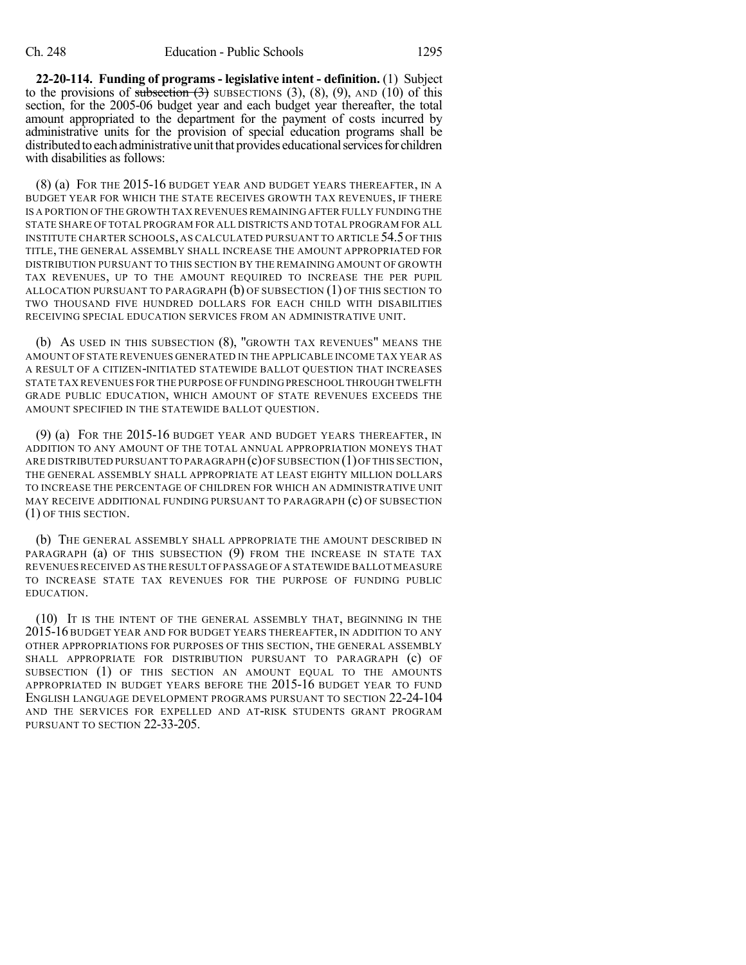**22-20-114. Funding of programs - legislative intent - definition.** (1) Subject to the provisions of subsection  $(3)$  SUBSECTIONS  $(3)$ ,  $(8)$ ,  $(9)$ , AND  $(10)$  of this section, for the 2005-06 budget year and each budget year thereafter, the total amount appropriated to the department for the payment of costs incurred by administrative units for the provision of special education programs shall be distributed to each administrative unit that provides educational services for children with disabilities as follows:

(8) (a) FOR THE 2015-16 BUDGET YEAR AND BUDGET YEARS THEREAFTER, IN A BUDGET YEAR FOR WHICH THE STATE RECEIVES GROWTH TAX REVENUES, IF THERE IS A PORTION OF THE GROWTH TAX REVENUES REMAINING AFTER FULLY FUNDING THE STATE SHARE OF TOTAL PROGRAM FOR ALL DISTRICTS AND TOTAL PROGRAM FOR ALL INSTITUTE CHARTER SCHOOLS, AS CALCULATED PURSUANT TO ARTICLE 54.5 OF THIS TITLE, THE GENERAL ASSEMBLY SHALL INCREASE THE AMOUNT APPROPRIATED FOR DISTRIBUTION PURSUANT TO THIS SECTION BY THE REMAINING AMOUNT OF GROWTH TAX REVENUES, UP TO THE AMOUNT REQUIRED TO INCREASE THE PER PUPIL ALLOCATION PURSUANT TO PARAGRAPH (b) OF SUBSECTION (1) OF THIS SECTION TO TWO THOUSAND FIVE HUNDRED DOLLARS FOR EACH CHILD WITH DISABILITIES RECEIVING SPECIAL EDUCATION SERVICES FROM AN ADMINISTRATIVE UNIT.

(b) AS USED IN THIS SUBSECTION (8), "GROWTH TAX REVENUES" MEANS THE AMOUNT OF STATE REVENUES GENERATED IN THE APPLICABLE INCOME TAX YEAR AS A RESULT OF A CITIZEN-INITIATED STATEWIDE BALLOT QUESTION THAT INCREASES STATE TAX REVENUES FOR THE PURPOSE OF FUNDING PRESCHOOL THROUGH TWELFTH GRADE PUBLIC EDUCATION, WHICH AMOUNT OF STATE REVENUES EXCEEDS THE AMOUNT SPECIFIED IN THE STATEWIDE BALLOT QUESTION.

(9) (a) FOR THE 2015-16 BUDGET YEAR AND BUDGET YEARS THEREAFTER, IN ADDITION TO ANY AMOUNT OF THE TOTAL ANNUAL APPROPRIATION MONEYS THAT ARE DISTRIBUTED PURSUANT TO PARAGRAPH  $(c)$  OF SUBSECTION  $(1)$  OF THIS SECTION, THE GENERAL ASSEMBLY SHALL APPROPRIATE AT LEAST EIGHTY MILLION DOLLARS TO INCREASE THE PERCENTAGE OF CHILDREN FOR WHICH AN ADMINISTRATIVE UNIT MAY RECEIVE ADDITIONAL FUNDING PURSUANT TO PARAGRAPH (c) OF SUBSECTION (1) OF THIS SECTION.

(b) THE GENERAL ASSEMBLY SHALL APPROPRIATE THE AMOUNT DESCRIBED IN PARAGRAPH (a) OF THIS SUBSECTION (9) FROM THE INCREASE IN STATE TAX REVENUES RECEIVED AS THE RESULT OF PASSAGE OFA STATEWIDE BALLOT MEASURE TO INCREASE STATE TAX REVENUES FOR THE PURPOSE OF FUNDING PUBLIC EDUCATION.

(10) IT IS THE INTENT OF THE GENERAL ASSEMBLY THAT, BEGINNING IN THE 2015-16 BUDGET YEAR AND FOR BUDGET YEARS THEREAFTER, IN ADDITION TO ANY OTHER APPROPRIATIONS FOR PURPOSES OF THIS SECTION, THE GENERAL ASSEMBLY SHALL APPROPRIATE FOR DISTRIBUTION PURSUANT TO PARAGRAPH (c) OF SUBSECTION (1) OF THIS SECTION AN AMOUNT EQUAL TO THE AMOUNTS APPROPRIATED IN BUDGET YEARS BEFORE THE 2015-16 BUDGET YEAR TO FUND ENGLISH LANGUAGE DEVELOPMENT PROGRAMS PURSUANT TO SECTION 22-24-104 AND THE SERVICES FOR EXPELLED AND AT-RISK STUDENTS GRANT PROGRAM PURSUANT TO SECTION 22-33-205.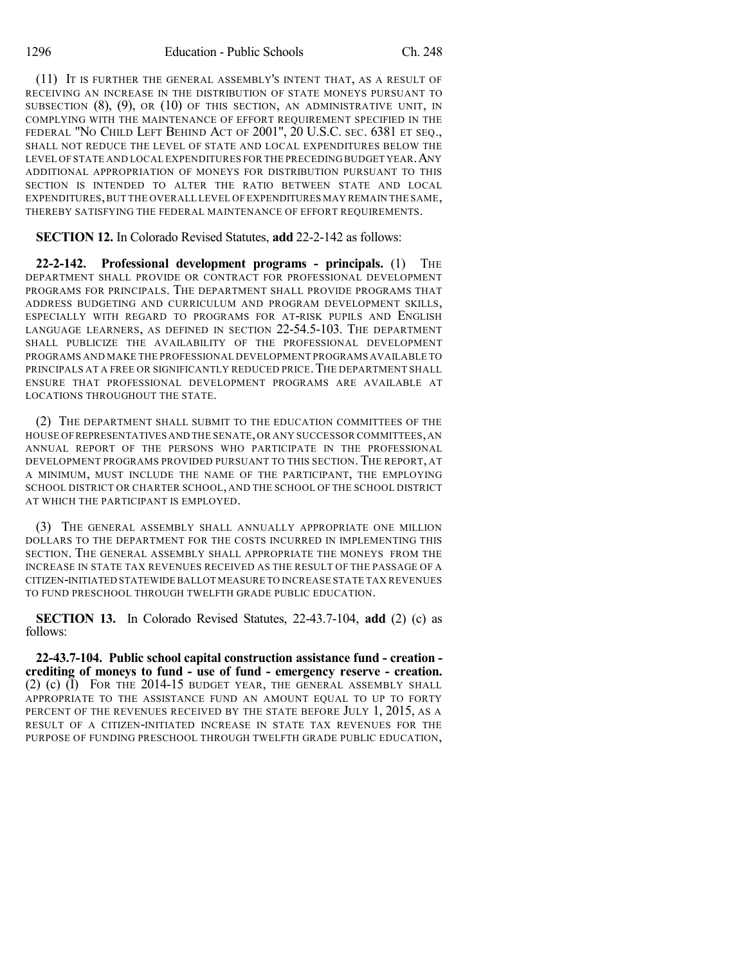(11) IT IS FURTHER THE GENERAL ASSEMBLY'S INTENT THAT, AS A RESULT OF RECEIVING AN INCREASE IN THE DISTRIBUTION OF STATE MONEYS PURSUANT TO SUBSECTION  $(8)$ ,  $(9)$ , OR  $(10)$  OF THIS SECTION, AN ADMINISTRATIVE UNIT, IN COMPLYING WITH THE MAINTENANCE OF EFFORT REQUIREMENT SPECIFIED IN THE FEDERAL "NO CHILD LEFT BEHIND ACT OF 2001", 20 U.S.C. SEC. 6381 ET SEQ., SHALL NOT REDUCE THE LEVEL OF STATE AND LOCAL EXPENDITURES BELOW THE LEVEL OF STATE AND LOCAL EXPENDITURES FOR THE PRECEDING BUDGET YEAR.ANY ADDITIONAL APPROPRIATION OF MONEYS FOR DISTRIBUTION PURSUANT TO THIS SECTION IS INTENDED TO ALTER THE RATIO BETWEEN STATE AND LOCAL EXPENDITURES,BUT THE OVERALL LEVEL OF EXPENDITURES MAY REMAIN THE SAME, THEREBY SATISFYING THE FEDERAL MAINTENANCE OF EFFORT REQUIREMENTS.

**SECTION 12.** In Colorado Revised Statutes, **add** 22-2-142 as follows:

**22-2-142. Professional development programs - principals.** (1) THE DEPARTMENT SHALL PROVIDE OR CONTRACT FOR PROFESSIONAL DEVELOPMENT PROGRAMS FOR PRINCIPALS. THE DEPARTMENT SHALL PROVIDE PROGRAMS THAT ADDRESS BUDGETING AND CURRICULUM AND PROGRAM DEVELOPMENT SKILLS, ESPECIALLY WITH REGARD TO PROGRAMS FOR AT-RISK PUPILS AND ENGLISH LANGUAGE LEARNERS, AS DEFINED IN SECTION 22-54.5-103. THE DEPARTMENT SHALL PUBLICIZE THE AVAILABILITY OF THE PROFESSIONAL DEVELOPMENT PROGRAMS AND MAKE THE PROFESSIONAL DEVELOPMENT PROGRAMS AVAILABLE TO PRINCIPALS AT A FREE OR SIGNIFICANTLY REDUCED PRICE. THE DEPARTMENT SHALL ENSURE THAT PROFESSIONAL DEVELOPMENT PROGRAMS ARE AVAILABLE AT LOCATIONS THROUGHOUT THE STATE.

(2) THE DEPARTMENT SHALL SUBMIT TO THE EDUCATION COMMITTEES OF THE HOUSE OFREPRESENTATIVES AND THE SENATE,OR ANY SUCCESSOR COMMITTEES,AN ANNUAL REPORT OF THE PERSONS WHO PARTICIPATE IN THE PROFESSIONAL DEVELOPMENT PROGRAMS PROVIDED PURSUANT TO THIS SECTION. THE REPORT, AT A MINIMUM, MUST INCLUDE THE NAME OF THE PARTICIPANT, THE EMPLOYING SCHOOL DISTRICT OR CHARTER SCHOOL, AND THE SCHOOL OF THE SCHOOL DISTRICT AT WHICH THE PARTICIPANT IS EMPLOYED.

(3) THE GENERAL ASSEMBLY SHALL ANNUALLY APPROPRIATE ONE MILLION DOLLARS TO THE DEPARTMENT FOR THE COSTS INCURRED IN IMPLEMENTING THIS SECTION. THE GENERAL ASSEMBLY SHALL APPROPRIATE THE MONEYS FROM THE INCREASE IN STATE TAX REVENUES RECEIVED AS THE RESULT OF THE PASSAGE OF A CITIZEN-INITIATED STATEWIDEBALLOT MEASURE TO INCREASE STATE TAX REVENUES TO FUND PRESCHOOL THROUGH TWELFTH GRADE PUBLIC EDUCATION.

**SECTION 13.** In Colorado Revised Statutes, 22-43.7-104, **add** (2) (c) as follows:

**22-43.7-104. Public school capital construction assistance fund - creation crediting of moneys to fund - use of fund - emergency reserve - creation.** (2) (c) (I) FOR THE 2014-15 BUDGET YEAR, THE GENERAL ASSEMBLY SHALL APPROPRIATE TO THE ASSISTANCE FUND AN AMOUNT EQUAL TO UP TO FORTY PERCENT OF THE REVENUES RECEIVED BY THE STATE BEFORE JULY 1, 2015, AS A RESULT OF A CITIZEN-INITIATED INCREASE IN STATE TAX REVENUES FOR THE PURPOSE OF FUNDING PRESCHOOL THROUGH TWELFTH GRADE PUBLIC EDUCATION,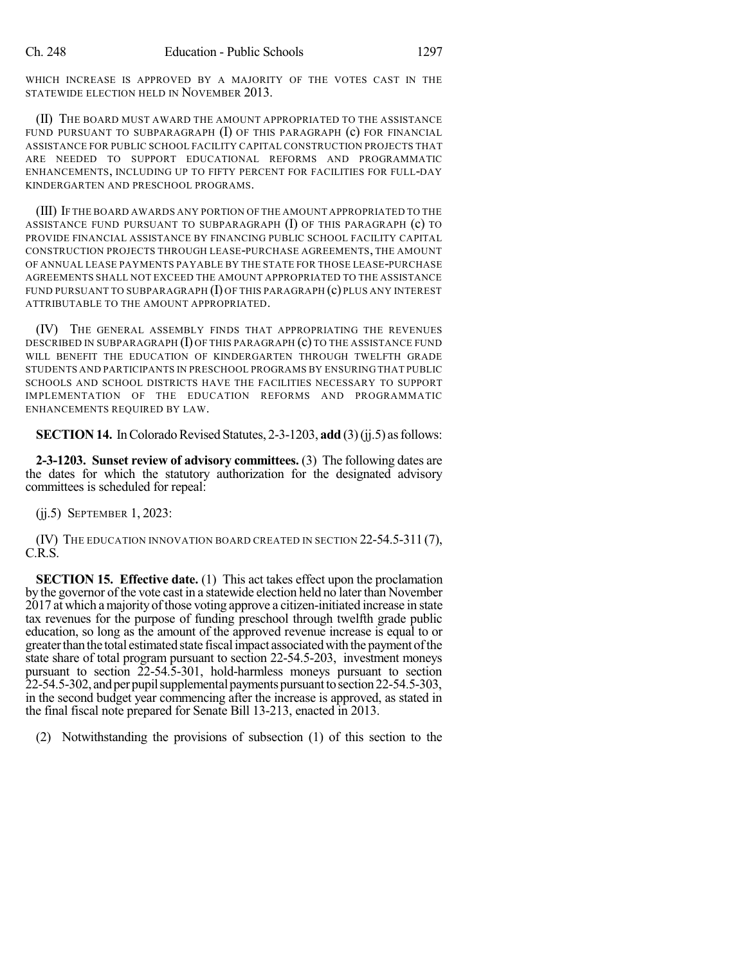WHICH INCREASE IS APPROVED BY A MAJORITY OF THE VOTES CAST IN THE STATEWIDE ELECTION HELD IN NOVEMBER 2013.

(II) THE BOARD MUST AWARD THE AMOUNT APPROPRIATED TO THE ASSISTANCE FUND PURSUANT TO SUBPARAGRAPH  $(I)$  of this paragraph  $(c)$  for financial ASSISTANCE FOR PUBLIC SCHOOL FACILITY CAPITAL CONSTRUCTION PROJECTS THAT ARE NEEDED TO SUPPORT EDUCATIONAL REFORMS AND PROGRAMMATIC ENHANCEMENTS, INCLUDING UP TO FIFTY PERCENT FOR FACILITIES FOR FULL-DAY KINDERGARTEN AND PRESCHOOL PROGRAMS.

(III) IF THE BOARD AWARDS ANY PORTION OF THE AMOUNT APPROPRIATED TO THE ASSISTANCE FUND PURSUANT TO SUBPARAGRAPH  $(I)$  OF THIS PARAGRAPH  $(c)$  TO PROVIDE FINANCIAL ASSISTANCE BY FINANCING PUBLIC SCHOOL FACILITY CAPITAL CONSTRUCTION PROJECTS THROUGH LEASE-PURCHASE AGREEMENTS, THE AMOUNT OF ANNUAL LEASE PAYMENTS PAYABLE BY THE STATE FOR THOSE LEASE-PURCHASE AGREEMENTS SHALL NOT EXCEED THE AMOUNT APPROPRIATED TO THE ASSISTANCE FUND PURSUANT TO SUBPARAGRAPH (I) OF THIS PARAGRAPH (c) PLUS ANY INTEREST ATTRIBUTABLE TO THE AMOUNT APPROPRIATED.

(IV) THE GENERAL ASSEMBLY FINDS THAT APPROPRIATING THE REVENUES DESCRIBED IN SUBPARAGRAPH (I) OF THIS PARAGRAPH (c) TO THE ASSISTANCE FUND WILL BENEFIT THE EDUCATION OF KINDERGARTEN THROUGH TWELFTH GRADE STUDENTS AND PARTICIPANTS IN PRESCHOOL PROGRAMS BY ENSURING THAT PUBLIC SCHOOLS AND SCHOOL DISTRICTS HAVE THE FACILITIES NECESSARY TO SUPPORT IMPLEMENTATION OF THE EDUCATION REFORMS AND PROGRAMMATIC ENHANCEMENTS REQUIRED BY LAW.

**SECTION 14.** In Colorado Revised Statutes, 2-3-1203, add (3)(jj.5) as follows:

**2-3-1203. Sunset review of advisory committees.** (3) The following dates are the dates for which the statutory authorization for the designated advisory committees is scheduled for repeal:

(jj.5) SEPTEMBER 1, 2023:

(IV) THE EDUCATION INNOVATION BOARD CREATED IN SECTION 22-54.5-311(7), C.R.S.

**SECTION 15. Effective date.** (1) This act takes effect upon the proclamation by the governor of the vote cast in a statewide election held no later than November 2017 at which amajority ofthose voting approve a citizen-initiated increase in state tax revenues for the purpose of funding preschool through twelfth grade public education, so long as the amount of the approved revenue increase is equal to or greaterthanthe total estimated state fiscalimpact associatedwith the payment ofthe state share of total program pursuant to section 22-54.5-203, investment moneys pursuant to section 22-54.5-301, hold-harmless moneys pursuant to section  $22-54.5-302$ , and per pupil supplemental payments pursuant to section  $22-54.5-303$ , in the second budget year commencing after the increase is approved, as stated in the final fiscal note prepared for Senate Bill 13-213, enacted in 2013.

(2) Notwithstanding the provisions of subsection (1) of this section to the